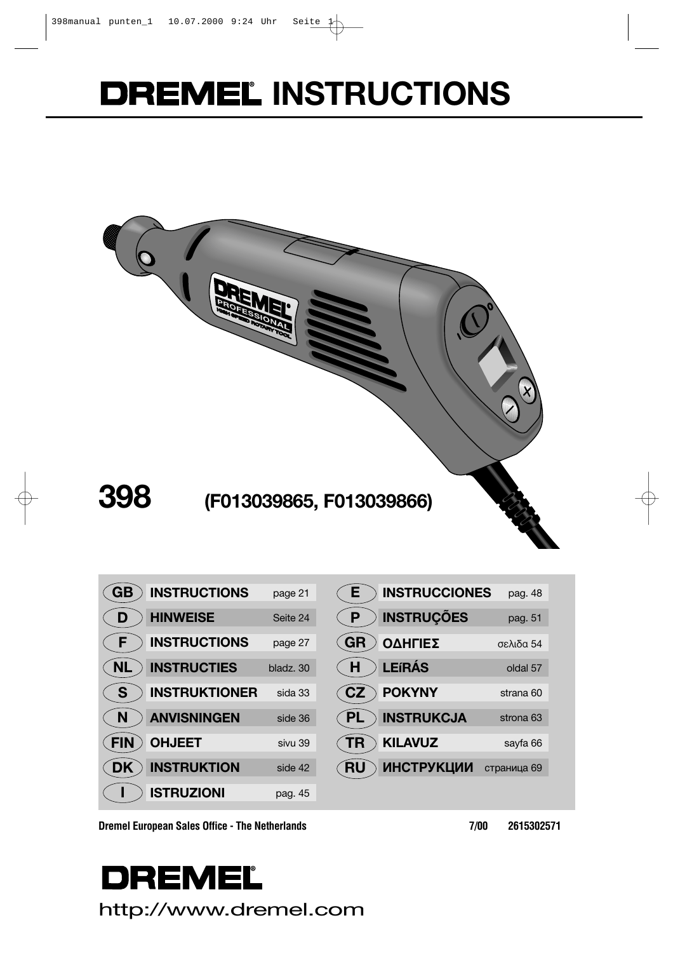# **DREMEL INSTRUCTIONS**



| GB         | <b>INSTRUCTIONS</b>  | page 21   |
|------------|----------------------|-----------|
| D          | <b>HINWEISE</b>      | Seite 24  |
| F          | <b>INSTRUCTIONS</b>  | page 27   |
|            | <b>INSTRUCTIES</b>   | bladz, 30 |
| <b>S</b>   | <b>INSTRUKTIONER</b> | sida 33   |
| -N         | <b>ANVISNINGEN</b>   | side 36   |
| <b>FIN</b> | <b>OHJEET</b>        | sivu 39   |
|            | <b>INSTRUKTION</b>   | side 42   |
|            | <b>ISTRUZIONI</b>    | pag. 45   |

| Ε         | <b>INSTRUCCIONES</b> | pag. 48     |
|-----------|----------------------|-------------|
| P         | <b>INSTRUÇÕES</b>    | pag. 51     |
| <b>GR</b> | ΟΔΗΓΙΕΣ              | σελιδα 54   |
| H         | <b>LEIRÁS</b>        | oldal 57    |
| CZ        | <b>POKYNY</b>        | strana 60   |
|           | <b>INSTRUKCJA</b>    | strona 63   |
|           | <b>KILAVUZ</b>       | sayfa 66    |
|           | <b>ИНСТРУКЦИИ</b>    | страница 69 |
|           |                      |             |

**Dremel European Sales Office - The Netherlands** 7/00 2615302571

# **DREMEL** http://www.dremel.com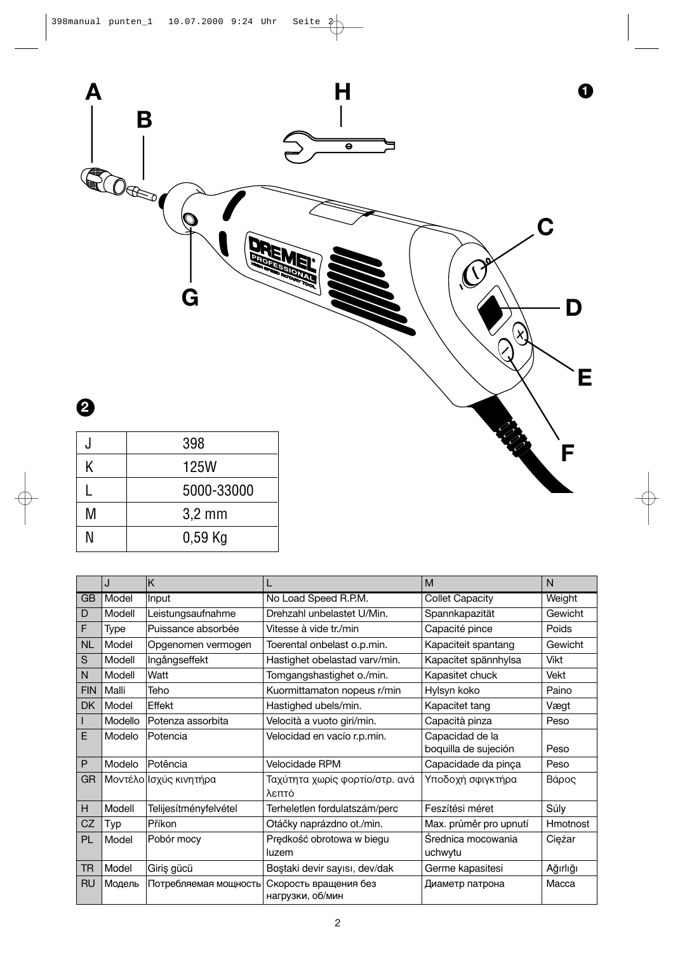

|                                                                                                                                                                                                                                                                                                                                                                                                                                                          | J       | K                      |                                           | M                                       | N               |
|----------------------------------------------------------------------------------------------------------------------------------------------------------------------------------------------------------------------------------------------------------------------------------------------------------------------------------------------------------------------------------------------------------------------------------------------------------|---------|------------------------|-------------------------------------------|-----------------------------------------|-----------------|
| <b>GB</b>                                                                                                                                                                                                                                                                                                                                                                                                                                                | Model   | Input                  | No Load Speed R.P.M.                      | <b>Collet Capacity</b>                  | Weight          |
| D                                                                                                                                                                                                                                                                                                                                                                                                                                                        | Modell  | Leistungsaufnahme      | Drehzahl unbelastet U/Min.                | Spannkapazität                          | Gewicht         |
| F                                                                                                                                                                                                                                                                                                                                                                                                                                                        | Type    | Puissance absorbée     | Vitesse à vide tr./min                    | Capacité pince                          | Poids           |
| <b>NL</b>                                                                                                                                                                                                                                                                                                                                                                                                                                                | Model   | Opgenomen vermogen     | Toerental onbelast o.p.min.               | Kapaciteit spantang                     | Gewicht         |
| $\mathsf{S}% _{T}=\mathsf{S}_{T}\!\left( a,b\right) ,\ \mathsf{S}_{T}=\mathsf{S}_{T}\!\left( a,b\right) ,\ \mathsf{S}_{T}=\mathsf{S}_{T}\!\left( a,b\right) ,\ \mathsf{S}_{T}=\mathsf{S}_{T}\!\left( a,b\right) ,\ \mathsf{S}_{T}=\mathsf{S}_{T}\!\left( a,b\right) ,\ \mathsf{S}_{T}=\mathsf{S}_{T}\!\left( a,b\right) ,\ \mathsf{S}_{T}=\mathsf{S}_{T}\!\left( a,b\right) ,\ \mathsf{S}_{T}=\mathsf{S}_{T}\!\left( a,b\right) ,\ \mathsf{S}_{T}=\math$ | Modell  | Ingångseffekt          | Hastighet obelastad varv/min.             | Kapacitet spännhylsa                    | <b>Vikt</b>     |
| N                                                                                                                                                                                                                                                                                                                                                                                                                                                        | Modell  | Watt                   | Tomgangshastighet o./min.                 | Kapasitet chuck                         | Vekt            |
| <b>FIN</b>                                                                                                                                                                                                                                                                                                                                                                                                                                               | Malli   | Teho                   | Kuormittamaton nopeus r/min               | Hylsyn koko                             | Paino           |
| <b>DK</b>                                                                                                                                                                                                                                                                                                                                                                                                                                                | Model   | Effekt                 | Hastighed ubels/min.                      | Kapacitet tang                          | Vægt            |
|                                                                                                                                                                                                                                                                                                                                                                                                                                                          | Modello | Potenza assorbita      | Velocità a vuoto giri/min.                | Capacità pinza                          | Peso            |
| F                                                                                                                                                                                                                                                                                                                                                                                                                                                        | Modelo  | Potencia               | Velocidad en vacío r.p.min.               | Capacidad de la<br>boquilla de sujeción | Peso            |
| P                                                                                                                                                                                                                                                                                                                                                                                                                                                        | Modelo  | Potência               | Velocidade RPM                            | Capacidade da pinça                     | Peso            |
| GR                                                                                                                                                                                                                                                                                                                                                                                                                                                       |         | Μοντέλο Ισχύς κινητήρα | Ταχύτητα χωρίς φορτίο/στρ. ανά<br>λεπτό   | Υποδοχή σφιγκτήρα                       | Βάρος           |
| н                                                                                                                                                                                                                                                                                                                                                                                                                                                        | Modell  | Telijesítményfelvétel  | Terheletlen fordulatszám/perc             | Feszítési méret                         | Súly            |
| CZ                                                                                                                                                                                                                                                                                                                                                                                                                                                       | Typ     | Příkon                 | Otáčky naprázdno ot./min.                 | Max. průměr pro upnutí                  | <b>Hmotnost</b> |
| PL                                                                                                                                                                                                                                                                                                                                                                                                                                                       | Model   | Pobór mocy             | Prędkość obrotowa w biegu<br>luzem        | Średnica mocowania<br>uchwytu           | Ciężar          |
| TR.                                                                                                                                                                                                                                                                                                                                                                                                                                                      | Model   | Giriş gücü             | Bostaki devir sayısı, dev/dak             | Germe kapasitesi                        | Ağırlığı        |
| <b>RU</b>                                                                                                                                                                                                                                                                                                                                                                                                                                                | Модель  | Потребляемая мощность  | Скорость вращения без<br>нагрузки, об/мин | Диаметр патрона                         | Macca           |

N 0,59 Kg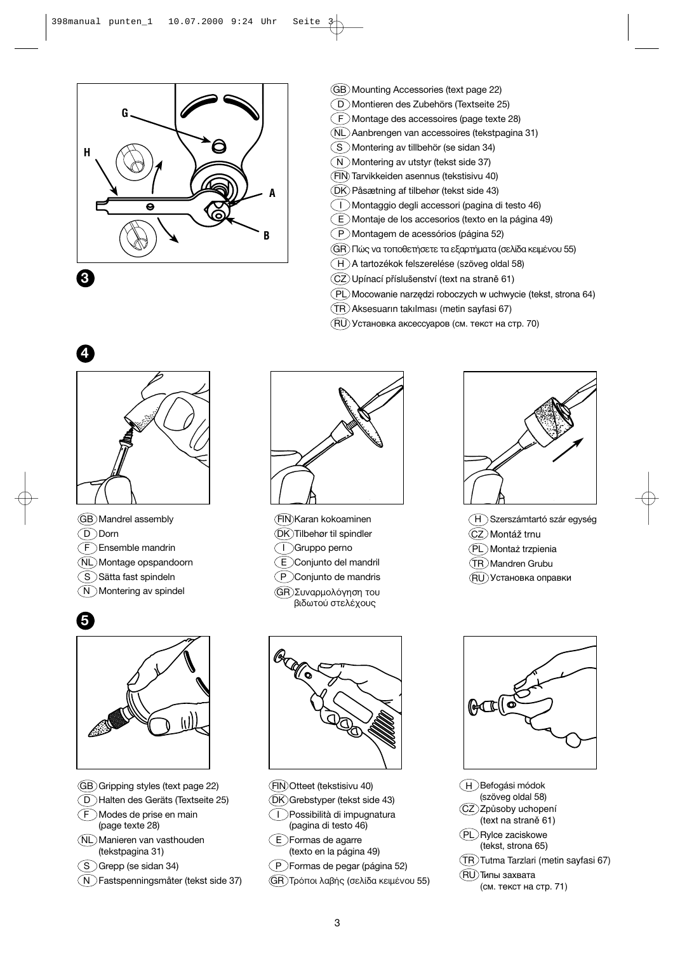

- GB Mounting Accessories (text page 22)
- D Montieren des Zubehörs (Textseite 25)
- $( F )$ Montage des accessoires (page texte 28)
- NL Aanbrengen van accessoires (tekstpagina 31)
- S Montering av tillbehör (se sidan 34)
- $\binom{n}{N}$  Montering av utstyr (tekst side 37)
- FIN Tarvikkeiden asennus (tekstisivu 40)
- DK Påsætning af tilbehør (tekst side 43)
- I Montaggio degli accessori (pagina di testo 46)
- E Montaje de los accesorios (texto en la página 49)
- $(P)$ Montagem de acessórios (página 52)
- $\overline{\text{GR}}$ ) Πώς να τοποθετήσετε τα εξαρτήματα (σελίδα κειμένου 55)
- $\overline{(H)}$ A tartozékok felszerelése (szöveg oldal 58)
- $(CZ)$ Upínací příslušenství (text na straně 61)
- (PL) Mocowanie narzędzi roboczych w uchwycie (tekst, strona 64)
- TR Aksesuar∂n tak∂lmas∂ (metin sayfasi 67)
- RU Установка аксессуаров (см. текст на стр. 70)



- GB Mandrel assembly D Dorn
- $\mathsf{F}$   $\mathsf{D}$  Ensemble mandrin
- NL Montage opspandoorn
- S Sätta fast spindeln
- N Montering av spindel



- GB Gripping styles (text page 22)
- D Halten des Geräts (Textseite 25)
- F Modes de prise en main (page texte 28)
- NL Manieren van vasthouden (tekstpagina 31)
- $(S)$ Grepp (se sidan 34)
- N Fastspenningsmåter (tekst side 37)



- FIN Karan kokoaminen DK Tilbehør til spindler
- I Gruppo perno
- E Conjunto del mandril
- P Conjunto de mandris
- $\overline{(GR)}$ Συναρμολόγηση του βιδωτού στελέχους



FIN Otteet (tekstisivu 40)

- DK Grebstyper (tekst side 43)
- I Possibilità di impugnatura (pagina di testo 46)
- $(E)$ Formas de agarre (texto en la página 49)

P Formas de pegar (página 52)

GR) Τρόποι λαβής (σελίδα κειμένου 55)



H Szerszámtartó szár egység  $\mathcal{C}(\overline{\mathsf{C}})$ Montáž trnu PL Monta˝ trzpienia TR Mandren Grubu

RU Установка оправки





 $(H)$ Befogási módok (szöveg oldal 58) CZ ZpÛsoby uchopení (text na straně 61) (PL) Rylce zaciskowe

(tekst, strona 65)

TR Tutma Tarzlari (metin sayfasi 67)

RU Типы захвата (см. текст на стр. 71)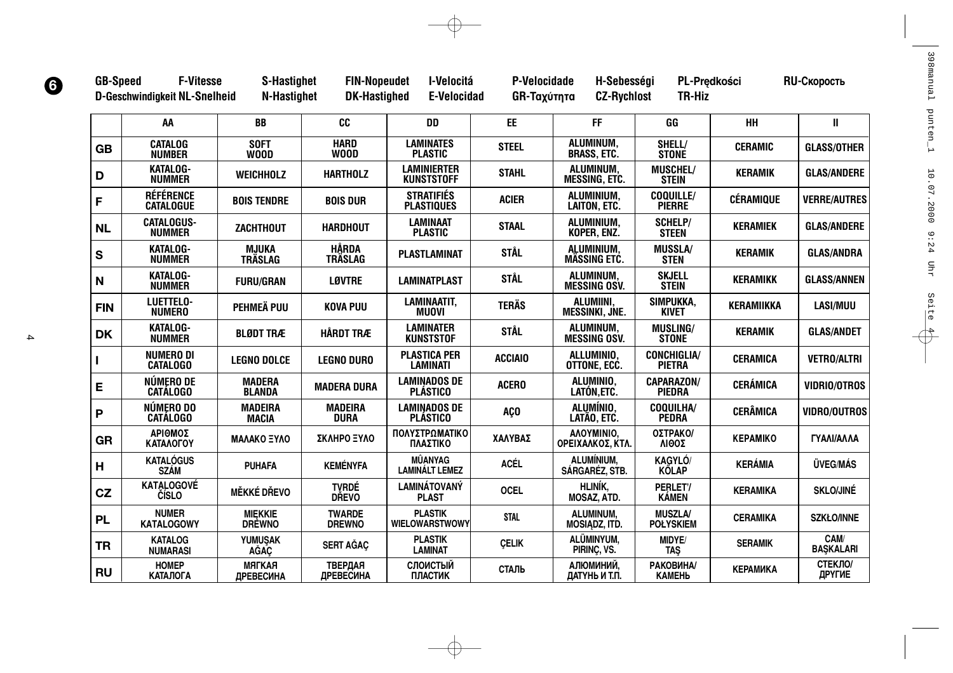|              | AA                                   | <b>BB</b>                         | CC                             | <b>DD</b>                               | <b>EE</b>       | <b>FF</b>                                 | GG                                    | HH                | $\mathbf{I}$             |
|--------------|--------------------------------------|-----------------------------------|--------------------------------|-----------------------------------------|-----------------|-------------------------------------------|---------------------------------------|-------------------|--------------------------|
| <b>GB</b>    | <b>CATALOG</b><br><b>NUMBER</b>      | <b>SOFT</b><br><b>WOOD</b>        | <b>HARD</b><br><b>WOOD</b>     | <b>LAMINATES</b><br><b>PLASTIC</b>      | <b>STEEL</b>    | ALUMINUM,<br><b>BRASS, ETC.</b>           | SHELL/<br><b>STONE</b>                | <b>CERAMIC</b>    | <b>GLASS/OTHER</b>       |
| D            | <b>KATALOG-</b><br><b>NUMMER</b>     | <b>WEICHHOLZ</b>                  | <b>HARTHOLZ</b>                | <b>LAMINIERTER</b><br><b>KUNSTSTOFF</b> | <b>STAHL</b>    | ALUMINUM,<br><b>MESSING, ETC.</b>         | MUSCHEL/<br><b>STEIN</b>              | <b>KERAMIK</b>    | <b>GLAS/ANDERE</b>       |
| F            | <b>RÉFÉRENCE</b><br><b>CATALOGUE</b> | <b>BOIS TENDRE</b>                | <b>BOIS DUR</b>                | <b>STRATIFIÉS</b><br><b>PLASTIQUES</b>  | <b>ACIER</b>    | ALUMINIUM,<br>LAITON, ETC.                | COQUILLE/<br><b>PIERRE</b>            | <b>CÉRAMIQUE</b>  | <b>VERRE/AUTRES</b>      |
| <b>NL</b>    | <b>CATALOGUS-</b><br><b>NUMMER</b>   | <b>ZACHTHOUT</b>                  | <b>HARDHOUT</b>                | <b>LAMINAAT</b><br><b>PLASTIC</b>       | <b>STAAL</b>    | ALUMINIUM.<br>KOPER, ENZ.                 | <b>SCHELP/</b><br><b>STEEN</b>        | <b>KERAMIEK</b>   | <b>GLAS/ANDERE</b>       |
| $\mathbf{s}$ | <b>KATALOG-</b><br><b>NUMMER</b>     | <b>MJUKA</b><br><b>TRÄSLAG</b>    | <b>HÅRDA</b><br><b>TRÄSLAG</b> | <b>PLASTLAMINAT</b>                     | <b>STÅL</b>     | ALUMINIUM,<br><b>MÄSSING ETC.</b>         | <b>MUSSLA/</b><br><b>STEN</b>         | <b>KERAMIK</b>    | <b>GLAS/ANDRA</b>        |
| N            | <b>KATALOG-</b><br><b>NUMMER</b>     | <b>FURU/GRAN</b>                  | <b>LØVTRE</b>                  | <b>LAMINATPLAST</b>                     | <b>STÅL</b>     | ALUMINUM.<br><b>MESSING OSV.</b>          | <b>SKJELL</b><br><b>STEIN</b>         | <b>KERAMIKK</b>   | <b>GLASS/ANNEN</b>       |
| <b>FIN</b>   | LUETTELO-<br><b>NUMERO</b>           | PEHMEÄ PUU                        | <b>KOVA PUU</b>                | <b>LAMINAATIT,</b><br><b>MUOVI</b>      | <b>TERÄS</b>    | <b>ALUMIINI.</b><br><b>MESSINKI, JNE.</b> | SIMPUKKA,<br><b>KIVET</b>             | <b>KERAMIIKKA</b> | <b>LASI/MUU</b>          |
| <b>DK</b>    | <b>KATALOG-</b><br><b>NUMMER</b>     | <b>BLØDT TRÆ</b>                  | <b>HÅRDT TRÆ</b>               | <b>LAMINATER</b><br><b>KUNSTSTOF</b>    | <b>STÅL</b>     | ALUMINUM,<br><b>MESSING OSV.</b>          | <b>MUSLING/</b><br><b>STONE</b>       | <b>KERAMIK</b>    | <b>GLAS/ANDET</b>        |
|              | <b>NUMERO DI</b><br><b>CATALOGO</b>  | <b>LEGNO DOLCE</b>                | <b>LEGNO DURO</b>              | <b>PLASTICA PER</b><br><b>LAMINATI</b>  | <b>ACCIAIO</b>  | ALLUMINIO.<br>OTTONE, ECC.                | <b>CONCHIGLIA/</b><br><b>PIETRA</b>   | <b>CERAMICA</b>   | <b>VETRO/ALTRI</b>       |
| E            | NÚMERO DE<br><b>CATÁLOGO</b>         | <b>MADERA</b><br><b>BLANDA</b>    | <b>MADERA DURA</b>             | <b>LAMINADOS DE</b><br><b>PLÁSTICO</b>  | <b>ACERO</b>    | ALUMINIO,<br>LATÓN, ETC.                  | <b>CAPARAZON/</b><br><b>PIEDRA</b>    | <b>CERÁMICA</b>   | <b>VIDRIO/OTROS</b>      |
| P            | NÚMERO DO<br><b>CATÁLOGO</b>         | <b>MADEIRA</b><br><b>MACIA</b>    | <b>MADEIRA</b><br><b>DURA</b>  | <b>LAMINADOS DE</b><br><b>PLÁSTICO</b>  | AÇ <sub>0</sub> | ALUMÍNIO.<br>LATÃO, ETC.                  | <b>COQUILHA/</b><br><b>PEDRA</b>      | <b>CERÂMICA</b>   | <b>VIDRO/OUTROS</b>      |
| <b>GR</b>    | ΑΡΙΘΜΟΣ<br>ΚΑΤΑΛΟΓΟΥ                 | ΜΑΛΑΚΟ ΞΥΛΟ                       | ΣΚΛΗΡΟ ΞΥΛΟ                    | ΠΟΛΥΣΤΡΩΜΑΤΙΚΟ<br>ΠΛΑΣΤΙΚΟ              | ΧΑΛΥΒΑΣ         | AAOYMINIO,<br>ΟΡΕΙΧΑΛΚΟΣ, ΚΤΛ.            | ΟΣΤΡΑΚΟΙ<br><b>ΔΙΘΟΣ</b>              | <b>KEPAMIKO</b>   | ΓΥΑΛΙ/ΑΛΛΑ               |
| H            | <b>KATALÓGUS</b><br><b>SZÁM</b>      | <b>PUHAFA</b>                     | <b>KEMÉNYFA</b>                | <b>MÛANYAG</b><br><b>LAMINÁLT LEMEZ</b> | <b>ACÉL</b>     | ALUMÍNIUM,<br>SÁRGARÉZ, STB.              | <b>KAGYLÓ</b><br><b>KŐLAP</b>         | <b>KERÁMIA</b>    | <b>ÜVEG/MÁS</b>          |
| CZ           | <b>KATALOGOVÉ</b><br>ČÍSLO           | <b>MĚKKÉ DŘEVO</b>                | <b>TVRDÉ</b><br><b>DŘEVO</b>   | <b>LAMINÁTOVANÝ</b><br><b>PLAST</b>     | <b>OCEL</b>     | <b>HLINÍK.</b><br><b>MOSAZ, ATD.</b>      | PERLET'/<br><b>KÁMEN</b>              | <b>KERAMIKA</b>   | <b>SKLO/JINÉ</b>         |
| <b>PL</b>    | <b>NUMER</b><br><b>KATALOGOWY</b>    | <b>MIEKKIE</b><br><b>DRÈWNO</b>   | <b>TWARDE</b><br><b>DREWNO</b> | <b>PLASTIK</b><br><b>WIELOWARSTWOWY</b> | <b>STAL</b>     | <b>ALUMINUM.</b><br>MOSIADZ, ITD.         | <b>MUSZLA/</b><br><b>POŁYSKIEM</b>    | <b>CERAMIKA</b>   | <b>SZKŁO/INNE</b>        |
| <b>TR</b>    | <b>KATALOG</b><br><b>NUMARASI</b>    | <b>YUMUSAK</b><br><b>AGAC</b>     | <b>SERT AĞAÇ</b>               | <b>PLASTIK</b><br><b>LAMINAT</b>        | <b>ÇELIK</b>    | ALÜMINYUM,<br>PIRINÇ, VS.                 | MIDYE/<br><b>TAŞ</b>                  | <b>SERAMIK</b>    | CAM/<br><b>BAŞKALARI</b> |
| <b>RU</b>    | <b>HOMEP</b><br><b>КАТАЛОГА</b>      | <b>MATKAA</b><br><b>ДРЕВЕСИНА</b> | ТВЕРДАЯ<br><b>ДРЕВЕСИНА</b>    | СЛОИСТЫЙ<br>ПЛАСТИК                     | СТАЛЬ           | АЛЮМИНИЙ,<br>ДАТҮНЬ И Т.П.                | РАКОВИНА/<br><b>KAMEH<sub>b</sub></b> | <b>КЕРАМИКА</b>   | СТЕКЛО/<br>ДРҮГИЕ        |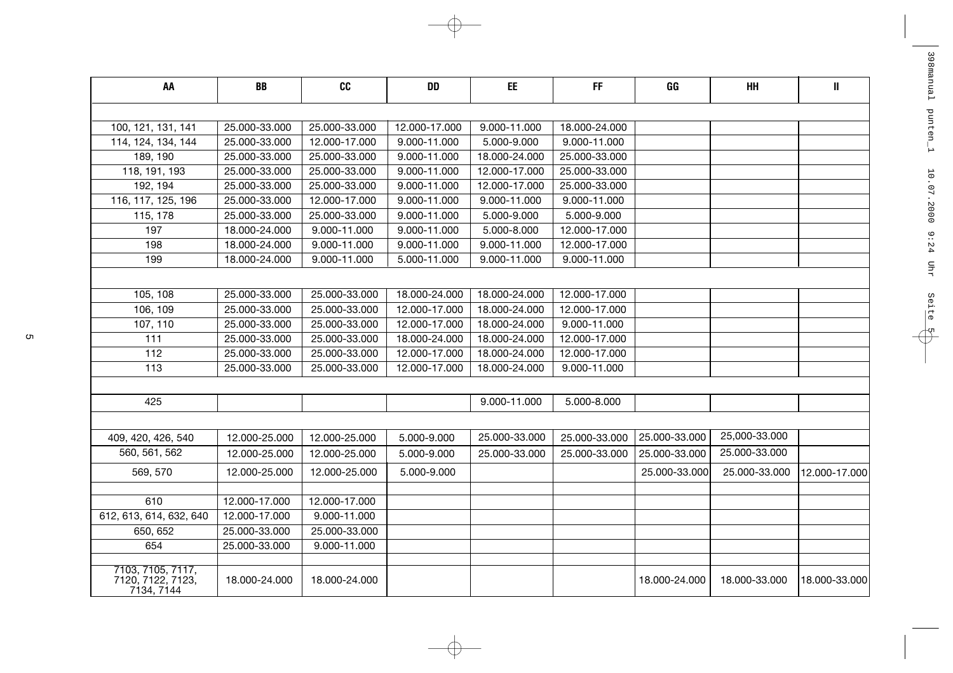| AA                                                   | BB            | cc            | <b>DD</b>     | EE            | FF            | GG            | HH            | $\, \parallel$ |
|------------------------------------------------------|---------------|---------------|---------------|---------------|---------------|---------------|---------------|----------------|
|                                                      |               |               |               |               |               |               |               |                |
| 100, 121, 131, 141                                   | 25.000-33.000 | 25.000-33.000 | 12.000-17.000 | 9.000-11.000  | 18.000-24.000 |               |               |                |
| 114, 124, 134, 144                                   | 25.000-33.000 | 12.000-17.000 | 9.000-11.000  | 5.000-9.000   | 9.000-11.000  |               |               |                |
| 189, 190                                             | 25.000-33.000 | 25.000-33.000 | 9.000-11.000  | 18.000-24.000 | 25.000-33.000 |               |               |                |
| 118, 191, 193                                        | 25.000-33.000 | 25.000-33.000 | 9.000-11.000  | 12.000-17.000 | 25.000-33.000 |               |               |                |
| 192, 194                                             | 25.000-33.000 | 25.000-33.000 | 9.000-11.000  | 12.000-17.000 | 25.000-33.000 |               |               |                |
| 116, 117, 125, 196                                   | 25.000-33.000 | 12.000-17.000 | 9.000-11.000  | 9.000-11.000  | 9.000-11.000  |               |               |                |
| 115, 178                                             | 25.000-33.000 | 25.000-33.000 | 9.000-11.000  | 5.000-9.000   | 5.000-9.000   |               |               |                |
| 197                                                  | 18.000-24.000 | 9.000-11.000  | 9.000-11.000  | 5.000-8.000   | 12.000-17.000 |               |               |                |
| 198                                                  | 18.000-24.000 | 9.000-11.000  | 9.000-11.000  | 9.000-11.000  | 12.000-17.000 |               |               |                |
| 199                                                  | 18.000-24.000 | 9.000-11.000  | 5.000-11.000  | 9.000-11.000  | 9.000-11.000  |               |               |                |
|                                                      |               |               |               |               |               |               |               |                |
| 105, 108                                             | 25.000-33.000 | 25.000-33.000 | 18.000-24.000 | 18.000-24.000 | 12.000-17.000 |               |               |                |
| 106, 109                                             | 25.000-33.000 | 25.000-33.000 | 12.000-17.000 | 18.000-24.000 | 12.000-17.000 |               |               |                |
| 107, 110                                             | 25.000-33.000 | 25.000-33.000 | 12.000-17.000 | 18.000-24.000 | 9.000-11.000  |               |               |                |
| 111                                                  | 25.000-33.000 | 25.000-33.000 | 18.000-24.000 | 18.000-24.000 | 12.000-17.000 |               |               |                |
| 112                                                  | 25.000-33.000 | 25.000-33.000 | 12.000-17.000 | 18.000-24.000 | 12.000-17.000 |               |               |                |
| 113                                                  | 25.000-33.000 | 25.000-33.000 | 12.000-17.000 | 18.000-24.000 | 9.000-11.000  |               |               |                |
|                                                      |               |               |               |               |               |               |               |                |
| 425                                                  |               |               |               | 9.000-11.000  | 5.000-8.000   |               |               |                |
|                                                      |               |               |               |               |               |               |               |                |
| 409, 420, 426, 540                                   | 12.000-25.000 | 12.000-25.000 | 5.000-9.000   | 25.000-33.000 | 25.000-33.000 | 25.000-33.000 | 25,000-33.000 |                |
| 560, 561, 562                                        | 12.000-25.000 | 12.000-25.000 | 5.000-9.000   | 25.000-33.000 | 25.000-33.000 | 25.000-33.000 | 25.000-33.000 |                |
| 569, 570                                             | 12.000-25.000 | 12.000-25.000 | 5.000-9.000   |               |               | 25.000-33.000 | 25.000-33.000 | 12.000-17.000  |
| 610                                                  | 12.000-17.000 | 12.000-17.000 |               |               |               |               |               |                |
| 612, 613, 614, 632, 640                              | 12.000-17.000 | 9.000-11.000  |               |               |               |               |               |                |
| 650, 652                                             | 25.000-33.000 | 25.000-33.000 |               |               |               |               |               |                |
| 654                                                  | 25.000-33.000 | 9.000-11.000  |               |               |               |               |               |                |
|                                                      |               |               |               |               |               |               |               |                |
| 7103, 7105, 7117,<br>7120, 7122, 7123,<br>7134, 7144 | 18.000-24.000 | 18.000-24.000 |               |               |               | 18.000-24.000 | 18.000-33.000 | 18.000-33.000  |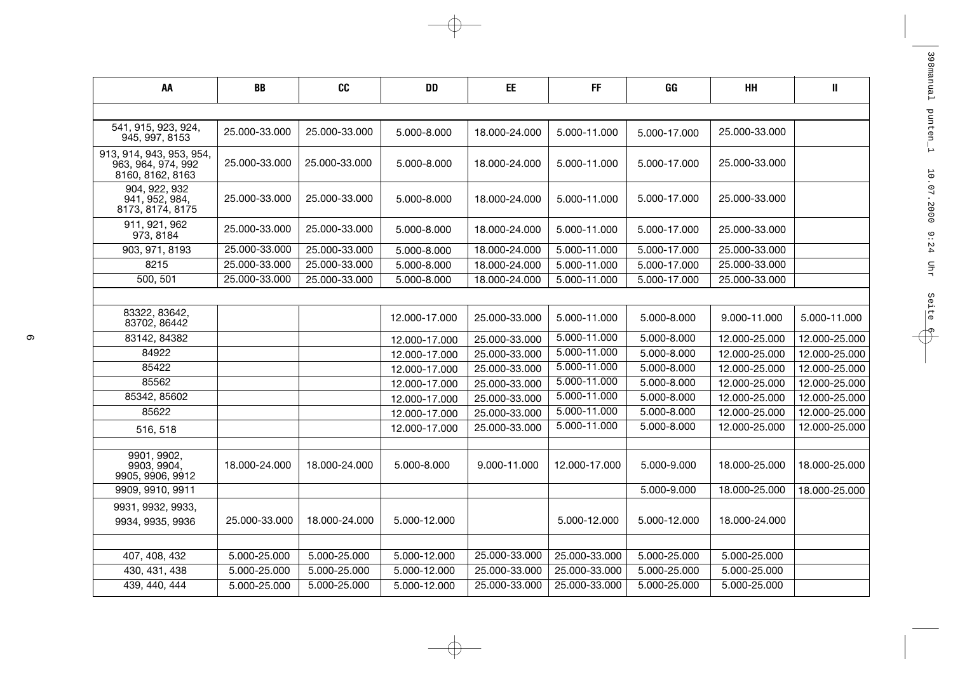| AA                                                                 | BB            | <b>CC</b>     | <b>DD</b>     | EE            | <b>FF</b>     | GG           | HH            | Ш             |
|--------------------------------------------------------------------|---------------|---------------|---------------|---------------|---------------|--------------|---------------|---------------|
|                                                                    |               |               |               |               |               |              |               |               |
| 541, 915, 923, 924,<br>945, 997, 8153                              | 25.000-33.000 | 25.000-33.000 | 5.000-8.000   | 18.000-24.000 | 5.000-11.000  | 5.000-17.000 | 25.000-33.000 |               |
| 913, 914, 943, 953, 954,<br>963, 964, 974, 992<br>8160, 8162, 8163 | 25.000-33.000 | 25.000-33.000 | 5.000-8.000   | 18.000-24.000 | 5.000-11.000  | 5.000-17.000 | 25.000-33.000 |               |
| 904, 922, 932<br>941, 952, 984,<br>8173, 8174, 8175                | 25.000-33.000 | 25.000-33.000 | 5.000-8.000   | 18.000-24.000 | 5.000-11.000  | 5.000-17.000 | 25.000-33.000 |               |
| 911, 921, 962<br>973, 8184                                         | 25.000-33.000 | 25.000-33.000 | 5.000-8.000   | 18.000-24.000 | 5.000-11.000  | 5.000-17.000 | 25.000-33.000 |               |
| 903, 971, 8193                                                     | 25.000-33.000 | 25.000-33.000 | 5.000-8.000   | 18.000-24.000 | 5.000-11.000  | 5.000-17.000 | 25.000-33.000 |               |
| 8215                                                               | 25.000-33.000 | 25.000-33.000 | 5.000-8.000   | 18.000-24.000 | 5.000-11.000  | 5.000-17.000 | 25.000-33.000 |               |
| 500, 501                                                           | 25.000-33.000 | 25.000-33.000 | 5.000-8.000   | 18.000-24.000 | 5.000-11.000  | 5.000-17.000 | 25.000-33.000 |               |
|                                                                    |               |               |               |               |               |              |               |               |
| 83322, 83642,<br>83702, 86442                                      |               |               | 12.000-17.000 | 25.000-33.000 | 5.000-11.000  | 5.000-8.000  | 9.000-11.000  | 5.000-11.000  |
| 83142, 84382                                                       |               |               | 12.000-17.000 | 25.000-33.000 | 5.000-11.000  | 5.000-8.000  | 12.000-25.000 | 12.000-25.000 |
| 84922                                                              |               |               | 12.000-17.000 | 25.000-33.000 | 5.000-11.000  | 5.000-8.000  | 12.000-25.000 | 12.000-25.000 |
| 85422                                                              |               |               | 12.000-17.000 | 25.000-33.000 | 5.000-11.000  | 5.000-8.000  | 12.000-25.000 | 12.000-25.000 |
| 85562                                                              |               |               | 12.000-17.000 | 25.000-33.000 | 5.000-11.000  | 5.000-8.000  | 12.000-25.000 | 12.000-25.000 |
| 85342, 85602                                                       |               |               | 12.000-17.000 | 25.000-33.000 | 5.000-11.000  | 5.000-8.000  | 12.000-25.000 | 12.000-25.000 |
| 85622                                                              |               |               | 12.000-17.000 | 25.000-33.000 | 5.000-11.000  | 5.000-8.000  | 12.000-25.000 | 12.000-25.000 |
| 516, 518                                                           |               |               | 12.000-17.000 | 25.000-33.000 | 5.000-11.000  | 5.000-8.000  | 12.000-25.000 | 12.000-25.000 |
|                                                                    |               |               |               |               |               |              |               |               |
| 9901, 9902,<br>9903, 9904,<br>9905, 9906, 9912                     | 18.000-24.000 | 18.000-24.000 | 5.000-8.000   | 9.000-11.000  | 12.000-17.000 | 5.000-9.000  | 18.000-25.000 | 18.000-25.000 |
| 9909, 9910, 9911                                                   |               |               |               |               |               | 5.000-9.000  | 18.000-25.000 | 18.000-25.000 |
| 9931, 9932, 9933,                                                  |               |               |               |               |               |              |               |               |
| 9934, 9935, 9936                                                   | 25.000-33.000 | 18.000-24.000 | 5.000-12.000  |               | 5.000-12.000  | 5.000-12.000 | 18.000-24.000 |               |
|                                                                    |               |               |               |               |               |              |               |               |
| 407, 408, 432                                                      | 5.000-25.000  | 5.000-25.000  | 5.000-12.000  | 25.000-33.000 | 25.000-33.000 | 5.000-25.000 | 5.000-25.000  |               |
| 430, 431, 438                                                      | 5.000-25.000  | 5.000-25.000  | 5.000-12.000  | 25.000-33.000 | 25.000-33.000 | 5.000-25.000 | 5.000-25.000  |               |
| 439, 440, 444                                                      | 5.000-25.000  | 5.000-25.000  | 5.000-12.000  | 25.000-33.000 | 25.000-33.000 | 5.000-25.000 | 5.000-25.000  |               |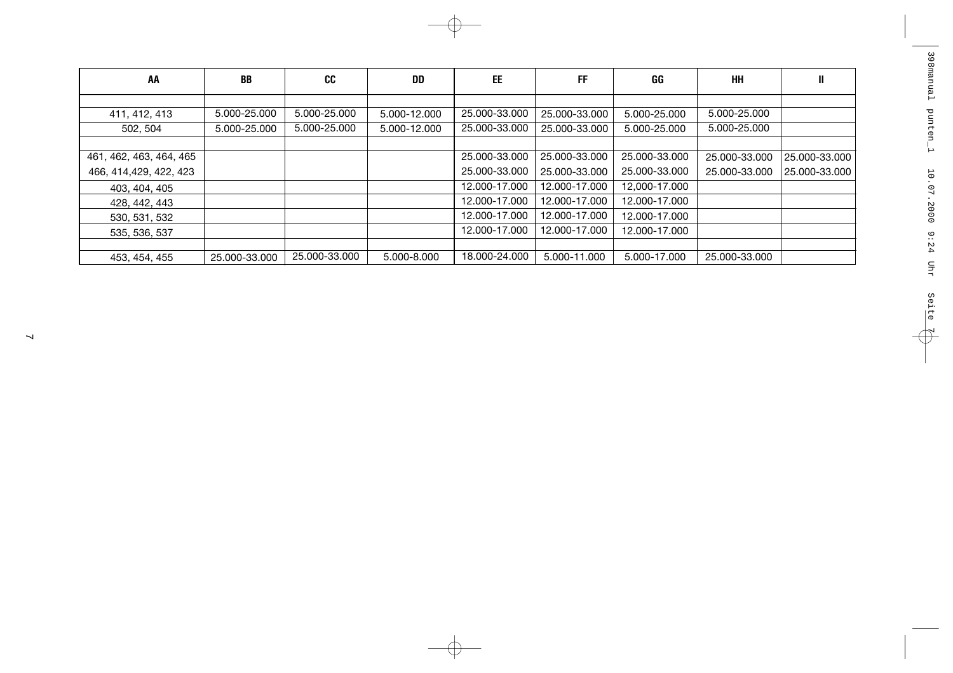| AA                      | BB            | <b>CC</b>     | <b>DD</b>    | EE            | FF            | GG            | HH            | Ш             |
|-------------------------|---------------|---------------|--------------|---------------|---------------|---------------|---------------|---------------|
|                         |               |               |              |               |               |               |               |               |
| 411, 412, 413           | 5.000-25.000  | 5.000-25.000  | 5.000-12.000 | 25.000-33.000 | 25.000-33.000 | 5.000-25.000  | 5.000-25.000  |               |
| 502, 504                | 5.000-25.000  | 5.000-25.000  | 5.000-12.000 | 25,000-33,000 | 25.000-33.000 | 5.000-25.000  | 5.000-25.000  |               |
|                         |               |               |              |               |               |               |               |               |
| 461, 462, 463, 464, 465 |               |               |              | 25.000-33.000 | 25.000-33.000 | 25.000-33.000 | 25.000-33.000 | 25.000-33.000 |
| 466, 414, 429, 422, 423 |               |               |              | 25.000-33.000 | 25.000-33.000 | 25,000-33,000 | 25.000-33.000 | 25.000-33.000 |
| 403, 404, 405           |               |               |              | 12.000-17.000 | 12.000-17.000 | 12,000-17.000 |               |               |
| 428, 442, 443           |               |               |              | 12.000-17.000 | 12.000-17.000 | 12.000-17.000 |               |               |
| 530, 531, 532           |               |               |              | 12.000-17.000 | 12.000-17.000 | 12.000-17.000 |               |               |
| 535, 536, 537           |               |               |              | 12.000-17.000 | 12.000-17.000 | 12.000-17.000 |               |               |
|                         |               |               |              |               |               |               |               |               |
| 453, 454, 455           | 25.000-33.000 | 25.000-33.000 | 5.000-8.000  | 18.000-24.000 | 5.000-11.000  | 5.000-17.000  | 25.000-33.000 |               |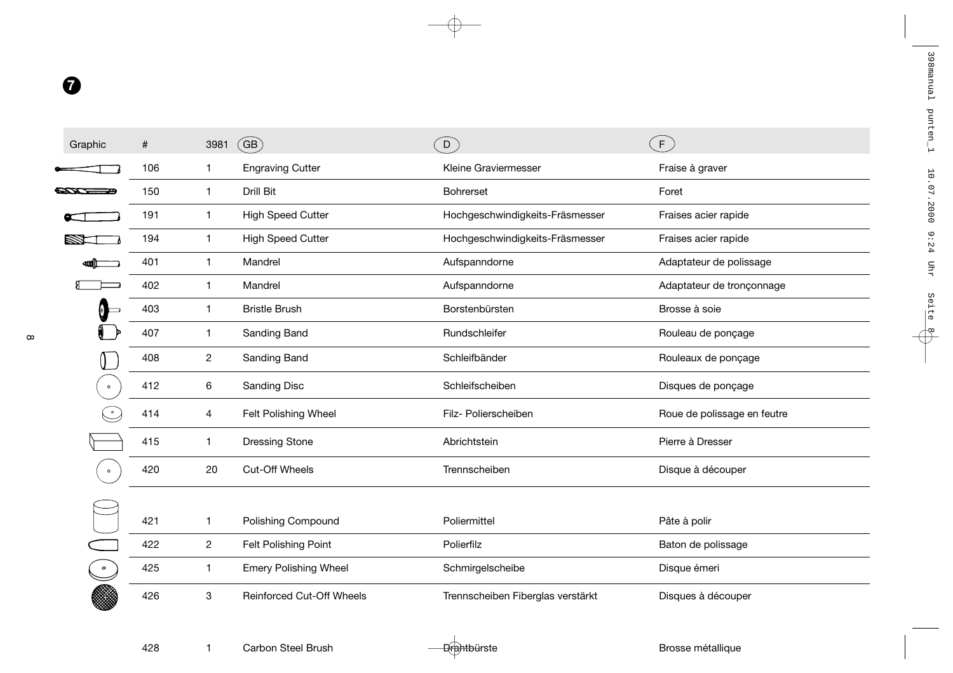| Graphic   | #   | 3981           | $\overline{\mathsf{GB}}$         | ໌ດີ                               | F                           |
|-----------|-----|----------------|----------------------------------|-----------------------------------|-----------------------------|
|           | 106 | 1              | <b>Engraving Cutter</b>          | Kleine Graviermesser              | Fraise à graver             |
|           | 150 | 1              | Drill Bit                        | <b>Bohrerset</b>                  | Foret                       |
|           | 191 | 1              | <b>High Speed Cutter</b>         | Hochgeschwindigkeits-Fräsmesser   | Fraises acier rapide        |
|           | 194 | $\mathbf{1}$   | <b>High Speed Cutter</b>         | Hochgeschwindigkeits-Fräsmesser   | Fraises acier rapide        |
|           | 401 | 1              | Mandrel                          | Aufspanndorne                     | Adaptateur de polissage     |
|           | 402 | 1              | Mandrel                          | Aufspanndorne                     | Adaptateur de tronçonnage   |
| 0         | 403 | 1              | <b>Bristle Brush</b>             | Borstenbürsten                    | Brosse à soie               |
|           | 407 | 1              | Sanding Band                     | Rundschleifer                     | Rouleau de ponçage          |
|           | 408 | 2              | Sanding Band                     | Schleifbänder                     | Rouleaux de ponçage         |
| $\circ$   | 412 | 6              | Sanding Disc                     | Schleifscheiben                   | Disques de ponçage          |
|           | 414 | 4              | Felt Polishing Wheel             | Filz- Polierscheiben              | Roue de polissage en feutre |
|           | 415 | 1              | <b>Dressing Stone</b>            | Abrichtstein                      | Pierre à Dresser            |
| $\bullet$ | 420 | 20             | Cut-Off Wheels                   | Trennscheiben                     | Disque à découper           |
|           |     |                |                                  |                                   |                             |
|           | 421 | 1              | Polishing Compound               | Poliermittel                      | Pâte à polir                |
|           | 422 | $\overline{c}$ | Felt Polishing Point             | Polierfilz                        | Baton de polissage          |
|           | 425 | 1              | <b>Emery Polishing Wheel</b>     | Schmirgelscheibe                  | Disque émeri                |
|           | 426 | 3              | <b>Reinforced Cut-Off Wheels</b> | Trennscheiben Fiberglas verstärkt | Disques à découper          |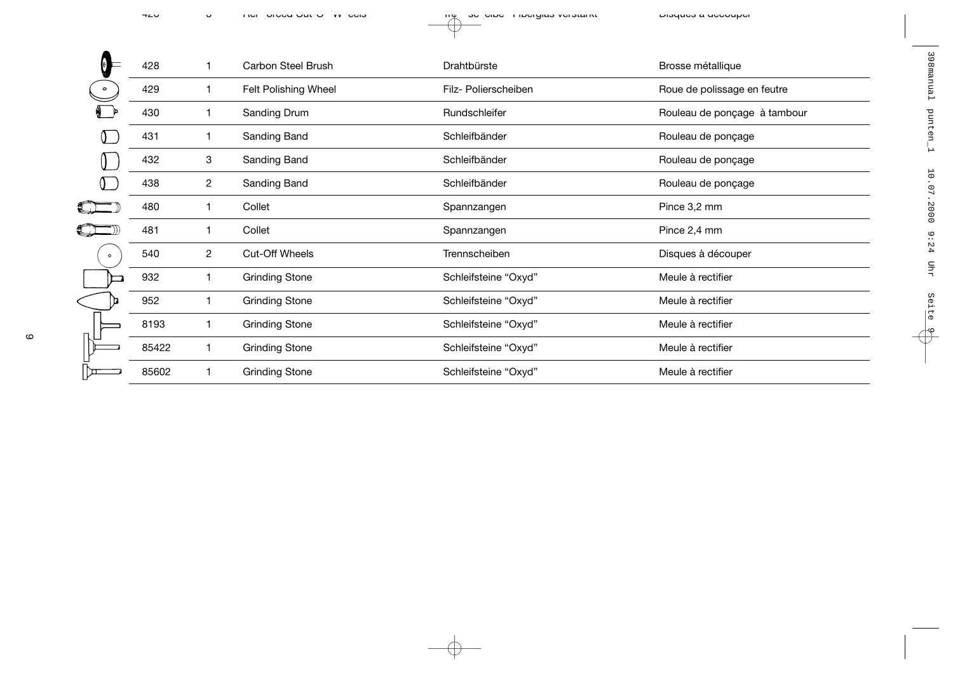|           | 428   |                | <b>Carbon Steel Brush</b> | Drahtbürste          | Brosse métallique            |
|-----------|-------|----------------|---------------------------|----------------------|------------------------------|
|           | 429   |                | Felt Polishing Wheel      | Filz- Polierscheiben | Roue de polissage en feutre  |
|           | 430   | 1              | Sanding Drum              | Rundschleifer        | Rouleau de ponçage à tambour |
|           | 431   | 1              | Sanding Band              | Schleifbänder        | Rouleau de ponçage           |
|           | 432   | 3              | Sanding Band              | Schleifbänder        | Rouleau de ponçage           |
|           | 438   | $\overline{c}$ | Sanding Band              | Schleifbänder        | Rouleau de ponçage           |
|           | 480   | 1              | Collet                    | Spannzangen          | Pince 3,2 mm                 |
|           | 481   | 1              | Collet                    | Spannzangen          | Pince 2,4 mm                 |
| $\bullet$ | 540   | 2              | Cut-Off Wheels            | Trennscheiben        | Disques à découper           |
|           | 932   | 1              | <b>Grinding Stone</b>     | Schleifsteine "Oxyd" | Meule à rectifier            |
|           | 952   |                | <b>Grinding Stone</b>     | Schleifsteine "Oxyd" | Meule à rectifier            |
|           | 8193  | 1              | <b>Grinding Stone</b>     | Schleifsteine "Oxyd" | Meule à rectifier            |
|           | 85422 |                | <b>Grinding Stone</b>     | Schleifsteine "Oxyd" | Meule à rectifier            |
|           | 85602 |                | <b>Grinding Stone</b>     | Schleifsteine "Oxyd" | Meule à rectifier            |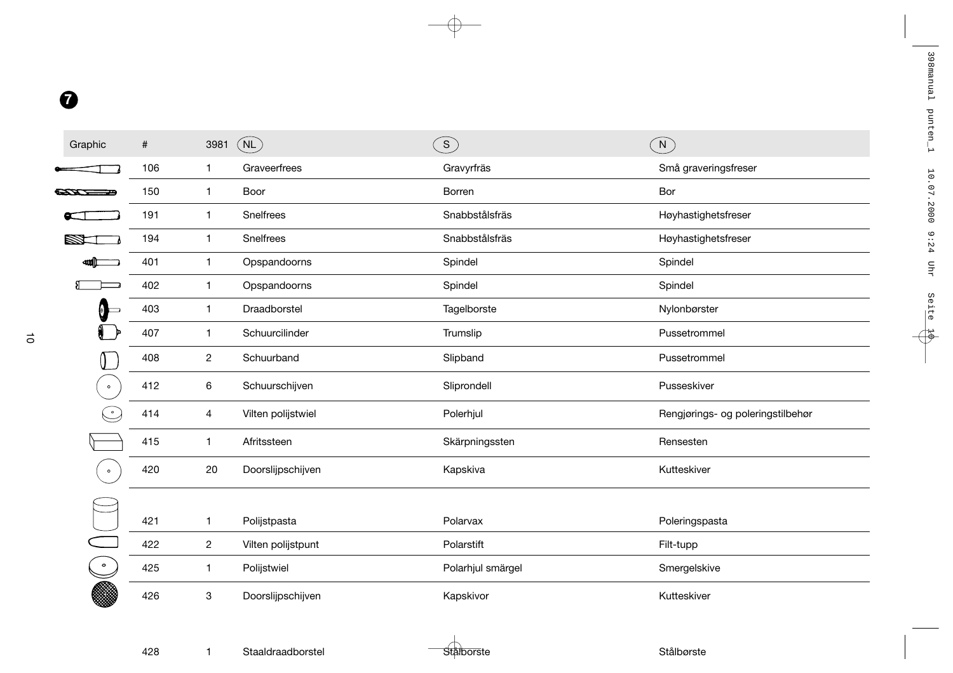| Graphic               | $\#$ | 3981                      | (NL)               | $\binom{3}{}$     | (N)                               |
|-----------------------|------|---------------------------|--------------------|-------------------|-----------------------------------|
|                       | 106  | $\mathbf{1}$              | Graveerfrees       | Gravyrfräs        | Små graveringsfreser              |
| <b>CAN TELEVISION</b> | 150  | $\mathbf{1}$              | Boor               | Borren            | Bor                               |
|                       | 191  | $\mathbf{1}$              | Snelfrees          | Snabbstålsfräs    | Høyhastighetsfreser               |
|                       | 194  | $\mathbf{1}$              | Snelfrees          | Snabbstålsfräs    | Høyhastighetsfreser               |
| ₩l                    | 401  | $\mathbf{1}$              | Opspandoorns       | Spindel           | Spindel                           |
|                       | 402  | $\mathbf{1}$              | Opspandoorns       | Spindel           | Spindel                           |
| Q                     | 403  | $\mathbf{1}$              | Draadborstel       | Tagelborste       | Nylonbørster                      |
|                       | 407  | $\mathbf{1}$              | Schuurcilinder     | Trumslip          | Pussetrommel                      |
|                       | 408  | $\mathbf{2}$              | Schuurband         | Slipband          | Pussetrommel                      |
| $\circ$               | 412  | $\,6$                     | Schuurschijven     | Sliprondell       | Pusseskiver                       |
|                       | 414  | 4                         | Vilten polijstwiel | Polerhjul         | Rengjørings- og poleringstilbehør |
|                       | 415  | $\mathbf{1}$              | Afritssteen        | Skärpningssten    | Rensesten                         |
| $\bullet$             | 420  | 20                        | Doorslijpschijven  | Kapskiva          | Kutteskiver                       |
|                       |      |                           |                    |                   |                                   |
|                       | 421  | $\mathbf{1}$              | Polijstpasta       | Polarvax          | Poleringspasta                    |
|                       | 422  | $\overline{c}$            | Vilten polijstpunt | Polarstift        | Filt-tupp                         |
| $\bullet$             | 425  | $\mathbf{1}$              | Polijstwiel        | Polarhjul smärgel | Smergelskive                      |
|                       | 426  | $\ensuremath{\mathsf{3}}$ | Doorslijpschijven  | Kapskivor         | Kutteskiver                       |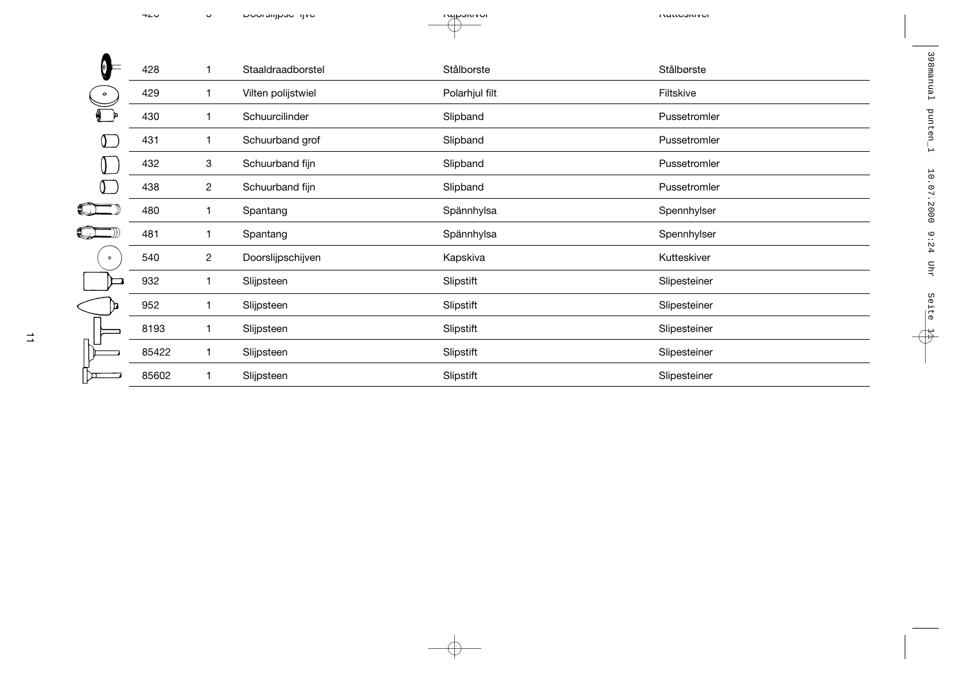| Ξ<br>O    | 428   | 1                       | Staaldraadborstel  | Stålborste     | Stålbørste   |
|-----------|-------|-------------------------|--------------------|----------------|--------------|
| $\circ$   | 429   | 1                       | Vilten polijstwiel | Polarhjul filt | Filtskive    |
|           | 430   | 1                       | Schuurcilinder     | Slipband       | Pussetromler |
|           | 431   | 1                       | Schuurband grof    | Slipband       | Pussetromler |
|           | 432   | 3                       | Schuurband fijn    | Slipband       | Pussetromler |
|           | 438   | 2                       | Schuurband fijn    | Slipband       | Pussetromler |
|           | 480   | 1                       | Spantang           | Spännhylsa     | Spennhylser  |
|           | 481   | 1                       | Spantang           | Spännhylsa     | Spennhylser  |
| $\bullet$ | 540   | $\overline{\mathbf{c}}$ | Doorslijpschijven  | Kapskiva       | Kutteskiver  |
|           | 932   | 1                       | Slijpsteen         | Slipstift      | Slipesteiner |
|           | 952   | 1                       | Slijpsteen         | Slipstift      | Slipesteiner |
|           | 8193  | 1                       | Slijpsteen         | Slipstift      | Slipesteiner |
|           | 85422 | 1                       | Slijpsteen         | Slipstift      | Slipesteiner |
| ת ו       | 85602 | 1                       | Slijpsteen         | Slipstift      | Slipesteiner |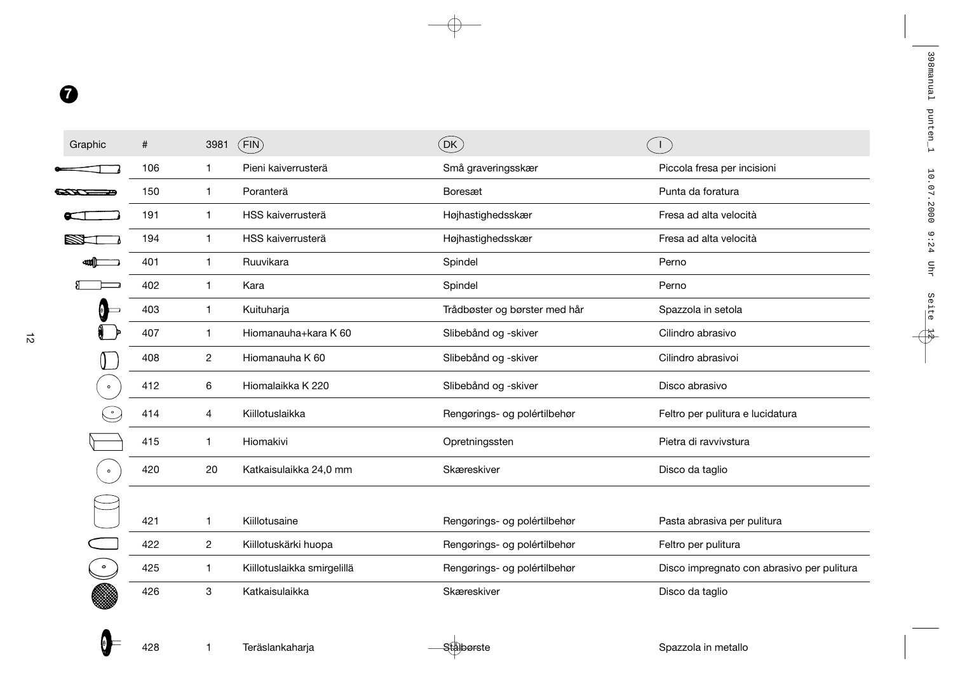| Graphic   | #   | 3981           | (FIN)                       | $($ DK $)$                    |                                            |
|-----------|-----|----------------|-----------------------------|-------------------------------|--------------------------------------------|
|           | 106 | $\mathbf{1}$   | Pieni kaiverrusterä         | Små graveringsskær            | Piccola fresa per incisioni                |
|           | 150 | 1              | Poranterä                   | Boresæt                       | Punta da foratura                          |
|           | 191 | 1              | HSS kaiverrusterä           | Højhastighedsskær             | Fresa ad alta velocità                     |
|           | 194 | $\mathbf{1}$   | HSS kaiverrusterä           | Højhastighedsskær             | Fresa ad alta velocità                     |
|           | 401 | $\mathbf{1}$   | Ruuvikara                   | Spindel                       | Perno                                      |
|           | 402 | $\mathbf{1}$   | Kara                        | Spindel                       | Perno                                      |
| $\Theta$  | 403 | 1              | Kuituharja                  | Trådbøster og børster med hår | Spazzola in setola                         |
|           | 407 | 1              | Hiomanauha+kara K 60        | Slibebånd og -skiver          | Cilindro abrasivo                          |
|           | 408 | $\overline{2}$ | Hiomanauha K 60             | Slibebånd og -skiver          | Cilindro abrasivoi                         |
| $\circ$   | 412 | 6              | Hiomalaikka K 220           | Slibebånd og -skiver          | Disco abrasivo                             |
|           | 414 | 4              | Kiillotuslaikka             | Rengørings- og polértilbehør  | Feltro per pulitura e lucidatura           |
|           | 415 | $\mathbf{1}$   | Hiomakivi                   | Opretningssten                | Pietra di ravvivstura                      |
| $\circ$   | 420 | 20             | Katkaisulaikka 24,0 mm      | Skæreskiver                   | Disco da taglio                            |
|           |     |                |                             |                               |                                            |
|           | 421 | 1              | Kiillotusaine               | Rengørings- og polértilbehør  | Pasta abrasiva per pulitura                |
|           | 422 | 2              | Kiillotuskärki huopa        | Rengørings- og polértilbehør  | Feltro per pulitura                        |
| $\bullet$ | 425 | $\mathbf{1}$   | Kiillotuslaikka smirgelillä | Rengørings- og polértilbehør  | Disco impregnato con abrasivo per pulitura |
|           | 426 | 3              | Katkaisulaikka              | Skæreskiver                   | Disco da taglio                            |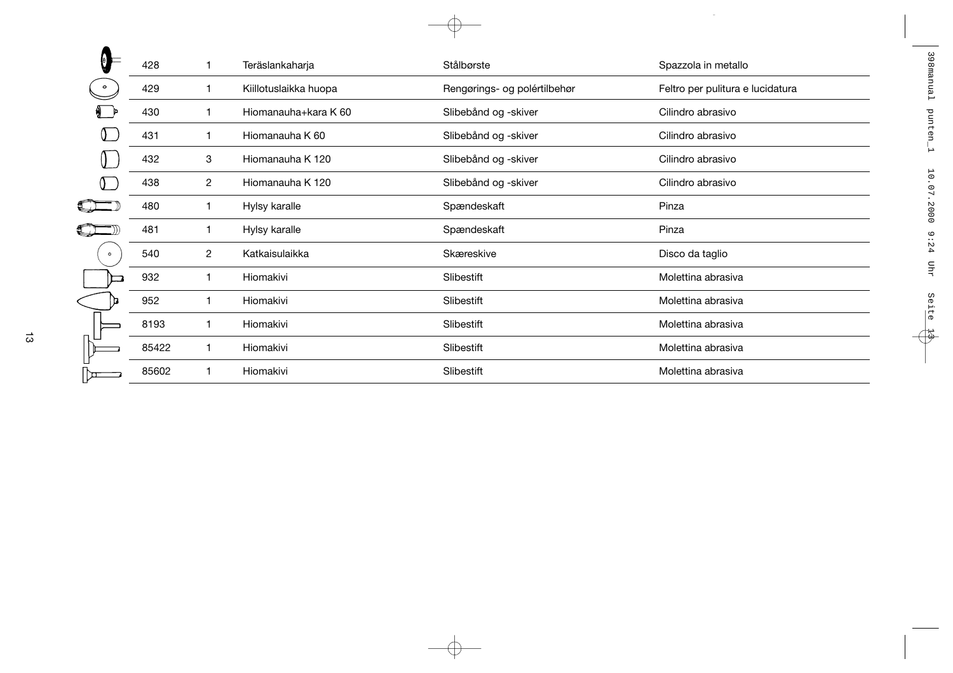|         | 428   | 1              | Teräslankaharja       | Stålbørste                   | Spazzola in metallo              |
|---------|-------|----------------|-----------------------|------------------------------|----------------------------------|
|         | 429   | 1              | Kiillotuslaikka huopa | Rengørings- og polértilbehør | Feltro per pulitura e lucidatura |
|         | 430   | 1              | Hiomanauha+kara K 60  | Slibebånd og -skiver         | Cilindro abrasivo                |
|         | 431   | 1              | Hiomanauha K 60       | Slibebånd og -skiver         | Cilindro abrasivo                |
|         | 432   | 3              | Hiomanauha K 120      | Slibebånd og -skiver         | Cilindro abrasivo                |
|         | 438   | 2              | Hiomanauha K 120      | Slibebånd og -skiver         | Cilindro abrasivo                |
|         | 480   | 1              | Hylsy karalle         | Spændeskaft                  | Pinza                            |
|         | 481   | 1              | Hylsy karalle         | Spændeskaft                  | Pinza                            |
| $\circ$ | 540   | $\overline{c}$ | Katkaisulaikka        | Skæreskive                   | Disco da taglio                  |
|         | 932   | 1              | Hiomakivi             | Slibestift                   | Molettina abrasiva               |
|         | 952   | 1              | Hiomakivi             | Slibestift                   | Molettina abrasiva               |
|         | 8193  | 1              | Hiomakivi             | Slibestift                   | Molettina abrasiva               |
|         | 85422 | 1              | Hiomakivi             | Slibestift                   | Molettina abrasiva               |
|         | 85602 | 1              | Hiomakivi             | Slibestift                   | Molettina abrasiva               |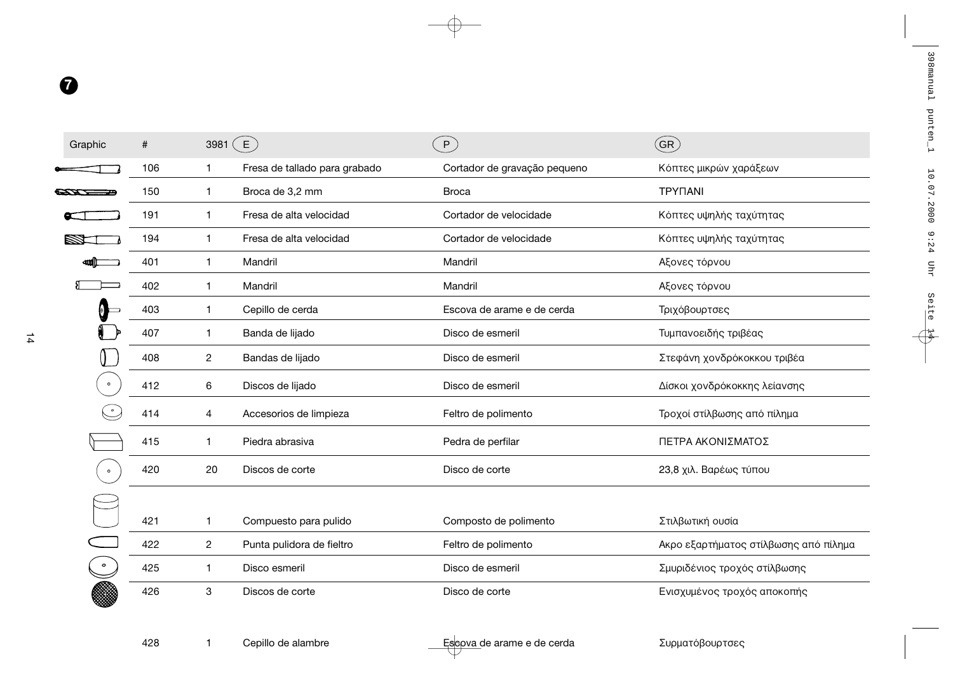| Graphic   | #   | 3981           | $\left($ E $\right)$          | P                            | $\lang{\sf GR}$ )                     |
|-----------|-----|----------------|-------------------------------|------------------------------|---------------------------------------|
|           | 106 | $\mathbf{1}$   | Fresa de tallado para grabado | Cortador de gravação pequeno | Κόπτες μικρών χαράξεων                |
|           | 150 | 1              | Broca de 3,2 mm               | <b>Broca</b>                 | <b>TPYNANI</b>                        |
|           | 191 | $\mathbf{1}$   | Fresa de alta velocidad       | Cortador de velocidade       | Κόπτες υψηλής ταχύτητας               |
|           | 194 | $\mathbf{1}$   | Fresa de alta velocidad       | Cortador de velocidade       | Κόπτες υψηλής ταχύτητας               |
|           | 401 | $\mathbf{1}$   | Mandril                       | Mandril                      | Αξονες τόρνου                         |
|           | 402 | $\mathbf{1}$   | Mandril                       | Mandril                      | Αξονες τόρνου                         |
| 0         | 403 | $\mathbf{1}$   | Cepillo de cerda              | Escova de arame e de cerda   | Τριχόβουρτσες                         |
|           | 407 | $\mathbf{1}$   | Banda de lijado               | Disco de esmeril             | Τυμπανοειδής τριβέας                  |
|           | 408 | $\overline{c}$ | Bandas de lijado              | Disco de esmeril             | Στεφάνη χονδρόκοκκου τριβέα           |
| $\bullet$ | 412 | 6              | Discos de lijado              | Disco de esmeril             | Δίσκοι χονδρόκοκκης λείανσης          |
|           | 414 | 4              | Accesorios de limpieza        | Feltro de polimento          | Τροχοί στίλβωσης από πίλημα           |
|           | 415 | 1              | Piedra abrasiva               | Pedra de perfilar            | ΠΕΤΡΑ ΑΚΟΝΙΣΜΑΤΟΣ                     |
| $\bullet$ | 420 | 20             | Discos de corte               | Disco de corte               | 23,8 χιλ. Βαρέως τύπου                |
|           |     |                |                               |                              |                                       |
|           | 421 | $\mathbf{1}$   | Compuesto para pulido         | Composto de polimento        | Στιλβωτική ουσία                      |
|           | 422 | 2              | Punta pulidora de fieltro     | Feltro de polimento          | Ακρο εξαρτήματος στίλβωσης από πίλημα |
| $\bullet$ | 425 | $\mathbf 1$    | Disco esmeril                 | Disco de esmeril             | Σμυριδένιος τροχός στίλβωσης          |
|           | 426 | 3              | Discos de corte               | Disco de corte               | Ενισχυμένος τροχός αποκοπής           |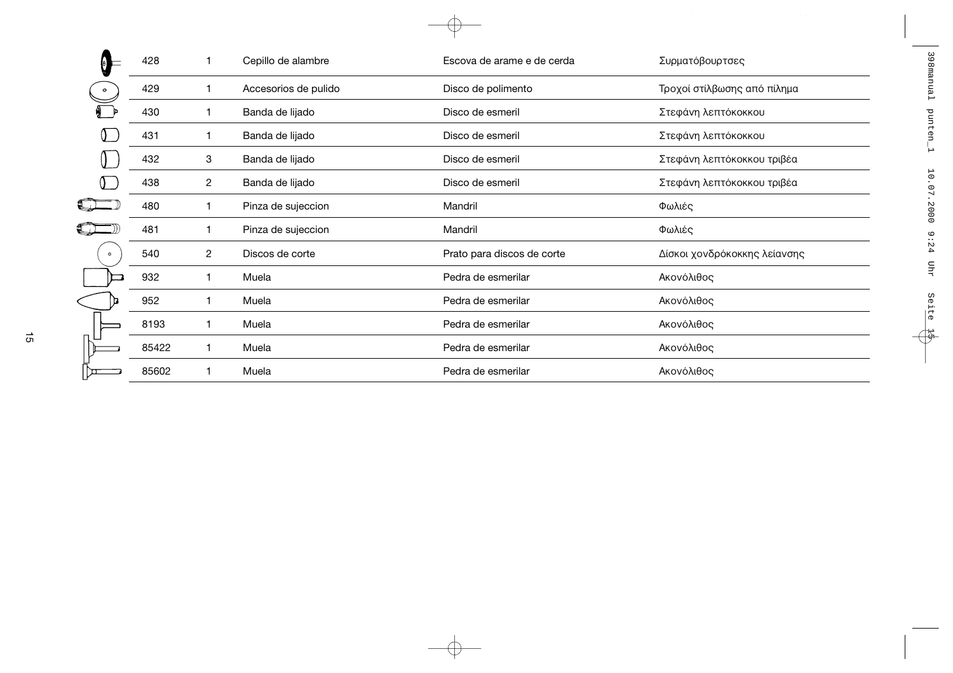|         | 428   |   | Cepillo de alambre   | Escova de arame e de cerda | Συρματόβουρτσες              |
|---------|-------|---|----------------------|----------------------------|------------------------------|
|         | 429   | 1 | Accesorios de pulido | Disco de polimento         | Τροχοί στίλβωσης από πίλημα  |
|         | 430   | 1 | Banda de lijado      | Disco de esmeril           | Στεφάνη λεπτόκοκκου          |
|         | 431   |   | Banda de lijado      | Disco de esmeril           | Στεφάνη λεπτόκοκκου          |
|         | 432   | 3 | Banda de lijado      | Disco de esmeril           | Στεφάνη λεπτόκοκκου τριβέα   |
|         | 438   | 2 | Banda de lijado      | Disco de esmeril           | Στεφάνη λεπτόκοκκου τριβέα   |
|         | 480   |   | Pinza de sujeccion   | Mandril                    | Φωλιές                       |
|         | 481   |   | Pinza de sujeccion   | Mandril                    | Φωλιές                       |
| $\circ$ | 540   | 2 | Discos de corte      | Prato para discos de corte | Δίσκοι χονδρόκοκκης λείανσης |
|         | 932   |   | Muela                | Pedra de esmerilar         | Ακονόλιθος                   |
|         | 952   |   | Muela                | Pedra de esmerilar         | Ακονόλιθος                   |
|         | 8193  | 1 | Muela                | Pedra de esmerilar         | Ακονόλιθος                   |
|         | 85422 | 1 | Muela                | Pedra de esmerilar         | Ακονόλιθος                   |
|         | 85602 |   | Muela                | Pedra de esmerilar         | Ακονόλιθος                   |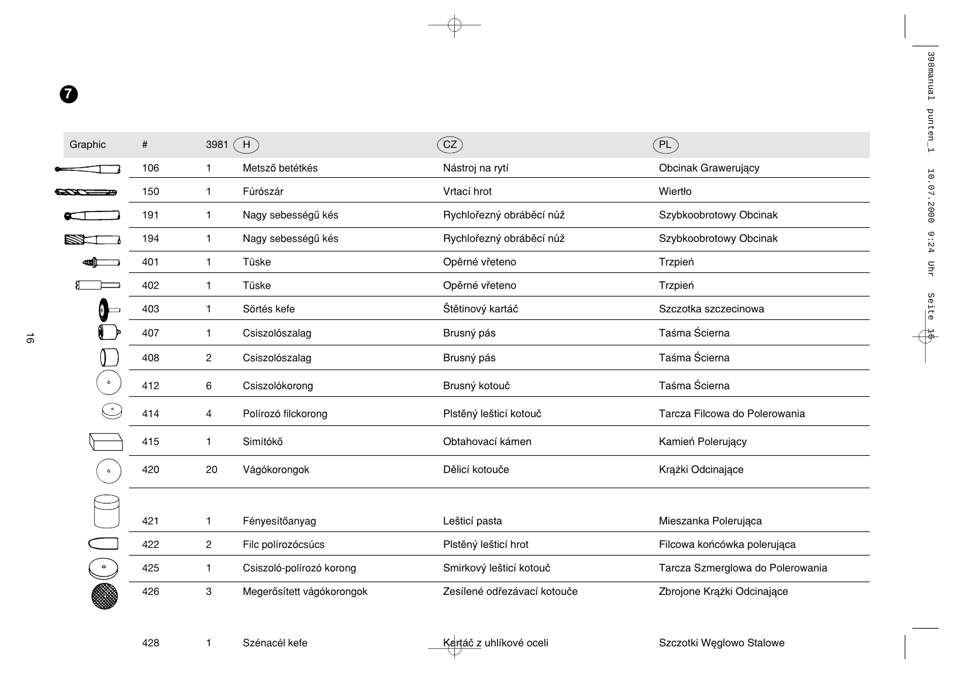| Graphic   | $\#$ | 3981           | $\hat{}$ H $\hat{}$       | $\left($ cz $\right)$       | (PL)                             |
|-----------|------|----------------|---------------------------|-----------------------------|----------------------------------|
|           | 106  | 1              | Metsző betétkés           | Nástroj na rytí             | Obcinak Grawerujący              |
|           | 150  | 1              | Fúrószár                  | Vrtací hrot                 | Wiertło                          |
|           | 191  | 1              | Nagy sebességű kés        | Rychlořezný obráběcí nůž    | Szybkoobrotowy Obcinak           |
|           | 194  | $\mathbf{1}$   | Nagy sebességű kés        | Rychlořezný obráběcí nůž    | Szybkoobrotowy Obcinak           |
|           | 401  | $\mathbf{1}$   | Tüske                     | Opěrné vřeteno              | Trzpień                          |
|           | 402  | 1              | Tüske                     | Opěrné vřeteno              | Trzpień                          |
|           | 403  | $\mathbf{1}$   | Sörtés kefe               | Štětinový kartáč            | Szczotka szczecinowa             |
|           | 407  | 1              | Csiszolószalag            | Brusný pás                  | Taśma Ścierna                    |
|           | 408  | $\overline{2}$ | Csiszolószalag            | Brusný pás                  | Taśma Ścierna                    |
| $\bullet$ | 412  | 6              | Csiszolókorong            | Brusný kotouč               | Taśma Ścierna                    |
|           | 414  | 4              | Polírozó filckorong       | Plstěný lešticí kotouč      | Tarcza Filcowa do Polerowania    |
|           | 415  | 1              | Simítókő                  | Obtahovací kámen            | Kamień Polerujący                |
| $\bullet$ | 420  | 20             | Vágókorongok              | Dělicí kotouče              | Krążki Odcinające                |
|           |      |                |                           |                             |                                  |
|           | 421  | 1              | Fényesítőanyag            | Lešticí pasta               | Mieszanka Polerująca             |
|           | 422  | $\overline{c}$ | Filc polírozócsúcs        | Plstěný lešticí hrot        | Filcowa końcówka polerująca      |
| $\bullet$ | 425  | 1              | Csiszoló-polírozó korong  | Smirkový lešticí kotouč     | Tarcza Szmerglowa do Polerowania |
|           | 426  | 3              | Megerősített vágókorongok | Zesílené odřezávací kotouče | Zbrojone Krążki Odcinające       |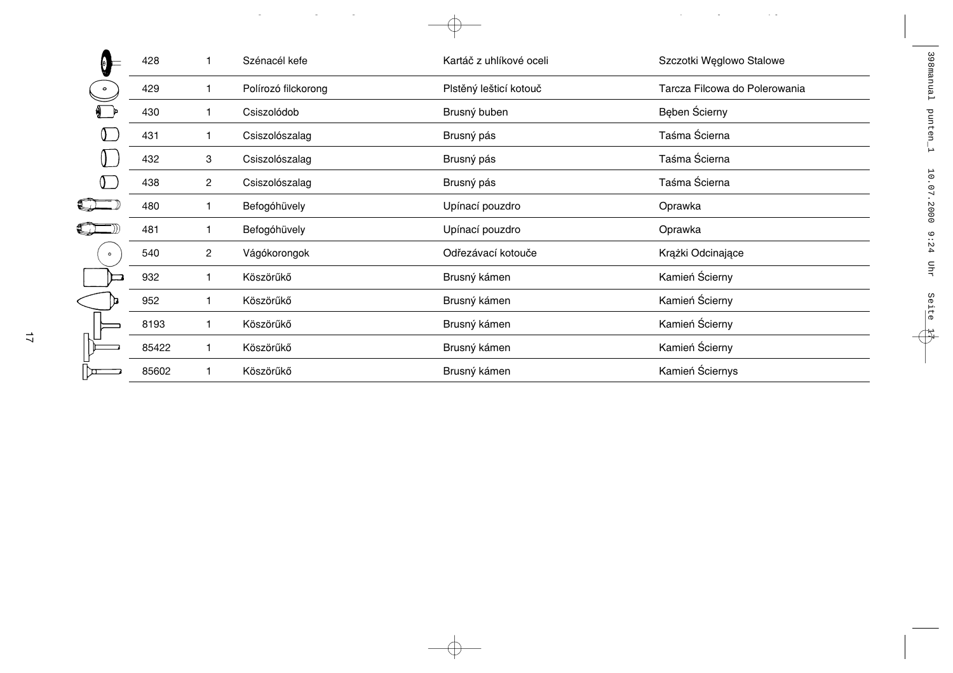|           | 428   |                | Szénacél kefe       | Kartáč z uhlíkové oceli | Szczotki Węglowo Stalowe      |
|-----------|-------|----------------|---------------------|-------------------------|-------------------------------|
| $\circ$   | 429   | 1              | Polírozó filckorong | Plstěný lešticí kotouč  | Tarcza Filcowa do Polerowania |
|           | 430   | 1              | Csiszolódob         | Brusný buben            | Beben Scierny                 |
|           | 431   | 1              | Csiszolószalag      | Brusný pás              | Taśma Ścierna                 |
|           | 432   | 3              | Csiszolószalag      | Brusný pás              | Taśma Ścierna                 |
|           | 438   | $\overline{c}$ | Csiszolószalag      | Brusný pás              | Taśma Ścierna                 |
|           | 480   |                | Befogóhüvely        | Upínací pouzdro         | Oprawka                       |
|           | 481   |                | Befogóhüvely        | Upínací pouzdro         | Oprawka                       |
| $\bullet$ | 540   | $\overline{c}$ | Vágókorongok        | Odřezávací kotouče      | Krążki Odcinające             |
|           | 932   |                | Köszörűkő           | Brusný kámen            | Kamień Ścierny                |
|           | 952   | 1              | Köszörűkő           | Brusný kámen            | Kamień Ścierny                |
|           | 8193  | 1              | Köszörűkő           | Brusný kámen            | Kamień Ścierny                |
|           | 85422 | 1              | Köszörűkő           | Brusný kámen            | Kamień Ścierny                |
|           | 85602 |                | Köszörűkő           | Brusný kámen            | Kamień Ściernys               |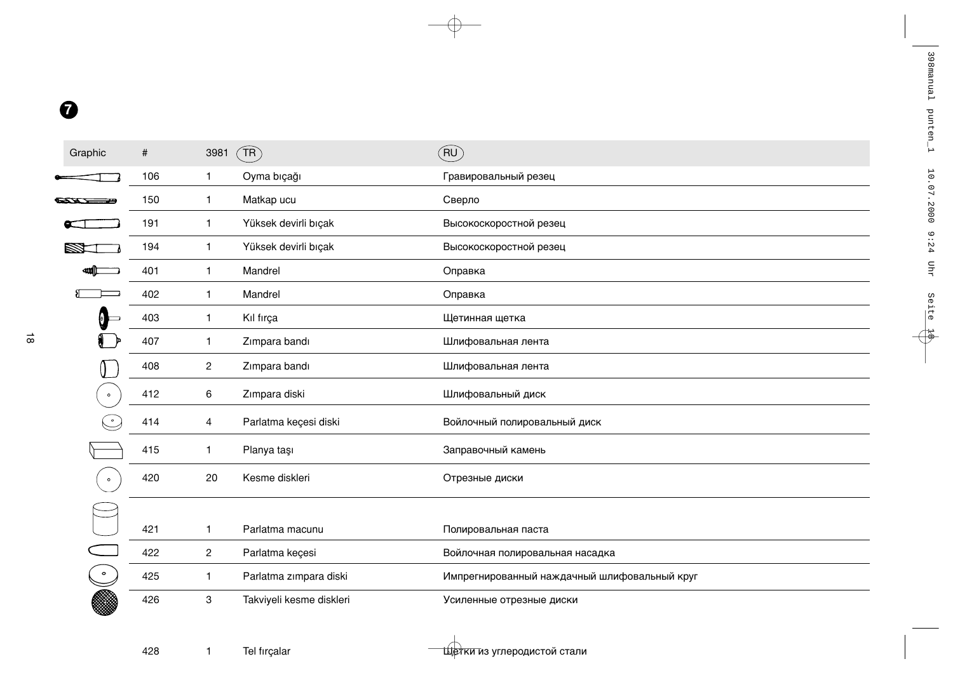| Graphic   | #   | 3981           | $\widehat{\mathsf{TR}}$  | (RU)                                         |
|-----------|-----|----------------|--------------------------|----------------------------------------------|
|           | 106 | $\mathbf{1}$   | Oyma bıçağı              | Гравировальный резец                         |
|           | 150 | 1              | Matkap ucu               | Сверло                                       |
|           | 191 | $\mathbf{1}$   | Yüksek devirli bıçak     | Высокоскоростной резец                       |
|           | 194 | $\mathbf{1}$   | Yüksek devirli bıçak     | Высокоскоростной резец                       |
|           | 401 | $\mathbf{1}$   | Mandrel                  | Оправка                                      |
|           | 402 | $\mathbf{1}$   | Mandrel                  | Оправка                                      |
|           | 403 | $\mathbf{1}$   | Kıl fırça                | Щетинная щетка                               |
|           | 407 | $\mathbf{1}$   | Zımpara bandı            | Шлифовальная лента                           |
|           | 408 | $\overline{c}$ | Zımpara bandı            | Шлифовальная лента                           |
| $\bullet$ | 412 | 6              | Zımpara diski            | Шлифовальный диск                            |
|           | 414 | 4              | Parlatma keçesi diski    | Войлочный полировальный диск                 |
|           | 415 | $\mathbf{1}$   | Planya taşı              | Заправочный камень                           |
| $\bullet$ | 420 | 20             | Kesme diskleri           | Отрезные диски                               |
|           |     |                |                          |                                              |
|           | 421 | 1              | Parlatma macunu          | Полировальная паста                          |
|           | 422 | $\overline{2}$ | Parlatma keçesi          | Войлочная полировальная насадка              |
| $\bullet$ | 425 | $\mathbf{1}$   | Parlatma zımpara diski   | Импрегнированный наждачный шлифовальный круг |
|           | 426 | 3              | Takviyeli kesme diskleri | Усиленные отрезные диски                     |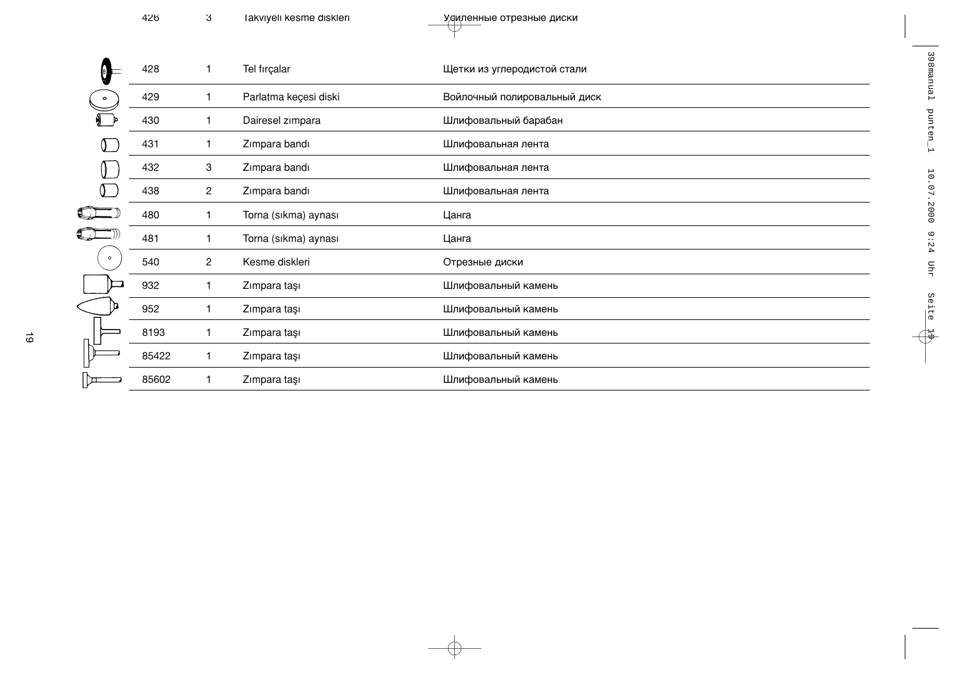|         | 428   | 1                       | Tel fırçalar          | Щетки из углеродистой стали  |
|---------|-------|-------------------------|-----------------------|------------------------------|
|         | 429   | 1                       | Parlatma keçesi diski | Войлочный полировальный диск |
|         | 430   |                         | Dairesel zimpara      | Шлифовальный барабан         |
|         | 431   |                         | Zimpara bandı         | Шлифовальная лента           |
|         | 432   | 3                       | Zimpara bandı         | Шлифовальная лента           |
|         | 438   | 2                       | Zimpara bandı         | Шлифовальная лента           |
|         | 480   |                         | Torna (sıkma) aynası  | Цанга                        |
|         | 481   |                         | Torna (sıkma) aynası  | Цанга                        |
| $\circ$ | 540   | $\overline{\mathbf{c}}$ | Kesme diskleri        | Отрезные диски               |
|         | 932   |                         | Zımpara taşı          | Шлифовальный камень          |
|         | 952   |                         | Zımpara taşı          | Шлифовальный камень          |
|         | 8193  | 1                       | Zımpara taşı          | Шлифовальный камень          |
|         | 85422 |                         | Zımpara taşı          | Шлифовальный камень          |
|         | 85602 |                         | Zımpara taşı          | Шлифовальный камень          |

 $\rightarrow$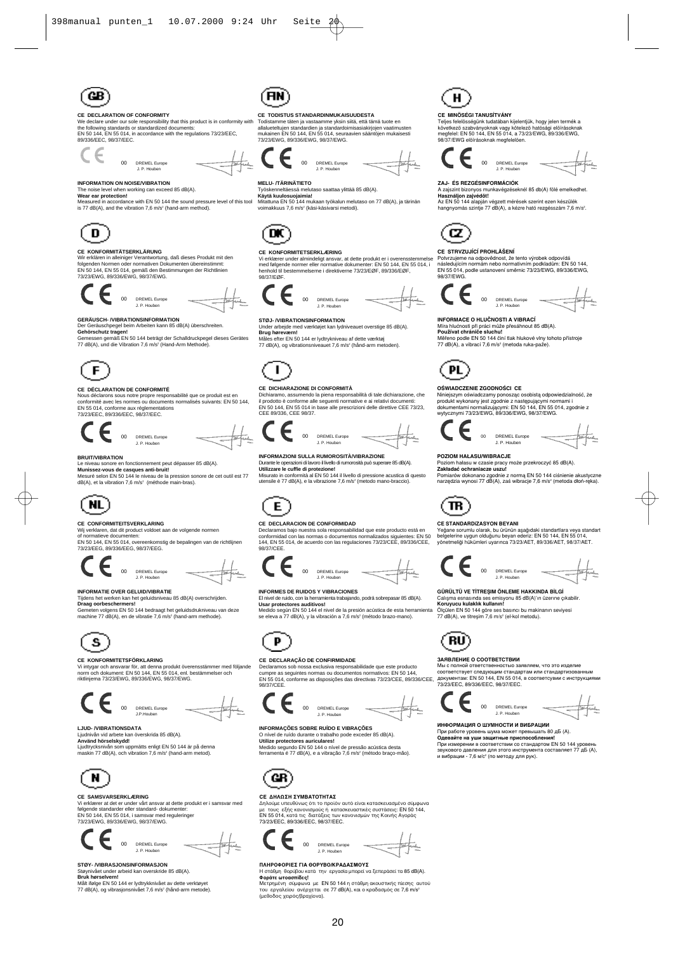

-- <br>
Ye declare under our sole responsibility that this product is in conformity with<br>
the following standards or standardized documents:<br>
EN 50 144, EN 55 014, in accordance with the regulations 73/23/EEC,<br>
89/338/EEC, 98



#### **DREMEL Europe LD** House

**INFORMATION ON NOISE/VIBRATION** 

 $00$ 

#### ।<br>श्ते 85 dB(A) The noise level when working can ex<br>Wear ear protection!

Weasured in accordance with EN 50 144 the sound pressure level of this tool<br>is 77 dB(A), and the vibration 7,6 m/s<sup>2</sup> (hand-arm method).



#### CE KONFORMITÄTSERKI ÄRIING

CL nortrommi i Alexandro Verantwortung, daß dieses Produkt mit den<br>Mir erklären in alleiniger Verantwortung, daß dieses Produkt mit den<br>EN 50 144, EN 55 014, gemäß den Bestimmungen der Richtlinien<br>T3/23/EWG, 89/336/EWG, 98





GERÄUSCH- /VIBRATIONSINFORMATION<br>Der Geräuschpegel beim Arbeiten kann 85 dB(A) überschreiten.<br>Gehörschutz tragen!<br>Gemessen gemäß EN 50 144 beträgt der Schalldruckpegel dieses Gerätes 77 dB(A), und die Vibration 7.6 m/s<sup>2</sup> (Hand-Arm Methode).



#### CE DÉCLARATION DE CONFORMITÉ

Nous déclarons sous notre propre responsabilité que ce produit est en<br>conformité avec les normes ou documents normalisés suivants: EN 50 144. EN 55 014, conforme aux réglementales nome<br>ations



### **RPUITMEPATION**

#### **ιν**<br>en fonctionnement peut dépasser 85 dB(A).

Le niveau sonore en tonctionnement peut depasser 85 dB(A).<br>Munissez-vous de casques anti-bruit!<br>Mesuré selon EN 50 144 le niveau de la pression sonore de cet outil est 77<br>dB(A), et la vibration 7,6 m/s<sup>2</sup> (méthode main-bra



#### CE CONFORMITEITSVERKLARING

vu vormunum i i verstrukture<br>Viji verklaren, dat dit product voldoet aan de volgende normen<br>of normatieve documenten:<br>EN 60 144, EN 55 014, overeenkomstig de bepalingen van de richtlij<br>73/23/EEG, 89/336/EEG, 98/37/EEG.

#### 00 DREMEL Europe  $1.0 \text{ Hz}$

#### **INFORMATIE OVER GELUID/VIBRATIE**

Tijdens het werken kan het geluidsniveau 85 dB(A) overschrijden.<br>Draag oorbeschermers!

**g oorbeschermers:**<br>sten volgens EN 50 144 bedraagt het geluidsdrukniveau van deze Geme machine 77 dB(A), en de vibratie 7,6 m/s<sup>2</sup> (hand-arm methode)



#### CE KONFORMITETSFÖRKLARING

Unitygar och ansvarar för, att denna produkt överensstämmer med följande<br>norm och dokument: EN 50 144, EN 55 014, enl. bestämmelser och<br>riktlinjema 73/23/EWG, 89/336/EWG, 98/37/EWG.



#### **LJUD-/VIBRATIONSDATA**

ے محصوص DNSDATA<br>Ljudnivån vid arbete kan överskrida 85 dB(A).<br>Använd hörselskydd!<br>Ljudtrycksnivån som unomätte online FM 50.00 iu norserskyuu:<br>rcksnivån som uppmätts enligt EN 50 144 är på denna<br>า 77 dB(A), och vibration 7,6 m/s<sup>2</sup> (hand-arm metod).



#### CE SAMSVARSERKLÆRING

VI CHARD CHATALLA CHARD AND THE VIEW OF STATE OF STATE OF STATE IN SOME STATE IN SOME STATE IN SO 144, EN 5 014, 15 STATE IN STATE IN STATE THAT STATE THAT STATE THAT STATE THAT STATE THAT STATE THAT STATE THAT STATE THAT



#### STAY, MIRRAS IONSINEORMAS ION

Støynivået under arbeid kan overskride 85 dB(A).<br>Støynivået under arbeid kan overskride 85 dB(A).<br>Bruk hørselvern!<br>Målt ifølge EN 50 144 er lydtrykknivået av dette verktøyet<br>77 dB(A), og vibrasjonsnivået 7,6 m/s<sup>2</sup> (hånd-a



CE TODISTUS STANDARDINMUKAISUUDESTA<br>Todistamme täten ja vastaamme yksin siitä, että tämä tuote en<br>allalueteltujen standardien ja standardoimisasiakirjojen vaatimusten<br>mukainen EN 50 144, EN 55 014, seuraavien sääntöjen muk





#### **MELU- /TÄRINÄTIETO**

ttaa vlittää 85 dB(A). Työskenneltäessä melut<br>Käytä kuulosuojaimia!

Mitattuna EN 50 144 mukaan työkalun melutaso on 77 dB(A), ja tärinär voimakkuus 7,6 m/s<sup>2</sup> (käsi-käsivarsi metodi).



#### CE KONFORMITETSERKLÆRING

UE NORTUGALISTICALE ANNO 1976 AND THE SERVICE THE SERVICE THAT THE SERVICE THAT THE SERVICE THAT THE SERVICE THAT THE SERVICE THAT THE SERVICE THAT THE SERVICE THAT THE SERVICE THAT THE SERVICE THAT THE SERVICE THAT THE SE



#### STØ.I- MIRRATIONSINFORMATION

Under arbeide med værktøjet kan lydniveauet overstige 85 dB(A)<br>Brug høreværn!

Mål nøreværn:<br>: efter FN 50 144 er lydtrykniveau af dette værktøi 77 dB(A), og vibrationsniveauet 7,6 m/s<sup>2</sup> (hånd-arm mi .,<br>etoden)



#### CE DICHIARAZIONE DI CONFORMITÀ

ramo, assumendo la piena respons bit prodotto è conforme alle leguenti normative e ai relativi documenti:<br>EN 50 144, EN 55 014 in base alle prescrizioni delle direttive CEE 73/23,<br>CEE 89/336, CEE 98/37.



#### Ä. oocca womowoon<br>mi di lavoro il livello di rur sità può superare 85 dB/A)

Durante le peradori di lavoro invenio di rumbroshia può superale co delvi.<br>Utilizzare le cuffie di protezione!<br>Misurato in conformità al EN 50 144 il livello di pressione acustica di quensile è 77 dB(A), e la vibrazione 7,



#### CE DECLARACION DE CONFORMIDAD

CE DECLARACION DE CONFORMIDAD<br>Declaramos bajo nuestra sola responsabilidad que este producto está en<br>conformidad con las normas o documentos normalizados siguientes: EN 5<br>144, EN 55 014, de acuerdo con las regulaciones 73/ ..<br>| 50 98/37/CEE





#### **INFORMES DE RUIDOS Y VIBRACIONES**

El nivel de ruido, con la herramie<br>Usar protectores auditivos! ienta trabajando, podrá sobrepasar 85 dB(A)

Usar protectores auditivos!<br>Medido según EN 50 144 el nivel de la presión acústica de esta herramienta se eleva a 77 dB(A), y la vibración a 7,6 m/s<sup>2</sup> (método brazo-mano)



#### CE DECLARAÇÃO DE CONFIRMIDADE

CE DECLARAÇÃO DE CONFIRMIDADE<br>Declaramos sob nossa exclusiva responsabilidade que este producto<br>Declaramos sob nossa exclusiva responsabilidade que este producto<br>cumpre as seguintes normas ou documentos normativos: EN 50





#### INFORMAÇÕES SOBRE RUÍDO E VIBRAÇÕES er<br>R5 dR(A)

O nível de ruído durante o trabalho pode<br>Utilize protectores auriculares! ilize protectores atriculares:<br>Idido segundo EN 50 144 o nível de pressão acústica desta<br>ramenta é 77 dB(A), e a vibração 7,6 m/s² (método braço-mão).



#### **CE ΔΗΛΩΣΗ ΣΥΜΒΑΤΟΤΗΤΑΣ**

Ο Δηλισίμε υπευθύνως ότι το προϊόν αυτό είναι κατασκευασμένο σύμφων.<br>Δηλούμε υπευθύνως ότι το προϊόν αυτό είναι κατασκευασμένο σύμφων<br>με τους εξής κανονισμούς ή κατασκευαστικές συστάσεις: EN 50 144,<br>EN 55 014, κατά τις δι 23/23/EEC 89/336/EEC 98/37/EEC



ΠΛΗΡΟΦΟΡΙΕΣ ΓΙΑ ΘΟΡΥΒΟ/ΚΡΑΔΑΣΜΟΥΣ<br>Η στάθμη θορύβου κατά την εργασία μπορεί να ξεπεράσει τα 85 dB(A).<br>Φοράτε ωτοασπίδες!

**Φοράτε ωτοασπίδες!**<br>Μετρημένη σύμφωνα με EN 50 144 η στάθμη ακουστικής πίεσης αυτού<br>του εργαλείου ανέρχεται σε 77 dB(A), και ο κραδασμός σε 7,6 m/s<sup>\*</sup><br>(μεθοδος χειρός/βραχίονα).

20



#### CE MINÖSÉGI TANLISÍTVÁNY

CE MINUSEGI I ANUSI VANY<br>Teljes felelősségünk tudatában kijelentjük, hogy jelen termék a<br>Következő szabványoknak vagy kötelező hatósági előírásoknak<br>megfelei: EN 50 144, EN 55 014, a 73/23/EWG, 89/336/EWG,<br>98/37/EWG előírá

# OO DREMEL Europe

#### ZAJ-ÉS REZGÉSINFORMÁCIÓK

∿<br>⊧knél 85 db(A) fölé en A zajszint bizonyos munkavégzé<br>Használjon zajvédöt!

rasznanjori zajvedot:<br>Az EN 50 144 alapján végzett mérések szerint ezen készülék<br>hangnyomás szintje 77 dB(A), a kézre ható rezgésszám 7,6 m/s<sup>2</sup>.



PL<sup>1</sup>

OŚWIADCZENIE ZGODNOŚCI CE

 $_{00}$ 

POZIOM HAŁASU/WIBRACJE

CE STANDARDIZASYON BEYANI

 $TR$ 

(RU)

 $\epsilon$ 

ЗАЯВЛЕНИЕ О СООТВЕТСТВИИ

 $00$ 

*<u>UHOOPMAI IMR O IIIVMHOCTU U BUEPAI IMM</u>* 

CE STRVZUJÍCÍ PROHLÁŠENÍ<br>Potvrzujeme na odpovědnost, že tento výrobek odpovídá<br>následujícím normán nebo normativním podkladům: EN 50 144,<br>EN 55 014, podle ustanovení směrnic 73/23/EWG, 89/336/EWG,



vor morvozenne zodomnostci CE<br>Miniejszym oświadczamy ponosząc osobistą odpowiedzialność, że<br>produkt wykonany jest zgodnie z następującymi normami i<br>dokumentami normalizującymi: EN 50144, EN 55014, zgodnie z<br>wytycznymi 73/2

DREMEL Europe<br>J. P. Houben

om natasu w czasie pracy może przekroczyć 85 dB(A). Poziom hałasu w czasie pracy moze przekroczyc во αв(м).<br>Zakładać ochraniacze uszu!<br>Pomiarów dokonano zgodnie z normą EN 50 144 ciśnienie akustyczne<br>narzędzia wynosi 77 dB(A), zaś wibracje 7,6 m/s<sup>2</sup> (metoda dłoń-ręka).

i **I ANDAHDIZASYON BEYANI**<br>ne sorumlu olarak, bu ürünün aşağıdaki standartlara veya standart<br>ilerine uygun olduğunu beyan ederiz: EN 50 144, EN 55 014,<br>tmeliği hükümleri uyarınca 73/23/AET, 89/336/AET, 98/37/AET.

00 DREMEL Europe

GÜRÜLTÜ VE TİTREŞIM ÖNLEME HAKKINDA BİLGİ

J. P. Houben

Calisma esnasında ses emisyonu 85 dB(A)'ın üzerine çıkabilir.<br>Koruyucu kulaklık kullanın!<br>Ölçülen EN 50 144 göre ese basıncı bu makinanın seviyesi<br>Ölçülen EN 50 144 göre ese basıncı bu makinanın seviyesi<br>77 dB(A), ve titre

DREMEL Furone J.P. Houben

ипчо-имации о шимитости и вино-галанта 80 дБ (A).<br>При работе уровень шума может превышать 80 дБ (A).<br>Одевайте на уши защитные приспособления!<br>При измерении в соответствии со стандартом EN 50 144 уровень<br>звукового давления

Míra hlučnosti při práci může přesáhnout 85 dB(A).<br>Míra hlučnosti při práci může přesáhnout 85 dB(A).<br>Používat chrániče sluchu! Pouzivat chranice sluchu!<br>Měřeno podle EN 50 144 činí tlak hlukové vlny tohoto přístroje<br>77 dB(A), a vibrací 7,6 m/s² (metoda ruka-paže).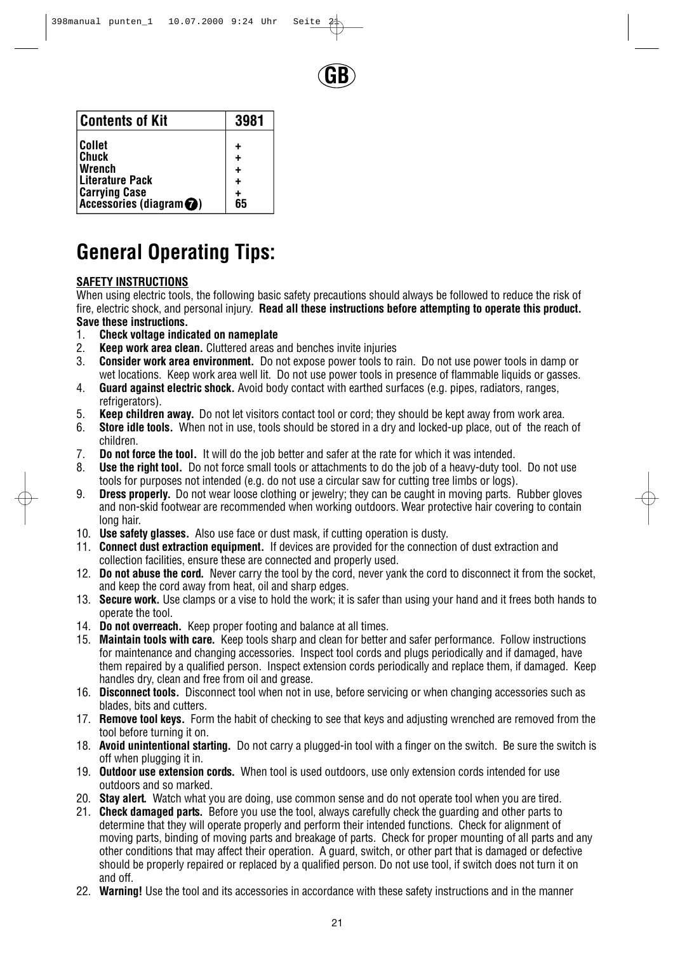

| <b>Contents of Kit</b>              | 3981 |
|-------------------------------------|------|
| <b>Collet</b>                       |      |
| <b>Chuck</b>                        |      |
| Wrench                              |      |
| Literature Pack                     |      |
| <b>Carrying Case</b>                |      |
| Accessories (diagram <sup>2</sup> ) | 65   |

# **General Operating Tips:**

### **SAFETY INSTRUCTIONS**

When using electric tools, the following basic safety precautions should always be followed to reduce the risk of fire, electric shock, and personal injury. **Read all these instructions before attempting to operate this product. Save these instructions.**

- 1. **Check voltage indicated on nameplate**
- 2. **Keep work area clean.** Cluttered areas and benches invite injuries
- 3. **Consider work area environment.** Do not expose power tools to rain. Do not use power tools in damp or wet locations. Keep work area well lit. Do not use power tools in presence of flammable liquids or gasses.
- 4. **Guard against electric shock.** Avoid body contact with earthed surfaces (e.g. pipes, radiators, ranges, refrigerators).
- 5. **Keep children away.** Do not let visitors contact tool or cord; they should be kept away from work area.
- 6. **Store idle tools.** When not in use, tools should be stored in a dry and locked-up place, out of the reach of children.
- 7. **Do not force the tool.** It will do the job better and safer at the rate for which it was intended.
- 8. **Use the right tool.** Do not force small tools or attachments to do the job of a heavy-duty tool. Do not use tools for purposes not intended (e.g. do not use a circular saw for cutting tree limbs or logs).
- 9. **Dress properly.** Do not wear loose clothing or jewelry; they can be caught in moving parts. Rubber gloves and non-skid footwear are recommended when working outdoors. Wear protective hair covering to contain long hair.
- 10. **Use safety glasses.** Also use face or dust mask, if cutting operation is dusty.
- 11. **Connect dust extraction equipment.** If devices are provided for the connection of dust extraction and collection facilities, ensure these are connected and properly used.
- 12. **Do not abuse the cord.** Never carry the tool by the cord, never yank the cord to disconnect it from the socket, and keep the cord away from heat, oil and sharp edges.
- 13. **Secure work.** Use clamps or a vise to hold the work; it is safer than using your hand and it frees both hands to operate the tool.
- 14. **Do not overreach.** Keep proper footing and balance at all times.
- 15. **Maintain tools with care.** Keep tools sharp and clean for better and safer performance. Follow instructions for maintenance and changing accessories. Inspect tool cords and plugs periodically and if damaged, have them repaired by a qualified person. Inspect extension cords periodically and replace them, if damaged. Keep handles dry, clean and free from oil and grease.
- 16. **Disconnect tools.** Disconnect tool when not in use, before servicing or when changing accessories such as blades, bits and cutters.
- 17. **Remove tool keys.** Form the habit of checking to see that keys and adjusting wrenched are removed from the tool before turning it on.
- 18. **Avoid unintentional starting.** Do not carry a plugged-in tool with a finger on the switch. Be sure the switch is off when plugging it in.
- 19. **Outdoor use extension cords.** When tool is used outdoors, use only extension cords intended for use outdoors and so marked.
- 20. **Stay alert.** Watch what you are doing, use common sense and do not operate tool when you are tired.
- 21. **Check damaged parts.** Before you use the tool, always carefully check the guarding and other parts to determine that they will operate properly and perform their intended functions. Check for alignment of moving parts, binding of moving parts and breakage of parts. Check for proper mounting of all parts and any other conditions that may affect their operation. A guard, switch, or other part that is damaged or defective should be properly repaired or replaced by a qualified person. Do not use tool, if switch does not turn it on and off.
- 22. **Warning!** Use the tool and its accessories in accordance with these safety instructions and in the manner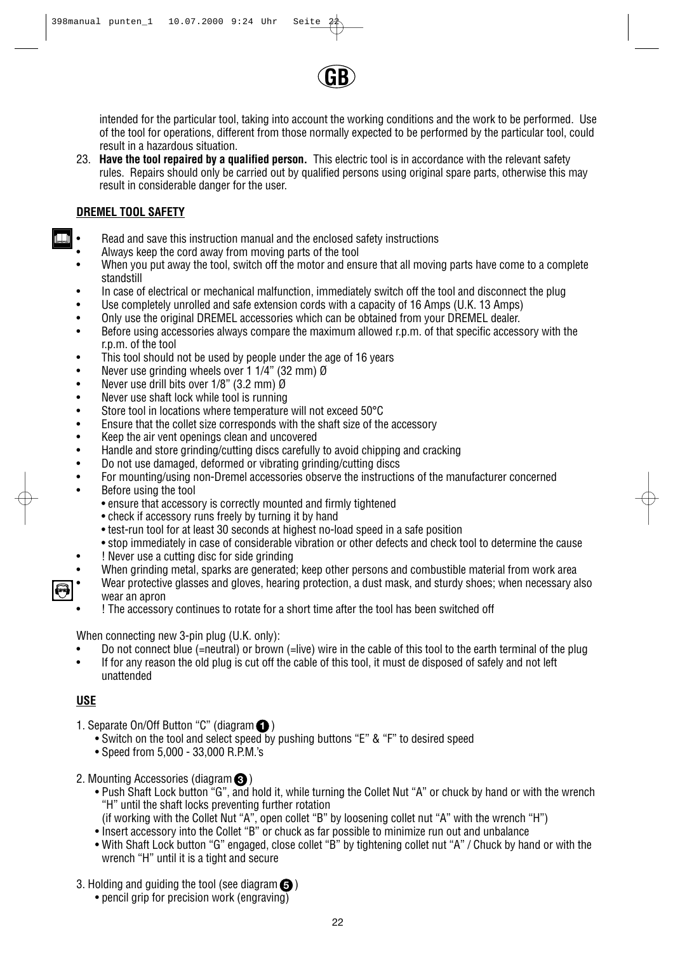

intended for the particular tool, taking into account the working conditions and the work to be performed. Use of the tool for operations, different from those normally expected to be performed by the particular tool, could result in a hazardous situation.

23. **Have the tool repaired by a qualified person.** This electric tool is in accordance with the relevant safety rules. Repairs should only be carried out by qualified persons using original spare parts, otherwise this may result in considerable danger for the user.

#### **DREMEL TOOL SAFETY**

- Read and save this instruction manual and the enclosed safety instructions
- Always keep the cord away from moving parts of the tool
- When you put away the tool, switch off the motor and ensure that all moving parts have come to a complete standstill
- In case of electrical or mechanical malfunction, immediately switch off the tool and disconnect the plug
- Use completely unrolled and safe extension cords with a capacity of 16 Amps (U.K. 13 Amps)
- Only use the original DREMEL accessories which can be obtained from your DREMEL dealer.
- Before using accessories always compare the maximum allowed r.p.m. of that specific accessory with the r.p.m. of the tool
- This tool should not be used by people under the age of 16 years
- Never use grinding wheels over 1 1/4" (32 mm)  $\emptyset$ <br>• Never use drill bits over 1/8" (3.2 mm)  $\emptyset$
- Never use drill bits over 1/8" (3.2 mm) Ø
- Never use shaft lock while tool is running<br>• Store tool in locations where temperature
- Store tool in locations where temperature will not exceed 50°C<br>• Finsure that the collet size corresponds with the shaft size of the
- Ensure that the collet size corresponds with the shaft size of the accessory<br>• Keep the air vent openings clean and uncovered
- Keep the air vent openings clean and uncovered<br>• Handle and store grinding/cutting discs carefully
- Handle and store grinding/cutting discs carefully to avoid chipping and cracking
- Do not use damaged, deformed or vibrating grinding/cutting discs
- For mounting/using non-Dremel accessories observe the instructions of the manufacturer concerned
- Before using the tool
	- ensure that accessory is correctly mounted and firmly tightened
	- check if accessory runs freely by turning it by hand
	- test-run tool for at least 30 seconds at highest no-load speed in a safe position
	- stop immediately in case of considerable vibration or other defects and check tool to determine the cause
- ! Never use a cutting disc for side grinding
- When grinding metal, sparks are generated; keep other persons and combustible material from work area
- Wear protective glasses and gloves, hearing protection, a dust mask, and sturdy shoes; when necessary also wear an apron
- ! The accessory continues to rotate for a short time after the tool has been switched off

When connecting new 3-pin plug (U.K. only):

- Do not connect blue (=neutral) or brown (=live) wire in the cable of this tool to the earth terminal of the plug
- If for any reason the old plug is cut off the cable of this tool, it must de disposed of safely and not left unattended

### **USE**

- 1. Separate On/Off Button "C" (diagram **O**)
	- Switch on the tool and select speed by pushing buttons "E" & "F" to desired speed
	- Speed from 5,000 33,000 R.P.M.'s
- 2. Mounting Accessories (diagram  $\bigcirc$ )
	- Push Shaft Lock button "G", and hold it, while turning the Collet Nut "A" or chuck by hand or with the wrench "H" until the shaft locks preventing further rotation
	- (if working with the Collet Nut "A", open collet "B" by loosening collet nut "A" with the wrench "H")
	- Insert accessory into the Collet "B" or chuck as far possible to minimize run out and unbalance
	- With Shaft Lock button "G" engaged, close collet "B" by tightening collet nut "A" / Chuck by hand or with the wrench "H" until it is a tight and secure
- 3. Holding and guiding the tool (see diagram  $\bigcirc$  )
	- pencil grip for precision work (engraving)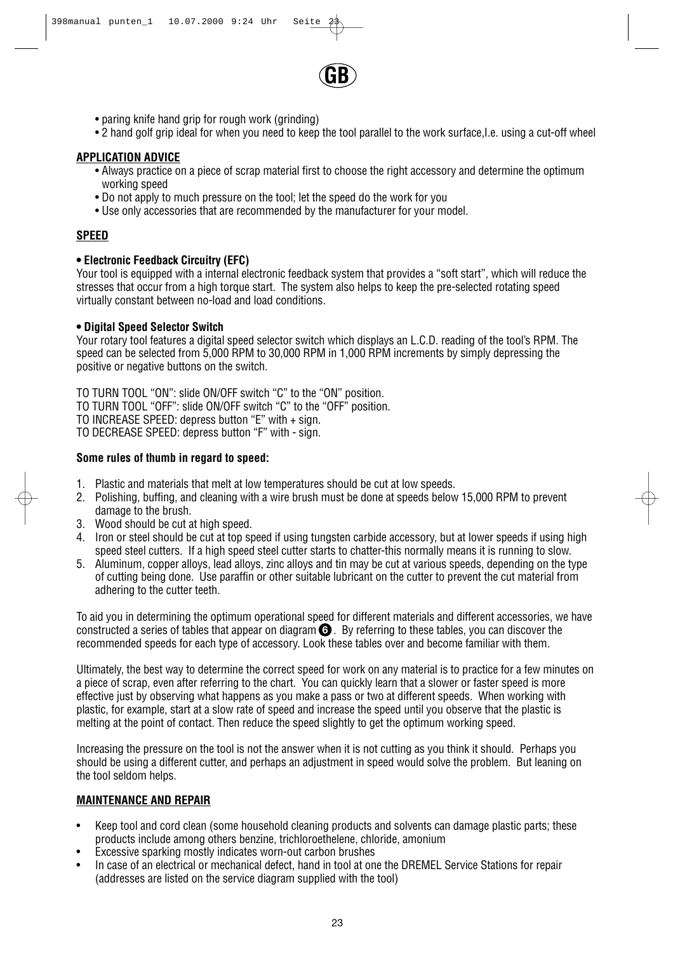

- paring knife hand grip for rough work (grinding)
- 2 hand golf grip ideal for when you need to keep the tool parallel to the work surface,I.e. using a cut-off wheel

#### **APPLICATION ADVICE**

- Always practice on a piece of scrap material first to choose the right accessory and determine the optimum working speed
- Do not apply to much pressure on the tool; let the speed do the work for you
- Use only accessories that are recommended by the manufacturer for your model.

#### **SPEED**

#### **• Electronic Feedback Circuitry (EFC)**

Your tool is equipped with a internal electronic feedback system that provides a "soft start", which will reduce the stresses that occur from a high torque start. The system also helps to keep the pre-selected rotating speed virtually constant between no-load and load conditions.

#### **• Digital Speed Selector Switch**

Your rotary tool features a digital speed selector switch which displays an L.C.D. reading of the tool's RPM. The speed can be selected from 5,000 RPM to 30,000 RPM in 1,000 RPM increments by simply depressing the positive or negative buttons on the switch.

TO TURN TOOL "ON": slide ON/OFF switch "C" to the "ON" position. TO TURN TOOL "OFF": slide ON/OFF switch "C" to the "OFF" position. TO INCREASE SPEED: depress button "E" with + sign. TO DECREASE SPEED: depress button "F" with - sign.

#### **Some rules of thumb in regard to speed:**

- 1. Plastic and materials that melt at low temperatures should be cut at low speeds.
- 2. Polishing, buffing, and cleaning with a wire brush must be done at speeds below 15,000 RPM to prevent damage to the brush.
- 3. Wood should be cut at high speed.
- 4. Iron or steel should be cut at top speed if using tungsten carbide accessory, but at lower speeds if using high speed steel cutters. If a high speed steel cutter starts to chatter-this normally means it is running to slow.
- 5. Aluminum, copper alloys, lead alloys, zinc alloys and tin may be cut at various speeds, depending on the type of cutting being done. Use paraffin or other suitable lubricant on the cutter to prevent the cut material from adhering to the cutter teeth.

To aid you in determining the optimum operational speed for different materials and different accessories, we have constructed a series of tables that appear on diagram  $\bigodot$  . By referring to these tables, you can discover the recommended speeds for each type of accessory. Look these tables over and become familiar with them.

Ultimately, the best way to determine the correct speed for work on any material is to practice for a few minutes on a piece of scrap, even after referring to the chart. You can quickly learn that a slower or faster speed is more effective just by observing what happens as you make a pass or two at different speeds. When working with plastic, for example, start at a slow rate of speed and increase the speed until you observe that the plastic is melting at the point of contact. Then reduce the speed slightly to get the optimum working speed.

Increasing the pressure on the tool is not the answer when it is not cutting as you think it should. Perhaps you should be using a different cutter, and perhaps an adjustment in speed would solve the problem. But leaning on the tool seldom helps.

#### **MAINTENANCE AND REPAIR**

- Keep tool and cord clean (some household cleaning products and solvents can damage plastic parts; these products include among others benzine, trichloroethelene, chloride, amonium
- Excessive sparking mostly indicates worn-out carbon brushes
- In case of an electrical or mechanical defect, hand in tool at one the DREMEL Service Stations for repair (addresses are listed on the service diagram supplied with the tool)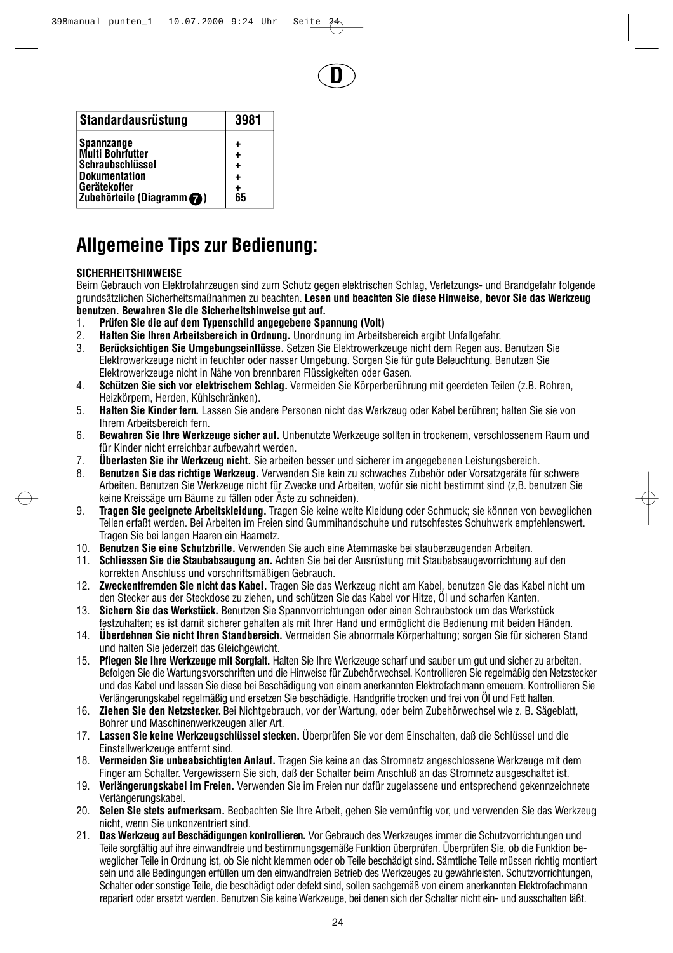**D**

| Standardausrüstung                  | 3981 |
|-------------------------------------|------|
| <b>Spannzange</b>                   | ٠    |
| <b>Multi Bohrfutter</b>             | ٠    |
| <b>Schraubschlüssel</b>             | ٠    |
| <b>Dokumentation</b>                | ٠    |
| Gerätekoffer                        | +    |
| Zubehörteile (Diagramm $\bigcirc$ ) | 65   |

# **Allgemeine Tips zur Bedienung:**

### **SICHERHEITSHINWEISE**

Beim Gebrauch von Elektrofahrzeugen sind zum Schutz gegen elektrischen Schlag, Verletzungs- und Brandgefahr folgende grundsätzlichen Sicherheitsmaßnahmen zu beachten. **Lesen und beachten Sie diese Hinweise, bevor Sie das Werkzeug benutzen. Bewahren Sie die Sicherheitshinweise gut auf.**

- 1. **Prüfen Sie die auf dem Typenschild angegebene Spannung (Volt)**
- 2. **Halten Sie Ihren Arbeitsbereich in Ordnung.** Unordnung im Arbeitsbereich ergibt Unfallgefahr.
- 3. **Berücksichtigen Sie Umgebungseinflüsse.** Setzen Sie Elektrowerkzeuge nicht dem Regen aus. Benutzen Sie Elektrowerkzeuge nicht in feuchter oder nasser Umgebung. Sorgen Sie für gute Beleuchtung. Benutzen Sie Elektrowerkzeuge nicht in Nähe von brennbaren Flüssigkeiten oder Gasen.
- 4. **Schützen Sie sich vor elektrischem Schlag.** Vermeiden Sie Körperberührung mit geerdeten Teilen (z.B. Rohren, Heizkörpern, Herden, Kühlschränken).
- 5. **Halten Sie Kinder fern.** Lassen Sie andere Personen nicht das Werkzeug oder Kabel berühren; halten Sie sie von Ihrem Arbeitsbereich fern.
- 6. **Bewahren Sie Ihre Werkzeuge sicher auf.** Unbenutzte Werkzeuge sollten in trockenem, verschlossenem Raum und für Kinder nicht erreichbar aufbewahrt werden.
- 7. **Überlasten Sie ihr Werkzeug nicht.** Sie arbeiten besser und sicherer im angegebenen Leistungsbereich.
- 8. **Benutzen Sie das richtige Werkzeug.** Verwenden Sie kein zu schwaches Zubehör oder Vorsatzgeräte für schwere Arbeiten. Benutzen Sie Werkzeuge nicht für Zwecke und Arbeiten, wofür sie nicht bestimmt sind (z,B. benutzen Sie keine Kreissäge um Bäume zu fällen oder Äste zu schneiden).
- 9. **Tragen Sie geeignete Arbeitskleidung.** Tragen Sie keine weite Kleidung oder Schmuck; sie können von beweglichen Teilen erfaßt werden. Bei Arbeiten im Freien sind Gummihandschuhe und rutschfestes Schuhwerk empfehlenswert. Tragen Sie bei langen Haaren ein Haarnetz.
- 10. **Benutzen Sie eine Schutzbrille.** Verwenden Sie auch eine Atemmaske bei stauberzeugenden Arbeiten.
- 11. **Schliessen Sie die Staubabsaugung an.** Achten Sie bei der Ausrüstung mit Staubabsaugevorrichtung auf den korrekten Anschluss und vorschriftsmäßigen Gebrauch.
- 12. **Zweckentfremden Sie nicht das Kabel.** Tragen Sie das Werkzeug nicht am Kabel, benutzen Sie das Kabel nicht um den Stecker aus der Steckdose zu ziehen, und schützen Sie das Kabel vor Hitze, Öl und scharfen Kanten.
- 13. **Sichern Sie das Werkstück.** Benutzen Sie Spannvorrichtungen oder einen Schraubstock um das Werkstück festzuhalten; es ist damit sicherer gehalten als mit Ihrer Hand und ermöglicht die Bedienung mit beiden Händen.
- 14. **Überdehnen Sie nicht Ihren Standbereich.** Vermeiden Sie abnormale Körperhaltung; sorgen Sie für sicheren Stand und halten Sie jederzeit das Gleichgewicht.
- 15. **Pflegen Sie Ihre Werkzeuge mit Sorgfalt.** Halten Sie Ihre Werkzeuge scharf und sauber um gut und sicher zu arbeiten. Befolgen Sie die Wartungsvorschriften und die Hinweise für Zubehörwechsel. Kontrollieren Sie regelmäßig den Netzstecker und das Kabel und lassen Sie diese bei Beschädigung von einem anerkannten Elektrofachmann erneuern. Kontrollieren Sie Verlängerungskabel regelmäßig und ersetzen Sie beschädigte. Handgriffe trocken und frei von Öl und Fett halten.
- 16. **Ziehen Sie den Netzstecker.** Bei Nichtgebrauch, vor der Wartung, oder beim Zubehörwechsel wie z. B. Sägeblatt, Bohrer und Maschinenwerkzeugen aller Art.
- 17. **Lassen Sie keine Werkzeugschlüssel stecken.** Überprüfen Sie vor dem Einschalten, daß die Schlüssel und die Einstellwerkzeuge entfernt sind.
- 18. **Vermeiden Sie unbeabsichtigten Anlauf.** Tragen Sie keine an das Stromnetz angeschlossene Werkzeuge mit dem Finger am Schalter. Vergewissern Sie sich, daß der Schalter beim Anschluß an das Stromnetz ausgeschaltet ist.
- 19. **Verlängerungskabel im Freien.** Verwenden Sie im Freien nur dafür zugelassene und entsprechend gekennzeichnete Verlängerungskabel.
- 20. **Seien Sie stets aufmerksam.** Beobachten Sie Ihre Arbeit, gehen Sie vernünftig vor, und verwenden Sie das Werkzeug nicht, wenn Sie unkonzentriert sind.
- 21. **Das Werkzeug auf Beschädigungen kontrollieren.** Vor Gebrauch des Werkzeuges immer die Schutzvorrichtungen und Teile sorgfältig auf ihre einwandfreie und bestimmungsgemäße Funktion überprüfen. Überprüfen Sie, ob die Funktion beweglicher Teile in Ordnung ist, ob Sie nicht klemmen oder ob Teile beschädigt sind. Sämtliche Teile müssen richtig montiert sein und alle Bedingungen erfüllen um den einwandfreien Betrieb des Werkzeuges zu gewährleisten. Schutzvorrichtungen, Schalter oder sonstige Teile, die beschädigt oder defekt sind, sollen sachgemäß von einem anerkannten Elektrofachmann repariert oder ersetzt werden. Benutzen Sie keine Werkzeuge, bei denen sich der Schalter nicht ein- und ausschalten läßt.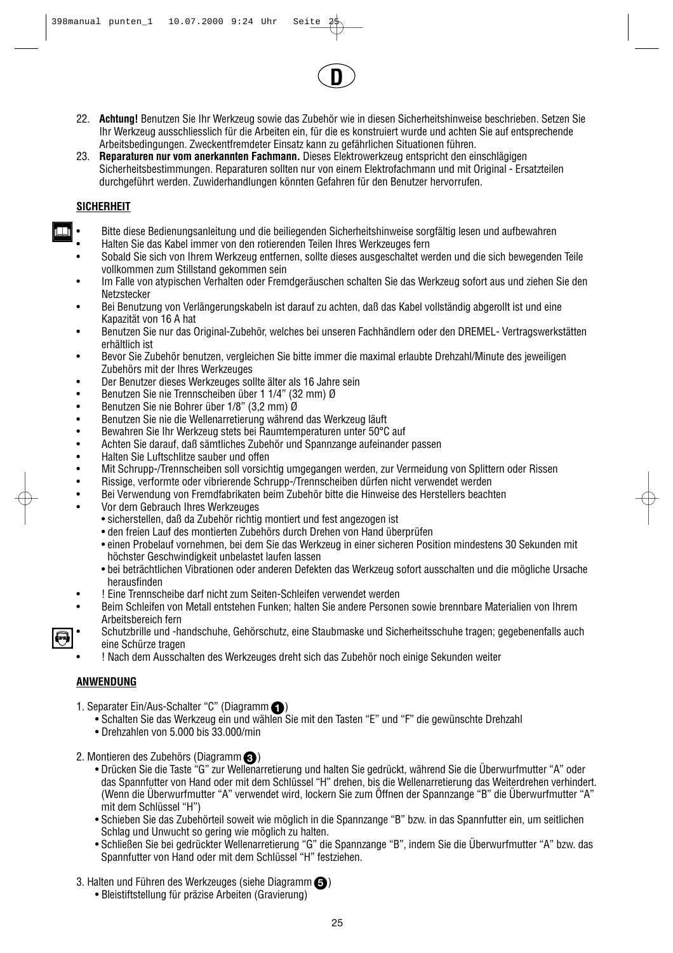22. **Achtung!** Benutzen Sie Ihr Werkzeug sowie das Zubehör wie in diesen Sicherheitshinweise beschrieben. Setzen Sie Ihr Werkzeug ausschliesslich für die Arbeiten ein, für die es konstruiert wurde und achten Sie auf entsprechende Arbeitsbedingungen. Zweckentfremdeter Einsatz kann zu gefährlichen Situationen führen.

**D**

23. **Reparaturen nur vom anerkannten Fachmann.** Dieses Elektrowerkzeug entspricht den einschlägigen Sicherheitsbestimmungen. Reparaturen sollten nur von einem Elektrofachmann und mit Original - Ersatzteilen durchgeführt werden. Zuwiderhandlungen könnten Gefahren für den Benutzer hervorrufen.

#### **SICHERHEIT**

- Bitte diese Bedienungsanleitung und die beiliegenden Sicherheitshinweise sorgfältig lesen und aufbewahren
- Halten Sie das Kabel immer von den rotierenden Teilen Ihres Werkzeuges fern
- Sobald Sie sich von Ihrem Werkzeug entfernen, sollte dieses ausgeschaltet werden und die sich bewegenden Teile vollkommen zum Stillstand gekommen sein
- Im Falle von atypischen Verhalten oder Fremdgeräuschen schalten Sie das Werkzeug sofort aus und ziehen Sie den **Netzstecker**
- Bei Benutzung von Verlängerungskabeln ist darauf zu achten, daß das Kabel vollständig abgerollt ist und eine Kapazität von 16 A hat
- Benutzen Sie nur das Original-Zubehör, welches bei unseren Fachhändlern oder den DREMEL- Vertragswerkstätten erhältlich ist
- Bevor Sie Zubehör benutzen, vergleichen Sie bitte immer die maximal erlaubte Drehzahl/Minute des jeweiligen Zubehörs mit der Ihres Werkzeuges
- Der Benutzer dieses Werkzeuges sollte älter als 16 Jahre sein
- Benutzen Sie nie Trennscheiben über 1 1/4" (32 mm) Ø
- Benutzen Sie nie Bohrer über 1/8" (3,2 mm) Ø
- Benutzen Sie nie die Wellenarretierung während das Werkzeug läuft
- Bewahren Sie Ihr Werkzeug stets bei Raumtemperaturen unter 50°C auf
- Achten Sie darauf, daß sämtliches Zubehör und Spannzange aufeinander passen<br>• Halten Sie Luftschlitze sauber und offen
- Halten Sie Luftschlitze sauber und offen
- Mit Schrupp-/Trennscheiben soll vorsichtig umgegangen werden, zur Vermeidung von Splittern oder Rissen
- Rissige, verformte oder vibrierende Schrupp-/Trennscheiben dürfen nicht verwendet werden
- Bei Verwendung von Fremdfabrikaten beim Zubehör bitte die Hinweise des Herstellers beachten
- Vor dem Gebrauch Ihres Werkzeuges
	- sicherstellen, daß da Zubehör richtig montiert und fest angezogen ist
	- den freien Lauf des montierten Zubehörs durch Drehen von Hand überprüfen
	- einen Probelauf vornehmen, bei dem Sie das Werkzeug in einer sicheren Position mindestens 30 Sekunden mit höchster Geschwindigkeit unbelastet laufen lassen
	- bei beträchtlichen Vibrationen oder anderen Defekten das Werkzeug sofort ausschalten und die mögliche Ursache herausfinden
- ! Eine Trennscheibe darf nicht zum Seiten-Schleifen verwendet werden
- Beim Schleifen von Metall entstehen Funken; halten Sie andere Personen sowie brennbare Materialien von Ihrem Arbeitsbereich fern
- Schutzbrille und -handschuhe, Gehörschutz, eine Staubmaske und Sicherheitsschuhe tragen; gegebenenfalls auch eine Schürze tragen
	- ! Nach dem Ausschalten des Werkzeuges dreht sich das Zubehör noch einige Sekunden weiter

### **ANWENDUNG**

- 1. Separater Ein/Aus-Schalter "C" (Diagramm
	- Schalten Sie das Werkzeug ein und wählen Sie mit den Tasten "E" und "F" die gewünschte Drehzahl
	- Drehzahlen von 5.000 bis 33.000/min
- 2. Montieren des Zubehörs (Diagramm ) **3**
	- Drücken Sie die Taste "G" zur Wellenarretierung und halten Sie gedrückt, während Sie die Überwurfmutter "A" oder das Spannfutter von Hand oder mit dem Schlüssel "H" drehen, bis die Wellenarretierung das Weiterdrehen verhindert. (Wenn die Überwurfmutter "A" verwendet wird, lockern Sie zum Öffnen der Spannzange "B" die Überwurfmutter "A" mit dem Schlüssel "H")
	- Schieben Sie das Zubehörteil soweit wie möglich in die Spannzange "B" bzw. in das Spannfutter ein, um seitlichen Schlag und Unwucht so gering wie möglich zu halten.
	- Schließen Sie bei gedrückter Wellenarretierung "G" die Spannzange "B", indem Sie die Überwurfmutter "A" bzw. das Spannfutter von Hand oder mit dem Schlüssel "H" festziehen.
- 3. Halten und Führen des Werkzeuges (siehe Diagramm $\bigcirc$ )
	- Bleistiftstellung für präzise Arbeiten (Gravierung)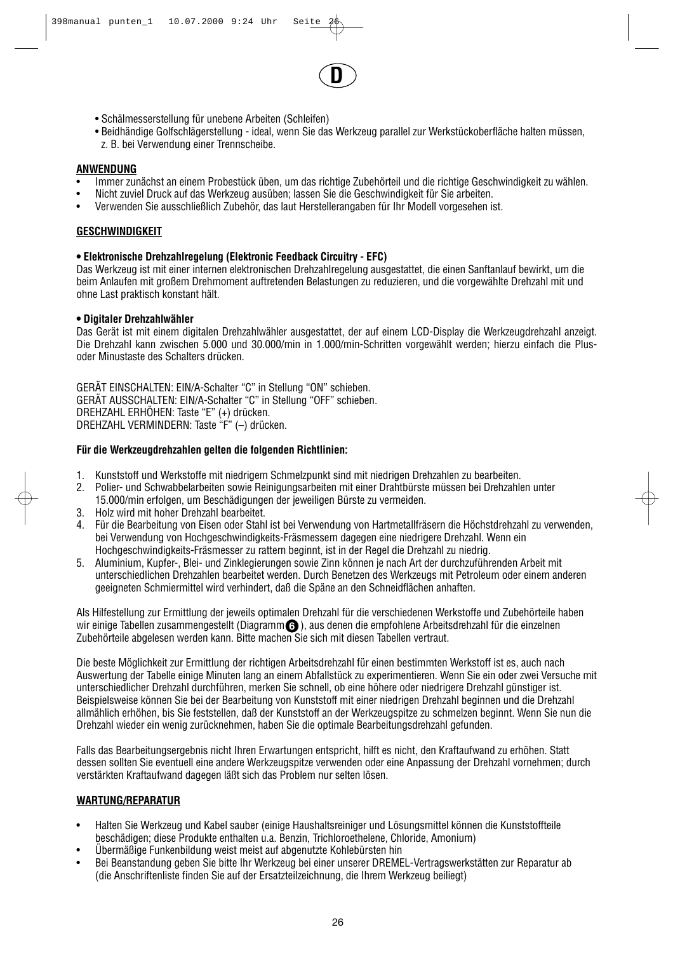

- Schälmesserstellung für unebene Arbeiten (Schleifen)
- Beidhändige Golfschlägerstellung ideal, wenn Sie das Werkzeug parallel zur Werkstückoberfläche halten müssen, z. B. bei Verwendung einer Trennscheibe.

#### **ANWENDUNG**

- Immer zunächst an einem Probestück üben, um das richtige Zubehörteil und die richtige Geschwindigkeit zu wählen.<br>• Nicht zuviel Druck auf das Werkzeug ausüben: Jassen Sie die Geschwindigkeit für Sie arbeiten.
- Nicht zuviel Druck auf das Werkzeug ausüben; lassen Sie die Geschwindigkeit für Sie arbeiten.
- Verwenden Sie ausschließlich Zubehör, das laut Herstellerangaben für Ihr Modell vorgesehen ist.

#### **GESCHWINDIGKEIT**

#### **• Elektronische Drehzahlregelung (Elektronic Feedback Circuitry - EFC)**

Das Werkzeug ist mit einer internen elektronischen Drehzahlregelung ausgestattet, die einen Sanftanlauf bewirkt, um die beim Anlaufen mit großem Drehmoment auftretenden Belastungen zu reduzieren, und die vorgewählte Drehzahl mit und ohne Last praktisch konstant hält.

#### **• Digitaler Drehzahlwähler**

Das Gerät ist mit einem digitalen Drehzahlwähler ausgestattet, der auf einem LCD-Display die Werkzeugdrehzahl anzeigt. Die Drehzahl kann zwischen 5.000 und 30.000/min in 1.000/min-Schritten vorgewählt werden; hierzu einfach die Plusoder Minustaste des Schalters drücken.

GERÄT EINSCHALTEN: EIN/A-Schalter "C" in Stellung "ON" schieben. GERÄT AUSSCHALTEN: EIN/A-Schalter "C" in Stellung "OFF" schieben. DREHZAHL ERHÖHEN: Taste "E" (+) drücken. DREHZAHL VERMINDERN: Taste "F" (–) drücken.

#### **Für die Werkzeugdrehzahlen gelten die folgenden Richtlinien:**

- 1. Kunststoff und Werkstoffe mit niedrigem Schmelzpunkt sind mit niedrigen Drehzahlen zu bearbeiten.
- 2. Polier- und Schwabbelarbeiten sowie Reinigungsarbeiten mit einer Drahtbürste müssen bei Drehzahlen unter 15.000/min erfolgen, um Beschädigungen der jeweiligen Bürste zu vermeiden.
- 3. Holz wird mit hoher Drehzahl bearbeitet.
- 4. Für die Bearbeitung von Eisen oder Stahl ist bei Verwendung von Hartmetallfräsern die Höchstdrehzahl zu verwenden, bei Verwendung von Hochgeschwindigkeits-Fräsmessern dagegen eine niedrigere Drehzahl. Wenn ein Hochgeschwindigkeits-Fräsmesser zu rattern beginnt, ist in der Regel die Drehzahl zu niedrig.
- 5. Aluminium, Kupfer-, Blei- und Zinklegierungen sowie Zinn können je nach Art der durchzuführenden Arbeit mit unterschiedlichen Drehzahlen bearbeitet werden. Durch Benetzen des Werkzeugs mit Petroleum oder einem anderen geeigneten Schmiermittel wird verhindert, daß die Späne an den Schneidflächen anhaften.

Als Hilfestellung zur Ermittlung der jeweils optimalen Drehzahl für die verschiedenen Werkstoffe und Zubehörteile haben wir einige Tabellen zusammengestellt (Diagramm**t)** ), aus denen die empfohlene Arbeitsdrehzahl für die einzelnen Zubehörteile abgelesen werden kann. Bitte machen Sie sich mit diesen Tabellen vertraut.

Die beste Möglichkeit zur Ermittlung der richtigen Arbeitsdrehzahl für einen bestimmten Werkstoff ist es, auch nach Auswertung der Tabelle einige Minuten lang an einem Abfallstück zu experimentieren. Wenn Sie ein oder zwei Versuche mit unterschiedlicher Drehzahl durchführen, merken Sie schnell, ob eine höhere oder niedrigere Drehzahl günstiger ist. Beispielsweise können Sie bei der Bearbeitung von Kunststoff mit einer niedrigen Drehzahl beginnen und die Drehzahl allmählich erhöhen, bis Sie feststellen, daß der Kunststoff an der Werkzeugspitze zu schmelzen beginnt. Wenn Sie nun die Drehzahl wieder ein wenig zurücknehmen, haben Sie die optimale Bearbeitungsdrehzahl gefunden.

Falls das Bearbeitungsergebnis nicht Ihren Erwartungen entspricht, hilft es nicht, den Kraftaufwand zu erhöhen. Statt dessen sollten Sie eventuell eine andere Werkzeugspitze verwenden oder eine Anpassung der Drehzahl vornehmen; durch verstärkten Kraftaufwand dagegen läßt sich das Problem nur selten lösen.

#### **WARTUNG/REPARATUR**

- Halten Sie Werkzeug und Kabel sauber (einige Haushaltsreiniger und Lösungsmittel können die Kunststoffteile beschädigen; diese Produkte enthalten u.a. Benzin, Trichloroethelene, Chloride, Amonium)
- Übermäßige Funkenbildung weist meist auf abgenutzte Kohlebürsten hin
- Bei Beanstandung geben Sie bitte Ihr Werkzeug bei einer unserer DREMEL-Vertragswerkstätten zur Reparatur ab (die Anschriftenliste finden Sie auf der Ersatzteilzeichnung, die Ihrem Werkzeug beiliegt)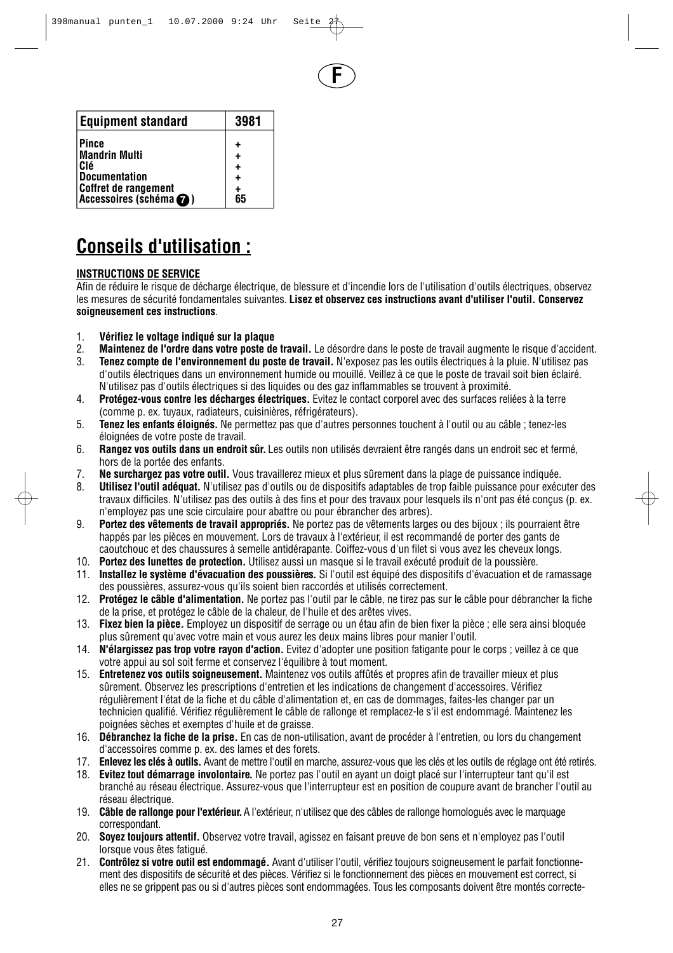**F**

| <b>Equipment standard</b>                             | 3981    |
|-------------------------------------------------------|---------|
| <b>Pince</b><br><b>Mandrin Multi</b>                  | +<br>٠  |
| Clé                                                   | ٠       |
| <b>Documentation</b>                                  | ٠       |
| <b>Coffret de rangement</b><br>Accessoires (schéma @) | +<br>65 |

# **Conseils d'utilisation :**

### **INSTRUCTIONS DE SERVICE**

Afin de réduire le risque de décharge électrique, de blessure et d'incendie lors de l'utilisation d'outils électriques, observez les mesures de sécurité fondamentales suivantes. **Lisez et observez ces instructions avant d'utiliser l'outil. Conservez soigneusement ces instructions**.

- 1. **Vérifiez le voltage indiqué sur la plaque**
- 2. **Maintenez de l'ordre dans votre poste de travail.** Le désordre dans le poste de travail augmente le risque d'accident.
- 3. **Tenez compte de l'environnement du poste de travail.** N'exposez pas les outils électriques à la pluie. N'utilisez pas d'outils électriques dans un environnement humide ou mouillé. Veillez à ce que le poste de travail soit bien éclairé. N'utilisez pas d'outils électriques si des liquides ou des gaz inflammables se trouvent à proximité.
- 4. **Protégez-vous contre les décharges électriques.** Evitez le contact corporel avec des surfaces reliées à la terre (comme p. ex. tuyaux, radiateurs, cuisinières, réfrigérateurs).
- 5. **Tenez les enfants éloignés.** Ne permettez pas que d'autres personnes touchent à l'outil ou au câble ; tenez-les éloignées de votre poste de travail.
- 6. **Rangez vos outils dans un endroit sûr.** Les outils non utilisés devraient être rangés dans un endroit sec et fermé, hors de la portée des enfants.
- 7. **Ne surchargez pas votre outil.** Vous travaillerez mieux et plus sûrement dans la plage de puissance indiquée.
- 8. **Utilisez l'outil adéquat.** N'utilisez pas d'outils ou de dispositifs adaptables de trop faible puissance pour exécuter des travaux difficiles. N'utilisez pas des outils à des fins et pour des travaux pour lesquels ils n'ont pas été conçus (p. ex. n'employez pas une scie circulaire pour abattre ou pour ébrancher des arbres).
- 9. **Portez des vêtements de travail appropriés.** Ne portez pas de vêtements larges ou des bijoux ; ils pourraient être happés par les pièces en mouvement. Lors de travaux à l'extérieur, il est recommandé de porter des gants de caoutchouc et des chaussures à semelle antidérapante. Coiffez-vous d'un filet si vous avez les cheveux longs.
- 10. **Portez des lunettes de protection.** Utilisez aussi un masque si le travail exécuté produit de la poussière.
- 11. **Installez le système d'évacuation des poussières.** Si l'outil est équipé des dispositifs d'évacuation et de ramassage des poussières, assurez-vous qu'ils soient bien raccordés et utilisés correctement.
- 12. **Protégez le câble d'alimentation.** Ne portez pas l'outil par le câble, ne tirez pas sur le câble pour débrancher la fiche de la prise, et protégez le câble de la chaleur, de l'huile et des arêtes vives.
- 13. **Fixez bien la pièce.** Employez un dispositif de serrage ou un étau afin de bien fixer la pièce ; elle sera ainsi bloquée plus sûrement qu'avec votre main et vous aurez les deux mains libres pour manier l'outil.
- 14. **N'élargissez pas trop votre rayon d'action.** Evitez d'adopter une position fatigante pour le corps ; veillez à ce que votre appui au sol soit ferme et conservez l'équilibre à tout moment.
- 15. **Entretenez vos outils soigneusement.** Maintenez vos outils affûtés et propres afin de travailler mieux et plus sûrement. Observez les prescriptions d'entretien et les indications de changement d'accessoires. Vérifiez régulièrement l'état de la fiche et du câble d'alimentation et, en cas de dommages, faites-les changer par un technicien qualifié. Vérifiez régulièrement le câble de rallonge et remplacez-le s'il est endommagé. Maintenez les poignées sèches et exemptes d'huile et de graisse.
- 16. **Débranchez la fiche de la prise.** En cas de non-utilisation, avant de procéder à l'entretien, ou lors du changement d'accessoires comme p. ex. des lames et des forets.
- 17. **Enlevez les clés à outils.** Avant de mettre l'outil en marche, assurez-vous que les clés et les outils de réglage ont été retirés.
- 18. **Evitez tout démarrage involontaire.** Ne portez pas l'outil en ayant un doigt placé sur l'interrupteur tant qu'il est branché au réseau électrique. Assurez-vous que l'interrupteur est en position de coupure avant de brancher l'outil au réseau électrique.
- 19. **Câble de rallonge pour l'extérieur.**A l'extérieur, n'utilisez que des câbles de rallonge homologués avec le marquage correspondant.
- 20. **Soyez toujours attentif.** Observez votre travail, agissez en faisant preuve de bon sens et n'employez pas l'outil lorsque vous êtes fatigué.
- 21. **Contrôlez si votre outil est endommagé.** Avant d'utiliser l'outil, vérifiez toujours soigneusement le parfait fonctionnement des dispositifs de sécurité et des pièces. Vérifiez si le fonctionnement des pièces en mouvement est correct, si elles ne se grippent pas ou si d'autres pièces sont endommagées. Tous les composants doivent être montés correcte-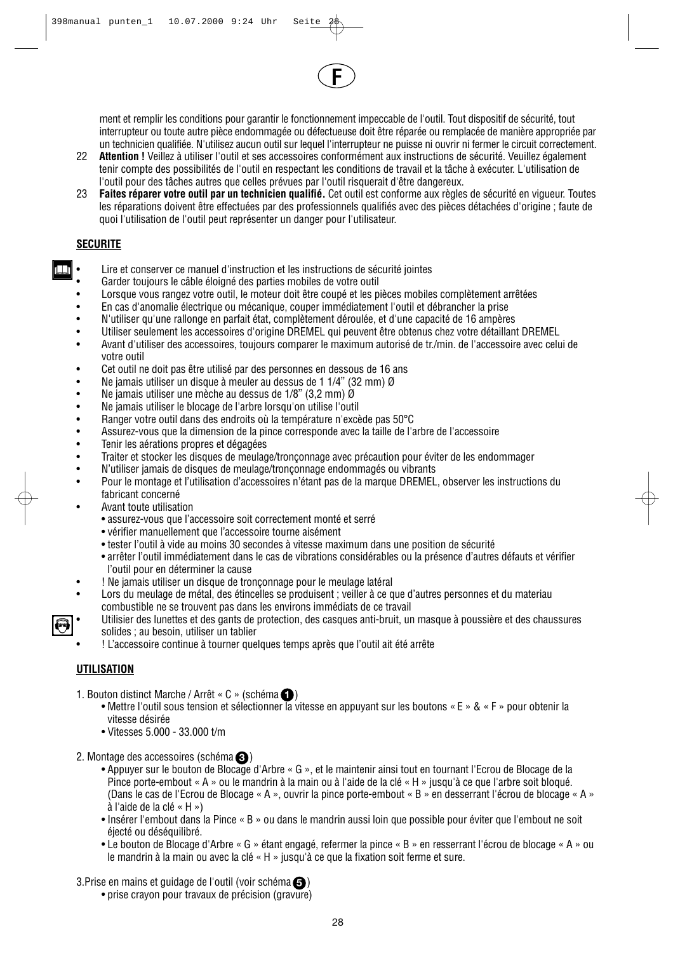

ment et remplir les conditions pour garantir le fonctionnement impeccable de l'outil. Tout dispositif de sécurité, tout interrupteur ou toute autre pièce endommagée ou défectueuse doit être réparée ou remplacée de manière appropriée par un technicien qualifiée. N'utilisez aucun outil sur lequel l'interrupteur ne puisse ni ouvrir ni fermer le circuit correctement.

- 22 **Attention !** Veillez à utiliser l'outil et ses accessoires conformément aux instructions de sécurité. Veuillez également tenir compte des possibilités de l'outil en respectant les conditions de travail et la tâche à exécuter. L'utilisation de l'outil pour des tâches autres que celles prévues par l'outil risquerait d'être dangereux.
- 23 **Faites réparer votre outil par un technicien qualifié.** Cet outil est conforme aux règles de sécurité en vigueur. Toutes les réparations doivent être effectuées par des professionnels qualifiés avec des pièces détachées d'origine ; faute de quoi l'utilisation de l'outil peut représenter un danger pour l'utilisateur.

#### **SECURITE**

ПT

- Lire et conserver ce manuel d'instruction et les instructions de sécurité jointes
- Garder toujours le câble éloigné des parties mobiles de votre outil
- Lorsque vous rangez votre outil, le moteur doit être coupé et les pièces mobiles complètement arrêtées
- En cas d'anomalie électrique ou mécanique, couper immédiatement l'outil et débrancher la prise
- N'utiliser qu'une rallonge en parfait état, complètement déroulée, et d'une capacité de 16 ampères
- Utiliser seulement les accessoires d'origine DREMEL qui peuvent être obtenus chez votre détaillant DREMEL
- Avant d'utiliser des accessoires, toujours comparer le maximum autorisé de tr./min. de l'accessoire avec celui de votre outil
- Cet outil ne doit pas être utilisé par des personnes en dessous de 16 ans<br>• Ne jamais utiliser un disque à meuler au dessus de 1 1/4" (32 mm)  $\alpha$
- Ne jamais utiliser un disque à meuler au dessus de 1 1/4" (32 mm)  $\emptyset$ <br>• Ne jamais utiliser une mèche au dessus de 1/8" (3.2 mm)  $\emptyset$
- Ne jamais utiliser une mèche au dessus de 1/8" (3,2 mm) Ø
- Ne jamais utiliser le blocage de l'arbre lorsqu'on utilise l'outil
- Ranger votre outil dans des endroits où la température n'excède pas 50°C
- Assurez-vous que la dimension de la pince corresponde avec la taille de l'arbre de l'accessoire<br>• Tenir les aérations propres et dégagées
- Tenir les aérations propres et dégagées<br>• Traiter et stocker les disques de meulag
- Traiter et stocker les disques de meulage/tronçonnage avec précaution pour éviter de les endommager
- N'utiliser jamais de disques de meulage/tronçonnage endommagés ou vibrants
- Pour le montage et l'utilisation d'accessoires n'étant pas de la marque DREMEL, observer les instructions du fabricant concerné
- Avant toute utilisation
	- assurez-vous que l'accessoire soit correctement monté et serré
	- vérifier manuellement que l'accessoire tourne aisément
	- tester l'outil à vide au moins 30 secondes à vitesse maximum dans une position de sécurité
	- arrêter l'outil immédiatement dans le cas de vibrations considérables ou la présence d'autres défauts et vérifier l'outil pour en déterminer la cause
- ! Ne jamais utiliser un disque de tronçonnage pour le meulage latéral
- Lors du meulage de métal, des étincelles se produisent ; veiller à ce que d'autres personnes et du materiau combustible ne se trouvent pas dans les environs immédiats de ce travail
- Utilisier des lunettes et des gants de protection, des casques anti-bruit, un masque à poussière et des chaussures solides ; au besoin, utiliser un tablier
- ! L'accessoire continue à tourner quelques temps après que l'outil ait été arrête

### **UTILISATION**

- 1. Bouton distinct Marche / Arrêt «  $C \times (schéma \ \ \ )$ 
	- Mettre l'outil sous tension et sélectionner la vitesse en appuyant sur les boutons « E » & « F » pour obtenir la vitesse désirée
	- Vitesses 5.000 33.000 t/m
- 2. Montage des accessoires (schéma **۞**)
	- Appuyer sur le bouton de Blocage d'Arbre « G », et le maintenir ainsi tout en tournant l'Ecrou de Blocage de la Pince porte-embout « A » ou le mandrin à la main ou à l'aide de la clé « H » jusqu'à ce que l'arbre soit bloqué. (Dans le cas de l'Ecrou de Blocage « A », ouvrir la pince porte-embout « B » en desserrant l'écrou de blocage « A » à l'aide de la clé « H »)
	- Insérer l'embout dans la Pince « B » ou dans le mandrin aussi loin que possible pour éviter que l'embout ne soit éjecté ou déséquilibré.
	- Le bouton de Blocage d'Arbre « G » étant engagé, refermer la pince « B » en resserrant l'écrou de blocage « A » ou le mandrin à la main ou avec la clé « H » jusqu'à ce que la fixation soit ferme et sure.
- 3.Prise en mains et guidage de l'outil (voir schéma $\bigcirc$ )
	- prise crayon pour travaux de précision (gravure)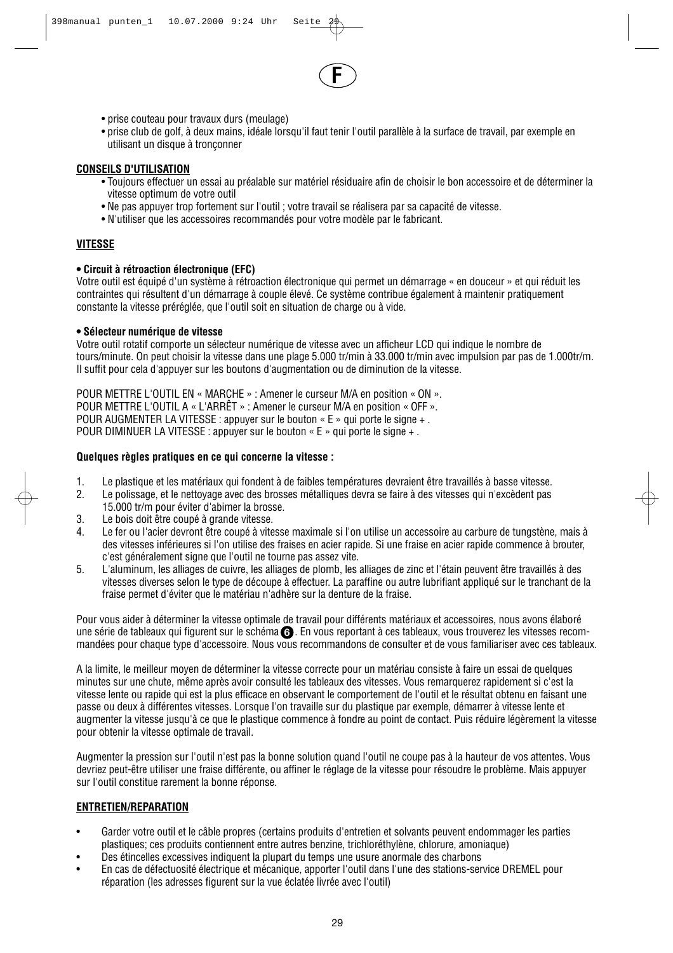

- prise couteau pour travaux durs (meulage)
- prise club de golf, à deux mains, idéale lorsqu'il faut tenir l'outil parallèle à la surface de travail, par exemple en utilisant un disque à tronçonner

#### **CONSEILS D'UTILISATION**

- Toujours effectuer un essai au préalable sur matériel résiduaire afin de choisir le bon accessoire et de déterminer la vitesse optimum de votre outil
- Ne pas appuyer trop fortement sur l'outil ; votre travail se réalisera par sa capacité de vitesse.
- N'utiliser que les accessoires recommandés pour votre modèle par le fabricant.

#### **VITESSE**

#### **• Circuit à rétroaction électronique (EFC)**

Votre outil est équipé d'un système à rétroaction électronique qui permet un démarrage « en douceur » et qui réduit les contraintes qui résultent d'un démarrage à couple élevé. Ce système contribue également à maintenir pratiquement constante la vitesse préréglée, que l'outil soit en situation de charge ou à vide.

#### **• Sélecteur numérique de vitesse**

Votre outil rotatif comporte un sélecteur numérique de vitesse avec un afficheur LCD qui indique le nombre de tours/minute. On peut choisir la vitesse dans une plage 5.000 tr/min à 33.000 tr/min avec impulsion par pas de 1.000tr/m. Il suffit pour cela d'appuyer sur les boutons d'augmentation ou de diminution de la vitesse.

POUR METTRE L'OUTIL EN « MARCHE » : Amener le curseur M/A en position « ON ». POUR METTRE L'OUTIL A « L'ARRÊT » : Amener le curseur M/A en position « OFF ». POUR AUGMENTER LA VITESSE : appuyer sur le bouton « E » qui porte le signe + . POUR DIMINUER LA VITESSE : appuyer sur le bouton « E » qui porte le signe + .

#### **Quelques règles pratiques en ce qui concerne la vitesse :**

- 1. Le plastique et les matériaux qui fondent à de faibles températures devraient être travaillés à basse vitesse.<br>2. Le polissage, et le nettovage avec des brosses métalliques devra se faire à des vitesses qui n'excèdent p
- 2. Le polissage, et le nettoyage avec des brosses métalliques devra se faire à des vitesses qui n'excèdent pas
- 15.000 tr/m pour éviter d'abimer la brosse.
- 3. Le bois doit être coupé à grande vitesse.
- Le fer ou l'acier devront être coupé à vitesse maximale si l'on utilise un accessoire au carbure de tungstène, mais à des vitesses inférieures si l'on utilise des fraises en acier rapide. Si une fraise en acier rapide commence à brouter, c'est généralement signe que l'outil ne tourne pas assez vite.
- 5. L'aluminum, les alliages de cuivre, les alliages de plomb, les alliages de zinc et l'étain peuvent être travaillés à des vitesses diverses selon le type de découpe à effectuer. La paraffine ou autre lubrifiant appliqué sur le tranchant de la fraise permet d'éviter que le matériau n'adhère sur la denture de la fraise.

Pour vous aider à déterminer la vitesse optimale de travail pour différents matériaux et accessoires, nous avons élaboré une série de tableaux qui figurent sur le schéma 6. En vous reportant à ces tableaux, vous trouverez les vitesses recommandées pour chaque type d'accessoire. Nous vous recommandons de consulter et de vous familiariser avec ces tableaux.

A la limite, le meilleur moyen de déterminer la vitesse correcte pour un matériau consiste à faire un essai de quelques minutes sur une chute, même après avoir consulté les tableaux des vitesses. Vous remarquerez rapidement si c'est la vitesse lente ou rapide qui est la plus efficace en observant le comportement de l'outil et le résultat obtenu en faisant une passe ou deux à différentes vitesses. Lorsque l'on travaille sur du plastique par exemple, démarrer à vitesse lente et augmenter la vitesse jusqu'à ce que le plastique commence à fondre au point de contact. Puis réduire légèrement la vitesse pour obtenir la vitesse optimale de travail.

Augmenter la pression sur l'outil n'est pas la bonne solution quand l'outil ne coupe pas à la hauteur de vos attentes. Vous devriez peut-être utiliser une fraise différente, ou affiner le réglage de la vitesse pour résoudre le problème. Mais appuyer sur l'outil constitue rarement la bonne réponse.

#### **ENTRETIEN/REPARATION**

- Garder votre outil et le câble propres (certains produits d'entretien et solvants peuvent endommager les parties plastiques; ces produits contiennent entre autres benzine, trichloréthylène, chlorure, amoniaque)
- Des étincelles excessives indiquent la plupart du temps une usure anormale des charbons
- En cas de défectuosité électrique et mécanique, apporter l'outil dans l'une des stations-service DREMEL pour réparation (les adresses figurent sur la vue éclatée livrée avec l'outil)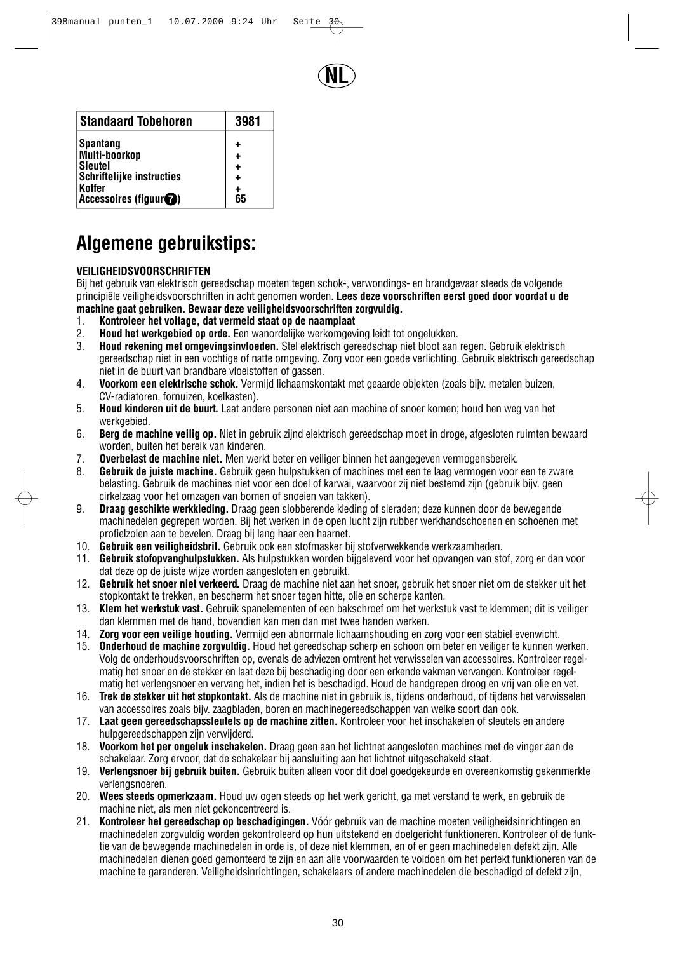

| <b>Standaard Tobehoren</b>       | 3981 |
|----------------------------------|------|
| <b>Spantang</b>                  | ٠    |
| Multi-boorkop                    | ٠    |
| <b>Sleutel</b>                   | ÷    |
| <b>Schriftelijke instructies</b> | ÷    |
| Koffer                           | +    |
| Accessoires (figuur $\bigcirc$ ) | 65   |

## **Algemene gebruikstips:**

### **VEILIGHEIDSVOORSCHRIFTEN**

Bij het gebruik van elektrisch gereedschap moeten tegen schok-, verwondings- en brandgevaar steeds de volgende principiële veiligheidsvoorschriften in acht genomen worden. **Lees deze voorschriften eerst goed door voordat u de machine gaat gebruiken. Bewaar deze veiligheidsvoorschriften zorgvuldig.**

- 
- 1. **Kontroleer het voltage, dat vermeld staat op de naamplaat** 2. **Houd het werkgebied op orde.** Een wanordelijke werkomgeving leidt tot ongelukken.
- 3. **Houd rekening met omgevingsinvloeden.** Stel elektrisch gereedschap niet bloot aan regen. Gebruik elektrisch gereedschap niet in een vochtige of natte omgeving. Zorg voor een goede verlichting. Gebruik elektrisch gereedschap niet in de buurt van brandbare vloeistoffen of gassen.
- 4. **Voorkom een elektrische schok.** Vermijd lichaamskontakt met geaarde objekten (zoals bijv. metalen buizen, CV-radiatoren, fornuizen, koelkasten).
- 5. **Houd kinderen uit de buurt.** Laat andere personen niet aan machine of snoer komen; houd hen weg van het werkgebied.
- 6. **Berg de machine veilig op.** Niet in gebruik zijnd elektrisch gereedschap moet in droge, afgesloten ruimten bewaard worden, buiten het bereik van kinderen.
- 7. **Overbelast de machine niet.** Men werkt beter en veiliger binnen het aangegeven vermogensbereik.
- 8. **Gebruik de juiste machine.** Gebruik geen hulpstukken of machines met een te laag vermogen voor een te zware belasting. Gebruik de machines niet voor een doel of karwai, waarvoor zij niet bestemd zijn (gebruik bijv. geen cirkelzaag voor het omzagen van bomen of snoeien van takken).
- 9. **Draag geschikte werkkleding.** Draag geen slobberende kleding of sieraden; deze kunnen door de bewegende machinedelen gegrepen worden. Bij het werken in de open lucht zijn rubber werkhandschoenen en schoenen met profielzolen aan te bevelen. Draag bij lang haar een haarnet.
- 10. **Gebruik een veiligheidsbril.** Gebruik ook een stofmasker bij stofverwekkende werkzaamheden.
- 11. **Gebruik stofopvanghulpstukken.** Als hulpstukken worden bijgeleverd voor het opvangen van stof, zorg er dan voor dat deze op de juiste wijze worden aangesloten en gebruikt.
- 12. **Gebruik het snoer niet verkeerd.** Draag de machine niet aan het snoer, gebruik het snoer niet om de stekker uit het stopkontakt te trekken, en bescherm het snoer tegen hitte, olie en scherpe kanten.
- 13. **Klem het werkstuk vast.** Gebruik spanelementen of een bakschroef om het werkstuk vast te klemmen; dit is veiliger dan klemmen met de hand, bovendien kan men dan met twee handen werken.
- 14. **Zorg voor een veilige houding.** Vermijd een abnormale lichaamshouding en zorg voor een stabiel evenwicht.
- 15. **Onderhoud de machine zorgvuldig.** Houd het gereedschap scherp en schoon om beter en veiliger te kunnen werken. Volg de onderhoudsvoorschriften op, evenals de adviezen omtrent het verwisselen van accessoires. Kontroleer regelmatig het snoer en de stekker en laat deze bij beschadiging door een erkende vakman vervangen. Kontroleer regelmatig het verlengsnoer en vervang het, indien het is beschadigd. Houd de handgrepen droog en vrij van olie en vet.
- 16. **Trek de stekker uit het stopkontakt.** Als de machine niet in gebruik is, tijdens onderhoud, of tijdens het verwisselen van accessoires zoals bijv. zaagbladen, boren en machinegereedschappen van welke soort dan ook.
- 17. **Laat geen gereedschapssleutels op de machine zitten.** Kontroleer voor het inschakelen of sleutels en andere hulpgereedschappen zijn verwijderd.
- 18. **Voorkom het per ongeluk inschakelen.** Draag geen aan het lichtnet aangesloten machines met de vinger aan de schakelaar. Zorg ervoor, dat de schakelaar bij aansluiting aan het lichtnet uitgeschakeld staat.
- 19. **Verlengsnoer bij gebruik buiten.** Gebruik buiten alleen voor dit doel goedgekeurde en overeenkomstig gekenmerkte verlengsnoeren.
- 20. **Wees steeds opmerkzaam.** Houd uw ogen steeds op het werk gericht, ga met verstand te werk, en gebruik de machine niet, als men niet gekoncentreerd is.
- 21. **Kontroleer het gereedschap op beschadigingen.** Vóór gebruik van de machine moeten veiligheidsinrichtingen en machinedelen zorgvuldig worden gekontroleerd op hun uitstekend en doelgericht funktioneren. Kontroleer of de funktie van de bewegende machinedelen in orde is, of deze niet klemmen, en of er geen machinedelen defekt zijn. Alle machinedelen dienen goed gemonteerd te zijn en aan alle voorwaarden te voldoen om het perfekt funktioneren van de machine te garanderen. Veiligheidsinrichtingen, schakelaars of andere machinedelen die beschadigd of defekt zijn,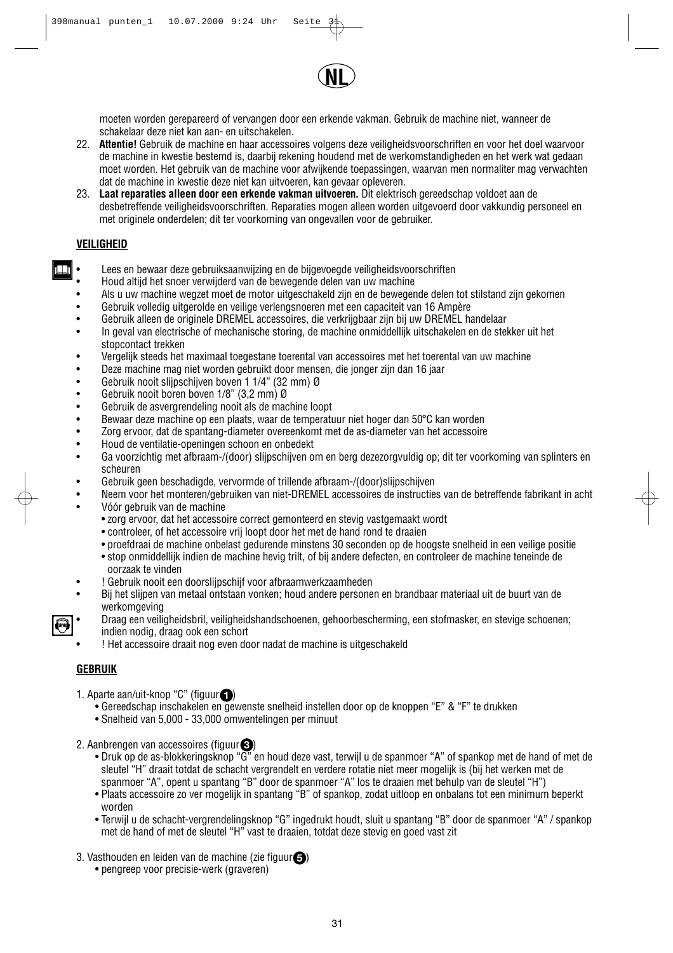

moeten worden gerepareerd of vervangen door een erkende vakman. Gebruik de machine niet, wanneer de schakelaar deze niet kan aan- en uitschakelen.

- 22. **Attentie!** Gebruik de machine en haar accessoires volgens deze veiligheidsvoorschriften en voor het doel waarvoor de machine in kwestie bestemd is, daarbij rekening houdend met de werkomstandigheden en het werk wat gedaan moet worden. Het gebruik van de machine voor afwijkende toepassingen, waarvan men normaliter mag verwachten dat de machine in kwestie deze niet kan uitvoeren, kan gevaar opleveren.
- 23. **Laat reparaties alleen door een erkende vakman uitvoeren.** Dit elektrisch gereedschap voldoet aan de desbetreffende veiligheidsvoorschriften. Reparaties mogen alleen worden uitgevoerd door vakkundig personeel en met originele onderdelen; dit ter voorkoming van ongevallen voor de gebruiker.

#### **VEILIGHEID**

W

- Lees en bewaar deze gebruiksaanwijzing en de bijgevoegde veiligheidsvoorschriften
- Houd altijd het snoer verwijderd van de bewegende delen van uw machine
- Als u uw machine wegzet moet de motor uitgeschakeld zijn en de bewegende delen tot stilstand zijn gekomen
- Gebruik volledig uitgerolde en veilige verlengsnoeren met een capaciteit van 16 Ampère
- Gebruik alleen de originele DREMEL accessoires, die verkrijgbaar zijn bij uw DREMEL handelaar
- In geval van electrische of mechanische storing, de machine onmiddellijk uitschakelen en de stekker uit het stopcontact trekken
- Vergelijk steeds het maximaal toegestane toerental van accessoires met het toerental van uw machine<br>• Deze machine mag niet worden gebruikt door mensen, die ionger zijn dan 16 jaar.
- Deze machine mag niet worden gebruikt door mensen, die jonger zijn dan 16 jaar<br>• Gebruik nooit slijnschijven hoven 1 1/4" (32 mm) Ø
- Gebruik nooit slijpschijven boven 1 1/4" (32 mm) Ø<br>• Gebruik nooit boren boven 1/8" (3.2 mm) Ø
- Gebruik nooit boren boven 1/8" (3,2 mm) Ø<br>• Gebruik de asvergrendeling nooit als de mag
- Gebruik de asvergrendeling nooit als de machine loopt
- Bewaar deze machine op een plaats, waar de temperatuur niet hoger dan 50°C kan worden
- Zorg ervoor, dat de spantang-diameter overeenkomt met de as-diameter van het accessoire
- Houd de ventilatie-openingen schoon en onbedekt
- Ga voorzichtig met afbraam-/(door) slijpschijven om en berg dezezorgvuldig op; dit ter voorkoming van splinters en scheuren
- Gebruik geen beschadigde, vervormde of trillende afbraam-/(door)slijpschijven
- Neem voor het monteren/gebruiken van niet-DREMEL accessoires de instructies van de betreffende fabrikant in acht • Vóór gebruik van de machine
	- zorg ervoor, dat het accessoire correct gemonteerd en stevig vastgemaakt wordt
	- controleer, of het accessoire vrij loopt door het met de hand rond te draaien
	- proefdraai de machine onbelast gedurende minstens 30 seconden op de hoogste snelheid in een veilige positie
	- stop onmiddellijk indien de machine hevig trilt, of bij andere defecten, en controleer de machine teneinde de oorzaak te vinden
- ! Gebruik nooit een doorslijpschijf voor afbraamwerkzaamheden
- Bij het slijpen van metaal ontstaan vonken; houd andere personen en brandbaar materiaal uit de buurt van de werkomgeving
- Draag een veiligheidsbril, veiligheidshandschoenen, gehoorbescherming, een stofmasker, en stevige schoenen; indien nodig, draag ook een schort
- ! Het accessoire draait nog even door nadat de machine is uitgeschakeld

#### **GEBRUIK**

- 1. Aparte aan/uit-knop " $C$ " (figuur $\Box$ )
	- Gereedschap inschakelen en gewenste snelheid instellen door op de knoppen "E" & "F" te drukken
	- Snelheid van 5,000 33,000 omwentelingen per minuut
- 2. Aanbrengen van accessoires (figuur $\langle$ 3)
	- Druk op de as-blokkeringsknop "G" en houd deze vast, terwijl u de spanmoer "A" of spankop met de hand of met de sleutel "H" draait totdat de schacht vergrendelt en verdere rotatie niet meer mogelijk is (bij het werken met de spanmoer "A", opent u spantang "B" door de spanmoer "A" los te draaien met behulp van de sleutel "H")
	- Plaats accessoire zo ver mogelijk in spantang "B" of spankop, zodat uitloop en onbalans tot een minimum beperkt worden
	- Terwijl u de schacht-vergrendelingsknop "G" ingedrukt houdt, sluit u spantang "B" door de spanmoer "A" / spankop met de hand of met de sleutel "H" vast te draaien, totdat deze stevig en goed vast zit
- 3. Vasthouden en leiden van de machine (zie figuur $\bigcirc$ )
	- pengreep voor precisie-werk (graveren)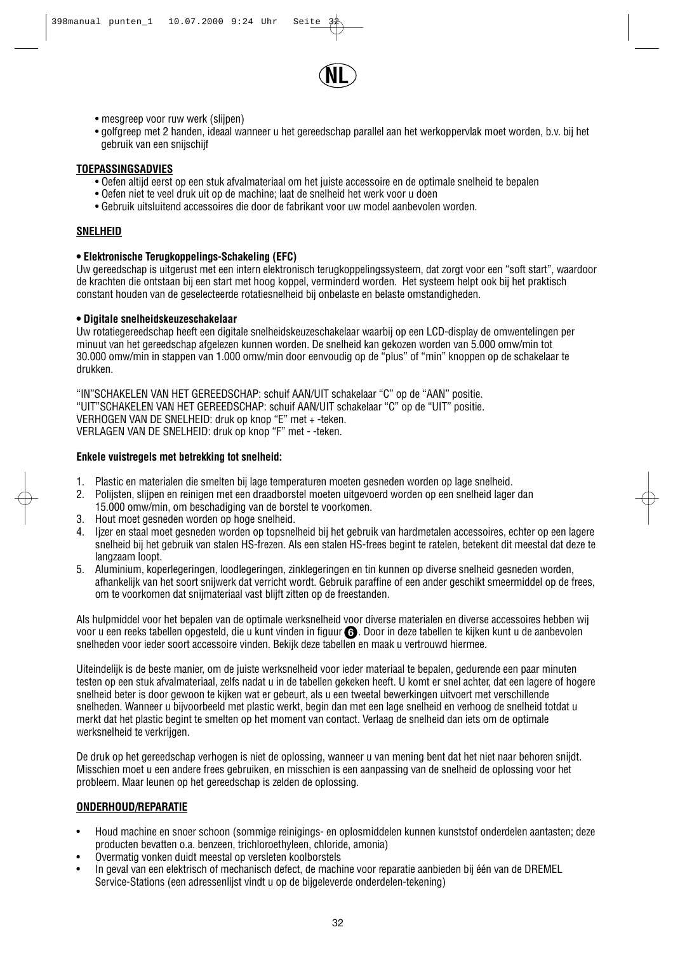

- mesgreep voor ruw werk (slijpen)
- golfgreep met 2 handen, ideaal wanneer u het gereedschap parallel aan het werkoppervlak moet worden, b.v. bij het gebruik van een snijschijf

#### **TOEPASSINGSADVIES**

- Oefen altijd eerst op een stuk afvalmateriaal om het juiste accessoire en de optimale snelheid te bepalen
- Oefen niet te veel druk uit op de machine; laat de snelheid het werk voor u doen
- Gebruik uitsluitend accessoires die door de fabrikant voor uw model aanbevolen worden.

#### **SNELHEID**

#### **• Elektronische Terugkoppelings-Schakeling (EFC)**

Uw gereedschap is uitgerust met een intern elektronisch terugkoppelingssysteem, dat zorgt voor een "soft start", waardoor de krachten die ontstaan bij een start met hoog koppel, verminderd worden. Het systeem helpt ook bij het praktisch constant houden van de geselecteerde rotatiesnelheid bij onbelaste en belaste omstandigheden.

#### **• Digitale snelheidskeuzeschakelaar**

Uw rotatiegereedschap heeft een digitale snelheidskeuzeschakelaar waarbij op een LCD-display de omwentelingen per minuut van het gereedschap afgelezen kunnen worden. De snelheid kan gekozen worden van 5.000 omw/min tot 30.000 omw/min in stappen van 1.000 omw/min door eenvoudig op de "plus" of "min" knoppen op de schakelaar te drukken.

"IN"SCHAKELEN VAN HET GEREEDSCHAP: schuif AAN/UIT schakelaar "C" op de "AAN" positie. "UIT"SCHAKELEN VAN HET GEREEDSCHAP: schuif AAN/UIT schakelaar "C" op de "UIT" positie. VERHOGEN VAN DE SNELHEID: druk op knop "E" met + -teken. VERLAGEN VAN DE SNELHEID: druk op knop "F" met - -teken.

#### **Enkele vuistregels met betrekking tot snelheid:**

- 1. Plastic en materialen die smelten bij lage temperaturen moeten gesneden worden op lage snelheid.
- 2. Polijsten, slijpen en reinigen met een draadborstel moeten uitgevoerd worden op een snelheid lager dan
- 15.000 omw/min, om beschadiging van de borstel te voorkomen.
- 3. Hout moet gesneden worden op hoge snelheid.
- 4. Ijzer en staal moet gesneden worden op topsnelheid bij het gebruik van hardmetalen accessoires, echter op een lagere snelheid bij het gebruik van stalen HS-frezen. Als een stalen HS-frees begint te ratelen, betekent dit meestal dat deze te langzaam loopt.
- 5. Aluminium, koperlegeringen, loodlegeringen, zinklegeringen en tin kunnen op diverse snelheid gesneden worden, afhankelijk van het soort snijwerk dat verricht wordt. Gebruik paraffine of een ander geschikt smeermiddel op de frees, om te voorkomen dat snijmateriaal vast blijft zitten op de freestanden.

Als hulpmiddel voor het bepalen van de optimale werksnelheid voor diverse materialen en diverse accessoires hebben wij voor u een reeks tabellen opgesteld, die u kunt vinden in figuur **G** . Door in deze tabellen te kijken kunt u de aanbevolen snelheden voor ieder soort accessoire vinden. Bekijk deze tabellen en maak u vertrouwd hiermee.

Uiteindelijk is de beste manier, om de juiste werksnelheid voor ieder materiaal te bepalen, gedurende een paar minuten testen op een stuk afvalmateriaal, zelfs nadat u in de tabellen gekeken heeft. U komt er snel achter, dat een lagere of hogere snelheid beter is door gewoon te kijken wat er gebeurt, als u een tweetal bewerkingen uitvoert met verschillende snelheden. Wanneer u bijvoorbeeld met plastic werkt, begin dan met een lage snelheid en verhoog de snelheid totdat u merkt dat het plastic begint te smelten op het moment van contact. Verlaag de snelheid dan iets om de optimale werksnelheid te verkrijgen.

De druk op het gereedschap verhogen is niet de oplossing, wanneer u van mening bent dat het niet naar behoren snijdt. Misschien moet u een andere frees gebruiken, en misschien is een aanpassing van de snelheid de oplossing voor het probleem. Maar leunen op het gereedschap is zelden de oplossing.

#### **ONDERHOUD/REPARATIE**

- Houd machine en snoer schoon (sommige reinigings- en oplosmiddelen kunnen kunststof onderdelen aantasten; deze producten bevatten o.a. benzeen, trichloroethyleen, chloride, amonia)
- Overmatig vonken duidt meestal op versleten koolborstels
- In geval van een elektrisch of mechanisch defect, de machine voor reparatie aanbieden bij één van de DREMEL Service-Stations (een adressenlijst vindt u op de bijgeleverde onderdelen-tekening)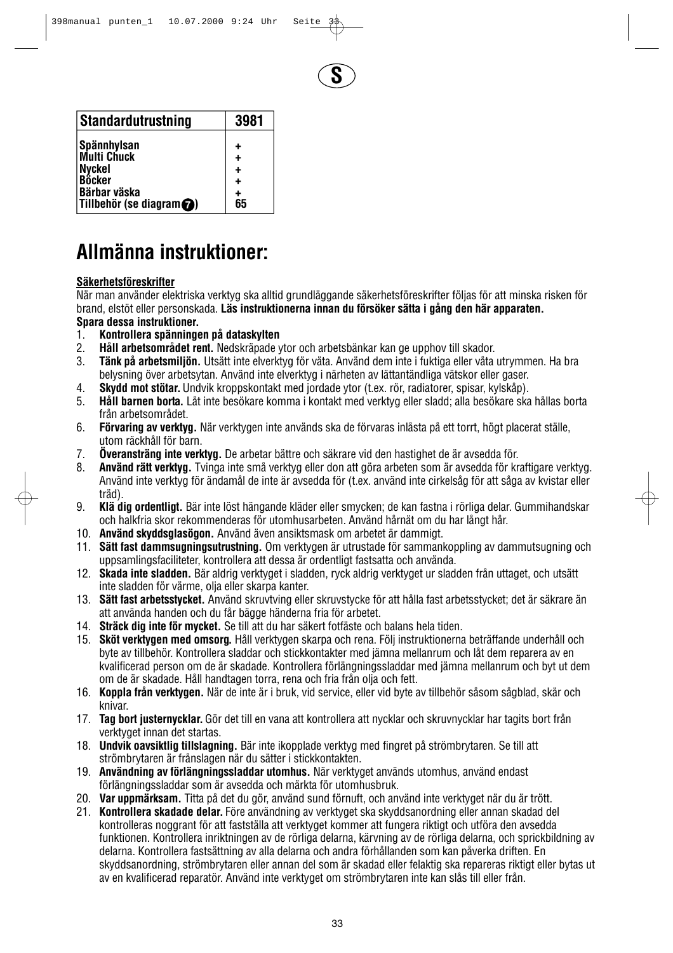

| <b>Standardutrustning</b>          | 3981 |
|------------------------------------|------|
| <b>Spännhylsan</b>                 |      |
| <b>Multi Chuck</b>                 | ٠    |
| Nyckel<br>Böcker                   |      |
|                                    |      |
| Bärbar väska                       |      |
| Tillbehör (se diagram $\bigcirc$ ) | 65   |

# **Allmänna instruktioner:**

### **Säkerhetsföreskrifter**

När man använder elektriska verktyg ska alltid grundläggande säkerhetsföreskrifter följas för att minska risken för brand, elstöt eller personskada. **Läs instruktionerna innan du försöker sätta i gång den här apparaten.** 

- **Spara dessa instruktioner.**
- 1. **Kontrollera spänningen på dataskylten** 2. **Håll arbetsområdet rent.** Nedskräpade ytor och arbetsbänkar kan ge upphov till skador.
- 3. **Tänk på arbetsmiljön.** Utsätt inte elverktyg för väta. Använd dem inte i fuktiga eller våta utrymmen. Ha bra belysning över arbetsytan. Använd inte elverktyg i närheten av lättantändliga vätskor eller gaser.
- 4. **Skydd mot stötar.**Undvik kroppskontakt med jordade ytor (t.ex. rör, radiatorer, spisar, kylskåp).
- 5. **Håll barnen borta.** Låt inte besökare komma i kontakt med verktyg eller sladd; alla besökare ska hållas borta från arbetsområdet.
- 6. **Förvaring av verktyg.** När verktygen inte används ska de förvaras inlåsta på ett torrt, högt placerat ställe, utom räckhåll för barn.
- 7. **Överansträng inte verktyg.** De arbetar bättre och säkrare vid den hastighet de är avsedda för.
- 8. **Använd rätt verktyg.** Tvinga inte små verktyg eller don att göra arbeten som är avsedda för kraftigare verktyg. Använd inte verktyg för ändamål de inte är avsedda för (t.ex. använd inte cirkelsåg för att såga av kvistar eller träd).
- 9. **Klä dig ordentligt.** Bär inte löst hängande kläder eller smycken; de kan fastna i rörliga delar. Gummihandskar och halkfria skor rekommenderas för utomhusarbeten. Använd hårnät om du har långt hår.
- 10. **Använd skyddsglasögon.** Använd även ansiktsmask om arbetet är dammigt.
- 11. **Sätt fast dammsugningsutrustning.** Om verktygen är utrustade för sammankoppling av dammutsugning och uppsamlingsfaciliteter, kontrollera att dessa är ordentligt fastsatta och använda.
- 12. **Skada inte sladden.** Bär aldrig verktyget i sladden, ryck aldrig verktyget ur sladden från uttaget, och utsätt inte sladden för värme, olja eller skarpa kanter.
- 13. **Sätt fast arbetsstycket.** Använd skruvtving eller skruvstycke för att hålla fast arbetsstycket; det är säkrare än att använda handen och du får bägge händerna fria för arbetet.
- 14. **Sträck dig inte för mycket.** Se till att du har säkert fotfäste och balans hela tiden.
- 15. **Sköt verktygen med omsorg.** Håll verktygen skarpa och rena. Följ instruktionerna beträffande underhåll och byte av tillbehör. Kontrollera sladdar och stickkontakter med jämna mellanrum och låt dem reparera av en kvalificerad person om de är skadade. Kontrollera förlängningssladdar med jämna mellanrum och byt ut dem om de är skadade. Håll handtagen torra, rena och fria från olja och fett.
- 16. **Koppla från verktygen.** När de inte är i bruk, vid service, eller vid byte av tillbehör såsom sågblad, skär och knivar.
- 17. **Tag bort justernycklar.**Gör det till en vana att kontrollera att nycklar och skruvnycklar har tagits bort från verktyget innan det startas.
- 18. **Undvik oavsiktlig tillslagning.** Bär inte ikopplade verktyg med fingret på strömbrytaren. Se till att strömbrytaren är frånslagen när du sätter i stickkontakten.
- 19. **Användning av förlängningssladdar utomhus.** När verktyget används utomhus, använd endast förlängningssladdar som är avsedda och märkta för utomhusbruk.
- 20. **Var uppmärksam.** Titta på det du gör, använd sund förnuft, och använd inte verktyget när du är trött.
- 21. **Kontrollera skadade delar.** Före användning av verktyget ska skyddsanordning eller annan skadad del kontrolleras noggrant för att fastställa att verktyget kommer att fungera riktigt och utföra den avsedda funktionen. Kontrollera inriktningen av de rörliga delarna, kärvning av de rörliga delarna, och sprickbildning av delarna. Kontrollera fastsättning av alla delarna och andra förhållanden som kan påverka driften. En skyddsanordning, strömbrytaren eller annan del som är skadad eller felaktig ska repareras riktigt eller bytas ut av en kvalificerad reparatör. Använd inte verktyget om strömbrytaren inte kan slås till eller från.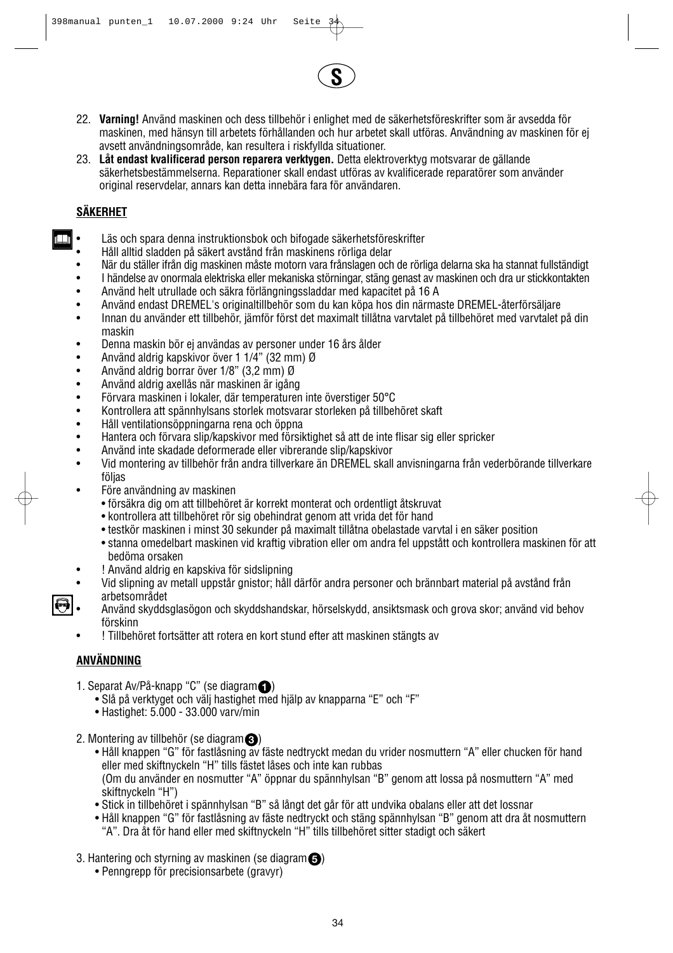

- 22. **Varning!** Använd maskinen och dess tillbehör i enlighet med de säkerhetsföreskrifter som är avsedda för maskinen, med hänsyn till arbetets förhållanden och hur arbetet skall utföras. Användning av maskinen för ej avsett användningsområde, kan resultera i riskfyllda situationer.
- 23. **Låt endast kvalificerad person reparera verktygen.** Detta elektroverktyg motsvarar de gällande säkerhetsbestämmelserna. Reparationer skall endast utföras av kvalificerade reparatörer som använder original reservdelar, annars kan detta innebära fara för användaren.

### **SÄKERHET**

- Läs och spara denna instruktionsbok och bifogade säkerhetsföreskrifter
- Håll alltid sladden på säkert avstånd från maskinens rörliga delar
- När du ställer ifrån dig maskinen måste motorn vara frånslagen och de rörliga delarna ska ha stannat fullständigt
- I händelse av onormala elektriska eller mekaniska störningar, stäng genast av maskinen och dra ur stickkontakten
- Använd helt utrullade och säkra förlängningssladdar med kapacitet på 16 A
- Använd endast DREMEL's originaltillbehör som du kan köpa hos din närmaste DREMEL-återförsäljare
- Innan du använder ett tillbehör, jämför först det maximalt tillåtna varvtalet på tillbehöret med varvtalet på din maskin
- Denna maskin bör ej användas av personer under 16 års ålder
- Använd aldrig kapskivor över 1 1/4" (32 mm) Ø
- Använd aldrig borrar över 1/8" (3,2 mm) Ø<br>• Använd aldrig axellås pär maskinen är igåne
- Använd aldrig axellås när maskinen är igång
- Förvara maskinen i lokaler, där temperaturen inte överstiger 50°C
- Kontrollera att spännhylsans storlek motsvarar storleken på tillbehöret skaft
- Håll ventilationsöppningarna rena och öppna
- Hantera och förvara slip/kapskivor med försiktighet så att de inte flisar sig eller spricker
- Använd inte skadade deformerade eller vibrerande slip/kapskivor
- Vid montering av tillbehör från andra tillverkare än DREMEL skall anvisningarna från vederbörande tillverkare följas
- Före användning av maskinen
	- försäkra dig om att tillbehöret är korrekt monterat och ordentligt åtskruvat
	- kontrollera att tillbehöret rör sig obehindrat genom att vrida det för hand
	- testkör maskinen i minst 30 sekunder på maximalt tillåtna obelastade varvtal i en säker position
	- stanna omedelbart maskinen vid kraftig vibration eller om andra fel uppstått och kontrollera maskinen för att bedöma orsaken
	- ! Använd aldrig en kapskiva för sidslipning
- Vid slipning av metall uppstår gnistor; håll därför andra personer och brännbart material på avstånd från arbetsområdet
- Använd skyddsglasögon och skyddshandskar, hörselskydd, ansiktsmask och grova skor; använd vid behov förskinn
	- ! Tillbehöret fortsätter att rotera en kort stund efter att maskinen stängts av

### **ANVÄNDNING**

- 1. Separat Av/På-knapp "C" (se diagram ) **1**
	- Slå på verktyget och välj hastighet med hjälp av knapparna "E" och "F"
	- Hastighet: 5.000 33.000 varv/min
- 2. Montering av tillbehör (se diagram $\bigcirc$ )
	- Håll knappen "G" för fastlåsning av fäste nedtryckt medan du vrider nosmuttern "A" eller chucken för hand eller med skiftnyckeln "H" tills fästet låses och inte kan rubbas (Om du använder en nosmutter "A" öppnar du spännhylsan "B" genom att lossa på nosmuttern "A" med skiftnyckeln "H")
	- Stick in tillbehöret i spännhylsan "B" så långt det går för att undvika obalans eller att det lossnar
	- Håll knappen "G" för fastlåsning av fäste nedtryckt och stäng spännhylsan "B" genom att dra åt nosmuttern "A". Dra åt för hand eller med skiftnyckeln "H" tills tillbehöret sitter stadigt och säkert
- 3. Hantering och styrning av maskinen (se diagram $\bigcirc$ )
	- Penngrepp för precisionsarbete (gravyr)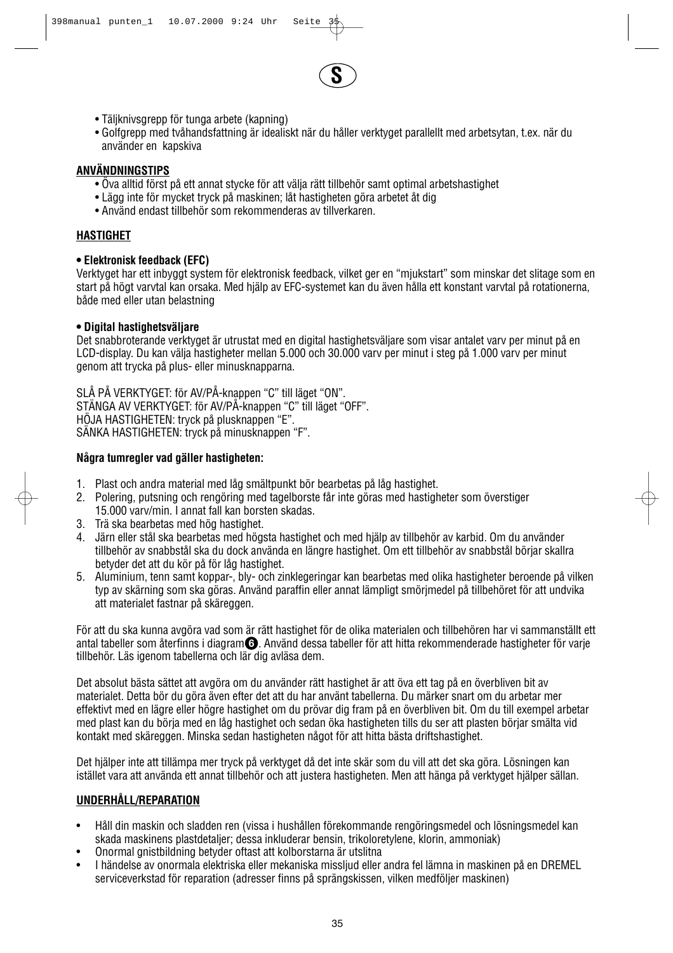

- Täljknivsgrepp för tunga arbete (kapning)
- Golfgrepp med tvåhandsfattning är idealiskt när du håller verktyget parallellt med arbetsytan, t.ex. när du använder en kapskiva

#### **ANVÄNDNINGSTIPS**

- Öva alltid först på ett annat stycke för att välja rätt tillbehör samt optimal arbetshastighet
- Lägg inte för mycket tryck på maskinen; låt hastigheten göra arbetet åt dig
- Använd endast tillbehör som rekommenderas av tillverkaren.

#### **HASTIGHET**

#### **• Elektronisk feedback (EFC)**

Verktyget har ett inbyggt system för elektronisk feedback, vilket ger en "mjukstart" som minskar det slitage som en start på högt varvtal kan orsaka. Med hjälp av EFC-systemet kan du även hålla ett konstant varvtal på rotationerna, både med eller utan belastning

#### **• Digital hastighetsväljare**

Det snabbroterande verktyget är utrustat med en digital hastighetsväljare som visar antalet varv per minut på en LCD-display. Du kan välja hastigheter mellan 5.000 och 30.000 varv per minut i steg på 1.000 varv per minut genom att trycka på plus- eller minusknapparna.

SLÅ PÅ VERKTYGET: för AV/PÅ-knappen "C" till läget "ON". STÄNGA AV VERKTYGET: för AV/PÅ-knappen "C" till läget "OFF". HÖJA HASTIGHETEN: tryck på plusknappen "E". SÄNKA HASTIGHETEN: tryck på minusknappen "F".

#### **Några tumregler vad gäller hastigheten:**

- 1. Plast och andra material med låg smältpunkt bör bearbetas på låg hastighet.
- 2. Polering, putsning och rengöring med tagelborste får inte göras med hastigheter som överstiger 15.000 varv/min. I annat fall kan borsten skadas.
- 3. Trä ska bearbetas med hög hastighet.
- 4. Järn eller stål ska bearbetas med högsta hastighet och med hjälp av tillbehör av karbid. Om du använder tillbehör av snabbstål ska du dock använda en längre hastighet. Om ett tillbehör av snabbstål börjar skallra betyder det att du kör på för låg hastighet.
- 5. Aluminium, tenn samt koppar-, bly- och zinklegeringar kan bearbetas med olika hastigheter beroende på vilken typ av skärning som ska göras. Använd paraffin eller annat lämpligt smörjmedel på tillbehöret för att undvika att materialet fastnar på skäreggen.

För att du ska kunna avgöra vad som är rätt hastighet för de olika materialen och tillbehören har vi sammanställt ett antal tabeller som återfinns i diagram $\bm\Theta$ . Använd dessa tabeller för att hitta rekommenderade hastigheter för varje tillbehör. Läs igenom tabellerna och lär dig avläsa dem.

Det absolut bästa sättet att avgöra om du använder rätt hastighet är att öva ett tag på en överbliven bit av materialet. Detta bör du göra även efter det att du har använt tabellerna. Du märker snart om du arbetar mer effektivt med en lägre eller högre hastighet om du prövar dig fram på en överbliven bit. Om du till exempel arbetar med plast kan du börja med en låg hastighet och sedan öka hastigheten tills du ser att plasten börjar smälta vid kontakt med skäreggen. Minska sedan hastigheten något för att hitta bästa driftshastighet.

Det hjälper inte att tillämpa mer tryck på verktyget då det inte skär som du vill att det ska göra. Lösningen kan istället vara att använda ett annat tillbehör och att justera hastigheten. Men att hänga på verktyget hjälper sällan.

#### **UNDERHÅLL/REPARATION**

- Håll din maskin och sladden ren (vissa i hushållen förekommande rengöringsmedel och lösningsmedel kan skada maskinens plastdetaljer; dessa inkluderar bensin, trikoloretylene, klorin, ammoniak)
- Onormal gnistbildning betyder oftast att kolborstarna är utslitna
- I händelse av onormala elektriska eller mekaniska missljud eller andra fel lämna in maskinen på en DREMEL serviceverkstad för reparation (adresser finns på sprängskissen, vilken medföljer maskinen)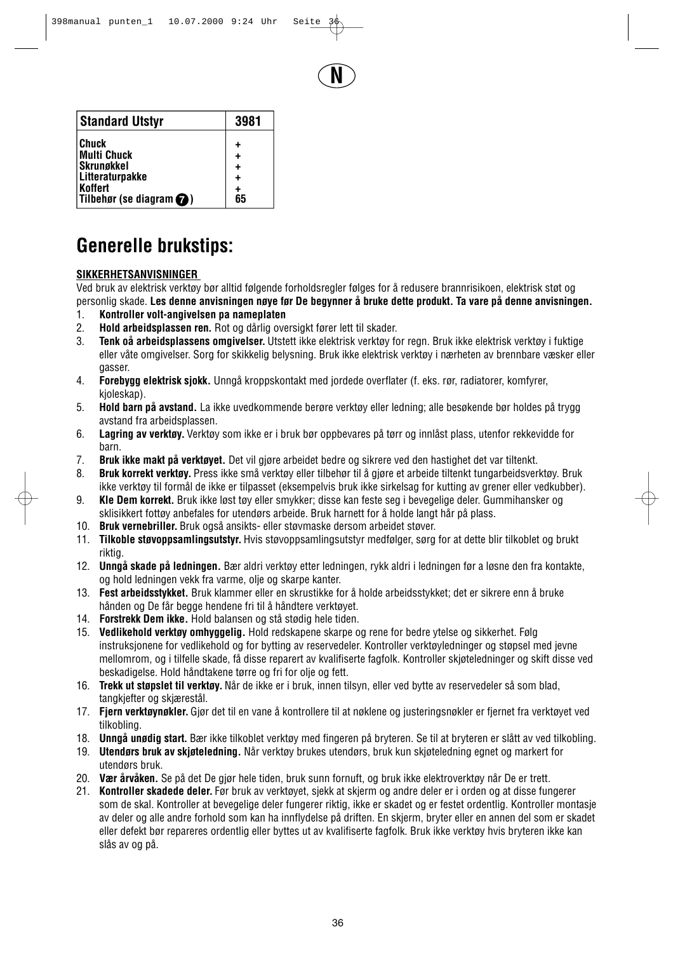**N**

| <b>Standard Utstyr</b>            | 3981      |
|-----------------------------------|-----------|
| Chuck                             | ٠         |
| <b>Multi Chuck</b>                | $\ddot{}$ |
| <b>Skrungkkel</b>                 | $\ddot{}$ |
| Litteraturpakke                   | ٠         |
| <b>Koffert</b>                    | +         |
| Tilbehør (se diagram $\bigcirc$ ) | 65        |

## **Generelle brukstips:**

### **SIKKERHETSANVISNINGER**

Ved bruk av elektrisk verktøy bør alltid følgende forholdsregler følges for å redusere brannrisikoen, elektrisk støt og personlig skade. **Les denne anvisningen nøye før De begynner å bruke dette produkt. Ta vare på denne anvisningen.**

- 1. **Kontroller volt-angivelsen pa nameplaten**
- 2. **Hold arbeidsplassen ren.** Rot og dårlig oversigkt fører lett til skader.
- 3. **Tenk oå arbeidsplassens omgivelser.** Utstett ikke elektrisk verktøy for regn. Bruk ikke elektrisk verktøy i fuktige eller våte omgivelser. Sorg for skikkelig belysning. Bruk ikke elektrisk verktøy i nærheten av brennbare væsker eller gasser.
- 4. **Forebygg elektrisk sjokk.** Unngå kroppskontakt med jordede overflater (f. eks. rør, radiatorer, komfyrer, kjoleskap).
- 5. **Hold barn på avstand.** La ikke uvedkommende berøre verktøy eller ledning; alle besøkende bør holdes på trygg avstand fra arbeidsplassen.
- 6. **Lagring av verktøy.** Verktøy som ikke er i bruk bør oppbevares på tørr og innlåst plass, utenfor rekkevidde for barn.
- 7. **Bruk ikke makt på verktøyet.** Det vil gjøre arbeidet bedre og sikrere ved den hastighet det var tiltenkt.
- 8. **Bruk korrekt verktøy.** Press ikke små verktøy eller tilbehør til å gjøre et arbeide tiltenkt tungarbeidsverktøy. Bruk ikke verktøy til formål de ikke er tilpasset (eksempelvis bruk ikke sirkelsag for kutting av grener eller vedkubber).
- 9. **Kle Dem korrekt.** Bruk ikke løst tøy eller smykker; disse kan feste seg i bevegelige deler. Gummihansker og sklisikkert fottøy anbefales for utendørs arbeide. Bruk harnett for å holde langt hår på plass.
- 10. **Bruk vernebriller.** Bruk også ansikts- eller støvmaske dersom arbeidet støver.
- 11. **Tilkoble støvoppsamlingsutstyr.** Hvis støvoppsamlingsutstyr medfølger, sørg for at dette blir tilkoblet og brukt riktig.
- 12. **Unngå skade på ledningen.** Bær aldri verktøy etter ledningen, rykk aldri i ledningen før a løsne den fra kontakte, og hold ledningen vekk fra varme, olje og skarpe kanter.
- 13. **Fest arbeidsstykket.** Bruk klammer eller en skrustikke for å holde arbeidsstykket; det er sikrere enn å bruke hånden og De får begge hendene fri til å håndtere verktøyet.
- 14. **Forstrekk Dem ikke.** Hold balansen og stå stødig hele tiden.
- 15. **Vedlikehold verktøy omhyggelig.** Hold redskapene skarpe og rene for bedre ytelse og sikkerhet. Følg instruksjonene for vedlikehold og for bytting av reservedeler. Kontroller verktøyledninger og støpsel med jevne mellomrom, og i tilfelle skade, få disse reparert av kvalifiserte fagfolk. Kontroller skjøteledninger og skift disse ved beskadigelse. Hold håndtakene tørre og fri for olje og fett.
- 16. **Trekk ut støpslet til verktøy.** Når de ikke er i bruk, innen tilsyn, eller ved bytte av reservedeler så som blad, tangkjefter og skjærestål.
- 17. **Fjern verktøynøkler.** Gjør det til en vane å kontrollere til at nøklene og justeringsnøkler er fjernet fra verktøyet ved tilkobling.
- 18. **Unngå unødig start.** Bær ikke tilkoblet verktøy med fingeren på bryteren. Se til at bryteren er slått av ved tilkobling.
- 19. **Utendørs bruk av skjøteledning.** Når verktøy brukes utendørs, bruk kun skjøteledning egnet og markert for utendørs bruk.
- 20. **Vær årvåken.** Se på det De gjør hele tiden, bruk sunn fornuft, og bruk ikke elektroverktøy når De er trett.
- 21. **Kontroller skadede deler.** Før bruk av verktøyet, sjekk at skjerm og andre deler er i orden og at disse fungerer som de skal. Kontroller at bevegelige deler fungerer riktig, ikke er skadet og er festet ordentlig. Kontroller montasje av deler og alle andre forhold som kan ha innflydelse på driften. En skjerm, bryter eller en annen del som er skadet eller defekt bør repareres ordentlig eller byttes ut av kvalifiserte fagfolk. Bruk ikke verktøy hvis bryteren ikke kan slås av og på.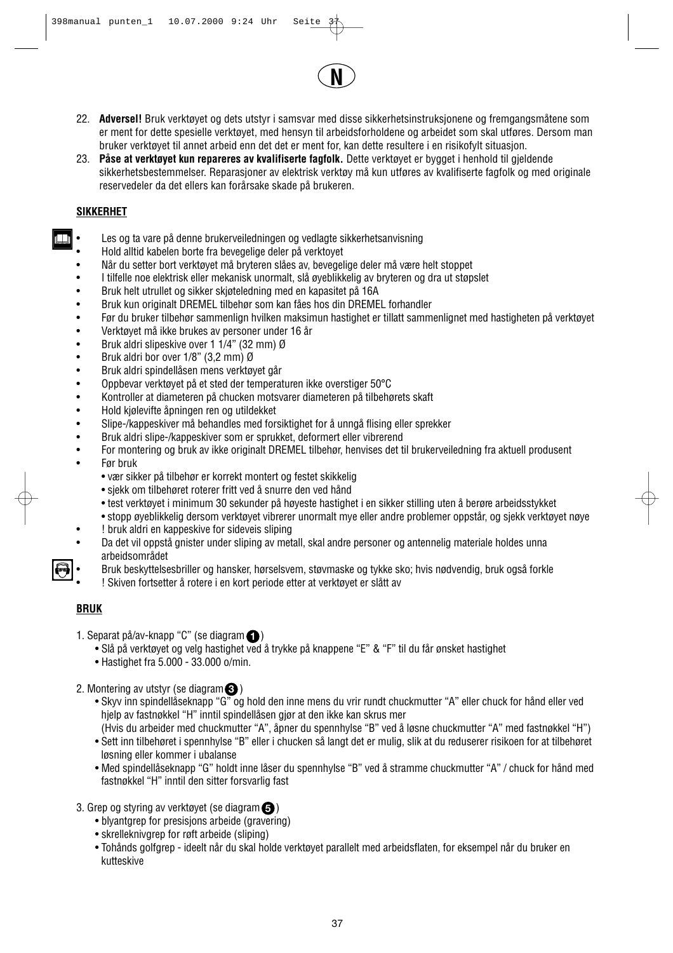# **N**

- 22. **Adversel!** Bruk verktøyet og dets utstyr i samsvar med disse sikkerhetsinstruksjonene og fremgangsmåtene som er ment for dette spesielle verktøyet, med hensyn til arbeidsforholdene og arbeidet som skal utføres. Dersom man bruker verktøyet til annet arbeid enn det det er ment for, kan dette resultere i en risikofylt situasjon.
- 23. **Påse at verktøyet kun repareres av kvalifiserte fagfolk.** Dette verktøyet er bygget i henhold til gjeldende sikkerhetsbestemmelser. Reparasjoner av elektrisk verktøy må kun utføres av kvalifiserte fagfolk og med originale reservedeler da det ellers kan forårsake skade på brukeren.

## **SIKKERHET**

- Les og ta vare på denne brukerveiledningen og vedlagte sikkerhetsanvisning
- Hold alltid kabelen borte fra bevegelige deler på verktoyet
- Når du setter bort verktøyet må bryteren slåes av, bevegelige deler må være helt stoppet
- I tilfelle noe elektrisk eller mekanisk unormalt, slå øyeblikkelig av bryteren og dra ut støpslet
- Bruk helt utrullet og sikker skjøteledning med en kapasitet på 16A
- Bruk kun originalt DREMEL tilbehør som kan fåes hos din DREMEL forhandler
- Før du bruker tilbehør sammenlign hvilken maksimun hastighet er tillatt sammenlignet med hastigheten på verktøyet
- Verktøyet må ikke brukes av personer under 16 år<br>• Bruk aldri slipeskive over 1 1/4" (32 mm) Ø
- Bruk aldri slipeskive over 1 1/4" (32 mm) Ø
- Bruk aldri bor over 1/8" (3,2 mm) Ø
- Bruk aldri spindellåsen mens verktøyet går
- Oppbevar verktøyet på et sted der temperaturen ikke overstiger 50°C
- Kontroller at diameteren på chucken motsvarer diameteren på tilbehørets skaft
- Hold kjølevifte åpningen ren og utildekket
- Slipe-/kappeskiver må behandles med forsiktighet for å unngå flising eller sprekker
- Bruk aldri slipe-/kappeskiver som er sprukket, deformert eller vibrerend
- For montering og bruk av ikke originalt DREMEL tilbehør, henvises det til brukerveiledning fra aktuell produsent
- Før bruk
	- vær sikker på tilbehør er korrekt montert og festet skikkelig
	- sjekk om tilbehøret roterer fritt ved å snurre den ved hånd
	- test verktøyet i minimum 30 sekunder på høyeste hastighet i en sikker stilling uten å berøre arbeidsstykket
	- stopp øyeblikkelig dersom verktøyet vibrerer unormalt mye eller andre problemer oppstår, og sjekk verktøyet nøye
	- ! bruk aldri en kappeskive for sideveis sliping
- Da det vil oppstå gnister under sliping av metall, skal andre personer og antennelig materiale holdes unna arbeidsområdet
	- Bruk beskyttelsesbriller og hansker, hørselsvem, støvmaske og tykke sko; hvis nødvendig, bruk også forkle
	- ! Skiven fortsetter å rotere i en kort periode etter at verktøyet er slått av

## **BRUK**

- 1. Separat på/av-knapp "C" (se diagram **(1)** 
	- Slå på verktøyet og velg hastighet ved å trykke på knappene "E" & "F" til du får ønsket hastighet
	- Hastighet fra 5.000 33.000 o/min.
- 2. Montering av utstyr (se diagram $\bigcirc$ )
	- Skyv inn spindellåseknapp "G" og hold den inne mens du vrir rundt chuckmutter "A" eller chuck for hånd eller ved hjelp av fastnøkkel "H" inntil spindellåsen gjør at den ikke kan skrus mer
	- (Hvis du arbeider med chuckmutter "A", åpner du spennhylse "B" ved å løsne chuckmutter "A" med fastnøkkel "H") • Sett inn tilbehøret i spennhylse "B" eller i chucken så langt det er mulig, slik at du reduserer risikoen for at tilbehøret løsning eller kommer i ubalanse
	- Med spindellåseknapp "G" holdt inne låser du spennhylse "B" ved å stramme chuckmutter "A" / chuck for hånd med fastnøkkel "H" inntil den sitter forsvarlig fast
- 3. Grep og styring av verktøyet (se diagram $\bigcirc$ )
	- blyantgrep for presisjons arbeide (gravering)
	- skrelleknivgrep for røft arbeide (sliping)
	- Tohånds golfgrep ideelt når du skal holde verktøyet parallelt med arbeidsflaten, for eksempel når du bruker en kutteskive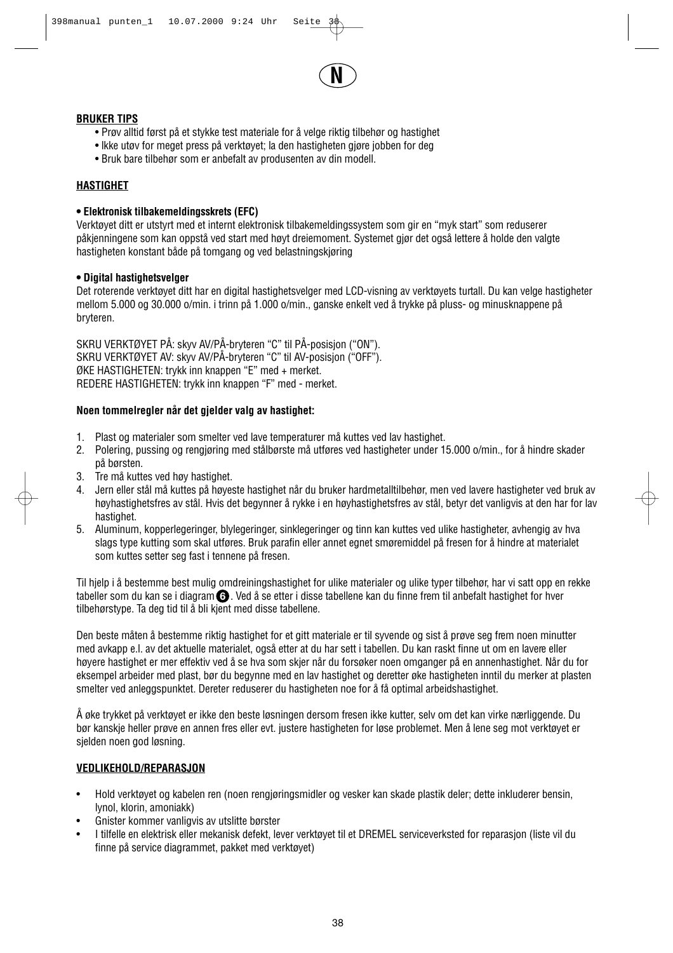

## **BRUKER TIPS**

- Prøv alltid først på et stykke test materiale for å velge riktig tilbehør og hastighet
- lkke utøv for meget press på verktøyet; la den hastigheten gjøre jobben for deg
- Bruk bare tilbehør som er anbefalt av produsenten av din modell.

## **HASTIGHET**

## **• Elektronisk tilbakemeldingsskrets (EFC)**

Verktøyet ditt er utstyrt med et internt elektronisk tilbakemeldingssystem som gir en "myk start" som reduserer påkjenningene som kan oppstå ved start med høyt dreiemoment. Systemet gjør det også lettere å holde den valgte hastigheten konstant både på tomgang og ved belastningskjøring

## **• Digital hastighetsvelger**

Det roterende verktøyet ditt har en digital hastighetsvelger med LCD-visning av verktøyets turtall. Du kan velge hastigheter mellom 5.000 og 30.000 o/min. i trinn på 1.000 o/min., ganske enkelt ved å trykke på pluss- og minusknappene på bryteren.

SKRU VERKTØYET PÅ: skyv AV/PÅ-bryteren "C" til PÅ-posisjon ("ON"). SKRU VERKTØYET AV: skyv AV/PÅ-bryteren "C" til AV-posisjon ("OFF"). ØKE HASTIGHETEN: trykk inn knappen "E" med + merket. REDERE HASTIGHETEN: trykk inn knappen "F" med - merket.

## **Noen tommelregler når det gjelder valg av hastighet:**

- 1. Plast og materialer som smelter ved lave temperaturer må kuttes ved lav hastighet.
- 2. Polering, pussing og rengjøring med stålbørste må utføres ved hastigheter under 15.000 o/min., for å hindre skader på børsten.
- 3. Tre må kuttes ved høy hastighet.
- 4. Jern eller stål må kuttes på høyeste hastighet når du bruker hardmetalltilbehør, men ved lavere hastigheter ved bruk av høyhastighetsfres av stål. Hvis det begynner å rykke i en høyhastighetsfres av stål, betyr det vanligvis at den har for lav hastighet.
- 5. Aluminum, kopperlegeringer, blylegeringer, sinklegeringer og tinn kan kuttes ved ulike hastigheter, avhengig av hva slags type kutting som skal utføres. Bruk parafin eller annet egnet smøremiddel på fresen for å hindre at materialet som kuttes setter seg fast i tennene på fresen.

Til hjelp i å bestemme best mulig omdreiningshastighet for ulike materialer og ulike typer tilbehør, har vi satt opp en rekke tabeller som du kan se i diagram **G** . Ved å se etter i disse tabellene kan du finne frem til anbefalt hastighet for hver tilbehørstype. Ta deg tid til å bli kjent med disse tabellene.

Den beste måten å bestemme riktig hastighet for et gitt materiale er til syvende og sist å prøve seg frem noen minutter med avkapp e.l. av det aktuelle materialet, også etter at du har sett i tabellen. Du kan raskt finne ut om en lavere eller høyere hastighet er mer effektiv ved å se hva som skjer når du forsøker noen omganger på en annenhastighet. Når du for eksempel arbeider med plast, bør du begynne med en lav hastighet og deretter øke hastigheten inntil du merker at plasten smelter ved anleggspunktet. Dereter reduserer du hastigheten noe for å få optimal arbeidshastighet.

Å øke trykket på verktøyet er ikke den beste løsningen dersom fresen ikke kutter, selv om det kan virke nærliggende. Du bør kanskje heller prøve en annen fres eller evt. justere hastigheten for løse problemet. Men å lene seg mot verktøyet er sjelden noen god løsning.

## **VEDLIKEHOLD/REPARASJON**

- Hold verktøyet og kabelen ren (noen rengjøringsmidler og vesker kan skade plastik deler; dette inkluderer bensin, lynol, klorin, amoniakk)
- Gnister kommer vanligvis av utslitte børster
- I tilfelle en elektrisk eller mekanisk defekt, lever verktøyet til et DREMEL serviceverksted for reparasjon (liste vil du finne på service diagrammet, pakket med verktøyet)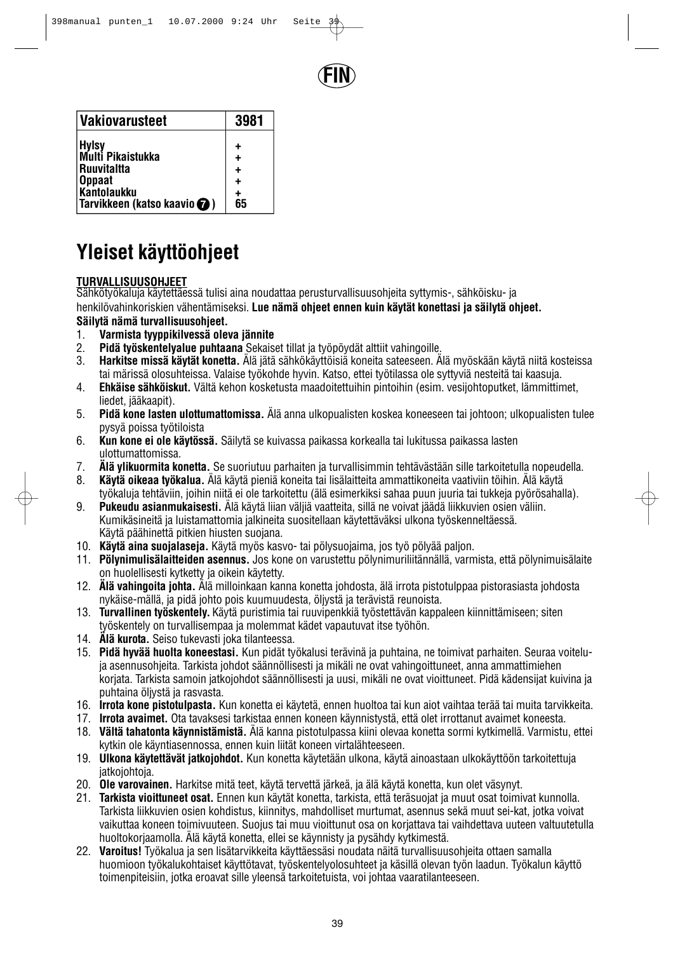

| Vakiovarusteet                          | 3981 |
|-----------------------------------------|------|
| <b>Hylsy</b>                            |      |
| Multi Pikaistukka<br><b>Ruuvitaltta</b> |      |
| <b>Oppaat</b><br><b>Kantolaukku</b>     |      |
| Tarvikkeen (katso kaavio <b>O</b> )     | 65   |

# **Yleiset käyttöohjeet**

## **TURVALLISUUSOHJEET**

Sähkötyökaluja käytettäessä tulisi aina noudattaa perusturvallisuusohjeita syttymis-, sähköisku- ja henkilövahinkoriskien vähentämiseksi. **Lue nämä ohjeet ennen kuin käytät konettasi ja säilytä ohjeet. Säilytä nämä turvallisuusohjeet.**

- 1. **Varmista tyyppikilvessä oleva jännite**
- 2. **Pidä työskentelyalue puhtaana** Sekaiset tillat ja työpöydät alttiit vahingoille.
- 3. **Harkitse missä käytät konetta.** Älä jätä sähkökäyttöisiä koneita sateeseen. Älä myöskään käytä niitä kosteissa tai märissä olosuhteissa. Valaise työkohde hyvin. Katso, ettei työtilassa ole syttyviä nesteitä tai kaasuja.
- 4. **Ehkäise sähköiskut.** Vältä kehon kosketusta maadoitettuihin pintoihin (esim. vesijohtoputket, lämmittimet, liedet, jääkaapit).
- 5. **Pidä kone lasten ulottumattomissa.** Älä anna ulkopualisten koskea koneeseen tai johtoon; ulkopualisten tulee pysyä poissa työtiloista
- 6. **Kun kone ei ole käytössä.** Säilytä se kuivassa paikassa korkealla tai lukitussa paikassa lasten ulottumattomissa.
- 7. **Älä ylikuormita konetta.** Se suoriutuu parhaiten ja turvallisimmin tehtävästään sille tarkoitetulla nopeudella.
- 8. **Käytä oikeaa työkalua.** Älä käytä pieniä koneita tai lisälaitteita ammattikoneita vaativiin töihin. Älä käytä työkaluja tehtäviin, joihin niitä ei ole tarkoitettu (älä esimerkiksi sahaa puun juuria tai tukkeja pyörösahalla).
- 9. **Pukeudu asianmukaisesti.** Älä käytä liian väljiä vaatteita, sillä ne voivat jäädä liikkuvien osien väliin. Kumikäsineitä ja luistamattomia jalkineita suositellaan käytettäväksi ulkona työskenneltäessä. Käytä päähinettä pitkien hiusten suojana.
- 10. **Käytä aina suojalaseja.** Käytä myös kasvo- tai pölysuojaima, jos työ pölyää paljon.
- 11. **Pölynimulisälaitteiden asennus.** Jos kone on varustettu pölynimuriliitännällä, varmista, että pölynimuisälaite on huolellisesti kytketty ja oikein käytetty.
- 12. **Älä vahingoita johta.** Älä milloinkaan kanna konetta johdosta, älä irrota pistotulppaa pistorasiasta johdosta nykäise-mällä, ja pidä johto pois kuumuudesta, öljystä ja terävistä reunoista.
- 13. **Turvallinen työskentely.** Käytä puristimia tai ruuvipenkkiä työstettävän kappaleen kiinnittämiseen; siten työskentely on turvallisempaa ja molemmat kädet vapautuvat itse työhön.
- 14. **Älä kurota.** Seiso tukevasti joka tilanteessa.
- 15. **Pidä hyvää huolta koneestasi.** Kun pidät työkalusi terävinä ja puhtaina, ne toimivat parhaiten. Seuraa voiteluja asennusohjeita. Tarkista johdot säännöllisesti ja mikäli ne ovat vahingoittuneet, anna ammattimiehen korjata. Tarkista samoin jatkojohdot säännöllisesti ja uusi, mikäli ne ovat vioittuneet. Pidä kädensijat kuivina ja puhtaina öljystä ja rasvasta.
- 16. **Irrota kone pistotulpasta.** Kun konetta ei käytetä, ennen huoltoa tai kun aiot vaihtaa terää tai muita tarvikkeita.
- 17. **Irrota avaimet.** Ota tavaksesi tarkistaa ennen koneen käynnistystä, että olet irrottanut avaimet koneesta.
- 18. **Vältä tahatonta käynnistämistä.** Älä kanna pistotulpassa kiini olevaa konetta sormi kytkimellä. Varmistu, ettei kytkin ole käyntiasennossa, ennen kuin liität koneen virtalähteeseen.
- 19. **Ulkona käytettävät jatkojohdot.** Kun konetta käytetään ulkona, käytä ainoastaan ulkokäyttöön tarkoitettuja jatkojohtoja.
- 20. **Ole varovainen.** Harkitse mitä teet, käytä tervettä järkeä, ja älä käytä konetta, kun olet väsynyt.
- 21. **Tarkista vioittuneet osat.** Ennen kun käytät konetta, tarkista, että teräsuojat ja muut osat toimivat kunnolla. Tarkista liikkuvien osien kohdistus, kiinnitys, mahdolliset murtumat, asennus sekä muut sei-kat, jotka voivat vaikuttaa koneen toimivuuteen. Suojus tai muu vioittunut osa on korjattava tai vaihdettava uuteen valtuutetulla huoltokorjaamolla. Älä käytä konetta, ellei se käynnisty ja pysähdy kytkimestä.
- 22. **Varoitus!** Työkalua ja sen lisätarvikkeita käyttäessäsi noudata näitä turvallisuusohjeita ottaen samalla huomioon työkalukohtaiset käyttötavat, työskentelyolosuhteet ja käsillä olevan työn laadun. Työkalun käyttö toimenpiteisiin, jotka eroavat sille yleensä tarkoitetuista, voi johtaa vaaratilanteeseen.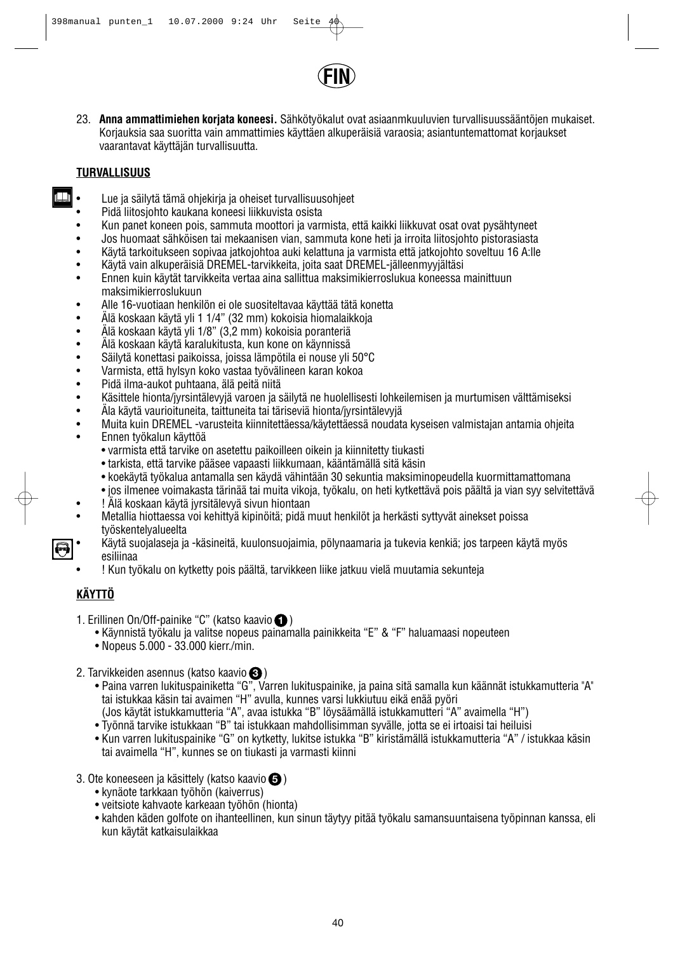

23. **Anna ammattimiehen korjata koneesi.** Sähkötyökalut ovat asiaanmkuuluvien turvallisuussääntöjen mukaiset. Korjauksia saa suoritta vain ammattimies käyttäen alkuperäisiä varaosia; asiantuntemattomat korjaukset vaarantavat käyttäjän turvallisuutta.

## **TURVALLISUUS**

الآل

- Lue ja säilytä tämä ohjekirja ja oheiset turvallisuusohjeet
- Pidä liitosjohto kaukana koneesi liikkuvista osista
- Kun panet koneen pois, sammuta moottori ja varmista, että kaikki liikkuvat osat ovat pysähtyneet
- Jos huomaat sähköisen tai mekaanisen vian, sammuta kone heti ja irroita liitosjohto pistorasiasta
- Käytä tarkoitukseen sopivaa jatkojohtoa auki kelattuna ja varmista että jatkojohto soveltuu 16 A:lle
- Käytä vain alkuperäisiä DREMEL-tarvikkeita, joita saat DREMEL-jälleenmyyjältäsi
- Ennen kuin käytät tarvikkeita vertaa aina sallittua maksimikierroslukua koneessa mainittuun maksimikierroslukuun
- Alle 16-vuotiaan henkilön ei ole suositeltavaa käyttää tätä konetta
- Älä koskaan käytä yli 1 1/4" (32 mm) kokoisia hiomalaikkoja
- Älä koskaan käytä yli 1/8" (3,2 mm) kokoisia poranteriä
- Älä koskaan käytä karalukitusta, kun kone on käynnissä
- Säilytä konettasi paikoissa, joissa lämpötila ei nouse yli 50°C
- Varmista, että hylsyn koko vastaa työvälineen karan kokoa
- Pidä ilma-aukot puhtaana, älä peitä niitä
- Käsittele hionta/jyrsintälevyjä varoen ja säilytä ne huolellisesti lohkeilemisen ja murtumisen välttämiseksi
- Äla käytä vaurioituneita, taittuneita tai täriseviä hionta/jyrsintälevyjä
- Muita kuin DREMEL -varusteita kiinnitettäessa/käytettäessä noudata kyseisen valmistajan antamia ohjeita
- Ennen työkalun käyttöä
	- varmista että tarvike on asetettu paikoilleen oikein ja kiinnitetty tiukasti
	- tarkista, että tarvike pääsee vapaasti liikkumaan, kääntämällä sitä käsin
	- koekäytä työkalua antamalla sen käydä vähintään 30 sekuntia maksiminopeudella kuormittamattomana
	- jos ilmenee voimakasta tärinää tai muita vikoja, työkalu, on heti kytkettävä pois päältä ja vian syy selvitettävä
- ! Älä koskaan käytä jyrsitälevyä sivun hiontaan
- Metallia hiottaessa voi kehittyä kipinöitä; pidä muut henkilöt ja herkästi syttyvät ainekset poissa työskentelyalueelta
- Käytä suojalaseja ja -käsineitä, kuulonsuojaimia, pölynaamaria ja tukevia kenkiä; jos tarpeen käytä myös esiliinaa
- ! Kun työkalu on kytketty pois päältä, tarvikkeen liike jatkuu vielä muutamia sekunteja

## **KÄYTTÖ**

- 1. Erillinen On/Off-painike "C" (katso kaavio **O**)
	- Käynnistä työkalu ja valitse nopeus painamalla painikkeita "E" & "F" haluamaasi nopeuteen
	- Nopeus 5.000 33.000 kierr./min.
- 2. Tarvikkeiden asennus (katso kaavio **3**)
	- Paina varren lukituspainiketta "G", Varren lukituspainike, ja paina sitä samalla kun käännät istukkamutteria "A" tai istukkaa käsin tai avaimen "H" avulla, kunnes varsi lukkiutuu eikä enää pyöri (Jos käytät istukkamutteria "A", avaa istukka "B" löysäämällä istukkamutteri "A" avaimella "H")
	- Työnnä tarvike istukkaan "B" tai istukkaan mahdollisimman syvälle, jotta se ei irtoaisi tai heiluisi
	- Kun varren lukituspainike "G" on kytketty, lukitse istukka "B" kiristämällä istukkamutteria "A" / istukkaa käsin tai avaimella "H", kunnes se on tiukasti ja varmasti kiinni
- 3. Ote koneeseen ja käsittely (katso kaavio **6**)
	- kynäote tarkkaan työhön (kaiverrus)
	- veitsiote kahvaote karkeaan työhön (hionta)
	- kahden käden golfote on ihanteellinen, kun sinun täytyy pitää työkalu samansuuntaisena työpinnan kanssa, eli kun käytät katkaisulaikkaa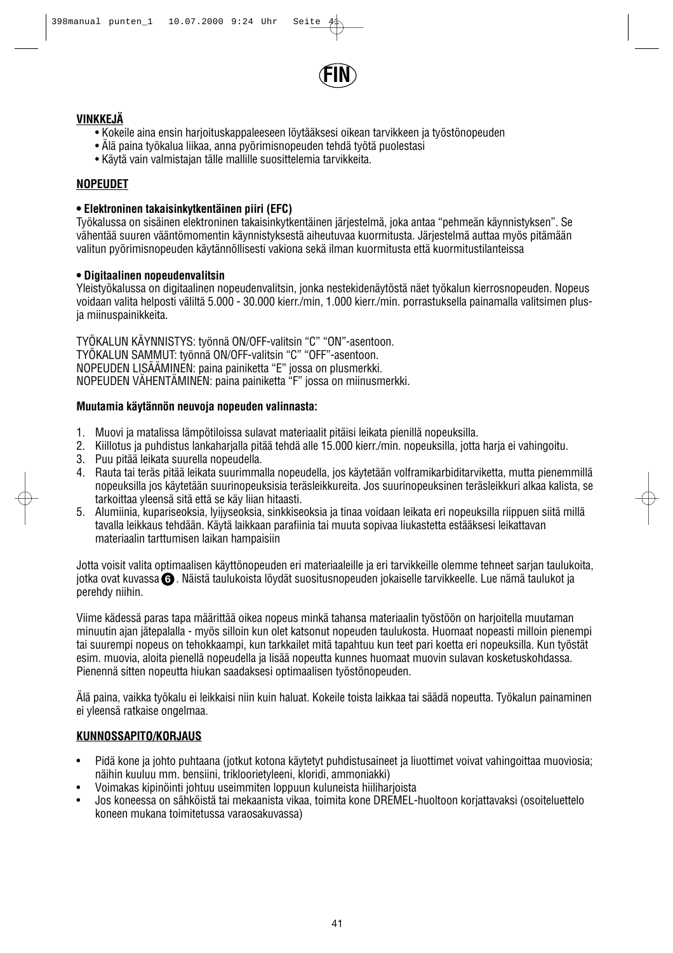

## **VINKKEJÄ**

- Kokeile aina ensin harjoituskappaleeseen löytääksesi oikean tarvikkeen ja työstönopeuden
- Älä paina työkalua liikaa, anna pyörimisnopeuden tehdä työtä puolestasi
- Käytä vain valmistajan tälle mallille suosittelemia tarvikkeita.

## **NOPEUDET**

## **• Elektroninen takaisinkytkentäinen piiri (EFC)**

Työkalussa on sisäinen elektroninen takaisinkytkentäinen järjestelmä, joka antaa "pehmeän käynnistyksen". Se vähentää suuren vääntömomentin käynnistyksestä aiheutuvaa kuormitusta. Järjestelmä auttaa myös pitämään valitun pyörimisnopeuden käytännöllisesti vakiona sekä ilman kuormitusta että kuormitustilanteissa

## **• Digitaalinen nopeudenvalitsin**

Yleistyökalussa on digitaalinen nopeudenvalitsin, jonka nestekidenäytöstä näet työkalun kierrosnopeuden. Nopeus voidaan valita helposti väliltä 5.000 - 30.000 kierr./min, 1.000 kierr./min. porrastuksella painamalla valitsimen plusja miinuspainikkeita.

TYÖKALUN KÄYNNISTYS: työnnä ON/OFF-valitsin "C" "ON"-asentoon. TYÖKALUN SAMMUT: työnnä ON/OFF-valitsin "C" "OFF"-asentoon. NOPEUDEN LISÄÄMINEN: paina painiketta "E" jossa on plusmerkki. NOPEUDEN VÄHENTÄMINEN: paina painiketta "F" jossa on miinusmerkki.

## **Muutamia käytännön neuvoja nopeuden valinnasta:**

- 1. Muovi ja matalissa lämpötiloissa sulavat materiaalit pitäisi leikata pienillä nopeuksilla.<br>2. Kiillotus ja puhdistus lankaharialla pitää tehdä alle 15.000 kierr./min. nopeuksilla, jotta
- 2. Kiillotus ja puhdistus lankaharjalla pitää tehdä alle 15.000 kierr./min. nopeuksilla, jotta harja ei vahingoitu.
- 3. Puu pitää leikata suurella nopeudella.
- 4. Rauta tai teräs pitää leikata suurimmalla nopeudella, jos käytetään volframikarbiditarviketta, mutta pienemmillä nopeuksilla jos käytetään suurinopeuksisia teräsleikkureita. Jos suurinopeuksinen teräsleikkuri alkaa kalista, se tarkoittaa yleensä sitä että se käy liian hitaasti.
- 5. Alumiinia, kupariseoksia, lyijyseoksia, sinkkiseoksia ja tinaa voidaan leikata eri nopeuksilla riippuen siitä millä tavalla leikkaus tehdään. Käytä laikkaan parafiinia tai muuta sopivaa liukastetta estääksesi leikattavan materiaalin tarttumisen laikan hampaisiin

Jotta voisit valita optimaalisen käyttönopeuden eri materiaaleille ja eri tarvikkeille olemme tehneet sarian taulukoita. jotka ovat kuvassa **6)** . Näistä taulukoista löydät suositusnopeuden jokaiselle tarvikkeelle. Lue nämä taulukot ja perehdy niihin.

Viime kädessä paras tapa määrittää oikea nopeus minkä tahansa materiaalin työstöön on harjoitella muutaman minuutin ajan jätepalalla - myös silloin kun olet katsonut nopeuden taulukosta. Huomaat nopeasti milloin pienempi tai suurempi nopeus on tehokkaampi, kun tarkkailet mitä tapahtuu kun teet pari koetta eri nopeuksilla. Kun työstät esim. muovia, aloita pienellä nopeudella ja lisää nopeutta kunnes huomaat muovin sulavan kosketuskohdassa. Pienennä sitten nopeutta hiukan saadaksesi optimaalisen työstönopeuden.

Älä paina, vaikka työkalu ei leikkaisi niin kuin haluat. Kokeile toista laikkaa tai säädä nopeutta. Työkalun painaminen ei yleensä ratkaise ongelmaa.

## **KUNNOSSAPITO/KORJAUS**

- Pidä kone ja johto puhtaana (jotkut kotona käytetyt puhdistusaineet ja liuottimet voivat vahingoittaa muoviosia; näihin kuuluu mm. bensiini, trikloorietyleeni, kloridi, ammoniakki)
- Voimakas kipinöinti johtuu useimmiten loppuun kuluneista hiiliharjoista
- Jos koneessa on sähköistä tai mekaanista vikaa, toimita kone DREMEL-huoltoon korjattavaksi (osoiteluettelo koneen mukana toimitetussa varaosakuvassa)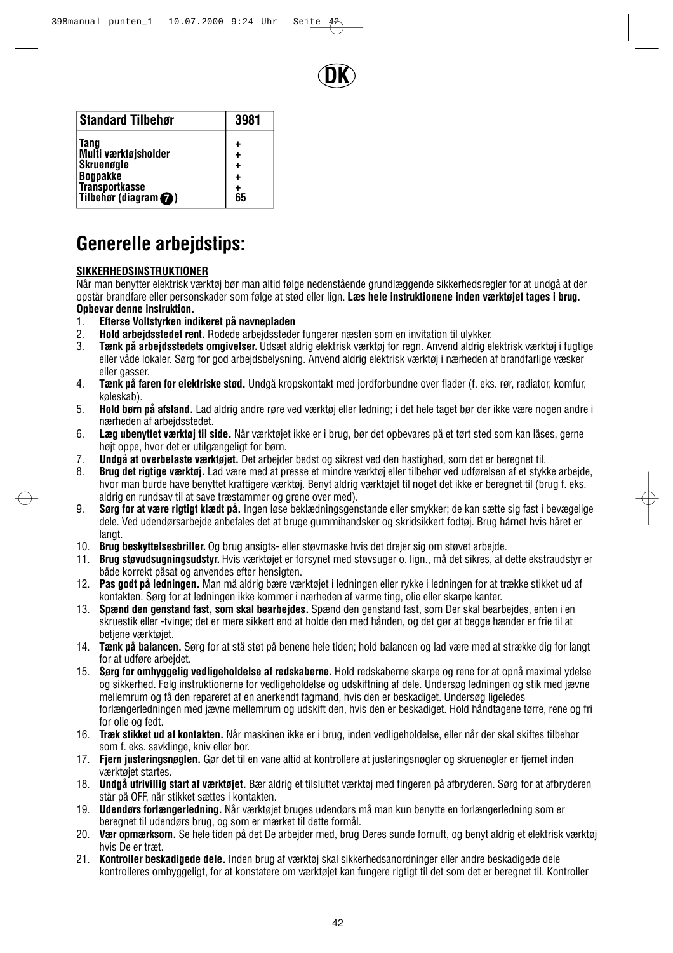

| <b>Standard Tilbehør</b>       | 3981      |
|--------------------------------|-----------|
| <b>Tang</b>                    | ٠         |
| Multi værktøjsholder           | $\ddot{}$ |
| <b>Skruenøgle</b>              | ٠         |
| <b>Bogpakke</b>                | +         |
| <b>Transportkasse</b>          | ٠         |
| Tilbehør (diagram $\bigcirc$ ) | 65        |

# **Generelle arbejdstips:**

## **SIKKERHEDSINSTRUKTIONER**

Når man benytter elektrisk værktøj bør man altid følge nedenstående grundlæggende sikkerhedsregler for at undgå at der opstår brandfare eller personskader som følge at stød eller lign. **Læs hele instruktionene inden værktøjet tages i brug. Opbevar denne instruktion.**

- 1. **Efterse Voltstyrken indikeret på navnepladen**
- 2. **Hold arbejdsstedet rent.** Rodede arbejdssteder fungerer næsten som en invitation til ulykker.
- 3. **Tænk på arbejdsstedets omgivelser.** Udsæt aldrig elektrisk værktøj for regn. Anvend aldrig elektrisk værktøj i fugtige eller våde lokaler. Sørg for god arbejdsbelysning. Anvend aldrig elektrisk værktøj i nærheden af brandfarlige væsker eller gasser.
- 4. **Tænk på faren for elektriske stød.** Undgå kropskontakt med jordforbundne over flader (f. eks. rør, radiator, komfur, køleskab).
- 5. **Hold børn på afstand.** Lad aldrig andre røre ved værktøj eller ledning; i det hele taget bør der ikke være nogen andre i nærheden af arbejdsstedet.
- 6. **Læg ubenyttet værktøj til side.** Når værktøjet ikke er i brug, bør det opbevares på et tørt sted som kan låses, gerne højt oppe, hvor det er utilgængeligt for børn.
- 7. **Undgå at overbelaste værktøjet.** Det arbejder bedst og sikrest ved den hastighed, som det er beregnet til.
- 8. **Brug det rigtige værktøj.** Lad være med at presse et mindre værktøj eller tilbehør ved udførelsen af et stykke arbejde, hvor man burde have benyttet kraftigere værktøj. Benyt aldrig værktøjet til noget det ikke er beregnet til (brug f. eks. aldrig en rundsav til at save træstammer og grene over med).
- 9. **Sørg for at være rigtigt klædt på.** Ingen løse beklædningsgenstande eller smykker; de kan sætte sig fast i bevægelige dele. Ved udendørsarbejde anbefales det at bruge gummihandsker og skridsikkert fodtøj. Brug hårnet hvis håret er langt.
- 10. **Brug beskyttelsesbriller.** Og brug ansigts- eller støvmaske hvis det drejer sig om støvet arbejde.
- 11. **Brug støvudsugningsudstyr.** Hvis værktøjet er forsynet med støvsuger o. lign., må det sikres, at dette ekstraudstyr er både korrekt påsat og anvendes efter hensigten.
- 12. **Pas godt på ledningen.** Man må aldrig bære værktøjet i ledningen eller rykke i ledningen for at trække stikket ud af kontakten. Sørg for at ledningen ikke kommer i nærheden af varme ting, olie eller skarpe kanter.
- 13. **Spænd den genstand fast, som skal bearbejdes.** Spænd den genstand fast, som Der skal bearbejdes, enten i en skruestik eller -tvinge; det er mere sikkert end at holde den med hånden, og det gør at begge hænder er frie til at betiene værktøiet.
- 14. **Tænk på balancen.** Sørg for at stå støt på benene hele tiden; hold balancen og lad være med at strække dig for langt for at udføre arbejdet.
- 15. **Sørg for omhyggelig vedligeholdelse af redskaberne.** Hold redskaberne skarpe og rene for at opnå maximal ydelse og sikkerhed. Følg instruktionerne for vedligeholdelse og udskiftning af dele. Undersøg ledningen og stik med jævne mellemrum og få den repareret af en anerkendt fagmand, hvis den er beskadiget. Undersøg ligeledes forlængerledningen med jævne mellemrum og udskift den, hvis den er beskadiget. Hold håndtagene tørre, rene og fri for olie og fedt.
- 16. **Træk stikket ud af kontakten.** Når maskinen ikke er i brug, inden vedligeholdelse, eller når der skal skiftes tilbehør som f. eks. savklinge, kniv eller bor.
- 17. **Fjern justeringsnøglen.** Gør det til en vane altid at kontrollere at justeringsnøgler og skruenøgler er fjernet inden værktøjet startes.
- 18. **Undgå ufrivillig start af værktøjet.** Bær aldrig et tilsluttet værktøj med fingeren på afbryderen. Sørg for at afbryderen står på OFF, når stikket sættes i kontakten.
- 19. **Udendørs forlængerledning.** Når værktøjet bruges udendørs må man kun benytte en forlængerledning som er beregnet til udendørs brug, og som er mærket til dette formål.
- 20. **Vær opmærksom.** Se hele tiden på det De arbejder med, brug Deres sunde fornuft, og benyt aldrig et elektrisk værktøj hvis De er træt.
- 21. **Kontroller beskadigede dele.** Inden brug af værktøj skal sikkerhedsanordninger eller andre beskadigede dele kontrolleres omhyggeligt, for at konstatere om værktøjet kan fungere rigtigt til det som det er beregnet til. Kontroller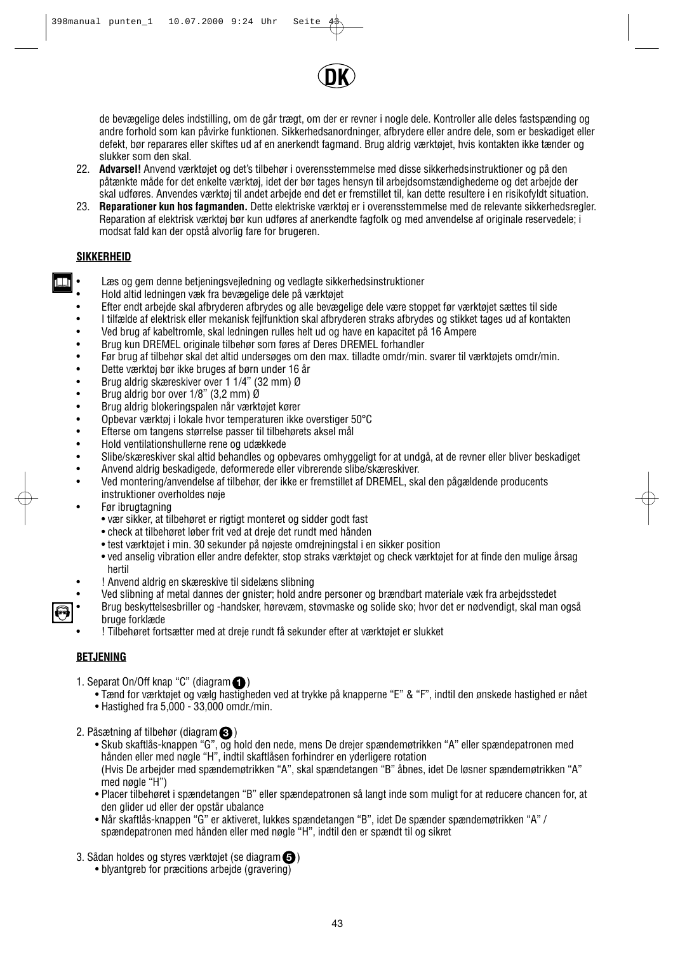

de bevægelige deles indstilling, om de går trægt, om der er revner i nogle dele. Kontroller alle deles fastspænding og andre forhold som kan påvirke funktionen. Sikkerhedsanordninger, afbrydere eller andre dele, som er beskadiget eller defekt, bør reparares eller skiftes ud af en anerkendt fagmand. Brug aldrig værktøjet, hvis kontakten ikke tænder og slukker som den skal.

- 22. **Advarsel!** Anvend værktøjet og det's tilbehør i overensstemmelse med disse sikkerhedsinstruktioner og på den påtænkte måde for det enkelte værktøj, idet der bør tages hensyn til arbejdsomstændighederne og det arbejde der skal udføres. Anvendes værktøj til andet arbejde end det er fremstillet til, kan dette resultere i en risikofyldt situation.
- 23. **Reparationer kun hos fagmanden.** Dette elektriske værktøj er i overensstemmelse med de relevante sikkerhedsregler. Reparation af elektrisk værktøj bør kun udføres af anerkendte fagfolk og med anvendelse af originale reservedele; i modsat fald kan der opstå alvorlig fare for brugeren.

## **SIKKERHEID**

T

- Læs og gem denne betjeningsvejledning og vedlagte sikkerhedsinstruktioner
- Hold altid ledningen væk fra bevægelige dele på værktøjet
- Efter endt arbejde skal afbryderen afbrydes og alle bevægelige dele være stoppet før værktøjet sættes til side
- I tilfælde af elektrisk eller mekanisk fejlfunktion skal afbryderen straks afbrydes og stikket tages ud af kontakten
- Ved brug af kabeltromle, skal ledningen rulles helt ud og have en kapacitet på 16 Ampere
- Brug kun DREMEL originale tilbehør som føres af Deres DREMEL forhandler
- Før brug af tilbehør skal det altid undersøges om den max. tilladte omdr/min. svarer til værktøjets omdr/min.<br>• Dette værktøj bør ikke bruges af børn under 16 år
- Dette værktøj bør ikke bruges af børn under 16 år<br>• Brug aldrig skæreskiver over 1 1/4" (32 mm) Ø
- Brug aldrig skæreskiver over 1 1/4" (32 mm) Ø<br>• Brug aldrig bor over 1/8" (3.2 mm) Ø
- Brug aldrig bor over 1/8" (3,2 mm) Ø<br>• Brug aldrig blokeringspalen når værkt
- Brug aldrig blokeringspalen når værktøjet kører
- Opbevar værktøj i lokale hvor temperaturen ikke overstiger 50°C
- Efterse om tangens størrelse passer til tilbehørets aksel mål<br>• Hold ventilationshullerne rene og udækkede
- Hold ventilationshullerne rene og udækkede<br>• Slibe/skæreskiver skal altid behandles og op
- Slibe/skæreskiver skal altid behandles og opbevares omhyggeligt for at undgå, at de revner eller bliver beskadiget
- Anvend aldrig beskadigede, deformerede eller vibrerende slibe/skæreskiver.
- Ved montering/anvendelse af tilbehør, der ikke er fremstillet af DREMEL, skal den pågældende producents instruktioner overholdes nøje
- Før ibrugtagning
	- vær sikker, at tilbehøret er rigtigt monteret og sidder godt fast
	- check at tilbehøret løber frit ved at dreje det rundt med hånden
	- test værktøjet i min. 30 sekunder på nøjeste omdrejningstal i en sikker position
	- ved anselig vibration eller andre defekter, stop straks værktøjet og check værktøjet for at finde den mulige årsag hertil
	- ! Anvend aldrig en skæreskive til sidelæns slibning
- Ved slibning af metal dannes der gnister; hold andre personer og brændbart materiale væk fra arbejdsstedet
- Brug beskyttelsesbriller og -handsker, hørevæm, støvmaske og solide sko; hvor det er nødvendigt, skal man også bruge forklæde
	- ! Tilbehøret fortsætter med at dreje rundt få sekunder efter at værktøjet er slukket

## **BETJENING**

- 1. Separat On/Off knap "C" (diagram **1**)
	- Tænd for værktøjet og vælg hastigheden ved at trykke på knapperne "E" & "F", indtil den ønskede hastighed er nået
	- Hastighed fra 5,000 33,000 omdr./min.
- 2. Påsætning af tilbehør (diagram $\bigcirc$ )
	- Skub skaftlås-knappen "G", og hold den nede, mens De drejer spændemøtrikken "A" eller spændepatronen med hånden eller med nøgle "H", indtil skaftlåsen forhindrer en yderligere rotation (Hvis De arbejder med spændemøtrikken "A", skal spændetangen "B" åbnes, idet De løsner spændemøtrikken "A" med nøgle "H")
	- Placer tilbehøret i spændetangen "B" eller spændepatronen så langt inde som muligt for at reducere chancen for, at den glider ud eller der opstår ubalance
	- Når skaftlås-knappen "G" er aktiveret, lukkes spændetangen "B", idet De spænder spændemøtrikken "A" / spændepatronen med hånden eller med nøgle "H", indtil den er spændt til og sikret
- 3. Sådan holdes og styres værktøjet (se diagram $\bigcirc$ )
	- blyantgreb for præcitions arbejde (gravering)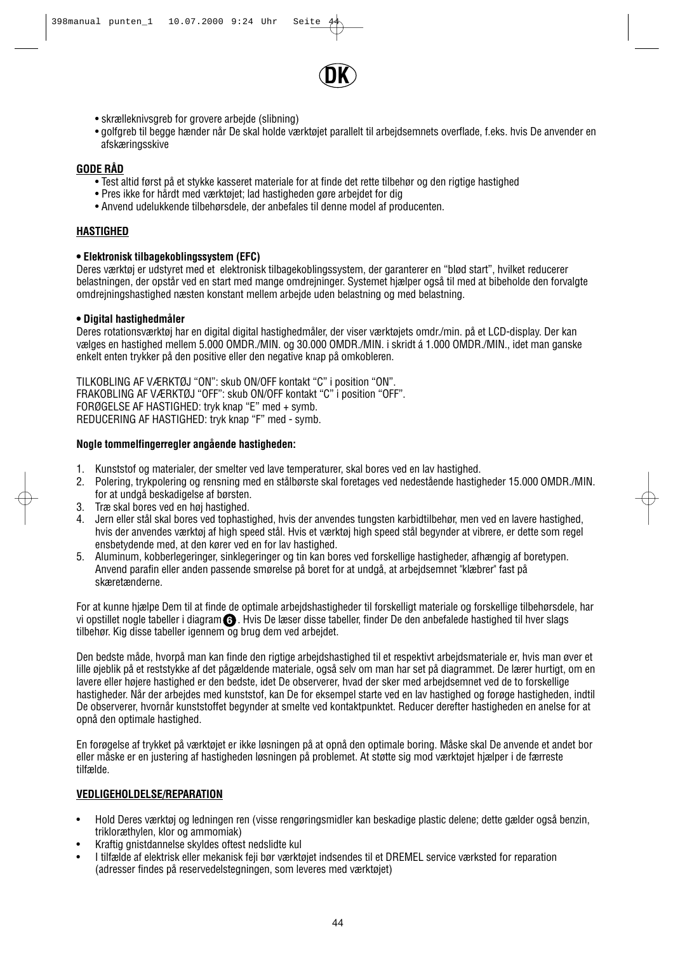

- skrælleknivsgreb for grovere arbeide (slibning)
- golfgreb til begge hænder når De skal holde værktøjet parallelt til arbejdsemnets overflade, f.eks. hvis De anvender en afskæringsskive

## **GODE RÅD**

- Test altid først på et stykke kasseret materiale for at finde det rette tilbehør og den rigtige hastighed
- Pres ikke for hårdt med værktøjet; lad hastigheden gøre arbejdet for dig
- Anvend udelukkende tilbehørsdele, der anbefales til denne model af producenten.

## **HASTIGHED**

#### **• Elektronisk tilbagekoblingssystem (EFC)**

Deres værktøj er udstyret med et elektronisk tilbagekoblingssystem, der garanterer en "blød start", hvilket reducerer belastningen, der opstår ved en start med mange omdrejninger. Systemet hjælper også til med at bibeholde den forvalgte omdrejningshastighed næsten konstant mellem arbejde uden belastning og med belastning.

## **• Digital hastighedmåler**

Deres rotationsværktøj har en digital digital hastighedmåler, der viser værktøjets omdr./min. på et LCD-display. Der kan vælges en hastighed mellem 5.000 OMDR./MIN. og 30.000 OMDR./MIN. i skridt á 1.000 OMDR./MIN., idet man ganske enkelt enten trykker på den positive eller den negative knap på omkobleren.

TILKOBLING AF VÆRKTØJ "ON": skub ON/OFF kontakt "C" i position "ON". FRAKOBLING AF VÆRKTØJ "OFF": skub ON/OFF kontakt "C" i position "OFF". FORØGELSE AF HASTIGHED: tryk knap "E" med + symb. REDUCERING AF HASTIGHED: tryk knap "F" med - symb.

## **Nogle tommelfingerregler angående hastigheden:**

- 1. Kunststof og materialer, der smelter ved lave temperaturer, skal bores ved en lav hastighed.
- 2. Polering, trykpolering og rensning med en stålbørste skal foretages ved nedestående hastigheder 15.000 OMDR./MIN. for at undgå beskadigelse af børsten.
- 3. Træ skal bores ved en høj hastighed.
- 4. Jern eller stål skal bores ved tophastighed, hvis der anvendes tungsten karbidtilbehør, men ved en lavere hastighed, hvis der anvendes værktøj af high speed stål. Hvis et værktøj high speed stål begynder at vibrere, er dette som regel ensbetydende med, at den kører ved en for lav hastighed.
- 5. Aluminum, kobberlegeringer, sinklegeringer og tin kan bores ved forskellige hastigheder, afhængig af boretypen. Anvend parafin eller anden passende smørelse på boret for at undgå, at arbejdsemnet "klæbrer" fast på skæretænderne.

For at kunne hjælpe Dem til at finde de optimale arbejdshastigheder til forskelligt materiale og forskellige tilbehørsdele, har vi opstillet nogle tabeller i diagram **6** . Hvis De læser disse tabeller, finder De den anbefalede hastighed til hver slags tilbehør. Kig disse tabeller igennem og brug dem ved arbejdet.

Den bedste måde, hvorpå man kan finde den rigtige arbeidshastighed til et respektivt arbeidsmateriale er, hvis man øver et lille øjeblik på et reststykke af det pågældende materiale, også selv om man har set på diagrammet. De lærer hurtigt, om en lavere eller højere hastighed er den bedste, idet De observerer, hvad der sker med arbejdsemnet ved de to forskellige hastigheder. Når der arbejdes med kunststof, kan De for eksempel starte ved en lav hastighed og forøge hastigheden, indtil De observerer, hvornår kunststoffet begynder at smelte ved kontaktpunktet. Reducer derefter hastigheden en anelse for at opnå den optimale hastighed.

En forøgelse af trykket på værktøjet er ikke løsningen på at opnå den optimale boring. Måske skal De anvende et andet bor eller måske er en justering af hastigheden løsningen på problemet. At støtte sig mod værktøjet hjælper i de færreste tilfælde.

## **VEDLIGEHOLDELSE/REPARATION**

- Hold Deres værktøj og ledningen ren (visse rengøringsmidler kan beskadige plastic delene; dette gælder også benzin, trikloræthylen, klor og ammomiak)
- Kraftig gnistdannelse skyldes oftest nedslidte kul
- I tilfælde af elektrisk eller mekanisk feji bør værktøjet indsendes til et DREMEL service værksted for reparation (adresser findes på reservedelstegningen, som leveres med værktøjet)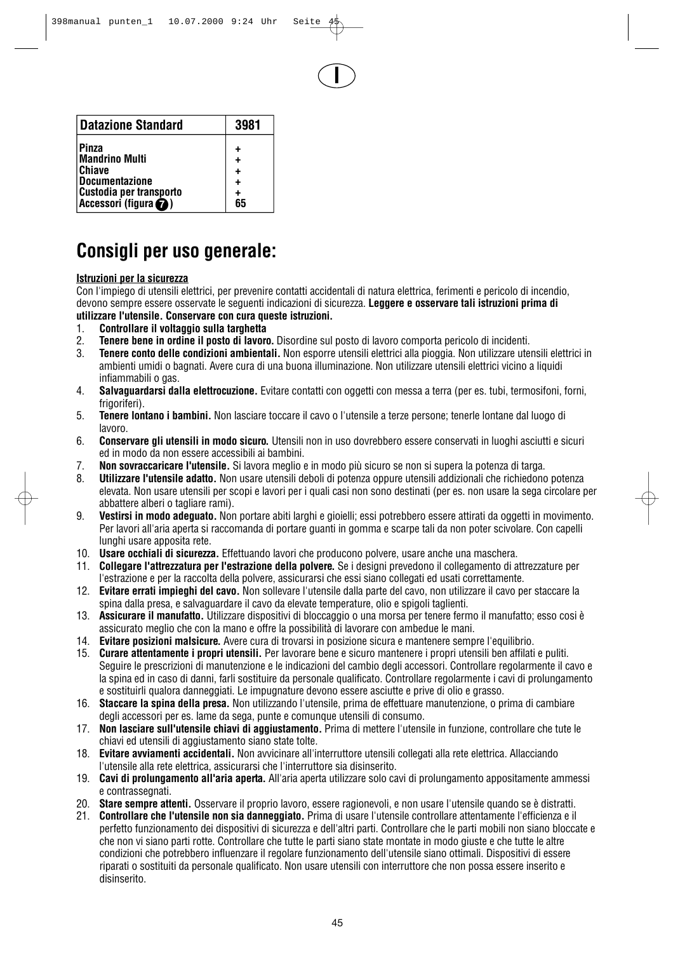**I**

| <b>Datazione Standard</b>                                                                                                | 3981                        |
|--------------------------------------------------------------------------------------------------------------------------|-----------------------------|
| Pinza<br><b>Mandrino Multi</b><br><b>Chiave</b><br><b>Documentazione</b><br>Custodia per transporto<br>Accessori (figura | ٠<br>÷<br>٠<br>÷<br>+<br>65 |

# **Consigli per uso generale:**

## **Istruzioni per la sicurezza**

Con l'impiego di utensili elettrici, per prevenire contatti accidentali di natura elettrica, ferimenti e pericolo di incendio, devono sempre essere osservate le seguenti indicazioni di sicurezza. **Leggere e osservare tali istruzioni prima di utilizzare l'utensile. Conservare con cura queste istruzioni.**

- 1. **Controllare il voltaggio sulla targhetta**
- 2. **Tenere bene in ordine il posto di lavoro.** Disordine sul posto di lavoro comporta pericolo di incidenti.
- 3. **Tenere conto delle condizioni ambientali.** Non esporre utensili elettrici alla pioggia. Non utilizzare utensili elettrici in ambienti umidi o bagnati. Avere cura di una buona illuminazione. Non utilizzare utensili elettrici vicino a liquidi infiammabili o gas.
- 4. **Salvaguardarsi dalla elettrocuzione.** Evitare contatti con oggetti con messa a terra (per es. tubi, termosifoni, forni, frigoriferi).
- 5. **Tenere lontano i bambini.** Non lasciare toccare il cavo o l'utensile a terze persone; tenerle lontane dal luogo di lavoro.
- 6. **Conservare gli utensili in modo sicuro.** Utensili non in uso dovrebbero essere conservati in luoghi asciutti e sicuri ed in modo da non essere accessibili ai bambini.
- 7. **Non sovraccaricare l'utensile.** Si lavora meglio e in modo più sicuro se non si supera la potenza di targa.
- 8. **Utilizzare l'utensile adatto.** Non usare utensili deboli di potenza oppure utensili addizionali che richiedono potenza elevata. Non usare utensili per scopi e lavori per i quali casi non sono destinati (per es. non usare la sega circolare per abbattere alberi o tagliare rami).
- 9. **Vestirsi in modo adeguato.** Non portare abiti larghi e gioielli; essi potrebbero essere attirati da oggetti in movimento. Per lavori all'aria aperta si raccomanda di portare guanti in gomma e scarpe tali da non poter scivolare. Con capelli lunghi usare apposita rete.
- 10. **Usare occhiali di sicurezza.** Effettuando lavori che producono polvere, usare anche una maschera.
- 11. **Collegare l'attrezzatura per l'estrazione della polvere.** Se i designi prevedono il collegamento di attrezzature per l'estrazione e per la raccolta della polvere, assicurarsi che essi siano collegati ed usati correttamente.
- 12. **Evitare errati impieghi del cavo.** Non sollevare l'utensile dalla parte del cavo, non utilizzare il cavo per staccare la spina dalla presa, e salvaguardare il cavo da elevate temperature, olio e spigoli taglienti.
- 13. **Assicurare il manufatto.** Utilizzare dispositivi di bloccaggio o una morsa per tenere fermo il manufatto; esso cosi è assicurato meglio che con la mano e offre la possibilità di lavorare con ambedue le mani.
- 14. **Evitare posizioni malsicure.** Avere cura di trovarsi in posizione sicura e mantenere sempre l'equilibrio.
- 15. **Curare attentamente i propri utensili.** Per lavorare bene e sicuro mantenere i propri utensili ben affilati e puliti. Seguire le prescrizioni di manutenzione e le indicazioni del cambio degli accessori. Controllare regolarmente il cavo e la spina ed in caso di danni, farli sostituire da personale qualificato. Controllare regolarmente i cavi di prolungamento e sostituirli qualora danneggiati. Le impugnature devono essere asciutte e prive di olio e grasso.
- 16. **Staccare la spina della presa.** Non utilizzando l'utensile, prima de effettuare manutenzione, o prima di cambiare degli accessori per es. lame da sega, punte e comunque utensili di consumo.
- 17. **Non lasciare sull'utensile chiavi di aggiustamento.** Prima di mettere l'utensile in funzione, controllare che tute le chiavi ed utensili di aggiustamento siano state tolte.
- 18. **Evitare avviamenti accidentali.** Non avvicinare all'interruttore utensili collegati alla rete elettrica. Allacciando l'utensile alla rete elettrica, assicurarsi che l'interruttore sia disinserito.
- 19. **Cavi di prolungamento all'aria aperta.** All'aria aperta utilizzare solo cavi di prolungamento appositamente ammessi e contrassegnati.
- 20. **Stare sempre attenti.** Osservare il proprio lavoro, essere ragionevoli, e non usare l'utensile quando se è distratti.
- 21. **Controllare che l'utensile non sia danneggiato.** Prima di usare l'utensile controllare attentamente l'efficienza e il perfetto funzionamento dei dispositivi di sicurezza e dell'altri parti. Controllare che le parti mobili non siano bloccate e che non vi siano parti rotte. Controllare che tutte le parti siano state montate in modo giuste e che tutte le altre condizioni che potrebbero influenzare il regolare funzionamento dell'utensile siano ottimali. Dispositivi di essere riparati o sostituiti da personale qualificato. Non usare utensili con interruttore che non possa essere inserito e disinserito.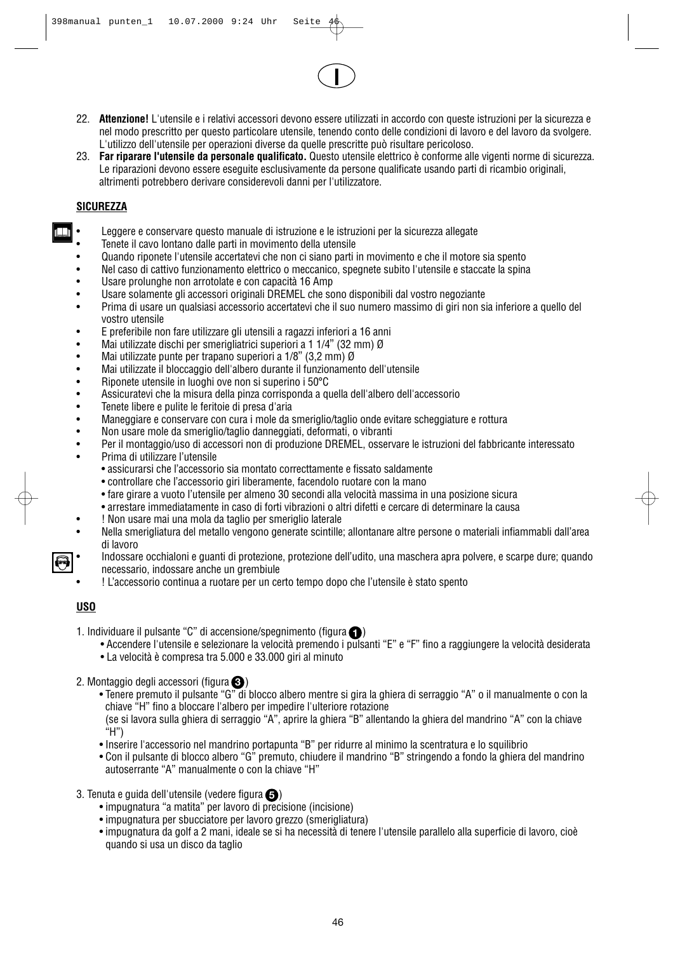22. **Attenzione!** L'utensile e i relativi accessori devono essere utilizzati in accordo con queste istruzioni per la sicurezza e nel modo prescritto per questo particolare utensile, tenendo conto delle condizioni di lavoro e del lavoro da svolgere. L'utilizzo dell'utensile per operazioni diverse da quelle prescritte può risultare pericoloso.

**I**

23. **Far riparare l'utensile da personale qualificato.** Questo utensile elettrico è conforme alle vigenti norme di sicurezza. Le riparazioni devono essere eseguite esclusivamente da persone qualificate usando parti di ricambio originali, altrimenti potrebbero derivare considerevoli danni per l'utilizzatore.

## **SICUREZZA**

- Leggere e conservare questo manuale di istruzione e le istruzioni per la sicurezza allegate
- Tenete il cavo lontano dalle parti in movimento della utensile
- Quando riponete l'utensile accertatevi che non ci siano parti in movimento e che il motore sia spento
- Nel caso di cattivo funzionamento elettrico o meccanico, spegnete subito l'utensile e staccate la spina
- Usare prolunghe non arrotolate e con capacità 16 Amp
- Usare solamente gli accessori originali DREMEL che sono disponibili dal vostro negoziante
- Prima di usare un qualsiasi accessorio accertatevi che il suo numero massimo di giri non sia inferiore a quello del vostro utensile
- E preferibile non fare utilizzare gli utensili a ragazzi inferiori a 16 anni
- Mai utilizzate dischi per smerigliatrici superiori a 1 1/4" (32 mm) Ø<br>• Mai utilizzate punte per trapano superiori a 1/8" (3.2 mm) Ø
- Mai utilizzate punte per trapano superiori a 1/8" (3,2 mm) Ø
- Mai utilizzate il bloccaggio dell'albero durante il funzionamento dell'utensile<br>• Binonete utensile in luoghi ove non si superino i 50°C
- Riponete utensile in luoghi ove non si superino i 50°C
- Assicuratevi che la misura della pinza corrisponda a quella dell'albero dell'accessorio
- Tenete libere e pulite le feritoie di presa d'aria
- Maneggiare e conservare con cura i mole da smeriglio/taglio onde evitare scheggiature e rottura<br>• Mon usare mole da smeriglio/taglio danneggiati deformati o vibranti
- Non usare mole da smeriglio/taglio danneggiati, deformati, o vibranti
- Per il montaggio/uso di accessori non di produzione DREMEL, osservare le istruzioni del fabbricante interessato
- Prima di utilizzare l'utensile
	- assicurarsi che l'accessorio sia montato correcttamente e fissato saldamente
	- controllare che l'accessorio giri liberamente, facendolo ruotare con la mano
	- fare girare a vuoto l'utensile per almeno 30 secondi alla velocità massima in una posizione sicura
	- arrestare immediatamente in caso di forti vibrazioni o altri difetti e cercare di determinare la causa
	- ! Non usare mai una mola da taglio per smeriglio laterale
- Nella smerigliatura del metallo vengono generate scintille; allontanare altre persone o materiali infiammabli dall'area di lavoro
- Indossare occhialoni e guanti di protezione, protezione dell'udito, una maschera apra polvere, e scarpe dure; quando necessario, indossare anche un grembiule
- ! L'accessorio continua a ruotare per un certo tempo dopo che l'utensile è stato spento

## **USO**

- 1. Individuare il pulsante "C" di accensione/spegnimento (figura $\bigcirc$ )
	- Accendere l'utensile e selezionare la velocità premendo i pulsanti "E" e "F" fino a raggiungere la velocità desiderata
		- La velocità è compresa tra 5.000 e 33.000 giri al minuto
- 2. Montaggio degli accessori (figura **3**)
	- Tenere premuto il pulsante "G" di blocco albero mentre si gira la ghiera di serraggio "A" o il manualmente o con la chiave "H" fino a bloccare l'albero per impedire l'ulteriore rotazione (se si lavora sulla ghiera di serraggio "A", aprire la ghiera "B" allentando la ghiera del mandrino "A" con la chiave "H")
	- Inserire l'accessorio nel mandrino portapunta "B" per ridurre al minimo la scentratura e lo squilibrio
	- Con il pulsante di blocco albero "G" premuto, chiudere il mandrino "B" stringendo a fondo la ghiera del mandrino autoserrante "A" manualmente o con la chiave "H"
- 3. Tenuta e guida dell'utensile (vedere figura **5**)
	- impugnatura "a matita" per lavoro di precisione (incisione)
	- impugnatura per sbucciatore per lavoro grezzo (smerigliatura)
	- impugnatura da golf a 2 mani, ideale se si ha necessità di tenere l'utensile parallelo alla superficie di lavoro, cioè quando si usa un disco da taglio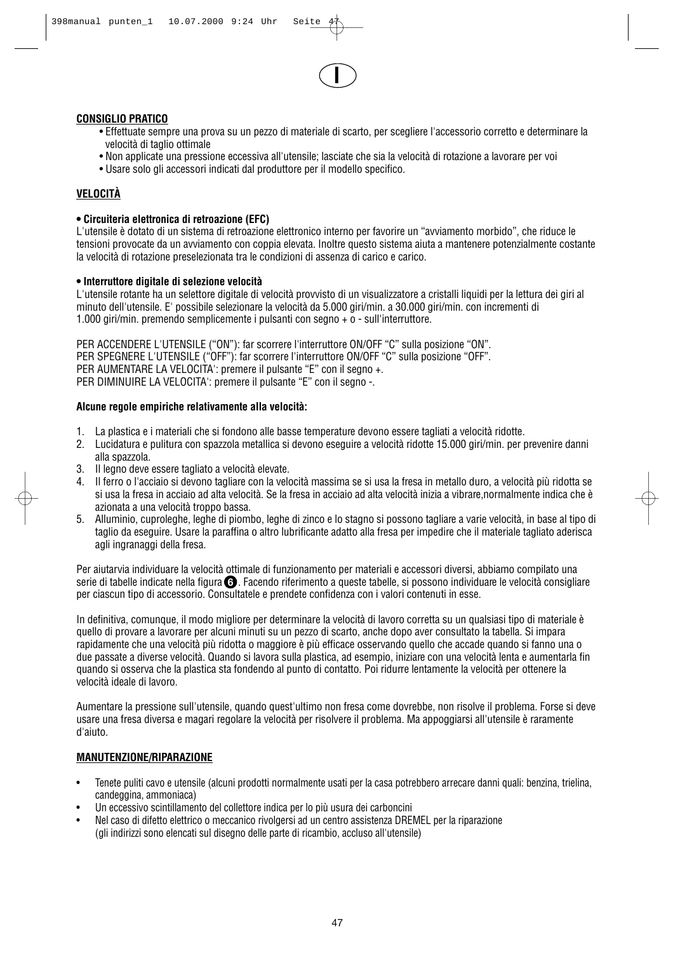## **CONSIGLIO PRATICO**

• Effettuate sempre una prova su un pezzo di materiale di scarto, per scegliere l'accessorio corretto e determinare la velocità di taglio ottimale

**I**

- Non applicate una pressione eccessiva all'utensile; lasciate che sia la velocità di rotazione a lavorare per voi
- Usare solo gli accessori indicati dal produttore per il modello specifico.

## **VELOCITÀ**

## **• Circuiteria elettronica di retroazione (EFC)**

L'utensile è dotato di un sistema di retroazione elettronico interno per favorire un "avviamento morbido", che riduce le tensioni provocate da un avviamento con coppia elevata. Inoltre questo sistema aiuta a mantenere potenzialmente costante la velocità di rotazione preselezionata tra le condizioni di assenza di carico e carico.

## **• Interruttore digitale di selezione velocità**

L'utensile rotante ha un selettore digitale di velocità provvisto di un visualizzatore a cristalli liquidi per la lettura dei giri al minuto dell'utensile. E' possibile selezionare la velocità da 5.000 giri/min. a 30.000 giri/min. con incrementi di 1.000 giri/min. premendo semplicemente i pulsanti con segno + o - sull'interruttore.

PER ACCENDERE L'UTENSILE ("ON"): far scorrere l'interruttore ON/OFF "C" sulla posizione "ON". PER SPEGNERE L'UTENSILE ("OFF"): far scorrere l'interruttore ON/OFF "C" sulla posizione "OFF". PER AUMENTARE LA VELOCITA': premere il pulsante "E" con il segno +. PER DIMINUIRE LA VELOCITA': premere il pulsante "E" con il segno -.

## **Alcune regole empiriche relativamente alla velocità:**

- 1. La plastica e i materiali che si fondono alle basse temperature devono essere tagliati a velocità ridotte.
- 2. Lucidatura e pulitura con spazzola metallica si devono eseguire a velocità ridotte 15.000 giri/min. per prevenire danni alla spazzola.
- 3. Il legno deve essere tagliato a velocità elevate.
- 4. Il ferro o l'acciaio si devono tagliare con la velocità massima se si usa la fresa in metallo duro, a velocità più ridotta se si usa la fresa in acciaio ad alta velocità. Se la fresa in acciaio ad alta velocità inizia a vibrare,normalmente indica che è azionata a una velocità troppo bassa.
- 5. Alluminio, cuproleghe, leghe di piombo, leghe di zinco e lo stagno si possono tagliare a varie velocità, in base al tipo di taglio da eseguire. Usare la paraffina o altro lubrificante adatto alla fresa per impedire che il materiale tagliato aderisca agli ingranaggi della fresa.

Per aiutarvia individuare la velocità ottimale di funzionamento per materiali e accessori diversi, abbiamo compilato una serie di tabelle indicate nella figura **6** . Facendo riferimento a queste tabelle, si possono individuare le velocità consigliare per ciascun tipo di accessorio. Consultatele e prendete confidenza con i valori contenuti in esse.

In definitiva, comunque, il modo migliore per determinare la velocità di lavoro corretta su un qualsiasi tipo di materiale è quello di provare a lavorare per alcuni minuti su un pezzo di scarto, anche dopo aver consultato la tabella. Si impara rapidamente che una velocità più ridotta o maggiore è più efficace osservando quello che accade quando si fanno una o due passate a diverse velocità. Quando si lavora sulla plastica, ad esempio, iniziare con una velocità lenta e aumentarla fin quando si osserva che la plastica sta fondendo al punto di contatto. Poi ridurre lentamente la velocità per ottenere la velocità ideale di lavoro.

Aumentare la pressione sull'utensile, quando quest'ultimo non fresa come dovrebbe, non risolve il problema. Forse si deve usare una fresa diversa e magari regolare la velocità per risolvere il problema. Ma appoggiarsi all'utensile è raramente d'aiuto.

## **MANUTENZIONE/RIPARAZIONE**

- Tenete puliti cavo e utensile (alcuni prodotti normalmente usati per la casa potrebbero arrecare danni quali: benzina, trielina, candeggina, ammoniaca)
- Un eccessivo scintillamento del collettore indica per lo più usura dei carboncini
- Nel caso di difetto elettrico o meccanico rivolgersi ad un centro assistenza DREMEL per la riparazione (gli indirizzi sono elencati sul disegno delle parte di ricambio, accluso all'utensile)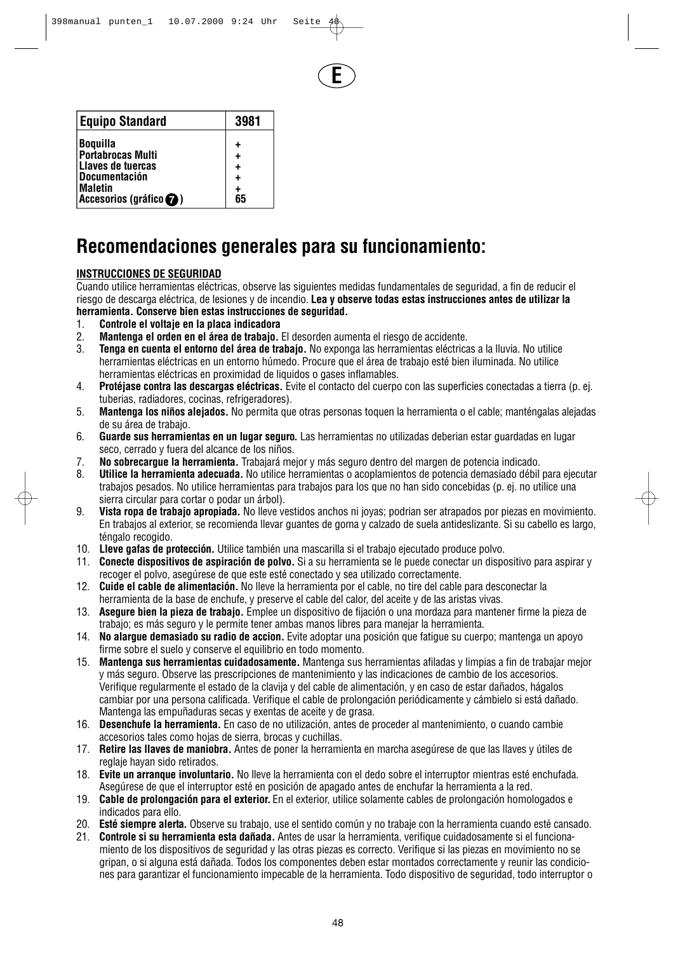**E**

| <b>Equipo Standard</b>   | 3981 |
|--------------------------|------|
| <b>Boquilla</b>          |      |
| <b>Portabrocas Multi</b> |      |
| Llaves de tuercas        |      |
| <b>Documentación</b>     |      |
| <b>Maletin</b>           |      |
| Accesorios (gráfico ?)   | 65   |

# **Recomendaciones generales para su funcionamiento:**

## **INSTRUCCIONES DE SEGURIDAD**

Cuando utilice herramientas eléctricas, observe las siguientes medidas fundamentales de seguridad, a fin de reducir el riesgo de descarga eléctrica, de lesiones y de incendio. **Lea y observe todas estas instrucciones antes de utilizar la herramienta. Conserve bien estas instrucciones de seguridad.**

- 1. **Controle el voltaje en la placa indicadora**
- 2. **Mantenga el orden en el área de trabajo.** El desorden aumenta el riesgo de accidente.
- 3. **Tenga en cuenta el entorno del área de trabajo.** No exponga las herramientas eléctricas a la lluvia. No utilice herramientas eléctricas en un entorno húmedo. Procure que el área de trabajo esté bien iluminada. No utilice herramientas eléctricas en proximidad de liquidos o gases inflamables.
- 4. **Protéjase contra las descargas eléctricas.** Evite el contacto del cuerpo con las superficies conectadas a tierra (p. ej. tuberias, radiadores, cocinas, refrigeradores).
- 5. **Mantenga los niños alejados.** No permita que otras personas toquen la herramienta o el cable; manténgalas alejadas de su área de trabajo.
- 6. **Guarde sus herramientas en un lugar seguro.** Las herramientas no utilizadas deberian estar guardadas en lugar seco, cerrado y fuera del alcance de los niños.
- 7. **No sobrecargue la herramienta.** Trabajará mejor y más seguro dentro del margen de potencia indicado.
- 8. **Utilice la herramienta adecuada.** No utilice herramientas o acoplamientos de potencia demasiado débil para ejecutar trabajos pesados. No utilice herramientas para trabajos para los que no han sido concebidas (p. ej. no utilice una sierra circular para cortar o podar un árbol).
- 9. **Vista ropa de trabajo apropiada.** No lleve vestidos anchos ni joyas; podrian ser atrapados por piezas en movimiento. En trabajos al exterior, se recomienda llevar guantes de goma y calzado de suela antideslizante. Si su cabello es largo, téngalo recogido.
- 10. **Lleve gafas de protección.** Utilice también una mascarilla si el trabajo ejecutado produce polvo.
- 11. **Conecte dispositivos de aspiración de polvo.** Si a su herramienta se le puede conectar un dispositivo para aspirar y recoger el polvo, asegúrese de que este esté conectado y sea utilizado correctamente.
- 12. **Cuide el cable de alimentación.** No lleve la herramienta por el cable, no tire del cable para desconectar la herramienta de la base de enchufe, y preserve el cable del calor, del aceite y de las aristas vivas.
- 13. **Asegure bien la pieza de trabajo.** Emplee un dispositivo de fijación o una mordaza para mantener firme la pieza de trabajo; es más seguro y le permite tener ambas manos libres para manejar la herramienta.
- 14. **No alargue demasiado su radio de accion.** Evite adoptar una posición que fatigue su cuerpo; mantenga un apoyo firme sobre el suelo y conserve el equilibrio en todo momento.
- 15. **Mantenga sus herramientas cuidadosamente.** Mantenga sus herramientas afiladas y limpias a fin de trabajar mejor y más seguro. Observe las prescripciones de mantenimiento y las indicaciones de cambio de los accesorios. Verifique regularmente el estado de la clavija y del cable de alimentación, y en caso de estar dañados, hágalos cambiar por una persona calificada. Verifique el cable de prolongación periódicamente y cámbielo si está dañado. Mantenga las empuñaduras secas y exentas de aceite y de grasa.
- 16. **Desenchufe la herramienta.** En caso de no utilización, antes de proceder al mantenimiento, o cuando cambie accesorios tales como hojas de sierra, brocas y cuchillas.
- 17. **Retire las llaves de maniobra.** Antes de poner la herramienta en marcha asegúrese de que las llaves y útiles de reglaje hayan sido retirados.
- 18. **Evite un arranque involuntario.** No lleve la herramienta con el dedo sobre el interruptor mientras esté enchufada. Asegúrese de que el interruptor esté en posición de apagado antes de enchufar la herramienta a la red.
- 19. **Cable de prolongación para el exterior.** En el exterior, utilice solamente cables de prolongación homologados e indicados para ello.
- 20. **Esté siempre alerta.** Observe su trabajo, use el sentido común y no trabaje con la herramienta cuando esté cansado.
- 21. **Controle si su herramienta esta dañada.** Antes de usar la herramienta, verifique cuidadosamente si el funcionamiento de los dispositivos de seguridad y las otras piezas es correcto. Verifique si las piezas en movimiento no se gripan, o si alguna está dañada. Todos los componentes deben estar montados correctamente y reunir las condiciones para garantizar el funcionamiento impecable de la herramienta. Todo dispositivo de seguridad, todo interruptor o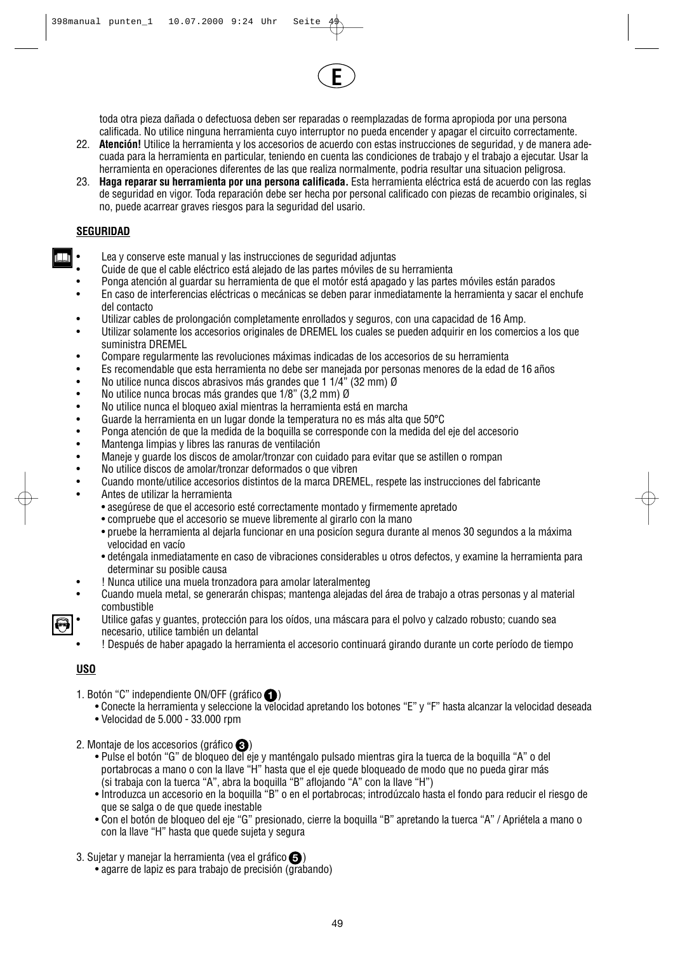toda otra pieza dañada o defectuosa deben ser reparadas o reemplazadas de forma apropioda por una persona calificada. No utilice ninguna herramienta cuyo interruptor no pueda encender y apagar el circuito correctamente.

**E**

- 22. **Atención!** Utilice la herramienta y los accesorios de acuerdo con estas instrucciones de seguridad, y de manera adecuada para la herramienta en particular, teniendo en cuenta las condiciones de trabajo y el trabajo a ejecutar. Usar la herramienta en operaciones diferentes de las que realiza normalmente, podria resultar una situacion peligrosa.
- 23. **Haga reparar su herramienta por una persona calificada.** Esta herramienta eléctrica está de acuerdo con las reglas de seguridad en vigor. Toda reparación debe ser hecha por personal calificado con piezas de recambio originales, si no, puede acarrear graves riesgos para la seguridad del usario.

## **SEGURIDAD**

T

- Lea y conserve este manual y las instrucciones de seguridad adjuntas
- Cuide de que el cable eléctrico está alejado de las partes móviles de su herramienta
- Ponga atención al guardar su herramienta de que el motór está apagado y las partes móviles están parados
- En caso de interferencias eléctricas o mecánicas se deben parar inmediatamente la herramienta y sacar el enchufe del contacto
- Utilizar cables de prolongación completamente enrollados y seguros, con una capacidad de 16 Amp.
- Utilizar solamente los accesorios originales de DREMEL los cuales se pueden adquirir en los comercios a los que suministra DREMEL
- Compare regularmente las revoluciones máximas indicadas de los accesorios de su herramienta
- Es recomendable que esta herramienta no debe ser manejada por personas menores de la edad de 16 años •<br>• No utilice nunca discos abrasivos más grandes que 1 1/4" (32 mm) Ø
- No utilice nunca discos abrasivos más grandes que 1 1/4" (32 mm) Ø<br>• No utilice nunca brocas más grandes que 1/8" (3.2 mm) Ø
- No utilice nunca brocas más grandes que 1/8" (3,2 mm) Ø<br>• No utilice nunca el bloqueo axial mientras la herramienta es
- No utilice nunca el bloqueo axial mientras la herramienta está en marcha
- Guarde la herramienta en un lugar donde la temperatura no es más alta que 50°C
- Ponga atención de que la medida de la boquilla se corresponde con la medida del eje del accesorio<br>• Mantenga limpias y libres las ranuras de ventilación
- Mantenga limpias y libres las ranuras de ventilación
- Maneje y guarde los discos de amolar/tronzar con cuidado para evitar que se astillen o rompan
- No utilice discos de amolar/tronzar deformados o que vibren
- Cuando monte/utilice accesorios distintos de la marca DREMEL, respete las instrucciones del fabricante
- Antes de utilizar la herramienta
	- asegúrese de que el accesorio esté correctamente montado y firmemente apretado
	- compruebe que el accesorio se mueve libremente al girarlo con la mano
	- pruebe la herramienta al dejarla funcionar en una posicíon segura durante al menos 30 segundos a la máxima velocidad en vacío
	- deténgala inmediatamente en caso de vibraciones considerables u otros defectos, y examine la herramienta para determinar su posible causa
- ! Nunca utilice una muela tronzadora para amolar lateralmenteg
- Cuando muela metal, se generarán chispas; mantenga alejadas del área de trabajo a otras personas y al material combustible
- Utilice gafas y guantes, protección para los oídos, una máscara para el polvo y calzado robusto; cuando sea necesario, utilice también un delantal
- ! Después de haber apagado la herramienta el accesorio continuará girando durante un corte período de tiempo

## **USO**

- 1. Botón "C" independiente ON/OFF (gráfico **(1)** 
	- Conecte la herramienta y seleccione la velocidad apretando los botones "E" y "F" hasta alcanzar la velocidad deseada • Velocidad de 5.000 - 33.000 rpm
- 2. Montaje de los accesorios (gráfico **3**)
	- Pulse el botón "G" de bloqueo del eje y manténgalo pulsado mientras gira la tuerca de la boquilla "A" o del portabrocas a mano o con la llave "H" hasta que el eje quede bloqueado de modo que no pueda girar más (si trabaja con la tuerca "A", abra la boquilla "B" aflojando "A" con la llave "H")
	- Introduzca un accesorio en la boquilla "B" o en el portabrocas; introdúzcalo hasta el fondo para reducir el riesgo de que se salga o de que quede inestable
	- Con el botón de bloqueo del eje "G" presionado, cierre la boquilla "B" apretando la tuerca "A" / Apriétela a mano o con la llave "H" hasta que quede sujeta y segura
- 3. Sujetar y manejar la herramienta (vea el gráfico **6**)
	- agarre de lapiz es para trabajo de precisión (grabando)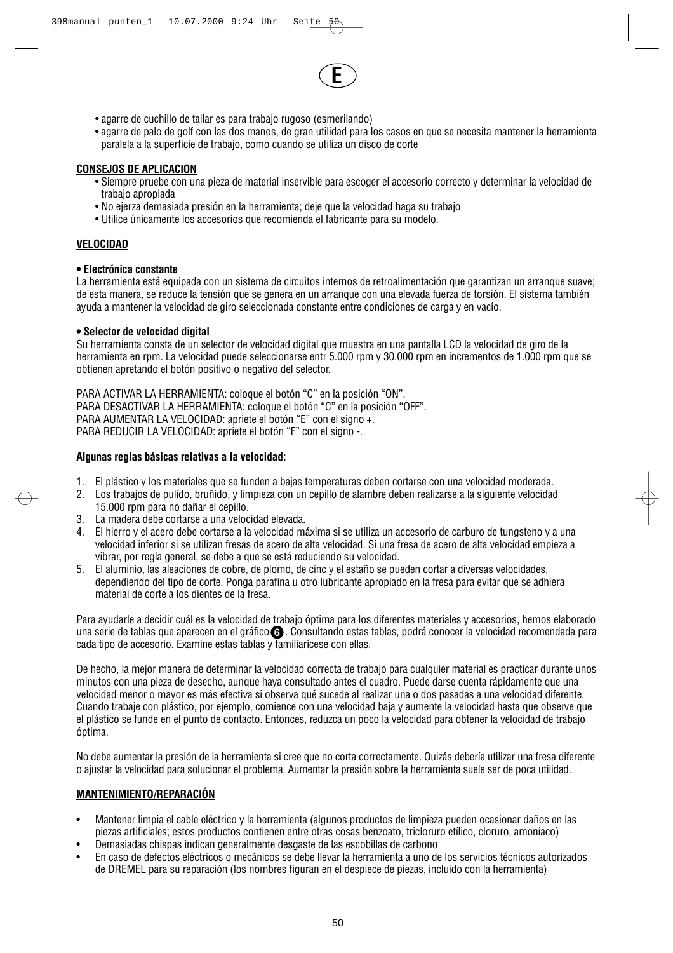

- agarre de cuchillo de tallar es para trabajo rugoso (esmerilando)
- agarre de palo de golf con las dos manos, de gran utilidad para los casos en que se necesita mantener la herramienta paralela a la superficie de trabajo, como cuando se utiliza un disco de corte

## **CONSEJOS DE APLICACION**

- Siempre pruebe con una pieza de material inservible para escoger el accesorio correcto y determinar la velocidad de trabajo apropiada
- No ejerza demasiada presión en la herramienta; deje que la velocidad haga su trabajo
- Utilice únicamente los accesorios que recomienda el fabricante para su modelo.

## **VELOCIDAD**

#### **• Electrónica constante**

La herramienta está equipada con un sistema de circuitos internos de retroalimentación que garantizan un arranque suave; de esta manera, se reduce la tensión que se genera en un arranque con una elevada fuerza de torsión. El sistema también ayuda a mantener la velocidad de giro seleccionada constante entre condiciones de carga y en vacío.

#### **• Selector de velocidad digital**

Su herramienta consta de un selector de velocidad digital que muestra en una pantalla LCD la velocidad de giro de la herramienta en rpm. La velocidad puede seleccionarse entr 5.000 rpm y 30.000 rpm en incrementos de 1.000 rpm que se obtienen apretando el botón positivo o negativo del selector.

PARA ACTIVAR LA HERRAMIENTA: coloque el botón "C" en la posición "ON". PARA DESACTIVAR LA HERRAMIENTA: coloque el botón "C" en la posición "OFF". PARA AUMENTAR LA VELOCIDAD: apriete el botón "E" con el signo +. PARA REDUCIR LA VELOCIDAD: apriete el botón "F" con el signo -.

#### **Algunas reglas básicas relativas a la velocidad:**

- 1. El plástico y los materiales que se funden a bajas temperaturas deben cortarse con una velocidad moderada.
- 2. Los trabajos de pulido, bruñido, y limpieza con un cepillo de alambre deben realizarse a la siguiente velocidad 15.000 rpm para no dañar el cepillo.
- 3. La madera debe cortarse a una velocidad elevada.
- 4. El hierro y el acero debe cortarse a la velocidad máxima si se utiliza un accesorio de carburo de tungsteno y a una velocidad inferior si se utilizan fresas de acero de alta velocidad. Si una fresa de acero de alta velocidad empieza a vibrar, por regla general, se debe a que se está reduciendo su velocidad.
- 5. El aluminio, las aleaciones de cobre, de plomo, de cinc y el estaño se pueden cortar a diversas velocidades, dependiendo del tipo de corte. Ponga parafina u otro lubricante apropiado en la fresa para evitar que se adhiera material de corte a los dientes de la fresa.

Para ayudarle a decidir cuál es la velocidad de trabajo óptima para los diferentes materiales y accesorios, hemos elaborado una serie de tablas que aparecen en el gráfico **G** . Consultando estas tablas, podrá conocer la velocidad recomendada para cada tipo de accesorio. Examine estas tablas y familiarícese con ellas.

De hecho, la mejor manera de determinar la velocidad correcta de trabajo para cualquier material es practicar durante unos minutos con una pieza de desecho, aunque haya consultado antes el cuadro. Puede darse cuenta rápidamente que una velocidad menor o mayor es más efectiva si observa qué sucede al realizar una o dos pasadas a una velocidad diferente. Cuando trabaje con plástico, por ejemplo, comience con una velocidad baja y aumente la velocidad hasta que observe que el plástico se funde en el punto de contacto. Entonces, reduzca un poco la velocidad para obtener la velocidad de trabajo óptima.

No debe aumentar la presión de la herramienta si cree que no corta correctamente. Quizás debería utilizar una fresa diferente o ajustar la velocidad para solucionar el problema. Aumentar la presión sobre la herramienta suele ser de poca utilidad.

## **MANTENIMIENTO/REPARACIÓN**

- Mantener limpia el cable eléctrico y la herramienta (algunos productos de limpieza pueden ocasionar daños en las piezas artificiales; estos productos contienen entre otras cosas benzoato, tricloruro etílico, cloruro, amoníaco)
- Demasiadas chispas indican generalmente desgaste de las escobillas de carbono
- En caso de defectos eléctricos o mecánicos se debe llevar la herramienta a uno de los servicios técnicos autorizados de DREMEL para su reparación (los nombres figuran en el despiece de piezas, incluido con la herramienta)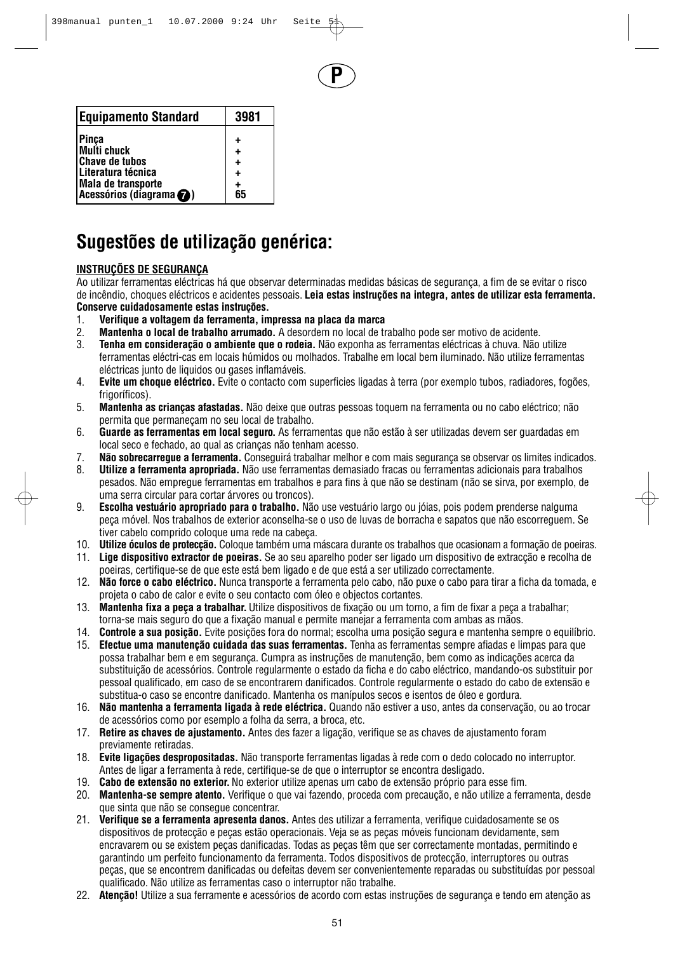**P**

| <b>Equipamento Standard</b>              | 3981                   |
|------------------------------------------|------------------------|
| Pinça<br>Multi chuck                     | ٠                      |
| <b>Chave de tubos</b>                    | $\ddot{}$<br>$\ddot{}$ |
| Literatura técnica<br>Mala de transporte | $\ddot{}$<br>٠         |
| Acessórios (diagrama @)                  | 65                     |

# **Sugestões de utilização genérica:**

## **INSTRUÇÕES DE SEGURANÇA**

Ao utilizar ferramentas eléctricas há que observar determinadas medidas básicas de segurança, a fim de se evitar o risco de incêndio, choques eléctricos e acidentes pessoais. **Leia estas instruções na integra, antes de utilizar esta ferramenta. Conserve cuidadosamente estas instruções.**

- 1. **Verifique a voltagem da ferramenta, impressa na placa da marca**
- 2. **Mantenha o local de trabalho arrumado.** A desordem no local de trabalho pode ser motivo de acidente.
- 3. **Tenha em consideração o ambiente que o rodeia.** Não exponha as ferramentas eléctricas à chuva. Não utilize ferramentas eléctri-cas em locais húmidos ou molhados. Trabalhe em local bem iluminado. Não utilize ferramentas eléctricas junto de liquidos ou gases inflamáveis.
- 4. **Evite um choque eléctrico.** Evite o contacto com superficies ligadas à terra (por exemplo tubos, radiadores, fogões, frigoríficos).
- 5. **Mantenha as crianças afastadas.** Não deixe que outras pessoas toquem na ferramenta ou no cabo eléctrico; não permita que permaneçam no seu local de trabalho.
- 6. **Guarde as ferramentas em local seguro.** As ferramentas que não estão à ser utilizadas devem ser guardadas em local seco e fechado, ao qual as crianças não tenham acesso.
- 7. **Não sobrecarregue a ferramenta.** Conseguirá trabalhar melhor e com mais segurança se observar os limites indicados.
- 8. **Utilize a ferramenta apropriada.** Não use ferramentas demasiado fracas ou ferramentas adicionais para trabalhos pesados. Não empregue ferramentas em trabalhos e para fins à que não se destinam (não se sirva, por exemplo, de uma serra circular para cortar árvores ou troncos).
- 9. **Escolha vestuário apropriado para o trabalho.** Não use vestuário largo ou jóias, pois podem prenderse nalguma peça móvel. Nos trabalhos de exterior aconselha-se o uso de luvas de borracha e sapatos que não escorreguem. Se tiver cabelo comprido coloque uma rede na cabeça.
- 10. **Utilize óculos de protecção.** Coloque também uma máscara durante os trabalhos que ocasionam a formação de poeiras.
- 11. **Lige dispositivo extractor de poeiras.** Se ao seu aparelho poder ser ligado um dispositivo de extracção e recolha de poeiras, certifique-se de que este está bem ligado e de que está a ser utilizado correctamente.
- 12. **Não force o cabo eléctrico.** Nunca transporte a ferramenta pelo cabo, não puxe o cabo para tirar a ficha da tomada, e projeta o cabo de calor e evite o seu contacto com óleo e objectos cortantes.
- 13. **Mantenha fixa a peça a trabalhar.**Utilize dispositivos de fixação ou um torno, a fim de fixar a peça a trabalhar; torna-se mais seguro do que a fixação manual e permite manejar a ferramenta com ambas as mãos.
- 14. **Controle a sua posição.** Evite posições fora do normal; escolha uma posição segura e mantenha sempre o equilíbrio.
- 15. **Efectue uma manutenção cuidada das suas ferramentas.** Tenha as ferramentas sempre afiadas e limpas para que possa trabalhar bem e em segurança. Cumpra as instruções de manutenção, bem como as indicações acerca da substituição de acessórios. Controle regularmente o estado da ficha e do cabo eléctrico, mandando-os substituir por pessoal qualificado, em caso de se encontrarem danificados. Controle regularmente o estado do cabo de extensão e substitua-o caso se encontre danificado. Mantenha os manípulos secos e isentos de óleo e gordura.
- 16. **Não mantenha a ferramenta ligada à rede eléctrica.** Quando não estiver a uso, antes da conservação, ou ao trocar de acessórios como por esemplo a folha da serra, a broca, etc.
- 17. **Retire as chaves de ajustamento.** Antes des fazer a ligação, verifique se as chaves de ajustamento foram previamente retiradas.
- 18. **Evite ligações despropositadas.** Não transporte ferramentas ligadas à rede com o dedo colocado no interruptor. Antes de ligar a ferramenta à rede, certifique-se de que o interruptor se encontra desligado.
- 19. **Cabo de extensão no exterior.**No exterior utilize apenas um cabo de extensão próprio para esse fim.
- 20. **Mantenha-se sempre atento.** Verifique o que vai fazendo, proceda com precaução, e não utilize a ferramenta, desde que sinta que não se consegue concentrar.
- 21. **Verifique se a ferramenta apresenta danos.** Antes des utilizar a ferramenta, verifique cuidadosamente se os dispositivos de protecção e peças estão operacionais. Veja se as peças móveis funcionam devidamente, sem encravarem ou se existem peças danificadas. Todas as peças têm que ser correctamente montadas, permitindo e garantindo um perfeito funcionamento da ferramenta. Todos dispositivos de protecção, interruptores ou outras peças, que se encontrem danificadas ou defeitas devem ser convenientemente reparadas ou substituídas por pessoal qualificado. Não utilize as ferramentas caso o interruptor não trabalhe.
- 22. **Atenção!** Utilize a sua ferramente e acessórios de acordo com estas instruções de segurança e tendo em atenção as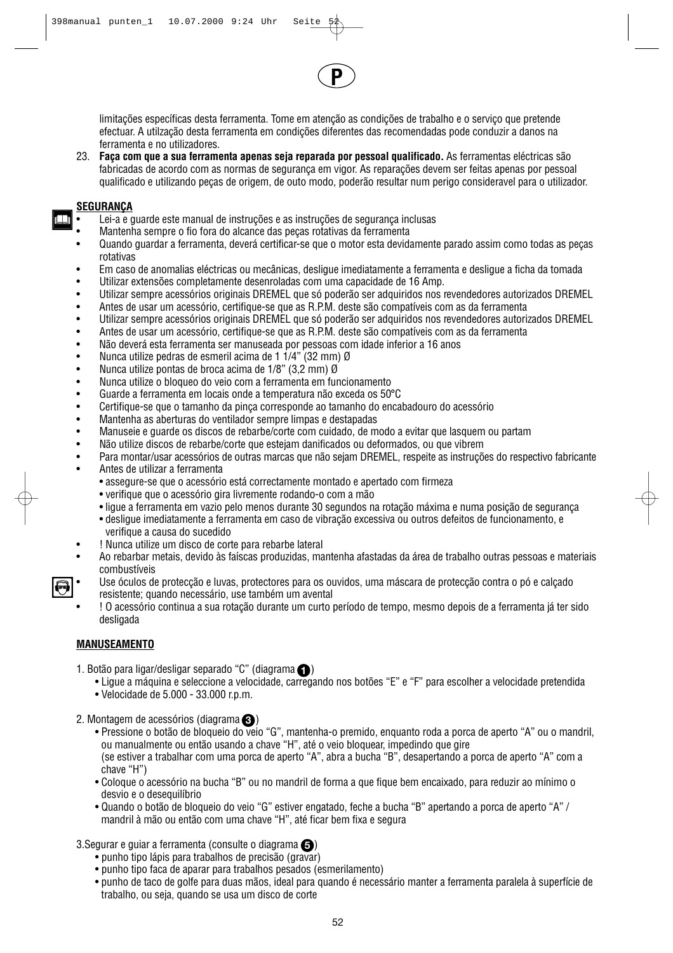limitações específicas desta ferramenta. Tome em atenção as condições de trabalho e o serviço que pretende efectuar. A utilzação desta ferramenta em condições diferentes das recomendadas pode conduzir a danos na ferramenta e no utilizadores.

**P**

23. **Faça com que a sua ferramenta apenas seja reparada por pessoal qualificado.** As ferramentas eléctricas são fabricadas de acordo com as normas de segurança em vigor. As reparações devem ser feitas apenas por pessoal qualificado e utilizando peças de origem, de outo modo, poderão resultar num perigo consideravel para o utilizador.

## **SEGURANÇA**

- Lei-a e guarde este manual de instruções e as instruções de segurança inclusas
- Mantenha sempre o fio fora do alcance das peças rotativas da ferramenta
- Quando guardar a ferramenta, deverá certificar-se que o motor esta devidamente parado assim como todas as peças rotativas
- Em caso de anomalias eléctricas ou mecânicas, desligue imediatamente a ferramenta e desligue a ficha da tomada • Utilizar extensões completamente desenroladas com uma capacidade de 16 Amp.
- 
- Utilizar sempre acessórios originais DREMEL que só poderão ser adquiridos nos revendedores autorizados DREMEL • Antes de usar um acessório, certifique-se que as R.P.M. deste são compatíveis com as da ferramenta
- 
- Utilizar sempre acessórios originais DREMEL que só poderão ser adquiridos nos revendedores autorizados DREMEL<br>• Antes de usar um acessório, certifique-se que as R PM, deste são compatíveis com as da ferramenta • Antes de usar um acessório, certifique-se que as R.P.M. deste são compatíveis com as da ferramenta
- Não deverá esta ferramenta ser manuseada por pessoas com idade inferior a 16 anos
- Nunca utilize pedras de esmeril acima de 1 1/4" (32 mm) Ø<br>• Nunca utilize pontas de broca acima de 1/8" (3.2 mm) Ø
- Nunca utilize pontas de broca acima de 1/8"  $(3,2 \text{ mm})$  Ø<br>• Nunca utilize o bloqueo do vejo com a ferramenta em fur
- Nunca utilize o bloqueo do veio com a ferramenta em funcionamento
- Guarde a ferramenta em locais onde a temperatura não exceda os 50°C
- Certifique-se que o tamanho da pinça corresponde ao tamanho do encabadouro do acessório
- Mantenha as aberturas do ventilador sempre limpas e destapadas
- Manuseie e guarde os discos de rebarbe/corte com cuidado, de modo a evitar que lasquem ou partam
- Não utilize discos de rebarbe/corte que estejam danificados ou deformados, ou que vibrem
- Para montar/usar acessórios de outras marcas que não sejam DREMEL, respeite as instruções do respectivo fabricante • Antes de utilizar a ferramenta
	- assegure-se que o acessório está correctamente montado e apertado com firmeza
	- verifique que o acessório gira livremente rodando-o com a mão
	- ligue a ferramenta em vazio pelo menos durante 30 segundos na rotação máxima e numa posição de segurança
	- desligue imediatamente a ferramenta em caso de vibração excessiva ou outros defeitos de funcionamento, e verifique a causa do sucedido
- ! Nunca utilize um disco de corte para rebarbe lateral
- Ao rebarbar metais, devido às faíscas produzidas, mantenha afastadas da área de trabalho outras pessoas e materiais combustíveis
- Use óculos de protecção e luvas, protectores para os ouvidos, uma máscara de protecção contra o pó e calçado resistente; quando necessário, use também um avental
- ! O acessório continua a sua rotação durante um curto período de tempo, mesmo depois de a ferramenta já ter sido desligada

## **MANUSEAMENTO**

- 1. Botão para ligar/desligar separado "C" (diagrama (1)
	- Ligue a máquina e seleccione a velocidade, carregando nos botões "E" e "F" para escolher a velocidade pretendida
	- Velocidade de 5.000 33.000 r.p.m.
- 2. Montagem de acessórios (diagrama **3**)
	- Pressione o botão de bloqueio do veio "G", mantenha-o premido, enquanto roda a porca de aperto "A" ou o mandril, ou manualmente ou então usando a chave "H", até o veio bloquear, impedindo que gire (se estiver a trabalhar com uma porca de aperto "A", abra a bucha "B", desapertando a porca de aperto "A" com a chave "H")
	- Coloque o acessório na bucha "B" ou no mandril de forma a que fique bem encaixado, para reduzir ao mínimo o desvio e o desequilíbrio
	- Quando o botão de bloqueio do veio "G" estiver engatado, feche a bucha "B" apertando a porca de aperto "A" / mandril à mão ou então com uma chave "H", até ficar bem fixa e segura

## 3.Segurar e guiar a ferramenta (consulte o diagrama  $\bigcirc$ )

- punho tipo lápis para trabalhos de precisão (gravar)
- punho tipo faca de aparar para trabalhos pesados (esmerilamento)
- punho de taco de golfe para duas mãos, ideal para quando é necessário manter a ferramenta paralela à superfície de trabalho, ou seja, quando se usa um disco de corte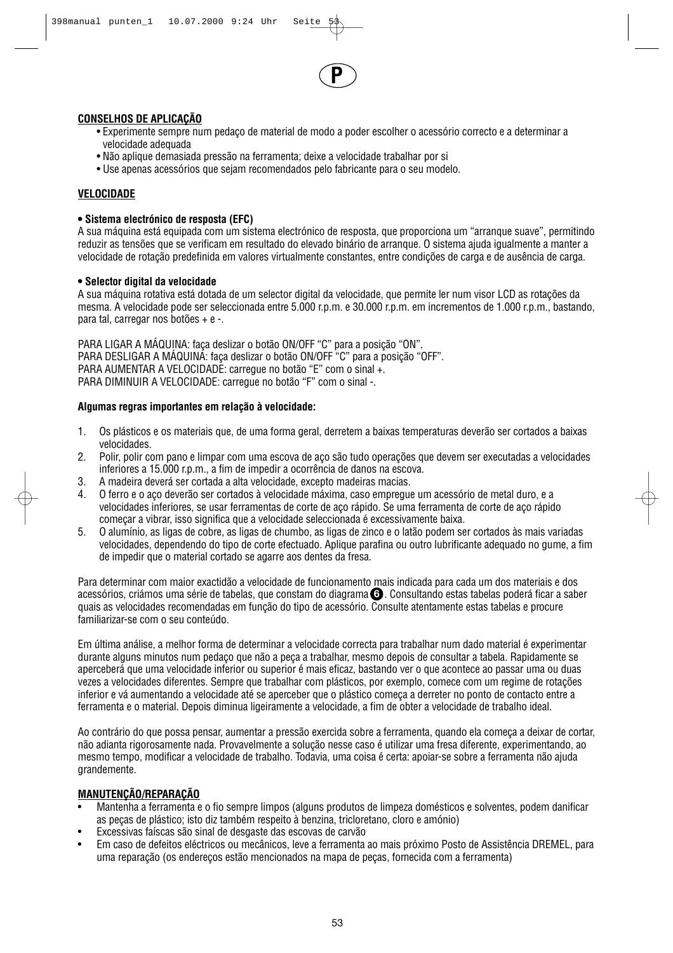

## **CONSELHOS DE APLICAÇÃO**

- Experimente sempre num pedaço de material de modo a poder escolher o acessório correcto e a determinar a velocidade adequada
- Não aplique demasiada pressão na ferramenta; deixe a velocidade trabalhar por si
- Use apenas acessórios que sejam recomendados pelo fabricante para o seu modelo.

## **VELOCIDADE**

#### **• Sistema electrónico de resposta (EFC)**

A sua máquina está equipada com um sistema electrónico de resposta, que proporciona um "arranque suave", permitindo reduzir as tensões que se verificam em resultado do elevado binário de arranque. O sistema ajuda igualmente a manter a velocidade de rotação predefinida em valores virtualmente constantes, entre condições de carga e de ausência de carga.

#### **• Selector digital da velocidade**

A sua máquina rotativa está dotada de um selector digital da velocidade, que permite ler num visor LCD as rotações da mesma. A velocidade pode ser seleccionada entre 5.000 r.p.m. e 30.000 r.p.m. em incrementos de 1.000 r.p.m., bastando, para tal, carregar nos botões + e -.

PARA LIGAR A MÁQUINA: faça deslizar o botão ON/OFF "C" para a posição "ON". PARA DESLIGAR A MÁQUINA: faça deslizar o botão ON/OFF "C" para a posição "OFF". PARA AUMENTAR A VELOCIDADE: carregue no botão "E" com o sinal +. PARA DIMINUIR A VELOCIDADE: carregue no botão "F" com o sinal -.

#### **Algumas regras importantes em relação à velocidade:**

- 1. Os plásticos e os materiais que, de uma forma geral, derretem a baixas temperaturas deverão ser cortados a baixas velocidades.
- 2. Polir, polir com pano e limpar com uma escova de aço são tudo operações que devem ser executadas a velocidades inferiores a 15.000 r.p.m., a fim de impedir a ocorrência de danos na escova.
- 3. A madeira deverá ser cortada a alta velocidade, excepto madeiras macias.
- 4. O ferro e o aço deverão ser cortados à velocidade máxima, caso empregue um acessório de metal duro, e a velocidades inferiores, se usar ferramentas de corte de aço rápido. Se uma ferramenta de corte de aço rápido começar a vibrar, isso significa que a velocidade seleccionada é excessivamente baixa.
- 5. O alumínio, as ligas de cobre, as ligas de chumbo, as ligas de zinco e o latão podem ser cortados às mais variadas velocidades, dependendo do tipo de corte efectuado. Aplique parafina ou outro lubrificante adequado no gume, a fim de impedir que o material cortado se agarre aos dentes da fresa.

Para determinar com maior exactidão a velocidade de funcionamento mais indicada para cada um dos materiais e dos acessórios, criámos uma série de tabelas, que constam do diagrama **G** . Consultando estas tabelas poderá ficar a saber quais as velocidades recomendadas em função do tipo de acessório. Consulte atentamente estas tabelas e procure familiarizar-se com o seu conteúdo.

Em última análise, a melhor forma de determinar a velocidade correcta para trabalhar num dado material é experimentar durante alguns minutos num pedaço que não a peça a trabalhar, mesmo depois de consultar a tabela. Rapidamente se aperceberá que uma velocidade inferior ou superior é mais eficaz, bastando ver o que acontece ao passar uma ou duas vezes a velocidades diferentes. Sempre que trabalhar com plásticos, por exemplo, comece com um regime de rotações inferior e vá aumentando a velocidade até se aperceber que o plástico começa a derreter no ponto de contacto entre a ferramenta e o material. Depois diminua ligeiramente a velocidade, a fim de obter a velocidade de trabalho ideal.

Ao contrário do que possa pensar, aumentar a pressão exercida sobre a ferramenta, quando ela começa a deixar de cortar, não adianta rigorosamente nada. Provavelmente a solução nesse caso é utilizar uma fresa diferente, experimentando, ao mesmo tempo, modificar a velocidade de trabalho. Todavia, uma coisa é certa: apoiar-se sobre a ferramenta não ajuda grandemente.

## **MANUTENÇÃO/REPARAÇÃO**

- Mantenha a ferramenta e o fio sempre limpos (alguns produtos de limpeza domésticos e solventes, podem danificar as peças de plástico; isto diz também respeito à benzina, tricloretano, cloro e amónio)
- Excessivas faíscas são sinal de desgaste das escovas de carvão
- Em caso de defeitos eléctricos ou mecânicos, leve a ferramenta ao mais próximo Posto de Assistência DREMEL, para uma reparação (os endereços estão mencionados na mapa de peças, fornecida com a ferramenta)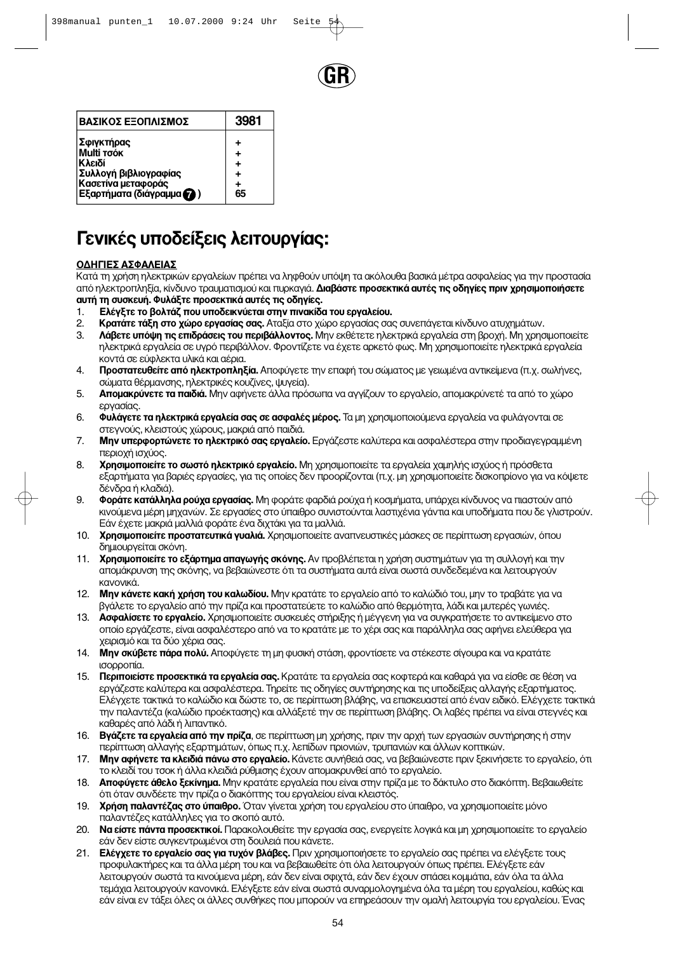

| ΒΑΣΙΚΟΣ ΕΞΟΠΛΙΣΜΟΣ        | 3981 |
|---------------------------|------|
| Σφιγκτήρας                | +    |
| Multi TOÓK                | +    |
| Κλειδί                    | ٠    |
| Συλλογή βιβλιογραφίας     | ٠    |
| Κασετίνα μεταφοράς        | ٠    |
| Εξαρτήματα (διάγραμμα (2) | 65   |

# **Γενικές υποδείξεις λειτουργίας:**

## ΟΔΗΓΙΕΣ ΑΣΦΑΛΕΙΑΣ

Κατά τη χρήση ηλεκτρικών ερναλείων πρέπει να ληφθούν υπόψη τα ακόλουθα βασικά μέτρα ασφαλείας νια την προστασία από ηλεκτροπληξία, κίνδυνο τραυματισμού και πυρκαγιά. **Διαβάστε προσεκτικά αυτές τις οδηγίες πριν χρησιμοποιήσετε αυτή τη συσκευή. Φυλάξτε προσεκτικά αυτές τις οδηγίες.** 

- 1. **Ο Ελέγξτε το βολτάζ που υποδεικνύεται στην πινακίδα του εργαλείου.**<br>2. Ο Κ**οατάτε τάξη στο χώρο εργασίας σας.** Αταξία στο χώρο εργασίας σα
- 2. **βρατάτε τάξη στο χώρο εργασίας σας.** Αταξία στο χώρο εργασίας σας συνεπάγεται κίνδυνο ατυχημάτων.<br>3. **Δάβετε υπόψη τις επιδράσεις του περιβάλλοντος.** Μην εκθέτετε ηλεκτρικά εργαλεία στη βροχή. Μη χρησ
- Λάβετε υπόψη τις επιδράσεις του περιβάλλοντος. Μην εκθέτετε ηλεκτρικά εργαλεία στη βροχή. Μη χρησιμοποιείτε ηλεκτρικά εργαλεία σε υγρό περιβάλλον. Φροντίζετε να έχετε αρκετό φως. Μη χρησιμοποιείτε ηλεκτρικά εργαλεία ΚΟΛΤά σε εύφλεκτα υλικά και αέρια.
- 4. **Προστατευθείτε από ηλεκτροπληξία.** Αποφύνετε την επαφή του σώματος με νειωμένα αντικείμενα (π.χ. σωλήνες, σώματα θέρμανσης, ηλεκτρικές κουζίνες, ψυγεία).
- 5. **Απομακρύνετε τα παιδιά.** Μην αφήνετε άλλα πρόσωπα να αγγίζουν το εργαλείο, απομακρύνετέ τα από το χώρο εργασίας.
- 6. Φυλάγετε τα ηλεκτρικά εργαλεία σας σε ασφαλές μέρος. Τα μη χρησιμοποιούμενα εργαλεία να φυλάγονται σε στεγνούς, κλειστούς χώρους, μακριά από παιδιά.
- 7. **Μην υπερφορτώνετε το ηλεκτρικό σας εργαλείο.** Εργάζεστε καλύτερα και ασφαλέστερα στην προδιαγεγραμμένη περιοχή ισχύος.
- 8. **Χρησιμοποιείτε το σωστό ηλεκτρικό εργαλείο.** Μη χρησιμοποιείτε τα εργαλεία χαμηλής ισχύος ή πρόσθετα εξαρτήματα για βαριές εργασίες, για τις οποίες δεν προορίζονται (π.χ. μη χρησιμοποιείτε δισκοπρίονο για να κόψετε δένδρα ή κλαδιά).
- 9. **Φοράτε κατάλληλα ρούχα εργασίας.** Μη φοράτε φαρδιά ρούχα ή κοσμήματα, υπάρχει κίνδυνος να πιαστούν από ΚΙνούμενα μέρη μηχανών. Σε εργασίες στο ύπαιθρο συνιστούνται λαστιχένια γάντια και υποδήματα που δε γλιστρούν. Εάν έχετε μακριά μαλλιά φοράτε ένα διχτάκι για τα μαλλιά.
- 10. **Χρησιμοποιείτε προστατευτικά γυαλιά.** Χρησιμοποιείτε αναπνευστικές μάσκες σε περίπτωση εργασιών, όπου δημιουργείται σκόνη.
- 11. Χρησιμοποιείτε το εξάρτημα απαγωγής σκόνης. Αν προβλέπεται η χρήση συστημάτων για τη συλλογή και την απομάκρυνση της σκόνης, να βεβαιώνεστε ότι τα συστήματα αυτά είναι σωστά συνδεδεμένα και λειτουργούν κανονικά
- 12. **Μην κάνετε κακή χρήση του καλωδίου.** Μην κρατάτε το εργαλείο από το καλώδιό του, μην το τραβάτε για να βνάλετε το εργαλείο από την πρίζα και προστατεύετε το καλώδιο από θερμότητα, λάδι και μυτερές γωνιές,
- 13. **Ασφαλίσετε το εργαλείο.** Χρησιμοποιείτε συσκευές στήριξης ή μέγγενη για να συγκρατήσετε το αντικείμενο στο οποίο εργάζεστε, είναι ασφαλέστερο από να το κρατάτε με το χέρι σας και παράλληλα σας αφήνει ελεύθερα για χειρισμό και τα δύο χέρια σας.
- 14. **Μην σκύβετε πάρα πολύ.** Αποφύγετε τη μη φυσική στάση, φροντίσετε να στέκεστε σίγουρα και να κρατάτε ισορροπία.
- 15. **Περιποιείστε προσεκτικά τα εργαλεία σας.** Κρατάτε τα εργαλεία σας κοφτερά και καθαρά για να είσθε σε θέση να εργάζεστε καλύτερα και ασφαλέστερα. Τηρείτε τις οδηγίες συντήρησης και τις υποδείξεις αλλαγής εξαρτήματος. Ελέγχετε τακτικά το καλώδιο και δώστε το, σε περίπτωση βλάβης, να επισκευαστεί από έναν ειδικό. Ελέγχετε τακτικά την παλαντέζα (καλώδιο προέκτασης) και αλλάξετέ την σε περίπτωση βλάβης. Οι λαβές πρέπει να είναι στεγνές και καθαρές από λάδι ή λιπαντικό.
- 16. **Βγάζετε τα εργαλεία από την πρίζα**, σε περίπτωση μη χρήσης, πριν την αρχή των εργασιών συντήρησης ή στην περίπτωση αλλαγής εξαρτημάτων, όπως π.χ. λεπίδων πριονιών, τρυπανιών και άλλων κοπτικών.
- 17. **Μην αφήνετε τα κλειδιά πάνω στο εργαλείο.** Κάνετε συνήθειά σας, να βεβαιώνεστε πριν ξεκινήσετε το εργαλείο, όπ <u>το κλειδί του τσοκ ή άλλα κλειδιά ρύθμισης έχουν απομακρυνθεί από το εργαλείο.</u>
- 18. **Αποφύγετε άθελο ξεκίνημα.** Μην κρατάτε εργαλεία που είναι στην πρίζα με το δάκτυλο στο διακόπτη. Βεβαιωθείτε ότι όταν συνδέετε την πρίζα ο διακόπτης του εργαλείου είναι κλειστός.
- 19. **Χρήση παλαντέζας στο ύπαιθρο.** Όταν γίνεται χρήση του εργαλείου στο ύπαιθρο, να χρησιμοποιείτε μόνο παλαντέζες κατάλληλες για το σκοπό αυτό.
- 20. **Να είστε πάντα προσεκτικοί.** Παρακολουθείτε την εργασία σας, ενεργείτε λογικά και μη χρησιμοποιείτε το εργαλείο εάν δεν είστε συγκεντρωμένοι στη δουλειά που κάνετε.
- 21. **Ελέγχετε το εργαλείο σας για τυχόν βλάβες.** Πριν χρησιμοποιήσετε το εργαλείο σας πρέπει να ελέγξετε τους τιροφυλακτήρες και τα άλλα μέρη του και να βεβαιωθείτε ότι όλα λειτουργούν όπως πρέπει. Ελέγξετε εάν λειτουργούν σωστά τα κινούμενα μέρη, εάν δεν είναι σφιχτά, εάν δεν έχουν σπάσει κομμάτια, εάν όλα τα άλλα τεμάχια λειτουργούν κανονικά. Ελέγξετε εάν είναι σωστά συναρμολογημένα όλα τα μέρη του εργαλείου, καθώς και εάν είναι εν τάξει όλες οι άλλες συνθήκες που μπορούν να επηρεάσουν την ομαλή λειτουργία του εργαλείου. Ένας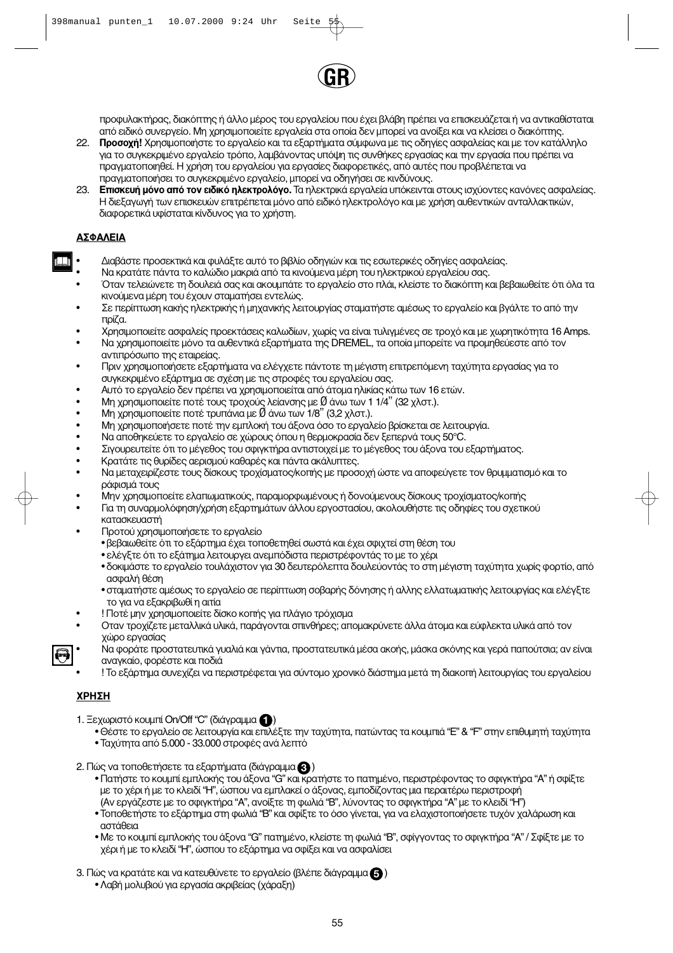

τιροφυλακτήρας. διακόπτης ή άλλο μέρος του εργαλείου που έχει βλάβη πρέπει να επισκευάζεται ή να αντικαθίσταται από ειδικό συνεργείο. Μη χρησιμοποιείτε εργαλεία στα οποία δεν μπορεί να ανοίξει και να κλείσει ο διακόπτης.

- 22. **Προσοχή!** Χρησιμοποιήστε το εργαλείο και τα εξαρτήματα σύμφωνα με τις οδηγίες ασφαλείας και με τον κατάλληλο για το συγκεκριμένο εργαλείο τρόπο, λαμβάνοντας υπόψη τις συνθήκες εργασίας και την εργασία που πρέπει να τιραγματοποιηθεί. Η χρήση του εργαλείου για εργασίες διαφορετικές, από αυτές που προβλέπεται να πραγματοποιήσει το συγκεκριμένο εργαλείο, μπορεί να οδηγήσει σε κινδύνους.
- 23. **Επισκευή μόνο από τον ειδικό ηλεκτρολόγο.** Τα ηλεκτρικά εργαλεία υπόκεινται στους ισχύοντες κανόνες ασφαλείας. Η διεξαγωγή των επισκευών επιτρέπεται μόνο από ειδικό ηλεκτρολόγο και με χρήση αυθεντικών ανταλλακτικών, διαφορετικά υφίσταται κίνδυνος για το χρήστη.

## **<u>ΑΣΦΑΛΕ</u>ΙΑ**

- Διαβάστε προσεκτικά και φυλάξτε αυτό το βιβλίο οδηγιών και τις εσωτερικές οδηγίες ασφαλείας.
- Να κρατάτε πάντα το καλώδιο μακριά από τα κινούμενα μέρη του ηλεκτρικού εργαλείου σας.
- Όταν τελειώνετε τη δουλειά σας και ακουμπάτε το εργαλείο στο πλάι, κλείστε το διακόπτη και βεβαιωθείτε ότι όλα τα κινούμενα μέρη του έχουν σταματήσει εντελώς.
- Σε περίπτωση κακής ηλεκτρικής ή μηχανικής λειτουργίας σταματήστε αμέσως το εργαλείο και βγάλτε το από την  $\overline{\text{moiZ}}$ a.
- Χρησιμοποιείτε ασφαλείς προεκτάσεις καλωδίων, χωρίς να είναι τυλιγμένες σε τροχό και με χωρητικότητα 16 Amps.
- Να χρησιμοποιείτε μόνο τα αυθεντικά εξαρτήματα της DREMEL, τα οποία μπορείτε να προμηθεύεστε από τον αντιπρόσωπο της εταιρείας.
- Πριν χρησιμοποιήσετε εξαρτήματα να ελέγχετε πάντοτε τη μέγιστη επιτρεπόμενη ταχύτητα εργασίας για το συγκεκριμένο εξάρτημα σε σχέση με τις στροφές του εργαλείου σας.
- Αυτό το εργαλείο δεν πρέπει να χρησιμοποιείται από άτομα ηλικίας κάτω των 16 ετών.
- Μη χρησιμοποιείτε ποτέ τους τροχούς λείανσης με  $\emptyset$  άνω των 1 1/4" (32 χλστ.).
- $\overline{M}$ ή χρησιμοποιείτε ποτέ τουπάνια με  $\overline{Q}$  άνω των 1/8" (3,2 χλστ.).
- Μη χρησιμοποιήσετε ποτέ την εμπλοκή του άξονα όσο το εργαλείο βρίσκεται σε λειτουργία.
- Να αποθηκεύετε το εργαλείο σε χώρους όπου η θερμοκρασία δεν ξεπερνά τους 50°C.
- Σιγουρευτείτε ότι το μέγεθος του σφιγκτήρα αντιστοιχεί με το μέγεθος του άξονα του εξαρτήματος.
- Κρατάτε τις θυρίδες αερισμού καθαρές και πάντα ακάλυπτες.
- Να μεταχειρίζεστε τους δίσκους τροχίσματος/κοπής με προσοχή ώστε να αποφεύγετε τον θρυμματισμό και το ράφισμά τους
	- Μην χρησιμοποείτε ελαπωματικούς, παραμορφωμένους ή δονούμενους δίσκους τροχίσματος/κοπής
- Για τη συναρμολόφηση/χρήση εξαρτημάτων άλλου εργοστασίου, ακολουθήστε τις οδηφίες του σχετικού κατασκευαστή
	- Προτού χρησιμοποιήσετε το εργαλείο
		- βεβαιωθείτε ότι το εξάρτημα έχει τοποθετηθεί σωστά και έχει σφιχτεί στη θέση του
		- ελέγξτε ότι το εξάτημα λειτουργει ανεμπόδιστα περιστρέφοντάς το με το χέρι
		- δοκιμάστε το εργαλείο τουλάχιστον για 30 δευτερόλεπτα δουλεύοντάς το στη μέγιστη ταχύτητα χωρίς φορτίο, από ασφαλή θέση
		- σταματήστε αμέσως το εργαλείο σε περίπτωση σοβαρής δόνησης ή αλλης ελλατωματικής λειτουργίας και ελέγξτε το για να εξακριβωθί η αιτία
- Ποτέ μην χρησιμοποιείτε δίσκο κοπής για πλάγιο τρόχισμα
- Οταν τροχίζετε μεταλλικά υλικά, παράγονται σπινθήρες; απομακρύνετε άλλα άτομα και εύφλεκτα υλικά από τον χώρο εργασίας
- Να φοράτε προστατευτικά γυαλιά και γάντια, προστατευτικά μέσα ακοής, μάσκα σκόνης και γερά παπούτσια; αν είναι αναγκαίο, φορέστε και ποδιά
- ! Το εξάρτημα συνεχίζει να περιστρέφεται για σύντομο χρονικό διάστημα μετά τη διακοπή λειτουργίας του εργαλείου

## **Ã∏™∏**

- 1. Ξεχωριστό κουμπί On/Off "C" (διάγραμμα (D)
	- Θέστε το εργαλείο σε λειτουργία και επιλέξτε την ταχύτητα, πατώντας τα κουμπιά "Ε" & "F" στην επιθυμητή ταχύτητα
	- Ταχύτητα από 5.000 33.000 στροφές ανά λεπτό
- 2. Πώς να τοποθετήσετε τα εξαρτήματα (διάγραμμα **&** )
	- Πατήστε το κουμπί εμπλοκής του άξονα "G" και κρατήστε το πατημένο, περιστρέφοντας το σφιγκτήρα "A" ή σφίξτε με το χέρι ή με το κλειδί "Η", ώσπου να εμπλακεί ο άξονας, εμποδίζοντας μια περαιτέρω περιστροφή (Αν εργάζεστε με το σφιγκτήρα "Α", ανοίξτε τη φωλιά "Β", λύνοντας το σφιγκτήρα "Α" με το κλειδί "Η")
	- Τοποθετήστε το εξάρτημα στη φωλιά "Β" και σφίξτε το όσο γίνεται, για να ελαχιστοποιήσετε τυχόν χαλάρωση και αστάθεια
	- Με το κουμπί εμπλοκής του άξονα "G" πατημένο, κλείστε τη φωλιά "B", σφίγγοντας το σφιγκτήρα "A" / Σφίξτε με το χέρι ή με το κλειδί "Η", ώσπου το εξάρτημα να σφίξει και να ασφαλίσει
- 3. Πώς να κρατάτε και να κατευθύνετε το εργαλείο (βλέπε διάγραμμα  $\color{red}\bm{\mathrm{G}}$  )
	- Λαβή μολυβιού για εργασία ακριβείας (χάραξη)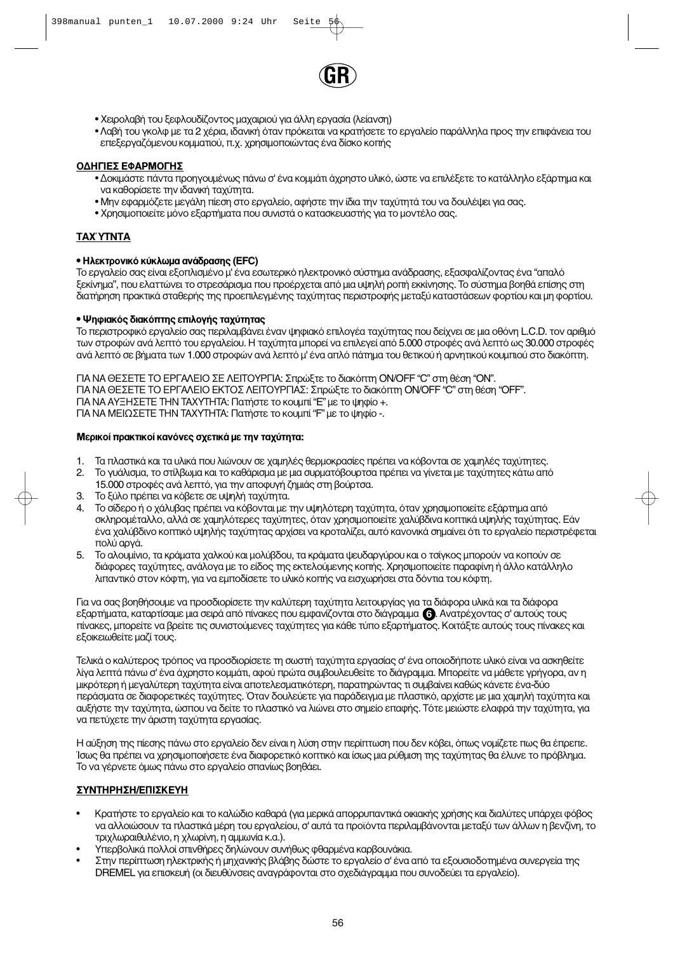

- Χειρολαβή του ξεφλουδίζοντος μαχαιριού για άλλη εργασία (λείανση)
- Λαβή του γκολφ με τα 2 χέρια, ιδανική όταν πρόκειται να κρατήσετε το εργαλείο παράλληλα προς την επιφάνεια του επεξεργαζόμενου κομματιού, π.χ. χρησιμοποιώντας ένα δίσκο κοπής

#### ΟΔΗΓΙΕΣ ΕΦΑΡΜΟΓΗΣ

- Δοκιμάστε πάντα προηγουμένως πάνω σ' ένα κομμάτι άχρηστο υλικό, ώστε να επιλέξετε το κατάλληλο εξάρτημα και να καθορίσετε την ιδανική ταχύτητα.
- Μην εφαρμόζετε μεγάλη πίεση στο εργαλείο, αφήστε την ίδια την ταχύτητά του να δουλέψει για σας.
- Χρησιμοποιείτε μόνο εξαρτήματα που συνιστά ο κατασκευαστής για το μοντέλο σας.

#### **TAX′YTNTA**

#### • Ηλεκτρονικό κύκλωμα ανάδρασης (EFC)

Το εργαλείο σας είναι εξοπλισμένο μ' ένα εσωτερικό ηλεκτρονικό σύστημα ανάδρασης, εξασφαλίζοντας ένα "απαλό ξεκίνημα", που ελαττώνει το στρεσάρισμα που προέρχεται από μια υψηλή ροπή εκκίνησης. Το σύστημα βοηθά επίσης στη διατήρηση πρακτικά σταθερής της προεπιλεγμένης ταχύτητας περιστροφής μεταξύ καταστάσεων φορτίου και μη φορτίου.

#### • Ψηφιακός διακόπτης επιλονής ταχύτητας

Το περιστροφικό εργαλείο σας περιλαμβάνει έναν ψηφιακό επιλονέα ταχύτητας που δείχνει σε μια οθόνη L.C.D. τον αριθμό των στροφών ανά λεπτό του εργαλείου. Η ταχύτητα μπορεί να επιλεγεί από 5.000 στροφές ανά λεπτό ως 30.000 στροφές ανά λεπτό σε βήματα των 1.000 στροφών ανά λεπτό μ' ένα απλό πάτημα του θετικού ή αρνητικού κουμπιού στο διακόπτη.

ΓΙΑ ΝΑ ΘΕΣΕΤΕ ΤΟ ΕΡΓΑΛΕΙΟ ΣΕ ΛΕΙΤΟΥΡΓΙΑ: Σπρώξτε το διακόπτη ΟΝ/ΟFF "C" στη θέση "ON". ΓΙΑ ΝΑ ΘΕΣΕΤΕ ΤΟ ΕΡΓΑΛΕΙΟ ΕΚΤΟΣ ΛΕΙΤΟΥΡΓΙΑΣ: Σπρώξτε το διακόπτη ON/OFF "C" στη θέση "OFF". ΓΙΑ ΝΑ ΑΥΞΗΣΕΤΕ ΤΗΝ ΤΑΧΥΤΗΤΑ: Πατήστε το κουμπί "Ε" με το ψηφίο +. ΓΙΑ ΝΑ ΜΕΙΩΣΕΤΕ ΤΗΝ ΤΑΧΥΤΗΤΑ: Πατήστε το κουμπί "F" με το ψηφίο -.

#### **Μερικοί πρακτικοί κανόνες σχετικά με την ταχύτητα:**

- 1. Τα πλαστικά και τα υλικά που λιώνουν σε χαμηλές θερμοκρασίες πρέπει να κόβονται σε χαμηλές ταχύτητες.
- 2. Το γυάλισμα, το στίλβωμα και το καθάρισμα με μια συρματόβουρτσα πρέπει να γίνεται με ταχύτητες κάτω από
- 15.000 στροφές ανά λεπτό, για την αποφυγή ζημιάς στη βούρτσα.
- 3. Το ξύλο πρέπει να κόβετε σε υψηλή ταχύτητα.
- 4. Το σίδερο ή ο χάλυβας πρέπει να κόβονται με την υψηλότερη ταχύτητα, όταν χρησιμοποιείτε εξάρτημα από σκληρομέταλλο, αλλά σε χαμηλότερες ταχύτητες, όταν χρησιμοποιείτε χαλύβδινα κοπτικά υψηλής ταχύτητας. Εάν ένα χαλύβδινο κοπτικό υψηλής ταχύτητας αρχίσει να κροταλίζει, αυτό κανονικά σημαίνει ότι το εργαλείο περιστρέφεται πολύ αρνά.
- 5. Το αλουμίνιο, τα κράματα χαλκού και μολύβδου, τα κράματα ψευδαργύρου και ο τσίγκος μπορούν να κοπούν σε διάφορες ταχύτητες, ανάλογα με το είδος της εκτελούμενης κοπής. Χρησιμοποιείτε παραφίνη ή άλλο κατάλληλο λιπαντικό στον κόφτη, για να εμποδίσετε το υλικό κοπής να εισχωρήσει στα δόντια του κόφτη.

Για να σας βοηθήσουμε να προσδιορίσετε την καλύτερη ταχύτητα λειτουργίας για τα διάφορα υλικά και τα διάφορα εξαρτήματα, καταρτίσαμε μια σειρά από πίνακες που εμφανίζονται στο διάγραμμα (6). Ανατρέχοντας σ' αυτούς τους πίνακες, μπορείτε να βρείτε τις συνιστούμενες ταχύτητες για κάθε τύπο εξαρτήματος. Κοιτάξτε αυτούς τους πίνακες και εξοικειωθείτε μαζί τους.

Τελικά ο καλύτερος τρόπος να προσδιορίσετε τη σωστή ταχύτητα εργασίας σ' ένα οποιοδήποτε υλικό είναι να ασκηθείτε λίγα λεπτά πάνω σ' ένα άχρηστο κομμάτι, αφού πρώτα συμβουλευθείτε το διάγραμμα. Μπορείτε να μάθετε γρήγορα, αν η μικρότερη ή μεγαλύτερη ταχύτητα είναι αποτελεσματικότερη, παρατηρώντας τι συμβαίνει καθώς κάνετε ένα-δύο περάσματα σε διαφορετικές ταχύτητες. Όταν δουλεύετε για παράδειγμα με πλαστικό, αρχίστε με μια χαμηλή ταχύτητα και αυξήστε την ταχύτητα, ώσπου να δείτε το πλαστικό να λιώνει στο σημείο επαφής. Τότε μειώστε ελαφρά την ταχύτητα, για να πετύχετε την άριστη ταχύτητα εργασίας.

Η αύξηση της πίεσης πάνω στο εργαλείο δεν είναι η λύση στην περίπτωση που δεν κόβει, όπως νομίζετε πως θα έπρεπε. Ίσως θα πρέπει να χρησιμοποιήσετε ένα διαφορετικό κοπτικό και ίσως μια ρύθμιση της ταχύτητας θα έλυνε το πρόβλημα. Το να γέρνετε όμως πάνω στο εργαλείο σπανίως βοηθάει.

## ΣΥΝΤΗΡΗΣΗ/ΕΠΙΣΚΕΥΗ

- Κρατήστε το εργαλείο και το καλώδιο καθαρά (για μερικά απορρυπαντικά οικιακής χρήσης και διαλύτες υπάρχει φόβος να αλλοιώσουν τα πλαστικά μέρη του εργαλείου, σ' αυτά τα προϊόντα περιλαμβάνονται μεταξύ των άλλων η βενζίνη, το τριχλωραιθυλένιο, η χλωρίνη, η αμμωνία κ.α.).
- Υπερβολικά πολλοί σπινθήρες δηλώνουν συνήθως φθαρμένα καρβουνάκια.
- Στην περίπτωση ηλεκτρικής ή μηχανικής βλάβης δώστε το εργαλείο σ' ένα από τα εξουσιοδοτημένα συνεργεία της DREMEL για επισκευή (οι διευθύνσεις αναγράφονται στο σχεδιάγραμμα που συνοδεύει τα εργαλείο).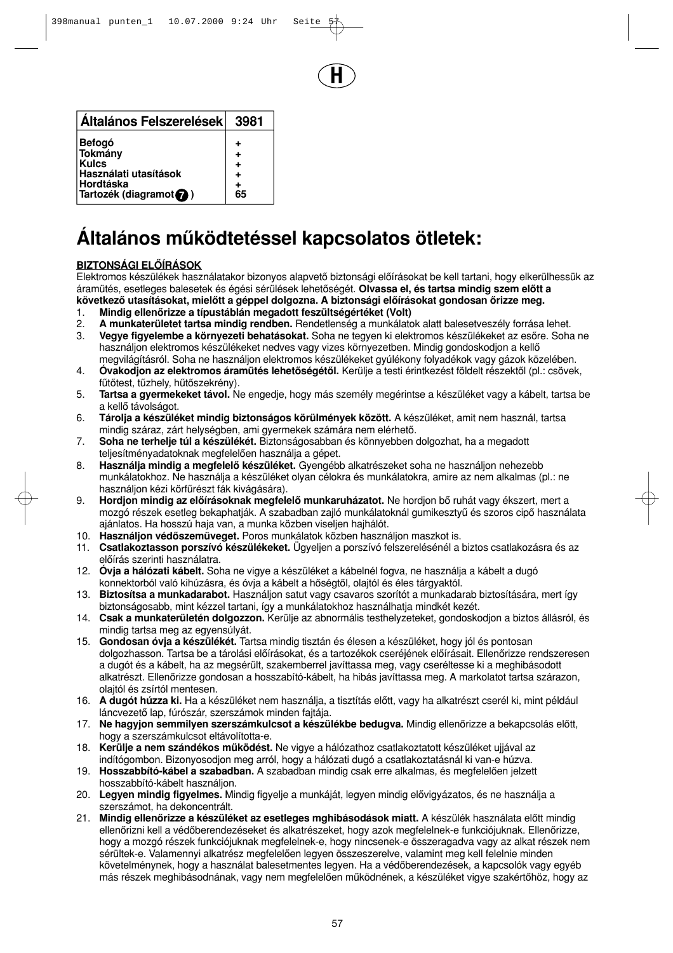

| Általános Felszerelések                                                                                  | 3981 |
|----------------------------------------------------------------------------------------------------------|------|
| <b>Befogó</b><br>Tokmány<br><b>Kulcs</b><br>Használati utasítások<br>Hordtáska<br>Tartozék (diagramot ?) | 65   |

# **Általános mæködtetéssel kapcsolatos ötletek:**

## **BIZTONSÁGI ELŒÍRÁSOK**

Elektromos készülékek használatakor bizonyos alapvető biztonsági előírásokat be kell tartani, hogy elkerülhessük az áramütés, esetleges balesetek és égési sérülések lehetőségét. **Olvassa el, és tartsa mindig szem előtt a** következő utasításokat, mielőtt a géppel dolgozna. A biztonsági előírásokat gondosan őrizze meg.

- 1. Mindig ellenőrizze a típustáblán megadott feszültségértéket (Volt)
- 2. **A munkaterületet tartsa mindig rendben.** Rendetlenség a munkálatok alatt balesetveszély forrása lehet. 3. **Vegye figyelembe a környezeti behatásokat.** Soha ne tegyen ki elektromos készülékeket az esőre. Soha ne használjon elektromos készülékeket nedves vagy vizes környezetben. Mindig gondoskodjon a kellő megvilágításról. Soha ne használjon elektromos készülékeket gyúlékony folyadékok vagy gázok közelében.
- 4. Óvakodjon az elektromos áramütés lehetőségétől. Kerülje a testi érintkezést földelt részektől (pl.: csövek, fűtőtest, tűzhely, hűtőszekrény).
- 5. **Tartsa a gyermekeket távol.** Ne engedje, hogy más személy megérintse a készüléket vagy a kábelt, tartsa be a kellő távolságot.
- 6. **Tárolja a készüléket mindig biztonságos körülmények között.** A készüléket, amit nem használ, tartsa mindig száraz, zárt helységben, ami gyermekek számára nem elérhető.
- 7. **Soha ne terhelje túl a készülékét.** Biztonságosabban és könnyebben dolgozhat, ha a megadott teljesítményadatoknak megfelelően használja a gépet.
- 8. **Használja mindig a megfelelő készüléket.** Gyengébb alkatrészeket soha ne használjon nehezebb munkálatokhoz. Ne használja a készüléket olyan célokra és munkálatokra, amire az nem alkalmas (pl.: ne használjon kézi körfűrészt fák kivágására).
- 9. **Hordjon mindig az előírásoknak megfelelő munkaruházatot.** Ne hordjon bő ruhát vagy ékszert, mert a mozgó részek esetleg bekaphatják. A szabadban zajló munkálatoknál gumikesztyű és szoros cipő használata ajánlatos. Ha hosszú haja van, a munka közben viseljen hajhálót.
- 10. Használjon védőszemüveget. Poros munkálatok közben használjon maszkot is.
- 11. **Csatlakoztasson porszívó készülékeket.** Ügyeljen a porszívó felszerelésénél a biztos csatlakozásra és az előírás szerinti használatra.
- 12. **Óvja a hálózati kábelt.** Soha ne vigye a készüléket a kábelnél fogva, ne használja a kábelt a dugó konnektorból való kihúzásra, és óvja a kábelt a hőségtől, olajtól és éles tárgyaktól.
- 13. **Biztosítsa a munkadarabot.** Használjon satut vagy csavaros szorítót a munkadarab biztosítására, mert így biztonságosabb, mint kézzel tartani, így a munkálatokhoz használhatja mindkét kezét.
- 14. **Csak a munkaterületén dolgozzon.** Kerülje az abnormális testhelyzeteket, gondoskodjon a biztos állásról, és mindig tartsa meg az egyensúlyát.
- 15. **Gondosan óvja a készülékét.** Tartsa mindig tisztán és élesen a készüléket, hogy jól és pontosan dolgozhasson. Tartsa be a tárolási előírásokat, és a tartozékok cseréjének előírásait. Ellenőrizze rendszeresen a dugót és a kábelt, ha az megsérült, szakemberrel javíttassa meg, vagy cseréltesse ki a meghibásodott alkatrészt. Ellenőrizze gondosan a hosszabító-kábelt, ha hibás javíttassa meg. A markolatot tartsa szárazon, olajtól és zsírtól mentesen.
- 16. **A dugót húzza ki.** Ha a készüléket nem használja, a tisztítás előtt, vagy ha alkatrészt cserél ki, mint például láncvezető lap, fúrószár, szerszámok minden fajtája.
- 17. Ne hagyjon semmilyen szerszámkulcsot a készülékbe bedugva. Mindig ellenőrizze a bekapcsolás előtt, hogy a szerszámkulcsot eltávolította-e.
- 18. **Kerülje a nem szándékos működést.** Ne vigye a hálózathoz csatlakoztatott készüléket ujjával az indítógombon. Bizonyosodjon meg arról, hogy a hálózati dugó a csatlakoztatásnál ki van-e húzva.
- 19. **Hosszabbító-kábel a szabadban.** A szabadban mindig csak erre alkalmas, és megfelelően jelzett hosszabbító-kábelt használjon.
- 20. Legyen mindig figyelmes. Mindig figyelje a munkáját, legyen mindig elővigyázatos, és ne használja a szerszámot, ha dekoncentrált.
- 21. Mindig ellenőrizze a készüléket az esetleges mghibásodások miatt. A készülék használata előtt mindig ellenőrizni kell a védőberendezéseket és alkatrészeket, hogy azok megfelelnek-e funkciójuknak. Ellenőrizze, hogy a mozgó részek funkciójuknak megfelelnek-e, hogy nincsenek-e összeragadva vagy az alkat részek nem sérültek-e. Valamennyi alkatrész megfelelően legyen összeszerelve, valamint meg kell felelnie minden követelménynek, hogy a használat balesetmentes legyen. Ha a védőberendezések, a kapcsolók vagy egyéb más részek meghibásodnának, vagy nem megfelelően működnének, a készüléket vigye szakértőhöz, hogy az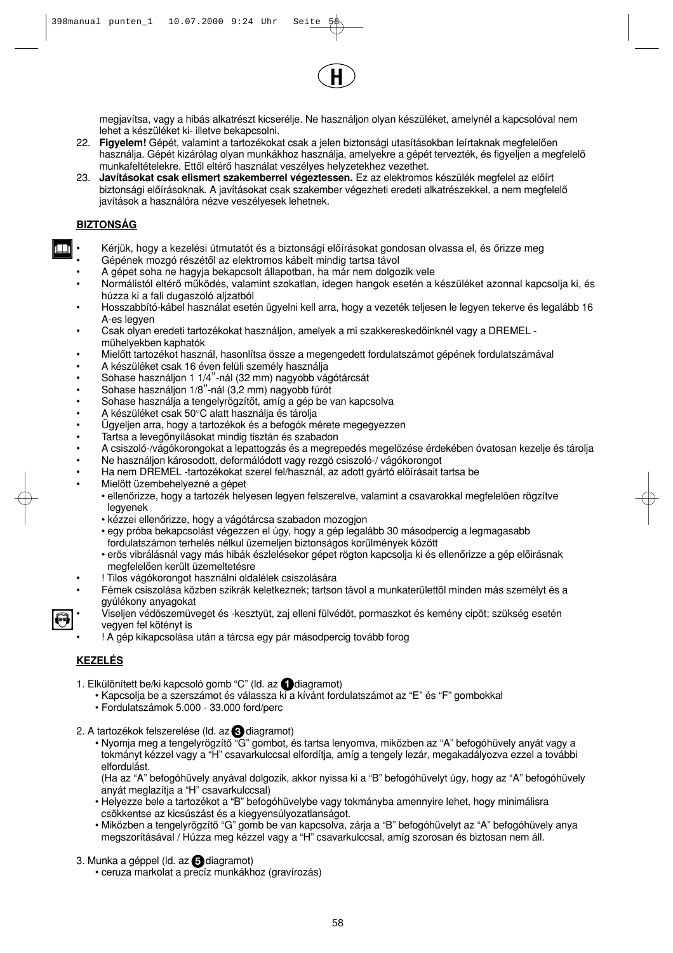megjavítsa, vagy a hibás alkatrészt kicserélje. Ne használjon olyan készüléket, amelynél a kapcsolóval nem lehet a készüléket ki- illetve bekapcsolni.

**H**

- 22. Figyelem! Gépét, valamint a tartozékokat csak a jelen biztonsági utasításokban leírtaknak megfelelően használja. Gépét kizárólag olyan munkákhoz használja, amelyekre a gépét tervezték, és figyeljen a megfelelő munkafeltételekre. Ettől eltérő használat veszélyes helyzetekhez vezethet.
- 23. Javításokat csak elismert szakemberrel végeztessen. Ez az elektromos készülék megfelel az előírt biztonsági előírásoknak. A javításokat csak szakember végezheti eredeti alkatrészekkel, a nem megfelelő javítások a használóra nézve veszélyesek lehetnek.

## **BIZTONSÁG**

╥

- Kérjük, hogy a kezelési útmutatót és a biztonsági előírásokat gondosan olvassa el, és őrizze meg
- Gépének mozgó részétől az elektromos kábelt mindig tartsa távol
- A gépet soha ne hagyja bekapcsolt állapotban, ha már nem dolgozik vele
- Normálistól eltérő működés, valamint szokatlan, idegen hangok esetén a készüléket azonnal kapcsolja ki, és húzza ki a fali dugaszoló aljzatból
- Hosszabbító-kábel használat esetén ügyelni kell arra, hogy a vezeték teljesen le legyen tekerve és legalább 16 A-es legyen
- Csak olyan eredeti tartozékokat használjon, amelyek a mi szakkereskedőinknél vagy a DREMEL műhelyekben kaphatók
- Mielőtt tartozékot használ, hasonlítsa össze a megengedett fordulatszámot gépének fordulatszámával
- A készüléket csak 16 éven felüli személy használja
- Sohase használjon 1 1/4"-nál (32 mm) nagyobb vágótárcsát
- Sohase használjon 1/8"-nál (3,2 mm) nagyobb fúrót
- Sohase használja a tengelyrögzítőt, amíg a gép be van kapcsolva
- A készüléket csak 50°C alatt használja és tárolja
- Ügyeljen arra, hogy a tartozékok és a befogók mérete megegyezzen
- Tartsa a levegőnyílásokat mindig tisztán és szabadon
- A csiszoló-/vágókorongokat a lepattogzás és a megrepedés megelözése érdekében óvatosan kezelje és tárolja
- Ne használjon károsodott, deformálódott vagy rezgö csiszoló-/ vágókorongot
- Ha nem DREMEL -tartozékokat szerel fel/használ, az adott gyártó elöírásait tartsa be • Mielött üzembehelyezné a gépet
	- ellenőrizze, hogy a tartozék helyesen legyen felszerelve, valamint a csavarokkal megfelelöen rögzítve legyenek
		- kézzei ellenőrizze, hogy a vágótárcsa szabadon mozogjon
		- egy próba bekapcsolást végezzen el úgy, hogy a gép legalább 30 másodpercig a legmagasabb fordulatszámon terhelés nélkul üzemeljen biztonságos korűlmények között
		- erös vibrálásnál vagy más hibák észlelésekor gépet rögton kapcsolja ki és ellenőrizze a gép előirásnak megfelelően került üzemeltetésre
- ! Tilos vágókorongot használni oldalélek csiszolására
- Fémek csiszolása közben szikrák keletkeznek; tartson távol a munkaterülettöl minden más személyt és a gyúlékony anyagokat
- Viseljen védöszemüveget és -kesztyüt, zaj elleni fülvédöt, pormaszkot és kemény cipöt; szükség esetén vegyen fel kötényt is
	- ! A gép kikapcsolása után a tárcsa egy pár másodpercig tovább forog

## **KEZELÉS**

- 1. Elkülönített be/ki kapcsoló gomb "C" (ld. az **diagramot)** 
	- Kapcsolja be a szerszámot és válassza ki a kívánt fordulatszámot az "E" és "F" gombokkal
	- Fordulatszámok 5.000 33.000 ford/perc
- 2. A tartozékok felszerelése (ld. az **3** diagramot)
	- Nyomja meg a tengelyrögzítő "G" gombot, és tartsa lenyomva, miközben az "A" befogóhüvely anyát vagy a tokmányt kézzel vagy a "H" csavarkulccsal elfordítja, amíg a tengely lezár, megakadályozva ezzel a további elfordulást.

(Ha az "A" befogóhüvely anyával dolgozik, akkor nyissa ki a "B" befogóhüvelyt úgy, hogy az "A" befogóhüvely anyát meglazítja a "H" csavarkulccsal)

- Helyezze bele a tartozékot a "B" befogóhüvelybe vagy tokmányba amennyire lehet, hogy minimálisra csökkentse az kicsúszást és a kiegyensúlyozatlanságot.
- Miközben a tengelyrögzítő "G" gomb be van kapcsolva, zárja a "B" befogóhüvelyt az "A" befogóhüvely anya megszorításával / Húzza meg kézzel vagy a "H" csavarkulccsal, amíg szorosan és biztosan nem áll.
- 3. Munka a géppel (ld. az **@** diagramot)
	- ceruza markolat a precíz munkákhoz (gravírozás)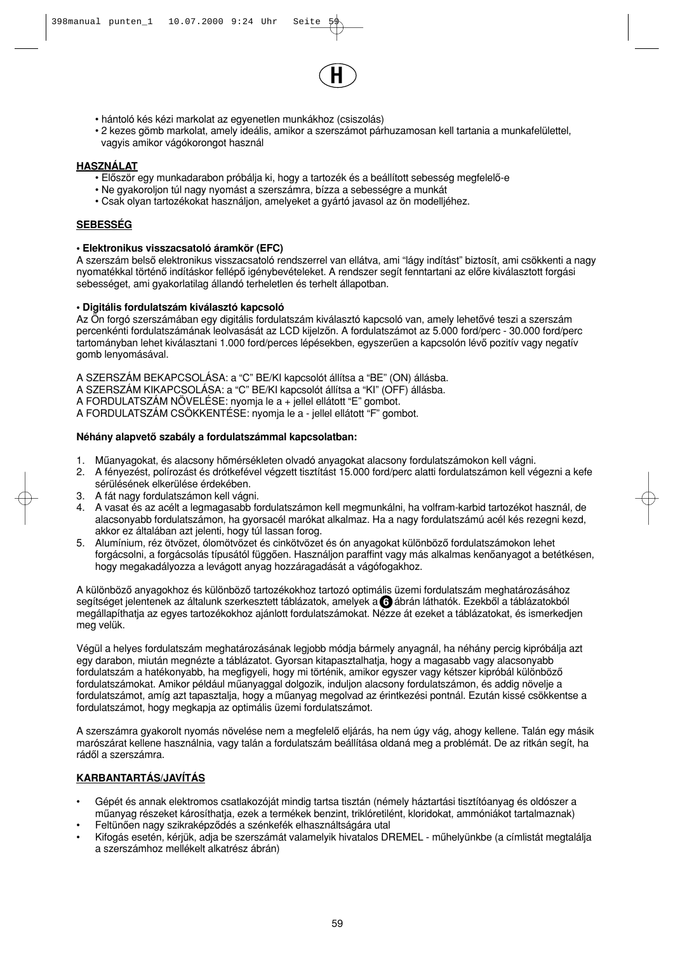

- hántoló kés kézi markolat az egyenetlen munkákhoz (csiszolás)
- 2 kezes gömb markolat, amely ideális, amikor a szerszámot párhuzamosan kell tartania a munkafelülettel, vagyis amikor vágókorongot használ

## **HASZNÁLAT**

- Először egy munkadarabon próbálja ki, hogy a tartozék és a beállított sebesség megfelelő-e
- Ne gyakoroljon túl nagy nyomást a szerszámra, bízza a sebességre a munkát
- Csak olyan tartozékokat használjon, amelyeket a gyártó javasol az ön modelljéhez.

## **SEBESSÉG**

#### **• Elektronikus visszacsatoló áramkör (EFC)**

A szerszám belső elektronikus visszacsatoló rendszerrel van ellátva, ami "lágy indítást" biztosít, ami csökkenti a nagy nyomatékkal történő indításkor fellépő igénybevételeket. A rendszer segít fenntartani az előre kiválasztott forgási sebességet, ami gyakorlatilag állandó terheletlen és terhelt állapotban.

#### **• Digitális fordulatszám kiválasztó kapcsoló**

Az Ön forgó szerszámában egy digitális fordulatszám kiválasztó kapcsoló van, amely lehetővé teszi a szerszám percenkénti fordulatszámának leolvasását az LCD kijelzőn. A fordulatszámot az 5.000 ford/perc - 30.000 ford/perc tartományban lehet kiválasztani 1.000 ford/perces lépésekben, egyszerűen a kapcsolón lévő pozitív vagy negatív gomb lenyomásával.

A SZERSZÁM BEKAPCSOLÁSA: a "C" BE/KI kapcsolót állítsa a "BE" (ON) állásba. A SZERSZÁM KIKAPCSOLÁSA: a "C" BE/KI kapcsolót állítsa a "KI" (OFF) állásba. A FORDULATSZÁM NÖVELÉSE: nyomja le a + jellel ellátott "E" gombot. A FORDULATSZÁM CSÖKKENTÉSE: nyomja le a - jellel ellátott "F" gombot.

## Néhány alapvető szabály a fordulatszámmal kapcsolatban:

- 1. Műanyagokat, és alacsony hőmérsékleten olvadó anyagokat alacsony fordulatszámokon kell vágni.
- 2. A fényezést, polírozást és drótkefével végzett tisztítást 15.000 ford/perc alatti fordulatszámon kell végezni a kefe sérülésének elkerülése érdekében.
- 3. A fát nagy fordulatszámon kell vágni.
- 4. A vasat és az acélt a legmagasabb fordulatszámon kell megmunkálni, ha volfram-karbid tartozékot használ, de alacsonyabb fordulatszámon, ha gyorsacél marókat alkalmaz. Ha a nagy fordulatszámú acél kés rezegni kezd, akkor ez általában azt jelenti, hogy túl lassan forog.
- 5. Alumínium, réz ötvözet, ólomötvözet és cinkötvözet és ón anyagokat különböző fordulatszámokon lehet forgácsolni, a forgácsolás típusától függően. Használjon paraffint vagy más alkalmas kenőanyagot a betétkésen, hogy megakadályozza a levágott anyag hozzáragadását a vágófogakhoz.

A különböző anyagokhoz és különböző tartozékokhoz tartozó optimális üzemi fordulatszám meghatározásához segítséget jelentenek az általunk szerkesztett táblázatok, amelyek a **G** ábrán láthatók. Ezekből a táblázatokból megállapíthatja az egyes tartozékokhoz ajánlott fordulatszámokat. Nézze át ezeket a táblázatokat, és ismerkedjen meg velük.

Végül a helyes fordulatszám meghatározásának legjobb módja bármely anyagnál, ha néhány percig kipróbálja azt egy darabon, miután megnézte a táblázatot. Gyorsan kitapasztalhatja, hogy a magasabb vagy alacsonyabb fordulatszám a hatékonyabb, ha megfigyeli, hogy mi történik, amikor egyszer vagy kétszer kipróbál különböző fordulatszámokat. Amikor például műanyaggal dolgozik, induljon alacsony fordulatszámon, és addig növelje a fordulatszámot, amíg azt tapasztalja, hogy a műanyag megolvad az érintkezési pontnál. Ezután kissé csökkentse a fordulatszámot, hogy megkapja az optimális üzemi fordulatszámot.

A szerszámra gyakorolt nyomás növelése nem a megfelelő eljárás, ha nem úgy vág, ahogy kellene. Talán egy másik marószárat kellene használnia, vagy talán a fordulatszám beállítása oldaná meg a problémát. De az ritkán segít, ha rádől a szerszámra.

## **KARBANTARTÁS/JAVÍTÁS**

- Gépét és annak elektromos csatlakozóját mindig tartsa tisztán (némely háztartási tisztítóanyag és oldószer a mæanyag részeket károsíthatja, ezek a termékek benzint, triklóretilént, kloridokat, ammóniákot tartalmaznak)
- Feltünően nagy szikraképződés a szénkefék elhasználtságára utal
- Kifogás esetén, kérjük, adja be szerszámát valamelyik hivatalos DREMEL műhelyünkbe (a címlistát megtalálja a szerszámhoz mellékelt alkatrész ábrán)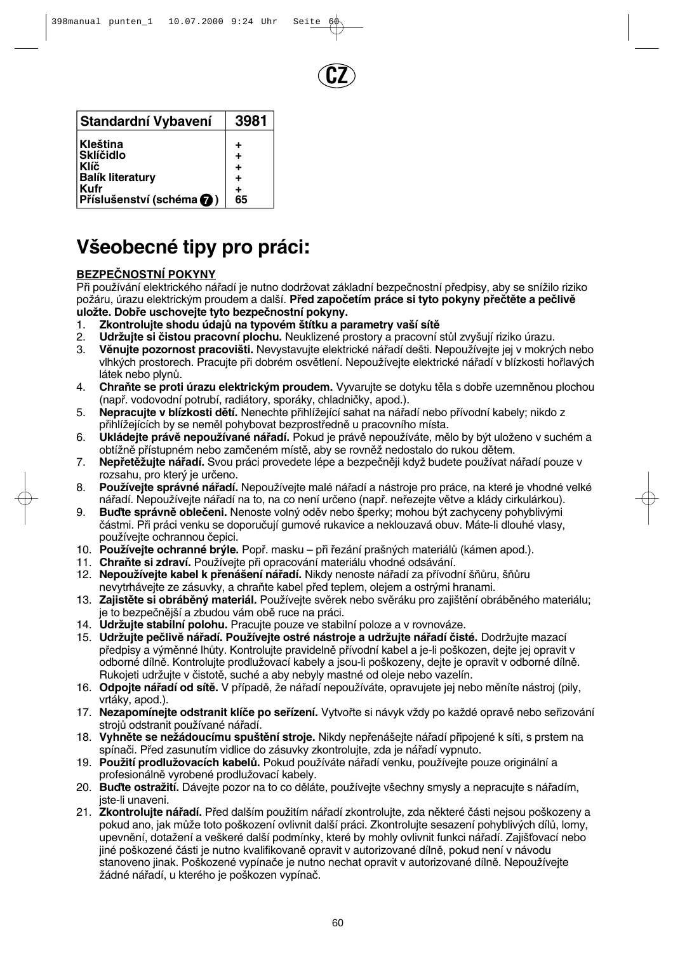

| Standardní Vybavení      | 3981 |
|--------------------------|------|
| Kleština                 | ٠    |
| <b>Sklíčidlo</b>         |      |
| <b>Klíč</b>              | +    |
| <b>Balík literatury</b>  | ٠    |
| Kufr                     | ٠    |
| Příslušenství (schéma () | 65   |

# **V‰eobecné tipy pro práci:**

## **BEZPEâNOSTNÍ POKYNY**

Při používání elektrického nářadí je nutno dodržovat základní bezpečnostní předpisy, aby se snížilo riziko požáru, úrazu elektrickým proudem a další. Před započetím práce si tyto pokyny přečtěte a pečlivě uložte. Dobře uschovejte tyto bezpečnostní pokyny.

- 1. **Zkontrolujte shodu údajÛ na typovém ‰títku a parametry va‰í sítû**
- 2. **Udržujte si čistou pracovní plochu.** Neuklizené prostory a pracovní stůl zvyšují riziko úrazu.<br>3. **Věnujte pozornost pracovišti.** Nevystavujte elektrické nářadí dešti. Nepoužívejte jej v mokrý
- Věnujte pozornost pracovišti. Nevystavujte elektrické nářadí dešti. Nepoužívejte jej v mokrých nebo vlhkých prostorech. Pracujte při dobrém osvětlení. Nepoužívejte elektrické nářadí v blízkosti hořlavých látek nebo plynÛ.
- 4. Chraňte se proti úrazu elektrickým proudem. Vyvarujte se dotyku těla s dobře uzemněnou plochou (napfi. vodovodní potrubí, radiátory, sporáky, chladniãky, apod.).
- 5. **Nepracujte v blízkosti dětí.** Nenechte přihlížející sahat na nářadí nebo přívodní kabely; nikdo z přihlížejících by se neměl pohybovat bezprostředně u pracovního místa.
- 6. **Ukládejte právě nepoužívané nářadí.** Pokud je právě nepoužíváte, mělo by být uloženo v suchém a obtížně přístupném nebo zamčeném místě, aby se rovněž nedostalo do rukou dětem.
- 7. **Nepřetěžujte nářadí.** Svou práci provedete lépe a bezpečněji když budete používat nářadí pouze v rozsahu, pro který je určeno.
- 8. **Používejte správné nářadí.** Nepoužívejte malé nářadí a nástroje pro práce, na které je vhodné velké nářadí. Nepoužívejte nářadí na to, na co není určeno (např. neřezejte větve a klády cirkulárkou).
- 9. **Buďte správně oblečeni.** Nenoste volný oděv nebo šperky; mohou být zachyceny pohyblivými ãástmi. Pfii práci venku se doporuãují gumové rukavice a neklouzavá obuv. Máte-li dlouhé vlasy, používejte ochrannou čepici.
- 10. **Používejte ochranné brýle.** Popř. masku při řezání prašných materiálů (kámen apod.).
- 11. Chraňte si zdraví. Používejte při opracování materiálu vhodné odsávání.
- 12. Nepoužívejte kabel k přenášení nářadí. Nikdy nenoste nářadí za přívodní šňůru, šňůru nevytrhávejte ze zásuvky, a chraňte kabel před teplem, olejem a ostrými hranami.
- 13. Zajistěte si obráběný materiál. Používejte svěrek nebo svěráku pro zajištění obráběného materiálu; je to bezpečnější a zbudou vám obě ruce na práci.
- 14. **Udržujte stabilní polohu.** Pracujte pouze ve stabilní poloze a v rovnováze.
- 15. Udržujte pečlivě nářadí. Používejte ostré nástroje a udržujte nářadí čisté. Dodržujte mazací předpisy a výměnné lhůty. Kontrolujte pravidelně přívodní kabel a je-li poškozen, dejte jej opravit v odborné dílně. Kontrolujte prodlužovací kabely a jsou-li poškozeny, dejte je opravit v odborné dílně. Rukoieti udržuite v čistotě, suché a aby nebyly mastné od oleje nebo vazelín.
- 16. **Odpojte nářadí od sítě.** V případě, že nářadí nepoužíváte, opravujete jej nebo měníte nástroj (pily, vrtáky, apod.).
- 17. Nezapomínejte odstranit klíče po seřízení. Vytvořte si návyk vždy po každé opravě nebo seřizování strojů odstranit používané nářadí.
- 18. Vyhněte se nežádoucímu spuštění stroje. Nikdy nepřenášejte nářadí připojené k síti, s prstem na spínaãi. Pfied zasunutím vidlice do zásuvky zkontrolujte, zda je náfiadí vypnuto.
- 19. **Použití prodlužovacích kabelů.** Pokud používáte nářadí venku, používejte pouze originální a profesionálně vyrobené prodlužovací kabely.
- 20. **Buďte ostražití.** Dávejte pozor na to co děláte, používejte všechny smysly a nepracujte s nářadím, jste-li unaveni.
- 21. Zkontrolujte nářadí. Před dalším použitím nářadí zkontrolujte, zda některé části nejsou poškozeny a pokud ano, jak může toto poškození ovlivnit další práci. Zkontrolujte sesazení pohyblivých dílů, lomy, upevnění, dotažení a veškeré další podmínky, které by mohly ovlivnit funkci nářadí. Zajišťovací nebo jiné poškozené části je nutno kvalifikovaně opravit v autorizované dílně, pokud není v návodu stanoveno jinak. Poškozené vypínače je nutno nechat opravit v autorizované dílně. Nepoužívejte žádné nářadí, u kterého je poškozen vypínač.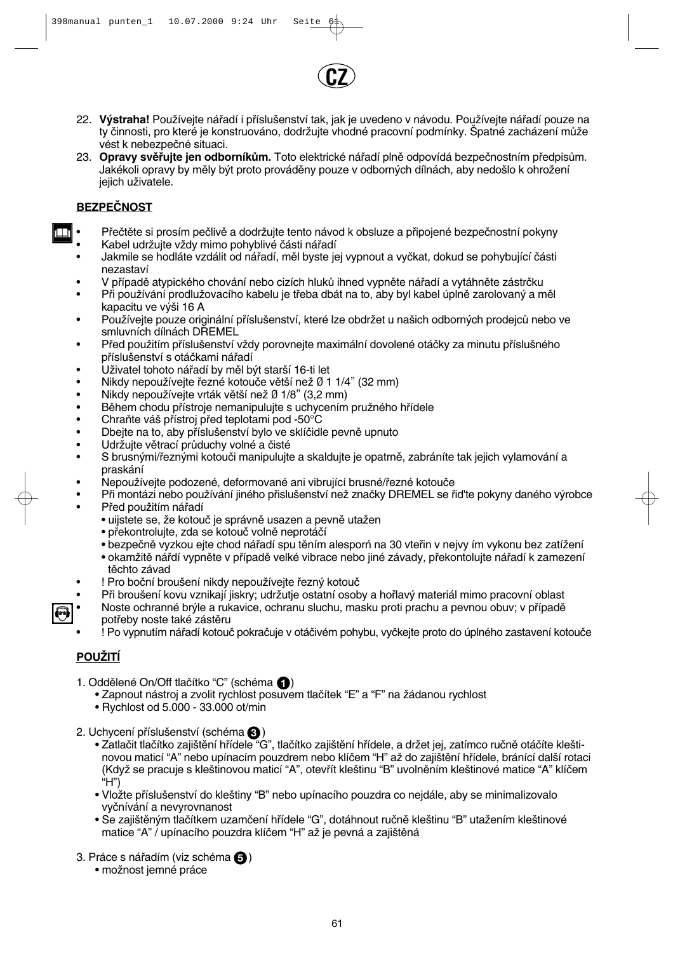

- 22. **Výstraha!** Používejte nářadí i příslušenství tak, jak je uvedeno v návodu. Používejte nářadí pouze na ty činnosti, pro které je konstruováno, dodržujte vhodné pracovní podmínky. Špatné zacházení může vést k nebezpeãné situaci.
- 23. **Opravy svěřujte jen odborníkům.** Toto elektrické nářadí plně odpovídá bezpečnostním předpisům. Jakékoli opravy by měly být proto prováděny pouze v odborných dílnách, aby nedošlo k ohrožení jejich uživatele.

## **BEZPEâNOST**

- Přečtěte si prosím pečlivě a dodržujte tento návod k obsluze a připojené bezpečnostní pokyny
- Kabel udržujte vždy mimo pohyblivé části nářadí
- Jakmile se hodláte vzdálit od náfiadí, mûl byste jej vypnout a vyãkat, dokud se pohybující ãásti nezastaví
- V případě atypického chování nebo cizích hluků ihned vypněte nářadí a vytáhněte zástrčku
- Při používání prodlužovacího kabelu je třeba dbát na to, aby byl kabel úplně zarolovaný a měl kapacitu ve výši 16 A
- Používejte pouze originální příslušenství, které lze obdržet u našich odborných prodejců nebo ve smluvních dílnách DREMEL
- Před použitím příslušenství vždy porovnejte maximální dovolené otáčky za minutu příslušného příslušenství s otáčkami nářadí
- Uživatel tohoto nářadí by měl být starší 16-ti let
- Nikdy nepoužívejte řezné kotouče větší než Ø 1 1/4" (32 mm)
- Nikdy nepoužívejte vrták větší než Ø 1/8" (3,2 mm)<br>• Během chodu přístroje nemanipuluite s uchycením
- Během chodu přístroje nemanipulujte s uchycením pružného hřídele<br>• Chraňte váš přístroj před teplotami pod -50°C
- Chraňte váš přístroj před teplotami pod -50°C
- Dbejte na to, aby příslušenství bylo ve sklíčidle pevně upnuto
- Udržujte větrací průduchy volné a čisté<br>• S brusnými/řeznými kotouči manipulujte
- S brusnými/řeznými kotouči manipulujte a skaldujte je opatrně, zabráníte tak jejich vylamování a praskání
- Nepoužívejte podozené, deformované ani vibrující brusné/řezné kotouče
- Při montázi nebo používání jiného přislušenství než značky DREMEL se řid'te pokyny daného výrobce Před použitím nářadí
	- uijstete se, že kotouč je správně usazen a pevně utažen
	- překontrolujte, zda se kotouč volně neprotáčí
	- bezpečně vyzkou ejte chod nářadí spu těním alesporń na 30 vteřin v nejvy ím vykonu bez zatížení
	- okamžitě nářdí vypněte v případě velké vibrace nebo jiné závady, překontolujte nářadí k zamezení těchto závad
- ! Pro boční broušení nikdy nepoužívejte řezný kotouč
- Při broušení kovu vznikají jiskry; udržutje ostatní osoby a hořlavý materiál mimo pracovní oblast
- Noste ochranné brýle a rukavice, ochranu sluchu, masku proti prachu a pevnou obuv; v případě potřeby noste také zástěru
	- ! Po vypnutím náfiadí kotouã pokraãuje v otáãivém pohybu, vyãkejte proto do úplného zastavení kotouãe

## **POUÎITÍ**

- 1. Oddělené On/Off tlačítko "C" (schéma **(1)** 
	- Zapnout nástroj a zvolit rychlost posuvem tlačítek "E" a "F" na žádanou rychlost
	- Rychlost od 5.000 33.000 ot/min
- 2. Uchycení příslušenství (schéma **۞**)
	- Zatlačit tlačítko zajištění hřídele "G", tlačítko zajištění hřídele, a držet jej, zatímco ručně otáčíte kleštinovou maticí "A" nebo upínacím pouzdrem nebo klíčem "H" až do zajištění hřídele, bránící další rotaci (Když se pracuje s kleštinovou maticí "A", otevřít kleštinu "B" uvolněním kleštinové matice "A" klíčem  $\hat{H}$ ")
	- Vložte příslušenství do kleštiny "B" nebo upínacího pouzdra co nejdále, aby se minimalizovalo vyãnívání a nevyrovnanost
	- Se zajištěným tlačítkem uzamčení hřídele "G", dotáhnout ručně kleštinu "B" utažením kleštinové matice "A" / upínacího pouzdra klíčem "H" až je pevná a zajištěná
- 3. Práce s nářadím (viz schéma **↔**)
	- možnost jemné práce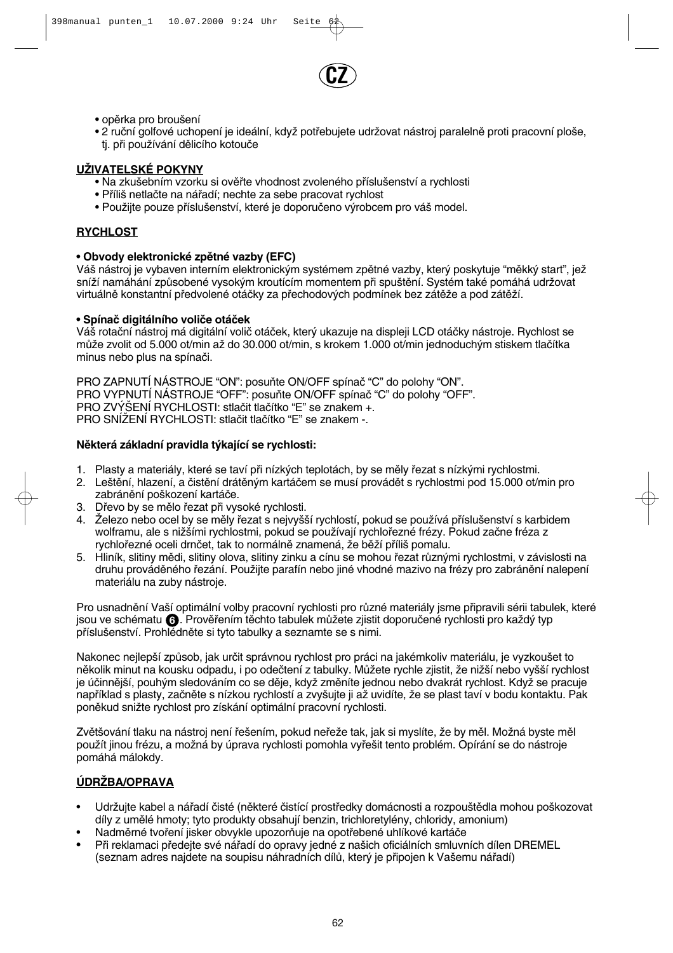

- opěrka pro broušení
- 2 ruční golfové uchopení je ideální, když potřebujete udržovat nástroj paralelně proti pracovní ploše, tj. při používání dělicího kotouče

## **UÎIVATELSKÉ POKYNY**

- Na zkušebním vzorku si ověřte vhodnost zvoleného příslušenství a rychlosti
- Příliš netlačte na nářadí; nechte za sebe pracovat rychlost
- Použijte pouze příslušenství, které je doporučeno výrobcem pro váš model.

## **RYCHLOST**

## **• Obvody elektronické zpûtné vazby (EFC)**

Váš nástroj je vybaven interním elektronickým systémem zpětné vazby, který poskytuje "měkký start", jež sníží namáhání způsobené vysokým kroutícím momentem při spuštění. Systém také pomáhá udržovat virtuálně konstantní předvolené otáčky za přechodových podmínek bez zátěže a pod zátěží.

## **• Spínaã digitálního voliãe otáãek**

Váš rotační nástroj má digitální volič otáček, který ukazuje na displeji LCD otáčky nástroje. Rychlost se může zvolit od 5.000 ot/min až do 30.000 ot/min, s krokem 1.000 ot/min jednoduchým stiskem tlačítka minus nebo plus na spínaãi.

PRO ZAPNUTÍ NÁSTROJE "ON": posuÀte ON/OFF spínaã "C" do polohy "ON". PRO VYPNUTÍ NÁSTROJE "OFF": posuňte ON/OFF spínač "C" do polohy "OFF". PRO ZVÝŠENÍ RYCHLOSTI: stlačit tlačítko "E" se znakem + PRO SNÍŽENÍ RYCHLOSTI: stlačit tlačítko "E" se znakem -.

## **Nûkterá základní pravidla t˘kající se rychlosti:**

- 1. Plasty a materiály, které se taví při nízkých teplotách, by se měly řezat s nízkými rychlostmi.
- 2. Leštění, hlazení, a čistění drátěným kartáčem se musí provádět s rychlostmi pod 15.000 ot/min pro zabránění poškození kartáče.
- 3. Dřevo by se mělo řezat při vysoké rychlosti.
- 4. Železo nebo ocel by se měly řezat s nejvyšší rychlostí, pokud se používá příslušenství s karbidem wolframu, ale s nižšími rychlostmi, pokud se používají rychlořezné frézy. Pokud začne fréza z rychlořezné oceli drnčet, tak to normálně znamená, že běží příliš pomalu.
- 5. Hliník, slitiny mědi, slitiny olova, slitiny zinku a cínu se mohou řezat různými rychlostmi, v závislosti na druhu prováděného řezání. Použijte parafín nebo jiné vhodné mazivo na frézy pro zabránění nalepení materiálu na zuby nástroje.

Pro usnadnění Vaší optimální volby pracovní rychlosti pro různé materiály jsme připravili sérii tabulek, které jsou ve schématu **(6)**. Prověřením těchto tabulek můžete zjistit doporučené rychlosti pro každý typ příslušenství. Prohlédněte si tyto tabulky a seznamte se s nimi.

Nakonec nejlepší způsob, jak určit správnou rychlost pro práci na jakémkoliv materiálu, je vyzkoušet to několik minut na kousku odpadu, i po odečtení z tabulky. Můžete rychle zjistit, že nižší nebo vyšší rychlost je účinnější, pouhým sledováním co se děje, když změníte jednou nebo dvakrát rychlost. Když se pracuje například s plasty, začněte s nízkou rychlostí a zvyšujte ji až uvidíte, že se plast taví v bodu kontaktu. Pak poněkud snižte rychlost pro získání optimální pracovní rychlosti.

Zvětšování tlaku na nástroj není řešením, pokud neřeže tak, jak si myslíte, že by měl. Možná byste měl použít jinou frézu, a možná by úprava rychlosti pomohla vyřešit tento problém. Opírání se do nástroje pomáhá málokdy.

## **ÚDRÎBA/OPRAVA**

- Udržujte kabel a nářadí čisté (některé čistící prostředky domácnosti a rozpouštědla mohou poškozovat díly z umûlé hmoty; tyto produkty obsahují benzin, trichloretylény, chloridy, amonium)
- Nadměrné tvoření jisker obvykle upozorňuje na opotřebené uhlíkové kartáče
- Při reklamaci předejte své nářadí do opravy jedné z našich oficiálních smluvních dílen DREMEL (seznam adres najdete na soupisu náhradních dílů, který je připojen k Vašemu nářadí)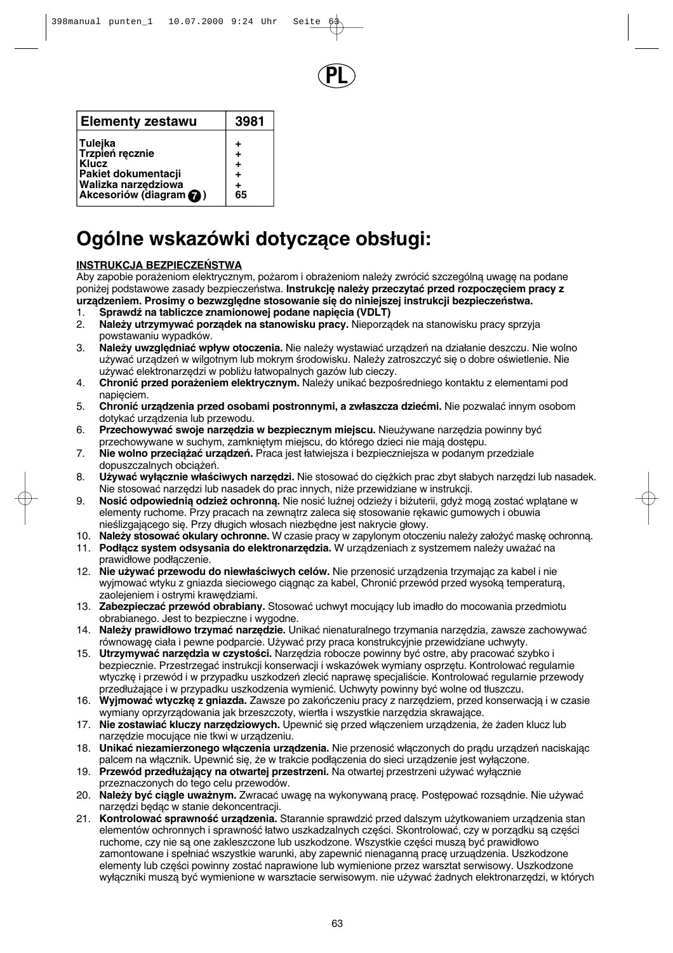

| <b>Elementy zestawu</b>                                                                                      | 3981                                       |
|--------------------------------------------------------------------------------------------------------------|--------------------------------------------|
| Tulejka<br>Trzpień ręcznie<br>Klucz<br>Pakiet dokumentacji<br>Walizka narzędziowa<br>Akcesoriów (diagram (2) | ٠<br>$\ddot{}$<br>$\ddot{}$<br>٠<br>$+$ 65 |

# **Ogólne wskazówki dotyczàce obs∏ugi:**

## **INSTRUKCJA BEZPIECZE¡STWA**

Aby zapobie porażeniom elektrycznym, pożarom i obrażeniom należy zwrócić szczególna uwage na podane poniżej podstawowe zasady bezpieczeństwa. Instrukcje należy przeczytać przed rozpoczęciem pracy z urządzeniem. Prosimy o bezwzględne stosowanie się do niniejszej instrukcji bezpieczeństwa.

- 1. **Sprawdź na tabliczce znamionowej podane napięcia (VDLT)**<br>2. Należy utrzymywać porzadek na stanowisku pracy. Nieporza
- Należy utrzymywać porządek na stanowisku pracy. Nieporządek na stanowisku pracy sprzyja powstawaniu wypadków.
- 3. **Należy uwzględniać wpływ otoczenia.** Nie należy wystawiać urządzeń na działanie deszczu. Nie wolno używać urządzeń w wilgotnym lub mokrym środowisku. Należy zatroszczyć się o dobre oświetlenie. Nie używać elektronarzędzi w pobliżu łatwopalnych gazów lub cieczy.
- 4. Chronić przed porażeniem elektrycznym. Należy unikać bezpośredniego kontaktu z elementami pod napieciem.
- 5. **Chronić urządzenia przed osobami postronnymi, a zwłaszcza dziećmi.** Nie pozwalać innym osobom dotykaç urzàdzenia lub przewodu.
- 6. **Przechowywać swoje narzędzia w bezpiecznym miejscu.** Nieużywane narzędzia powinny być przechowywane w suchym, zamkniętym miejscu, do którego dzieci nie mają dostępu.
- 7. Nie wolno przeciążać urządzeń. Praca jest łatwiejsza i bezpieczniejsza w podanym przedziale dopuszczalnych obciążeń.
- 8. **Używać wyłącznie właściwych narzędzi.** Nie stosować do cieżkich prac zbyt słabych narzędzi lub nasadek. Nie stosować narzedzi lub nasadek do prac innych, niże przewidziane w instrukcji.
- 9. **Nosić odpowiednią odzież ochronną.** Nie nosić luźnej odzieży i biżuterii, gdyż mogą zostać wplątane w elementy ruchome. Przy pracach na zewnatrz zaleca się stosowanie rekawic gumowych i obuwia nieślizgającego się. Przy długich włosach niezbędne jest nakrycie głowy.
- 10. Należy stosować okulary ochronne. W czasie pracy w zapylonym otoczeniu należy założyć maskę ochronną.
- 11. **Podłącz system odsysania do elektronarzędzia.** W urządzeniach z systzemem należy uważać na prawid∏owe pod∏àczenie.
- 12. Nie używać przewodu do niewłaściwych celów. Nie przenosić urządzenia trzymając za kabel i nie wyjmować wtyku z gniazda sieciowego ciągnąc za kabel, Chronić przewód przed wysoką temperaturą, zaolejeniem i ostrymi krawędziami.
- 13. **Zabezpieczaç przewód obrabiany.** Stosowaç uchwyt mocujàcy lub imad∏o do mocowania przedmiotu obrabianego. Jest to bezpieczne i wygodne.
- 14. Należy prawidłowo trzymać narzędzie. Unikać nienaturalnego trzymania narzędzia, zawsze zachowywać równowagę ciała i pewne podparcie. Używać przy praca konstrukcyjnie przewidziane uchwyty.
- 15. **Utrzymywać narzedzia w czystości.** Narzedzia robocze powinny być ostre, aby pracować szybko i bezpiecznie. Przestrzegać instrukcji konserwacji i wskazówek wymiany osprzętu. Kontrolować regularnie wtyczkę i przewód i w przypadku uszkodzeń zlecić naprawę specjaliście. Kontrolować regularnie przewody przedłużające i w przypadku uszkodzenia wymienić. Uchwyty powinny być wolne od tłuszczu.
- 16. Wyjmować wtyczke z gniazda. Zawsze po zakończeniu pracy z narzedziem, przed konserwacja i w czasie wymiany oprzyrządowania jak brzeszczoty, wiertła i wszystkie narzędzia skrawające.
- 17. Nie zostawiać kluczy narzędziowych. Upewnić się przed włączeniem urządzenia, że żaden klucz lub narzędzie mocujące nie tkwi w urządzeniu.
- 18. **Unikać niezamierzonego włączenia urządzenia.** Nie przenosić włączonych do prądu urządzeń naciskając palcem na włącznik. Upewnić się, że w trakcie podłączenia do sieci urządzenie jest wyłaczone.
- 19. Przewód przedłużający na otwartej przestrzeni. Na otwartej przestrzeni używać wyłącznie przeznaczonych do tego celu przewodów.
- 20. **Należy być ciągle uważnym.** Zwracać uwagę na wykonywaną pracę. Postępować rozsądnie. Nie używać narzędzi będąc w stanie dekoncentracji.
- 21. **Kontrolować sprawność urządzenia.** Starannie sprawdzić przed dalszym użytkowaniem urządzenia stan elementów ochronnych i sprawność łatwo uszkadzalnych części. Skontrolować, czy w porządku są części ruchome, czy nie są one zakleszczone lub uszkodzone. Wszystkie części muszą być prawidłowo zamontowane i spełniać wszystkie warunki, aby zapewnić nienaganną pracę urzuądzenia. Uszkodzone elementy lub części powinny zostać naprawione lub wymienione przez warsztat serwisowy. Uszkodzone wyłączniki muszą być wymienione w warsztacie serwisowym. nie używać żadnych elektronarzędzi, w których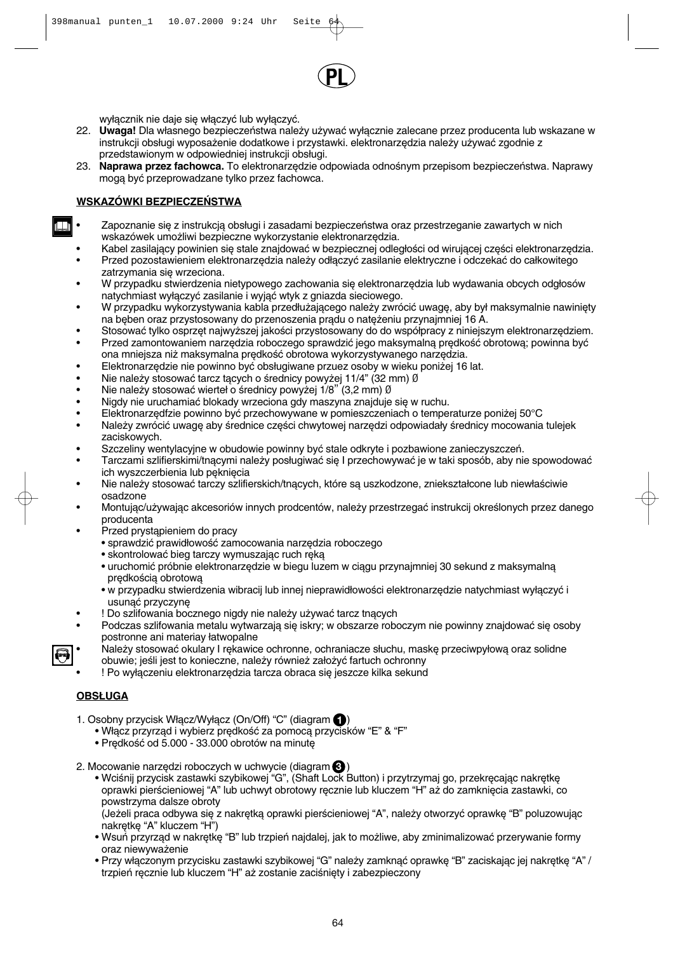

wyłacznik nie daje się właczyć lub wyłaczyć.

- 22. **Uwaga!** Dla własnego bezpieczeństwa należy używać wyłącznie zalecane przez producenta lub wskazane w instrukcji obsługi wyposażenie dodatkowe i przystawki. elektronarzędzia należy używać zgodnie z przedstawionym w odpowiedniej instrukcji obsługi.
- 23. Naprawa przez fachowca. To elektronarzędzie odpowiada odnośnym przepisom bezpieczeństwa. Naprawy mogą być przeprowadzane tylko przez fachowca.

## **WSKAZÓWKI BEZPIECZEŃSTWA**

- Zapoznanie się z instrukcją obsługi i zasadami bezpieczeństwa oraz przestrzeganie zawartych w nich wskazówek umożliwi bezpieczne wykorzystanie elektronarzędzia.
- Kabel zasilający powinien się stale znajdować w bezpiecznej odległości od wirującej części elektronarzedzia.
- Przed pozostawieniem elektronarzędzia należy odłączyć zasilanie elektryczne i odczekać do całkowitego zatrzymania się wrzeciona.
- W przypadku stwierdzenia nietypowego zachowania się elektronarzędzia lub wydawania obcych odgłosów natychmiast wyłączyć zasilanie i wyjąć wtyk z gniazda sieciowego.
- W przypadku wykorzystywania kabla przedłużającego należy zwrócić uwagę, aby był maksymalnie nawinięty na beben oraz przystosowany do przenoszenia pradu o nateżeniu przynajmniej 16 A.
- Stosować tylko osprzet najwyższej jakości przystosowany do do współpracy z niniejszym elektronarzedziem. Przed zamontowaniem narzedzia roboczego sprawdzić jego maksymalną predkość obrotową; powinna być
- ona mniejsza niż maksymalna prędkość obrotowa wykorzystywanego narzędzia.
- Elektronarzędzie nie powinno być obsługiwane przuez osoby w wieku poniżej 16 lat.
- Nie należy stosować tarcz tących o średnicy powyżej 11/4" (32 mm) Ø
- Nie należy stosować wierteł o średnicy powyżej 1/8" (3,2 mm) Ø
- Nigdy nie uruchamiać blokady wrzeciona gdy maszyna znajduje się w ruchu.
- Elektronarzędfzie powinno być przechowywane w pomieszczeniach o temperaturze poniżej 50°C Należy zwrócić uwagę aby średnice części chwytowej narzędzi odpowiadały średnicy mocowania tulejek
	- zaciskowych.
- Szczeliny wentylacyjne w obudowie powinny być stale odkryte i pozbawione zanieczyszczeń.
- Tarczami szlifierskimi/tnącymi należy posługiwać się I przechowywać je w taki sposób, aby nie spowodować ich wyszczerbienia lub pęknięcia
- Nie należy stosować tarczy szlifierskich/tnacych, które sa uszkodzone, zniekształcone lub niewłaściwie osadzone
- Montując/używając akcesoriów innych prodcentów, należy przestrzegać instrukcij określonych przez danego producenta
- Przed prystąpieniem do pracy
	- sprawdzić prawidłowość zamocowania narzędzia roboczego
	- skontrolować bieg tarczy wymuszając ruch ręką
	- uruchomić próbnie elektronarzędzie w biegu luzem w ciągu przynajmniej 30 sekund z maksymalną predkościa obrotowa
	- w przypadku stwierdzenia wibracij lub innej nieprawidłowości elektronarzędzie natychmiast wyłączyć i usunąć przyczynę
- ! Do szlifowania bocznego nigdy nie należy używać tarcz tnacych
- Podczas szlifowania metalu wytwarzają się iskry; w obszarze roboczym nie powinny znajdować się osoby postronne ani materiay łatwopalne
- Należy stosować okulary I rękawice ochronne, ochraniacze słuchu, maskę przeciwpyłową oraz solidne obuwie; jeśli jest to konieczne, należy również założyć fartuch ochronny
- ! Po wyłączeniu elektronarzędzia tarcza obraca się jeszcze kilka sekund

## **OBSŁUGA**

- 1. Osobny przycisk Włącz/Wyłącz (On/Off) "C" (diagram **←**)
	- Włącz przyrząd i wybierz prędkość za pomocą przycisków "E" & "F"
	- Prędkość od 5.000 33.000 obrotów na minutę
- 2. Mocowanie narzędzi roboczych w uchwycie (diagram  $\bullet$ **)** 
	- Wciśnij przycisk zastawki szybikowej "G", (Shaft Lock Button) i przytrzymaj go, przekręcając nakrętkę oprawki pierścieniowej "A" lub uchwyt obrotowy recznie lub kluczem "H" aż do zamkniecia zastawki, co powstrzyma dalsze obroty

(Jeżeli praca odbywa się z nakrętką oprawki pierścieniowej "A", należy otworzyć oprawkę "B" poluzowując nakrętkę "A" kluczem "H")

- Wsuń przyrząd w nakrętkę "B" lub trzpień najdalej, jak to możliwe, aby zminimalizować przerywanie formy oraz niewyważenie
- Przy włączonym przycisku zastawki szybikowej "G" należy zamknąć oprawkę "B" zaciskając jej nakrętkę "A" / trzpień ręcznie lub kluczem "H" aż zostanie zaciśnięty i zabezpieczony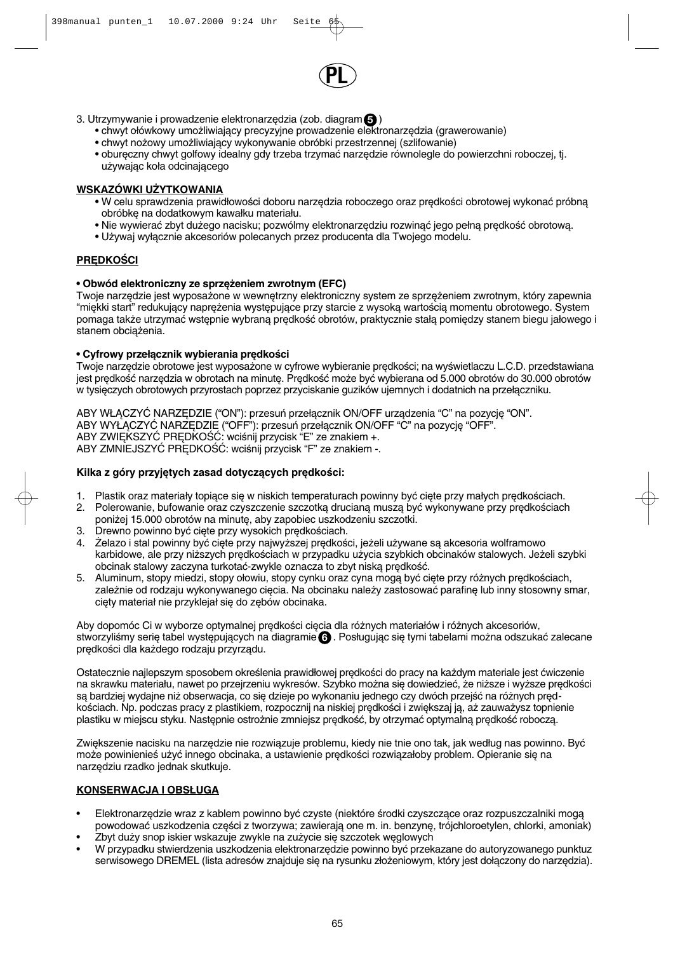

- 3. Utrzymywanie i prowadzenie elektronarzędzia (zob. diagram **5** 
	- chwyt ołówkowy umożliwiający precyzyjne prowadzenie elektronarzędzia (grawerowanie)
	- chwyt nożowy umożliwiający wykonywanie obróbki przestrzennej (szlifowanie)
	- obureczny chwyt golfowy idealny gdy trzeba trzymać narzedzie równolegle do powierzchni roboczej, tj. używając koła odcinającego

## **WSKAZÓWKI UŻYTKOWANIA**

- W celu sprawdzenia prawidłowości doboru narzedzia roboczego oraz predkości obrotowej wykonać próbna obróbke na dodatkowym kawałku materiału.
- Nie wywierać zbyt dużego nacisku; pozwólmy elektronarzedziu rozwinać jego pełną predkość obrotowa.
- Używaj wyłącznie akcesoriów polecanych przez producenta dla Twojego modelu.

## **PREDKOŚCI**

#### • Obwód elektroniczny ze sprzężeniem zwrotnym (EFC)

Twoje narzędzie jest wyposażone w wewnętrzny elektroniczny system ze sprzężeniem zwrotnym, który zapewnia "miękki start" redukujący naprężenia występujące przy starcie z wysoką wartością momentu obrotowego. System pomaga także utrzymać wstępnie wybraną prędkość obrotów, praktycznie stała pomiędzy stanem biegu jałowego i stanem obciażenia.

#### **• Cyfrowy przełącznik wybierania prędkości**

Twoje narzędzie obrotowe jest wyposażone w cyfrowe wybieranie prędkości; na wyświetlaczu L.C.D. przedstawiana jest predkość narzędzia w obrotach na minute. Predkość może być wybierana od 5.000 obrotów do 30.000 obrotów w tysięczych obrotowych przyrostach poprzez przyciskanie guzików ujemnych i dodatnich na przełączniku.

ABY WŁĄCZYĆ NARZEDZIE ("ON"): przesuń przełącznik ON/OFF urządzenia "C" na pozycję "ON". ABY WYŁACZYĆ NARZEDZIE ("OFF"): przesuń przełacznik ON/OFF "C" na pozycje "OFF". ABY ZWIĘKSZYĆ PRĘDKOŚĆ: wciśnij przycisk "E" ze znakiem +. ABY ZMNIEJSZYĆ PRĘDKOŚĆ: wciśnij przycisk "F" ze znakiem -.

#### Kilka z góry przyjętych zasad dotyczących prędkości:

- 1. Plastik oraz materiały topiące się w niskich temperaturach powinny być ciete przy małych predkościach.
- 2. Polerowanie, bufowanie oraz czyszczenie szczotką drucianą muszą być wykonywane przy prędkościach poniżej 15.000 obrotów na minutę, aby zapobiec uszkodzeniu szczotki.
- 3. Drewno powinno być cięte przy wysokich prędkościach.
- 4. Żelazo i stal powinny być cięte przy najwyższej prędkości, jeżeli używane są akcesoria wolframowo karbidowe, ale przy niższych prędkościach w przypadku użycia szybkich obcinaków stalowych. Jeżeli szybki obcinak stalowy zaczyna turkotać-zwykle oznacza to zbyt niską prędkość.
- 5. Aluminum, stopy miedzi, stopy ołowiu, stopy cynku oraz cyna mogą być cięte przy różnych prędkościach, zależnie od rodzaju wykonywanego cięcia. Na obcinaku należy zastosować parafinę lub inny stosowny smar, cięty materiał nie przyklejał się do zębów obcinaka.

Aby dopomóc Ci w wyborze optymalnej prędkości cięcia dla różnych materiałów i różnych akcesoriów, stworzyliśmy serię tabel występujących na diagramie **⊙** . Posługując się tymi tabelami można odszukać zalecane prędkości dla każdego rodzaju przyrządu.

Ostatecznie najlepszym sposobem określenia prawidłowej prędkości do pracy na każdym materiale jest ćwiczenie na skrawku materiału, nawet po przejrzeniu wykresów. Szybko można się dowiedzieć, że niższe i wyższe prędkości są bardziej wydajne niż obserwacja, co sie dzieje po wykonaniu jednego czy dwóch przejść na różnych predkościach. Np. podczas pracy z plastikiem, rozpocznij na niskiej predkości i zwiekszaj ja, aż zauważysz topnienie plastiku w miejscu styku. Następnie ostrożnie zmniejsz prędkość, by otrzymać optymalną prędkość roboczą.

Zwiększenie nacisku na narzędzie nie rozwiązuje problemu, kiedy nie tnie ono tak, jak według nas powinno. Być może powinienieś użyć innego obcinaka, a ustawienie prędkości rozwiązałoby problem. Opieranie się na narzędziu rzadko jednak skutkuje.

## **KONSERWACJA I OBSŁUGA**

- Elektronarzędzie wraz z kablem powinno być czyste (niektóre środki czyszczące oraz rozpuszczalniki mogą powodować uszkodzenia części z tworzywa; zawierają one m. in. benzynę, trójchloroetylen, chlorki, amoniak)
- Zbyt duży snop iskier wskazuje zwykle na zużycie się szczotek węglowych
- W przypadku stwierdzenia uszkodzenia elektronarzędzie powinno być przekazane do autoryzowanego punktuz serwisowego DREMEL (lista adresów znajduje się na rysunku złożeniowym, który jest dołączony do narzędzia).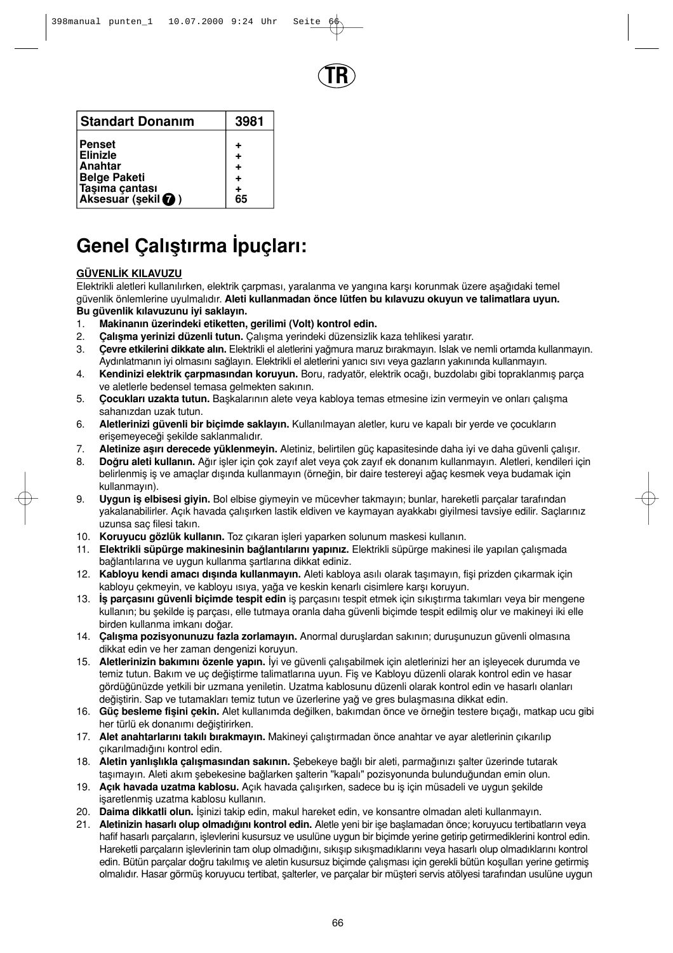

| <b>Standart Donanim</b>              | 3981 |
|--------------------------------------|------|
| <b>Penset</b><br><b>Elinizle</b>     |      |
| Anahtar<br><b>Belge Paketi</b>       |      |
| Taşıma çantası<br>Aksesuar (şekil ♥) | 65   |

# Genel Çalıştırma İpuçları:

## **GÜVENL∑K KILAVUZU**

Elektrikli aletleri kullanılırken, elektrik çarpması, yaralanma ve yangına karşı korunmak üzere aşağıdaki temel güvenlik önlemlerine uyulmal∂d∂r. **Aleti kullanmadan önce lütfen bu k∂lavuzu okuyun ve talimatlara uyun.**  Bu güvenlik kılavuzunu iyi saklayın.

- 1. Makinanın üzerindeki etiketten, gerilimi (Volt) kontrol edin.
- 2. **Çalışma yerinizi düzenli tutun.** Çalışma yerindeki düzensizlik kaza tehlikesi yaratır.
- 3. **Cevre etkilerini dikkate alın.** Elektrikli el aletlerini yağmura maruz bırakmayın. Islak ve nemli ortamda kullanmayın. Aydınlatmanın iyi olmasını sağlayın. Elektrikli el aletlerini yanıcı sıvı veya gazların yakınında kullanmayın.
- 4. **Kendinizi elektrik çarpmasından koruyun.** Boru, radyatör, elektrik ocağı, buzdolabı gibi topraklanmış parça ve aletlerle bedensel temasa gelmekten sakının.
- 5. **Cocukları uzakta tutun.** Başkalarının alete veya kabloya temas etmesine izin vermeyin ve onları çalışma sahanızdan uzak tutun.
- 6. **Aletlerinizi güvenli bir biçimde saklayın.** Kullanılmayan aletler, kuru ve kapalı bir yerde ve çocukların erisemeyeceği sekilde saklanmalıdır.
- 7. **Aletinize asırı derecede yüklenmeyin.** Aletiniz, belirtilen güç kapasitesinde daha iyi ve daha güvenli çalışır.
- 8. **Doğru aleti kullanın.** Ağır işler için çok zayıf alet veya çok zayıf ek donanım kullanmayın. Aletleri, kendileri için belirlenmiş iş ve amaçlar dışında kullanmayın (örneğin, bir daire testereyi ağaç kesmek veya budamak için kullanmayın).
- 9. **Uygun is elbisesi giyin.** Bol elbise giymeyin ve mücevher takmayın; bunlar, hareketli parcalar tarafından yakalanabilirler. Açık havada çalışırken lastik eldiven ve kaymayan ayakkabı giyilmesi tavsiye edilir. Saçlarınız uzunsa sac filesi takın.
- 10. **Koruyucu gözlük kullanın.** Toz çıkaran isleri yaparken solunum maskesi kullanın.
- 11. **Elektrikli süpürge makinesinin bağlantılarını yapınız.** Elektrikli süpürge makinesi ile yapılan çalısmada bağlantılarına ve uygun kullanma şartlarına dikkat ediniz.
- 12. Kabloyu kendi amacı dışında kullanmayın. Aleti kabloya asılı olarak taşımayın, fişi prizden çıkarmak için kabloyu çekmeyin, ve kabloyu ısıya, yağa ve keskin kenarlı cisimlere karşı koruyun.
- 13. **İs parçasını güvenli biçimde tespit edin** is parçasını tespit etmek için sıkıştırma takımları veya bir mengene kullanın; bu şekilde iş parçası, elle tutmaya oranla daha güvenli biçimde tespit edilmiş olur ve makineyi iki elle birden kullanma imkanı doğar.
- 14. **Calısma pozisyonunuzu fazla zorlamayın.** Anormal duruslardan sakının; durusunuzun güvenli olmasına dikkat edin ve her zaman dengenizi koruyun.
- 15. **Aletlerinizin bakımını özenle yapın.** İyi ve güvenli çalışabilmek için aletlerinizi her an işleyecek durumda ve temiz tutun. Bakım ve uç değiştirme talimatlarına uyun. Fiş ve Kabloyu düzenli olarak kontrol edin ve hasar gördüğünüzde yetkili bir uzmana yeniletin. Uzatma kablosunu düzenli olarak kontrol edin ve hasarlı olanları değiştirin. Sap ve tutamakları temiz tutun ve üzerlerine yağ ve gres bulaşmasına dikkat edin.
- 16. **Güç besleme fişini çekin.** Alet kullanımda değilken, bakımdan önce ve örneğin testere bıçağı, matkap ucu gibi her türlü ek donanımı değiştirirken.
- 17. **Alet anahtarlarını takılı bırakmayın.** Makineyi calıstırmadan önce anahtar ve ayar aletlerinin çıkarılıp çıkarılmadığını kontrol edin.
- 18. **Aletin yanlışlıkla çalışmasından sakının.** Şebekeye bağlı bir aleti, parmağınızı şalter üzerinde tutarak taşımayın. Aleti akım şebekesine bağlarken şalterin "kapalı" pozisyonunda bulunduğundan emin olun.
- 19. **Açık havada uzatma kablosu.** Açık havada çalışırken, sadece bu iş için müsadeli ve uygun şekilde isaretlenmis uzatma kablosu kullanın.
- 20. **Daima dikkatli olun.** İşinizi takip edin, makul hareket edin, ve konsantre olmadan aleti kullanmayın.
- 21. **Aletinizin hasarlı olup olmadığını kontrol edin.** Aletle yeni bir işe başlamadan önce; koruyucu tertibatların veya hafif hasarlı parçaların, işlevlerini kusursuz ve usulüne uygun bir biçimde yerine getirip getirmediklerini kontrol edin. Hareketli parçaların işlevlerinin tam olup olmadığını, sıkışıp sıkışmadıklarını veya hasarlı olup olmadıklarını kontrol edin. Bütün parçalar doğru takılmış ve aletin kusursuz biçimde çalışması için gerekli bütün koşulları yerine getirmiş olmalıdır. Hasar görmüs koruyucu tertibat, salterler, ve parcalar bir müsteri servis atölyesi tarafından usulüne uygun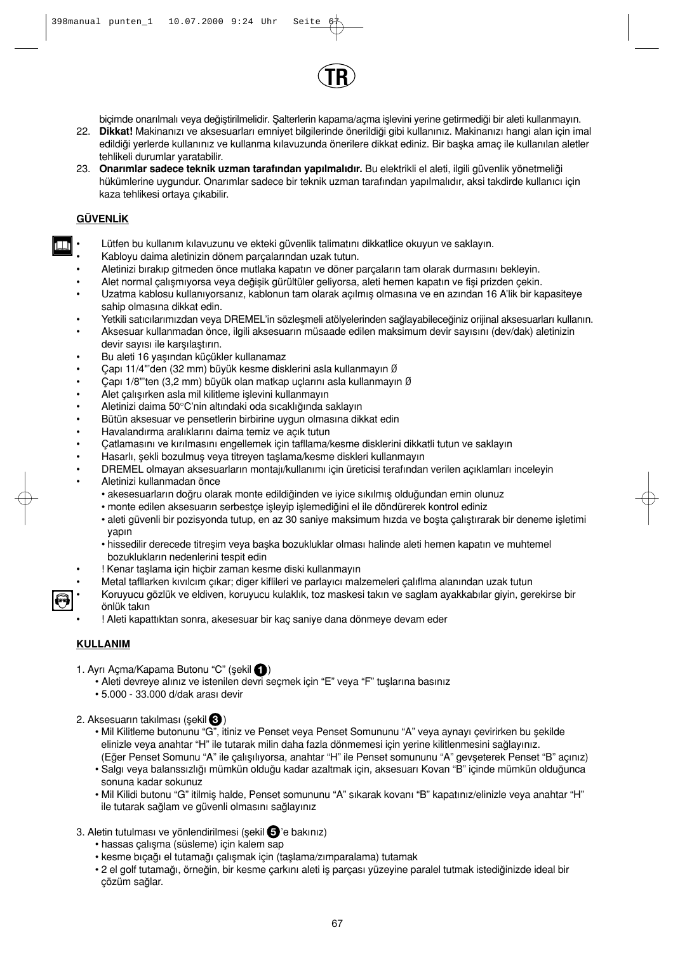

biçimde onarılmalı veya değiştirilmelidir. Salterlerin kapama/açma işlevini yerine getirmediği bir aleti kullanmayın.

- 22. **Dikkat!** Makinanızı ve aksesuarları emniyet bilgilerinde önerildiği gibi kullanınız. Makinanızı hangi alan için imal edildiği yerlerde kullanınız ve kullanma kılavuzunda önerilere dikkat ediniz. Bir başka amaç ile kullanılan aletler tehlikeli durumlar yaratabilir.
- 23. **Onarımlar sadece teknik uzman tarafından yapılmalıdır.** Bu elektrikli el aleti, ilgili güvenlik yönetmeliği hükümlerine uygundur. Onarımlar sadece bir teknik uzman tarafından yapılmalıdır, aksi takdirde kullanıcı için kaza tehlikesi ortaya çıkabilir.

## **GÜVENL∑K**

T

- Lütfen bu kullanım kılavuzunu ve ekteki güvenlik talimatını dikkatlice okuyun ve saklayın.
- Kabloyu daima aletinizin dönem parçalar∂ndan uzak tutun.
- Aletinizi bırakıp gitmeden önce mutlaka kapatın ve döner parcaların tam olarak durmasını bekleyin.
- Alet normal çalışmıyorsa veya değişik gürültüler geliyorsa, aleti hemen kapatın ve fişi prizden çekin.
- Uzatma kablosu kullanıyorsanız, kablonun tam olarak açılmış olmasına ve en azından 16 A'lik bir kapasiteye sahip olmasına dikkat edin.
- Yetkili satıcılarımızdan veya DREMEL'in sözlesmeli atölyelerinden sağlayabileceğiniz orijinal aksesuarları kullanın.
- Aksesuar kullanmadan önce, ilgili aksesuarın müsaade edilen maksimum devir sayısını (dev/dak) aletinizin devir sayısı ile karsılaştırın.
- Bu aleti 16 yaşından küçükler kullanamaz
- Çap∂ 11/4"'den (32 mm) büyük kesme disklerini asla kullanmay∂n Ø
- Çap∂ 1/8"'ten (3,2 mm) büyük olan matkap uçlar∂n∂ asla kullanmay∂n Ø
- Alet calısırken asla mil kilitleme islevini kullanmayın
- Aletinizi daima 50°C'nin altındaki oda sıcaklığında saklayın
- Bütün aksesuar ve pensetlerin birbirine uygun olmasına dikkat edin
- Havalandırma aralıklarını daima temiz ve açık tutun
- Çatlamasını ve kırılmasını engellemek için tafllama/kesme disklerini dikkatli tutun ve saklayın
- Hasarlı, sekli bozulmus veya titreyen taşlama/kesme diskleri kullanmayın
- DREMEL olmayan aksesuarların montajı/kullanımı için üreticisi terafından verilen açıklamları inceleyin
- Aletinizi kullanmadan önce
	- akesesuarların doğru olarak monte edildiğinden ve iyice sıkılmış olduğundan emin olunuz
		- monte edilen aksesuarın serbestçe isleyip islemediğini el ile döndürerek kontrol ediniz
		- aleti güvenli bir pozisyonda tutup, en az 30 saniye maksimum hızda ve bosta çalıştırarak bir deneme işletimi yapın
		- hissedilir derecede titresim veya baska bozukluklar olması halinde aleti hemen kapatın ve muhtemel bozukluklar∂n nedenlerini tespit edin
	- ! Kenar taşlama için hiçbir zaman kesme diski kullanmayın
	- Metal tafllarken kıvılcım çıkar; diger kiflileri ve parlayıcı malzemeleri çalıflma alanından uzak tutun
- Koruyucu gözlük ve eldiven, koruyucu kulakl∂k, toz maskesi tak∂n ve saglam ayakkab∂lar giyin, gerekirse bir önlük takın
- ! Aleti kapattıktan sonra, akesesuar bir kaç saniye dana dönmeye devam eder

## **KULLANIM**

- 1. Ayrı Açma/Kapama Butonu "C" (şekil ()
	- Aleti devreye alınız ve istenilen devri seçmek için "E" veya "F" tuşlarına basınız
	- 5.000 33.000 d/dak arası devir
- 2. Aksesuarın takılması (şekil **€**)
	- Mil Kilitleme butonunu "G", itiniz ve Penset veya Penset Somununu "A" veya aynayı çevirirken bu şekilde elinizle veya anahtar "H" ile tutarak milin daha fazla dönmemesi için yerine kilitlenmesini sağlayınız. (Eğer Penset Somunu "A" ile çalısılıvorsa, anahtar "H" ile Penset somununu "A" gevseterek Penset "B" açınız)
	- Salgı veya balanssızlığı mümkün olduğu kadar azaltmak için, aksesuarı Kovan "B" içinde mümkün olduğunca sonuna kadar sokunuz
	- Mil Kilidi butonu "G" itilmiş halde, Penset somununu "A" sıkarak kovanı "B" kapatınız/elinizle veya anahtar "H" ile tutarak sağlam ve güvenli olmasını sağlayınız
- 3. Aletin tutulması ve yönlendirilmesi (şekil G'e bakınız)
	- hassas çalışma (süsleme) için kalem sap
	- kesme bıçağı el tutamağı çalışmak için (taşlama/zımparalama) tutamak
	- 2 el golf tutamağı, örneğin, bir kesme çarkını aleti iş parçası yüzeyine paralel tutmak istediğinizde ideal bir çözüm sağlar.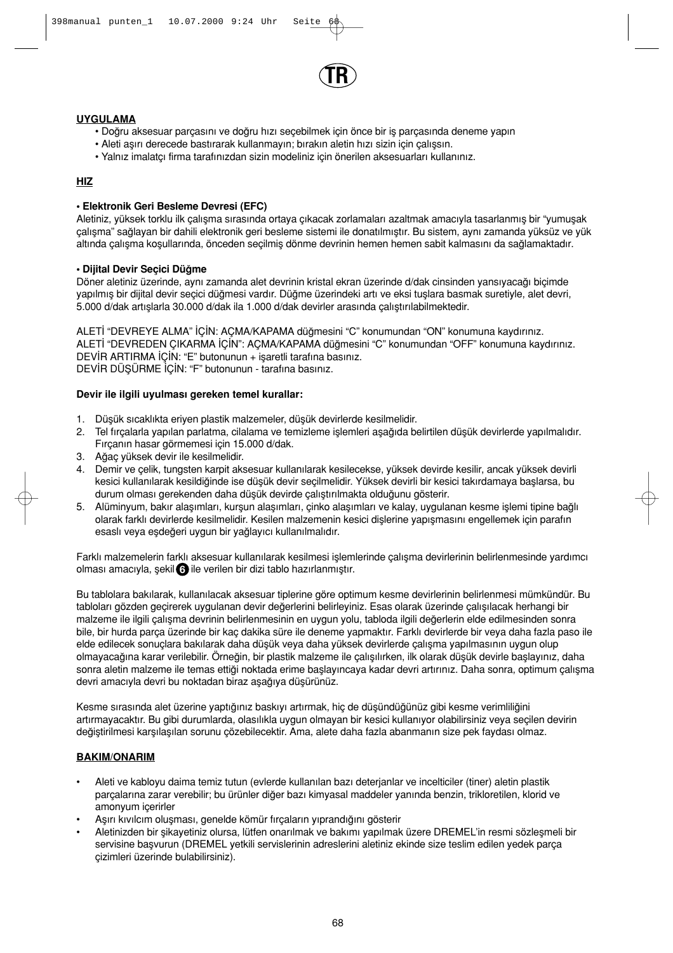

## **UYGULAMA**

- Doğru aksesuar parçasını ve doğru hızı seçebilmek için önce bir iş parçasında deneme yapın
- Aleti aşırı derecede bastırarak kullanmayın; bırakın aletin hızı sizin için çalışsın.
- Yalnız imalatçı firma tarafınızdan sizin modeliniz için önerilen aksesuarları kullanınız.

## **HIZ**

#### **• Elektronik Geri Besleme Devresi (EFC)**

Aletiniz, yüksek torklu ilk çalısma sırasında ortaya çıkacak zorlamaları azaltmak amacıyla tasarlanmıs bir "yumusak çalışma" sağlayan bir dahili elektronik geri besleme sistemi ile donatılmıştır. Bu sistem, aynı zamanda yüksüz ve yük altında çalışma koşullarında, önceden seçilmiş dönme devrinin hemen hemen sabit kalmasını da sağlamaktadır.

#### **• Dijital Devir Secici Düğme**

Döner aletiniz üzerinde, aynı zamanda alet devrinin kristal ekran üzerinde d/dak cinsinden yansıyacağı biçimde yapılmış bir dijital devir seçici düğmesi vardır. Düğme üzerindeki artı ve eksi tuşlara basmak suretiyle, alet devri, .<br>5.000 d/dak artıslarla 30.000 d/dak ila 1.000 d/dak devirler arasında çalıştırılabilmektedir.

ALETİ "DEVREYE ALMA" İÇİN: ACMA/KAPAMA düğmesini "C" konumundan "ON" konumuna kaydırınız. ALETİ "DEVREDEN ÇIKARMA İÇİN": AÇMA/KAPAMA düğmesini "C" konumundan "OFF" konumuna kaydırınız. DEVİR ARTIRMA İÇİN: "E" butonunun + işaretli tarafına basınız. DEVİR DÜSÜRME İCİN: "F" butonunun - tarafına basınız.

#### **Devir ile ilgili uyulmas∂ gereken temel kurallar:**

- 1. Düşük sıcaklıkta eriyen plastik malzemeler, düşük devirlerde kesilmelidir.
- 2. Tel fırçalarla yapılan parlatma, cilalama ve temizleme işlemleri aşağıda belirtilen düşük devirlerde yapılmalıdır. Fırçanın hasar görmemesi için 15.000 d/dak.
- 3. Ağaç yüksek devir ile kesilmelidir.
- 4. Demir ve çelik, tungsten karpit aksesuar kullan∂larak kesilecekse, yüksek devirde kesilir, ancak yüksek devirli kesici kullanılarak kesildiğinde ise düşük devir seçilmelidir. Yüksek devirli bir kesici takırdamaya başlarsa, bu durum olması gerekenden daha düşük devirde çalıştırılmakta olduğunu gösterir.
- 5. Alüminyum, bakır alaşımları, kurşun alaşımları, çinko alaşımları ve kalay, uygulanan kesme işlemi tipine bağlı olarak farklı devirlerde kesilmelidir. Kesilen malzemenin kesici dişlerine yapışmasını engellemek için parafın esaslı veya eşdeğeri uygun bir yağlayıcı kullanılmalıdır.

Farklı malzemelerin farklı aksesuar kullanılarak kesilmesi islemlerinde calısma devirlerinin belirlenmesinde yardımcı olması amacıyla, şekil ⊙ ile verilen bir dizi tablo hazırlanmıştır.

Bu tablolara bakılarak, kullanılacak aksesuar tiplerine göre optimum kesme devirlerinin belirlenmesi mümkündür. Bu tabloları gözden geçirerek uygulanan devir değerlerini belirleyiniz. Esas olarak üzerinde çalısılacak herhangi bir malzeme ile ilgili çalışma devrinin belirlenmesinin en uygun yolu, tabloda ilgili değerlerin elde edilmesinden sonra bile, bir hurda parça üzerinde bir kaç dakika süre ile deneme yapmaktır. Farklı devirlerde bir veya daha fazla paso ile elde edilecek sonuçlara bakılarak daha düşük veya daha yüksek devirlerde çalışma yapılmasının uygun olup olmayacağına karar verilebilir. Örneğin, bir plastik malzeme ile çalışılırken, ilk olarak düşük devirle başlayınız, daha sonra aletin malzeme ile temas ettiği noktada erime baslavıncava kadar devri artırınız. Daha sonra, optimum çalısma devri amacıyla devri bu noktadan biraz asağıya düşürünüz.

Kesme sırasında alet üzerine yaptığınız baskıyı artırmak, hiç de düşündüğünüz gibi kesme verimliliğini artırmayacaktır. Bu gibi durumlarda, olasılıkla uygun olmayan bir kesici kullanıyor olabilirsiniz veya seçilen devirin değiştirilmesi karşılaşılan sorunu çözebilecektir. Ama, alete daha fazla abanmanın size pek faydası olmaz.

## **BAKIM/ONARIM**

- Aleti ve kabloyu daima temiz tutun (evlerde kullanılan bazı deterjanlar ve incelticiler (tiner) aletin plastik parçalarına zarar verebilir; bu ürünler diğer bazı kimyasal maddeler yanında benzin, trikloretilen, klorid ve amonyum içerirler
- Aşırı kıvılcım oluşması, genelde kömür fırçaların yıprandığını gösterir
- Aletinizden bir sikayetiniz olursa, lütfen onarılmak ve bakımı yapılmak üzere DREMEL'in resmi sözlesmeli bir servisine başvurun (DREMEL yetkili servislerinin adreslerini aletiniz ekinde size teslim edilen yedek parça çizimleri üzerinde bulabilirsiniz).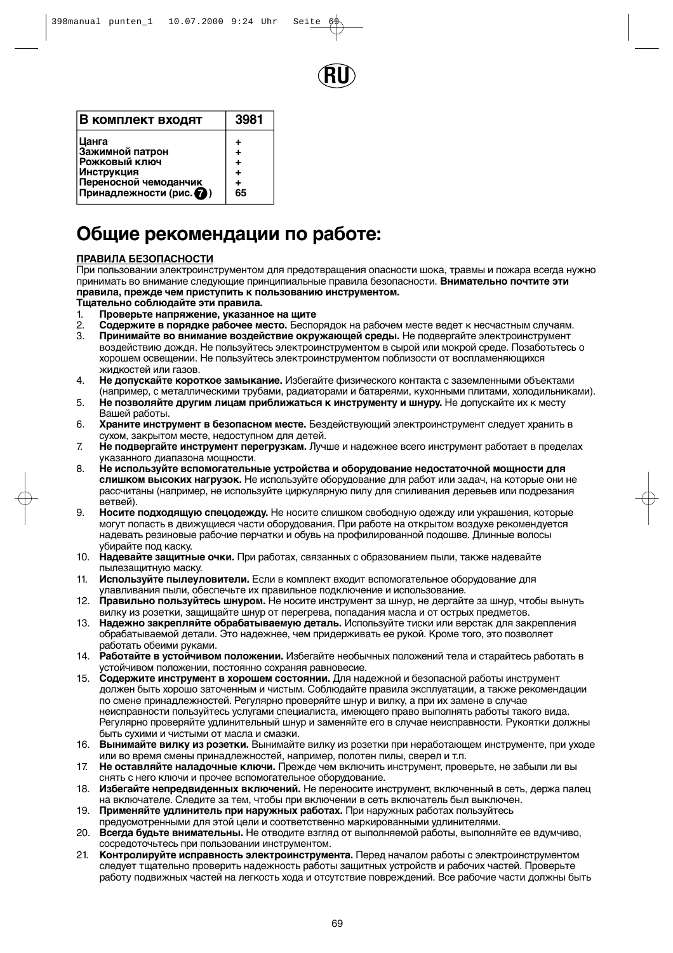

| В комплект входят      | 3981 |
|------------------------|------|
| Цанга                  | ٠    |
| Зажимной патрон        | ÷    |
| Рожковый ключ          | ÷    |
| <b>Инструкция</b>      | ٠    |
| Переносной чемоданчик  | ٠    |
| Принадлежности (рис. • | 65   |

## **Общие рекомендации по работе:**

#### **ПРАВИЛА БЕЗОПАСНОСТИ**

При пользовании электроинструментом для предотвращения опасности шока, травмы и пожара всегда нужно принимать во внимание следующие принципиальные правила безопасности. **Внимательно почтите эти правила, прежде чем приступить к пользованию инструментом.** 

#### **Тщательно соблюдайте эти правила.**

- 1. **Проверьте напряжение, указанное на щите**
- 2. **Содержите в порядке рабочее место.** Беспорядок на рабочем месте ведет к несчастным случаям. 3. **Принимайте во внимание воздействие окружающей среды.** Не подвергайте электроинструмент воздействию дождя. Не пользуйтесь электроинструментом в сырой или мокрой среде. Позаботьтесь о хорошем освещении. Не пользуйтесь электроинструментом поблизости от воспламеняющихся
- жидкостей или газов. 4. **Не допускайте короткое замыкание.** Избегайте физического контакта с заземленными объектами
- (например, с металлическими трубами, радиаторами и батареями, кухонными плитами, холодильниками). 5. **Не позволяйте другим лицам приближаться к инструменту и шнуру.** Не допускайте их к месту
- Вашей работы.
- 6. **Храните инструмент в безопасном месте.** Бездействующий электроинструмент следует хранить в сухом, закрытом месте, недоступном для детей.
- 7. **Не подвергайте инструмент перегрузкам.** Лучше и надежнее всего инструмент работает в пределах указанного диапазона мощности.
- 8. **Не используйте вспомогательные устройства и оборудование недостаточной мощности для слишком высоких нагрузок.** Не используйте оборудование для работ или задач, на которые они не рассчитаны (например, не используйте циркулярную пилу для спиливания деревьев или подрезания ветвей).
- 9. **Носите подходящую спецодежду.** Не носите слишком свободную одежду или украшения, которые могут попасть в движущиеся части оборудования. При работе на открытом воздухе рекомендуется надевать резиновые рабочие перчатки и обувь на профилированной подошве. Длинные волосы убирайте под каску.
- 10. **Надевайте защитные очки.** При работах, связанных с образованием пыли, также надевайте пылезащитную маску.
- 11. **Используйте пылеуловители.** Если в комплект входит вспомогательное оборудование для улавливания пыли, обеспечьте их правильное подключение и использование.
- 12. **Правильно пользуйтесь шнуром.** Не носите инструмент за шнур, не дергайте за шнур, чтобы вынуть вилку из розетки, защищайте шнур от перегрева, попадания масла и от острых предметов.
- 13. **Надежно закрепляйте обрабатываемую деталь.** Используйте тиски или верстак для закрепления обрабатываемой детали. Это надежнее, чем придерживать ее рукой. Кроме того, это позволяет работать обеими руками.
- 14. **Работайте в устойчивом положении.** Избегайте необычных положений тела и старайтесь работать в устойчивом положении, постоянно сохраняя равновесие.
- 15. **Содержите инструмент в хорошем состоянии.** Для надежной и безопасной работы инструмент должен быть хорошо заточенным и чистым. Соблюдайте правила эксплуатации, а также рекомендации по смене принадлежностей. Регулярно проверяйте шнур и вилку, а при их замене в случае неисправности пользуйтесь услугами специалиста, имеющего право выполнять работы такого вида. Регулярно проверяйте удлинительный шнур и заменяйте его в случае неисправности. Рукоятки должны быть сухими и чистыми от масла и смазки.
- 16. **Вынимайте вилку из розетки.** Вынимайте вилку из розетки при неработающем инструменте, при уходе или во время смены принадлежностей, например, полотен пилы, сверел и т.п.
- 17. **Не оставляйте наладочные ключи.** Прежде чем включить инструмент, проверьте, не забыли ли вы снять с него ключи и прочее вспомогательное оборудование.
- 18. **Избегайте непредвиденных включений.** Не переносите инструмент, включенный в сеть, держа палец на включателе. Следите за тем, чтобы при включении в сеть включатель был выключен.
- 19. **Применяйте удлинитель при наружных работах.** При наружных работах пользуйтесь
- предусмотренными для этой цели и соответственно маркированными удлинителями.
- 20. **Всегда будьте внимательны.** Не отводите взгляд от выполняемой работы, выполняйте ее вдумчиво, сосредоточьтесь при пользовании инструментом.
- 21. **Контролируйте исправность электроинструмента.** Перед началом работы с электроинструментом следует тщательно проверить надежность работы защитных устройств и рабочих частей. Проверьте работу подвижных частей на легкость хода и отсутствие повреждений. Все рабочие части должны быть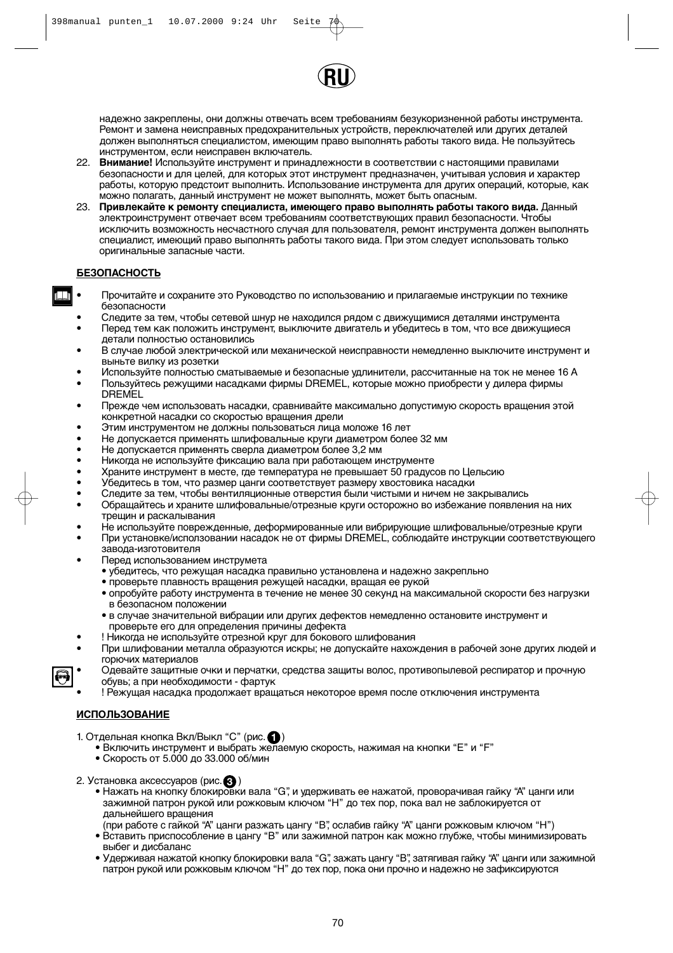

надежно закреплены, они должны отвечать всем требованиям безукоризненной работы инструмента. Ремонт и замена неисправных предохранительных устройств, переключателей или других деталей должен выполняться специалистом, имеющим право выполнять работы такого вида. Не пользуйтесь инструментом, если неисправен включатель.

- 22. **Внимание!** Используйте инструмент и принадлежности в соответствии с настоящими правилами безопасности и для целей, для которых этот инструмент предназначен, учитывая условия и характер работы, которую предстоит выполнить. Использование инструмента для других операций, которые, как можно полагать, данный инструмент не может выполнять, может быть опасным.
- 23. **Привлекайте к ремонту специалиста, имеющего право выполнять работы такого вида.** Данный электроинструмент отвечает всем требованиям соответствующих правил безопасности. Чтобы исключить возможность несчастного случая для пользователя, ремонт инструмента должен выполнять специалист, имеющий право выполнять работы такого вида. При этом следует использовать только оригинальные запасные части.

#### **БЕЗОПАСНОСТЬ**

- Прочитайте и сохраните это Руководство по использованию и прилагаемые инструкции по технике безопасности
- Следите за тем, чтобы сетевой шнур не находился рядом с движущимися деталями инструмента
- Перед тем как положить инструмент, выключите двигатель и убедитесь в том, что все движущиеся детали полностью остановились
- В случае любой электрической или механической неисправности немедленно выключите инструмент и выньте вилку из розетки
- Используйте полностью сматываемые и безопасные удлинители, рассчитанные на ток не менее 16 А
- Пользуйтесь режущими насадками фирмы DREMEL, которые можно приобрести у дилера фирмы DREMEL
- Прежде чем использовать насадки, сравнивайте максимально допустимую скорость вращения этой конкретной насадки со скоростью вращения дрели
- Этим инструментом не должны пользоваться лица моложе 16 лет
- Не допускается применять шлифовальные круги диаметром более 32 мм
- Не допускается применять сверла диаметром более 3,2 мм
- Никогда не используйте фиксацию вала при работающем инструменте
- Храните инструмент в месте, где температура не превышает 50 градусов по Цельсию
- Убедитесь в том, что размер цанги соответствует размеру хвостовика насадки
	- Следите за тем, чтобы вентиляционные отверстия были чистыми и ничем не закрывались
- Обращайтесь и храните шлифовальные/отрезные круги осторожно во избежание появления на них трещин и раскалывания
- Не используйте поврежденные, деформированные или вибрирующие шлифовальные/отрезные круги
- При установке/исползовании насадок не от фирмы DREMEL, соблюдайте инструкции соответствующего завода-изготовителя
- Перед использованием инструмета
	- убедитесь, что режущая насадка правильно установлена и надежно закрепльно
	- проверьте плавность вращения режущей насадки, вращая ее рукой
	- опробуйте работу инструмента в течение не менее 30 секунд на максимальной скорости без нагрузки в безопасном положении
	- в случае значительной вибрации или других дефектов немедленно остановите инструмeнт и проверьте его для определения причины дефекта
	- ! Никогда не используйте отрезной круг для бокового шлифования
- При шлифовании металла образуются искры; не допускайте нахождения в рабочей зоне других людей и горючих материалов
- Одевайте защитные очки и перчатки, средства защиты волос, противопылевой респиратор и прочную обувь; а при необходимости - фартук
- ! Режущая насадка продолжает вращаться некоторое время после отключения инструмента

## **ИСПОЛЬЗОВАНИЕ**

1. Отдельная кнопка Вкл/Выкл "С" (рис. $\bigcirc$ )

- Включить инструмент и выбрать желаемую скорость, нажимая на кнопки "E" и "F"
- Скорость от 5.000 до 33.000 об/мин
- 2. Установка аксессуаров (рис. **3**)
	- Нажать на кнопку блокировки вала "G", и удерживать ее нажатой, проворачивая гайку "A" цанги или зажимной патрон рукой или рожковым ключом "H" до тех пор, пока вал не заблокируется от дальнейшего вращения
	- (при работе с гайкой "A" цанги разжать цангу "B", ослабив гайку "A" цанги рожковым ключом "H") • Вставить приспособление в цангу "B" или зажимной патрон как можно глубже, чтобы минимизировать
	- выбег и дисбаланс • Удерживая нажатой кнопку блокировки вала "G", зажать цангу "B", затягивая гайку "A" цанги или зажимной
	- патрон рукой или рожковым ключом "H" до тех пор, пока они прочно и надежно не зафиксируются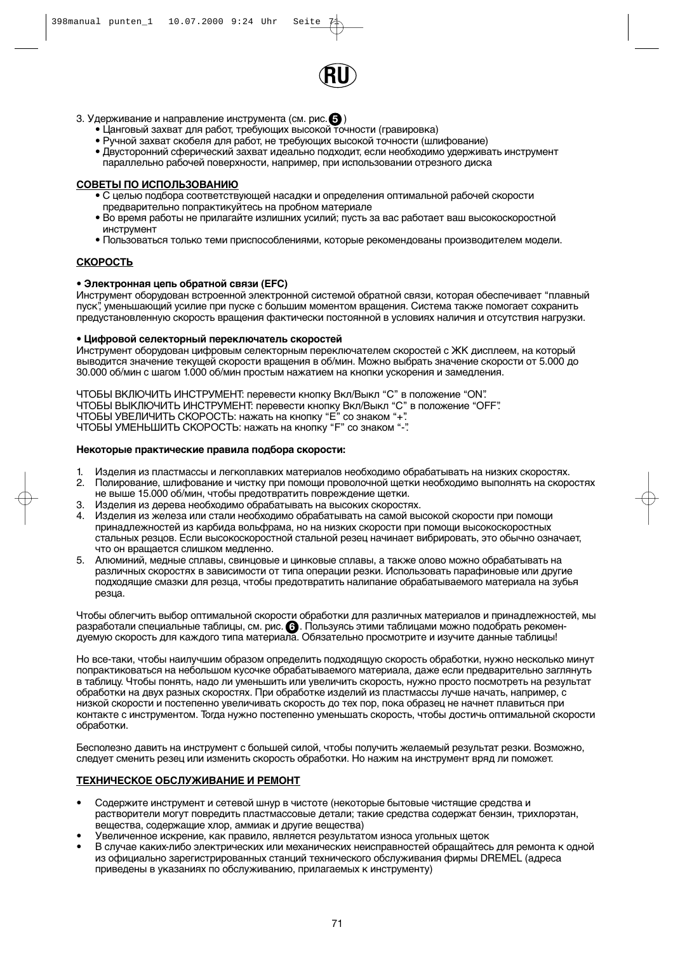

## 3. Удерживание и направление инструмента (см. рис.  $\boldsymbol{\Theta}$  )

- Цанговый захват для работ, требующих высокой точности (гравировка)
- Ручной захват скобеля для работ, не требующих высокой точности (шлифование)
- Двусторонний сферический захват идеально подходит, если необходимо удерживать инструмент параллельно рабочей поверхности, например, при использовании отрезного диска

#### **СОВЕТЫ ПО ИСПОЛЬЗОВАНИЮ**

- С целью подбора соответствующей насадки и определения оптимальной рабочей скорости предварительно попрактикуйтесь на пробном материале
- Во время работы не прилагайте излишних усилий; пусть за вас работает ваш высокоскоростной инструмент
- Пользоваться только теми приспособлениями, которые рекомендованы производителем модели.

#### **СКОРОСТЬ**

#### **• Электронная цепь обратной связи (EFC)**

Инструмент оборудован встроенной электронной системой обратной связи, которая обеспечивает "плавный пуск", уменьшающий усилие при пуске с большим моментом вращения. Система также помогает сохранить предустановленную скорость вращения фактически постоянной в условиях наличия и отсутствия нагрузки.

#### **• Цифровой селекторный переключатель скоростей**

Инструмент оборудован цифровым селекторным переключателем скоростей с ЖК дисплеем, на который выводится значение текущей скорости вращения в об/мин. Можно выбрать значение скорости от 5.000 до 30.000 об/мин с шагом 1.000 об/мин простым нажатием на кнопки ускорения и замедления.

ЧТОБЫ ВКЛЮЧИТЬ ИНСТРУМЕНТ: перевести кнопку Вкл/Выкл "C" в положение "ON". ЧТОБЫ ВЫКЛЮЧИТЬ ИНСТРУМЕНТ: перевести кнопку Вкл/Выкл "C" в положение "OFF". ЧТОБЫ УВЕЛИЧИТЬ СКОРОСТЬ: нажать на кнопку "E" со знаком "+". ЧТОБЫ УМЕНЬШИТЬ СКОРОСТЬ: нажать на кнопку "F" со знаком "-".

#### **Некоторые практические правила подбора скорости:**

- 1. Изделия из пластмассы и легкоплавких материалов необходимо обрабатывать на низких скоростях.
- 2. Полирование, шлифование и чистку при помощи проволочной щетки необходимо выполнять на скоростях не выше 15.000 об/мин, чтобы предотвратить повреждение щетки.
- 3. Изделия из дерева необходимо обрабатывать на высоких скоростях.
- 4. Изделия из железа или стали необходимо обрабатывать на самой высокой скорости при помощи принадлежностей из карбида вольфрама, но на низких скорости при помощи высокоскоростных стальных резцов. Если высокоскоростной стальной резец начинает вибрировать, это обычно означает, что он вращается слишком медленно.
- 5. Алюминий, медные сплавы, свинцовые и цинковые сплавы, а также олово можно обрабатывать на различных скоростях в зависимости от типа операции резки. Использовать парафиновые или другие подходящие смазки для резца, чтобы предотвратить налипание обрабатываемого материала на зубья резца.

Чтобы облегчить выбор оптимальной скорости обработки для различных материалов и принадлежностей, мы разработали специальные таблицы, см. рис. **(3)**. Пользуясь этими таблицами можно подобрать рекомендуемую скорость для каждого типа материала. Обязательно просмотрите и изучите данные таблицы!

Но все-таки, чтобы наилучшим образом определить подходящую скорость обработки, нужно несколько минут попрактиковаться на небольшом кусочке обрабатываемого материала, даже если предварительно заглянуть в таблицу. Чтобы понять, надо ли уменьшить или увеличить скорость, нужно просто посмотреть на результат обработки на двух разных скоростях. При обработке изделий из пластмассы лучше начать, например, с низкой скорости и постепенно увеличивать скорость до тех пор, пока образец не начнет плавиться при контакте с инструментом. Тогда нужно постепенно уменьшать скорость, чтобы достичь оптимальной скорости обработки.

Бесполезно давить на инструмент с большей силой, чтобы получить желаемый результат резки. Возможно, следует сменить резец или изменить скорость обработки. Но нажим на инструмент вряд ли поможет.

#### **ТЕХНИЧЕСКОЕ ОБСЛУЖИВАНИЕ И РЕМОНТ**

- Содержите инструмент и сетевой шнур в чистоте (некоторые бытовые чистящие средства и растворители могут повредить пластмассовые детали; такие средства содержат бензин, трихлорэтан, вещества, содержащие хлор, аммиак и другие вещества)
- Увеличенное искрение, как правило, является результатом износа угольных щеток
- В случае каких-либо электрических или механических неисправностей обращайтесь для ремонта к одной из официально зарегистрированных станций технического обслуживания фирмы DREMEL (адреса приведены в указаниях по обслуживанию, прилагаемых к инструменту)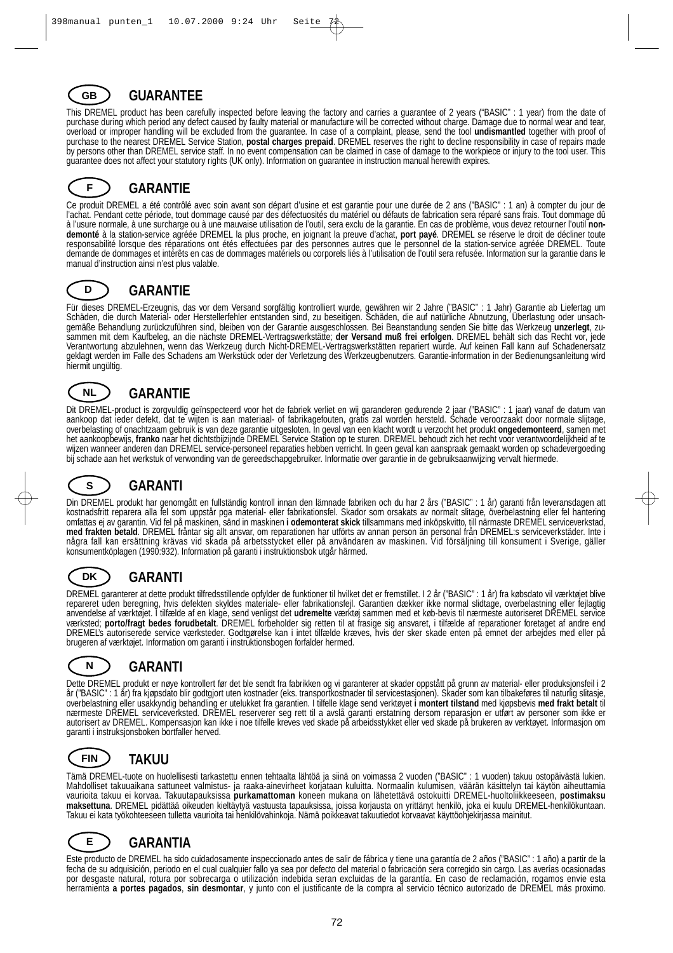## **GUARANTEE**

This DREMEL product has been carefully inspected before leaving the factory and carries a guarantee of 2 years ("BASIC" : 1 year) from the date of purchase during which period any defect caused by faulty material or manufacture will be corrected without charge. Damage due to normal wear and tear, overload or improper handling will be excluded from the guarantee. In case of a complaint, please, send the tool **undismantled** together with proof of purchase to the nearest DREMEL Service Station, **postal charges prepaid**. DREMEL reserves the right to decline responsibility in case of repairs made by persons other than DREMEL service staff. In no event compensation can be claimed in case of damage to the workpiece or injury to the tool user. This guarantee does not affect your statutory rights (UK only). Information on guarantee in instruction manual herewith expires.

#### **GARANTIE F**

Ce produit DREMEL a été contrôlé avec soin avant son départ d'usine et est garantie pour une durée de 2 ans ("BASIC" : 1 an) à compter du jour de l'achat. Pendant cette période, tout dommage causé par des défectuosités du matériel ou défauts de fabrication sera réparé sans frais. Tout dommage dû à l'usure normale, à une surcharge ou à une mauvaise utilisation de l'outil, sera exclu de la garantie. En cas de problème, vous devez retourner l'outil **nondemonté** à la station-service agréée DREMEL la plus proche, en joignant la preuve d'achat, **port payé**. DREMEL se réserve le droit de décliner toute responsabilité lorsque des réparations ont étés effectuées par des personnes autres que le personnel de la station-service agréée DREMEL. Toute demande de dommages et intérêts en cas de dommages matériels ou corporels liés à l'utilisation de l'outil sera refusée. Information sur la garantie dans le manual d'instruction ainsi n'est plus valable.

#### **GARANTIE D**

**GB**

Für dieses DREMEL-Erzeugnis, das vor dem Versand sorgfältig kontrolliert wurde, gewähren wir 2 Jahre ("BASIC" : 1 Jahr) Garantie ab Liefertag um Schäden, die durch Material- oder Herstellerfehler entstanden sind, zu beseitigen. Schäden, die auf natürliche Abnutzung, Überlastung oder unsachgemäße Behandlung zurückzuführen sind, bleiben von der Garantie ausgeschlossen. Bei Beanstandung senden Sie bitte das Werkzeug **unzerlegt**, zusammen mit dem Kaufbeleg, an die nächste DREMEL-Vertragswerkstätte; **der Versand muß frei erfolgen**. DREMEL behält sich das Recht vor, jede Verantwortung abzulehnen, wenn das Werkzeug durch Nicht-DREMEL-Vertragswerkstätten repariert wurde. Auf keinen Fall kann auf Schadenersatz geklagt werden im Falle des Schadens am Werkstück oder der Verletzung des Werkzeugbenutzers. Garantie-information in der Bedienungsanleitung wird hiermit ungültig.



## **GARANTIE**

Dit DREMEL-product is zorgvuldig geïnspecteerd voor het de fabriek verliet en wij garanderen gedurende 2 jaar ("BASIC" : 1 jaar) vanaf de datum van aankoop dat ieder defekt, dat te wijten is aan materiaal- of fabrikagefouten, gratis zal worden hersteld. Schade veroorzaakt door normale slijtage, overbelasting of onachtzaam gebruik is van deze garantie uitgesloten. In geval van een klacht wordt u verzocht het produkt **ongedemonteerd**, samen met het aankoopbewijs, **franko** naar het dichtstbijzijnde DREMEL Service Station op te sturen. DREMEL behoudt zich het recht voor verantwoordelijkheid af te wijzen wanneer anderen dan DREMEL service-personeel reparaties hebben verricht. In geen geval kan aanspraak gemaakt worden op schadevergoeding bij schade aan het werkstuk of verwonding van de gereedschapgebruiker. Informatie over garantie in de gebruiksaanwijzing vervalt hiermede.

#### **GARANTI S**

Din DREMEL produkt har genomgått en fullständig kontroll innan den lämnade fabriken och du har 2 års ("BASIC" : 1 år) garanti från leveransdagen att kostnadsfritt reparera alla fel som uppstår pga material- eller fabrikationsfel. Skador som orsakats av normalt slitage, överbelastning eller fel hantering omfattas ej av garantin. Vid fel på maskinen, sänd in maskinen **i odemonterat skick** tillsammans med inköpskvitto, till närmaste DREMEL serviceverkstad, **med frakten betald**. DREMEL fråntar sig allt ansvar, om reparationen har utförts av annan person än personal från DREMEL:s serviceverkstäder. Inte i några fall kan ersättning krävas vid skada på arbetsstycket eller på användaren av maskinen. Vid försäljning till konsument i Sverige, gäller konsumentköplagen (1990:932). Information på garanti i instruktionsbok utgår härmed.



## **GARANTI**

DREMEL garanterer at dette produkt tilfredsstillende opfylder de funktioner til hvilket det er fremstillet. I 2 år ("BASIC" : 1 år) fra købsdato vil værktøjet blive repareret uden beregning, hvis defekten skyldes materiale- eller fabrikationsfejl. Garantien dækker ikke normal slidtage, overbelastning eller fejlagtig anvendelse af værktøjet. I tilfælde af en klage, send venligst det **udremelte** værktøj sammen med et køb-bevis til nærmeste autoriseret DREMEL service værksted; **porto/fragt bedes forudbetalt**. DREMEL forbeholder sig retten til at frasige sig ansvaret, i tilfælde af reparationer foretaget af andre end DREMEL's autoriserede service værksteder. Godtgørelse kan i intet tilfælde kræves, hvis der sker skade enten på emnet der arbejdes med eller på brugeren af værktøjet. Information om garanti i instruktionsbogen forfalder hermed.

|  | <b>GARANTI</b> |
|--|----------------|
|--|----------------|

Dette DREMEL produkt er nøye kontrollert før det ble sendt fra fabrikken og vi garanterer at skader oppstått på grunn av material- eller produksjonsfeil i 2 år ("BASIC" : 1 år) fra kjøpsdato blir godtgjort uten kostnader (eks. transportkostnader til servicestasjonen). Skader som kan tilbakeføres til naturlig slitasje, overbelastning eller usakkyndig behandling er utelukket fra garantien. I tilfelle klage send verktøyet **i montert tilstand** med kjøpsbevis **med frakt betalt** til nærmeste DREMEL serviceverksted. DREMEL reserverer seg rett til a avslå garanti erstatning dersom reparasjon er utført av personer som ikke er autorisert av DREMEL. Kompensasjon kan ikke i noe tilfelle kreves ved skade på arbeidsstykket eller ved skade på brukeren av verktøyet. Informasjon om garanti i instruksjonsboken bortfaller herved.

#### **TAKUU FIN**

Tämä DREMEL-tuote on huolellisesti tarkastettu ennen tehtaalta lähtöä ja siinä on voimassa 2 vuoden ("BASIC" : 1 vuoden) takuu ostopäivästä lukien. Mahdolliset takuuaikana sattuneet valmistus- ja raaka-ainevirheet korjataan kuluitta. Normaalin kulumisen, väärän käsittelyn tai käytön aiheuttamia vaurioita takuu ei korvaa. Takuutapauksissa **purkamattoman** koneen mukana on lähetettävä ostokuitti DREMEL-huoltoliikkeeseen, **postimaksu maksettuna**. DREMEL pidättää oikeuden kieltäytyä vastuusta tapauksissa, joissa korjausta on yrittänyt henkilö, joka ei kuulu DREMEL-henkilökuntaan. Takuu ei kata työkohteeseen tulletta vaurioita tai henkilövahinkoja. Nämä poikkeavat takuutiedot korvaavat käyttöohjekirjassa mainitut.

#### **GARANTIA E**

Este producto de DREMEL ha sido cuidadosamente inspeccionado antes de salir de fábrica y tiene una garantía de 2 años ("BASIC" : 1 año) a partir de la fecha de su adquisición, periodo en el cual cualquier fallo ya sea por defecto del material o fabricación sera corregido sin cargo. Las averías ocasionadas por desgaste natural, rotura por sobrecarga o utilización indebida seran excluidas de la garantía. En caso de reclamación, rogamos envie esta herramienta **a portes pagados**, **sin desmontar**, y junto con el justificante de la compra al servicio técnico autorizado de DREMEL más proximo.